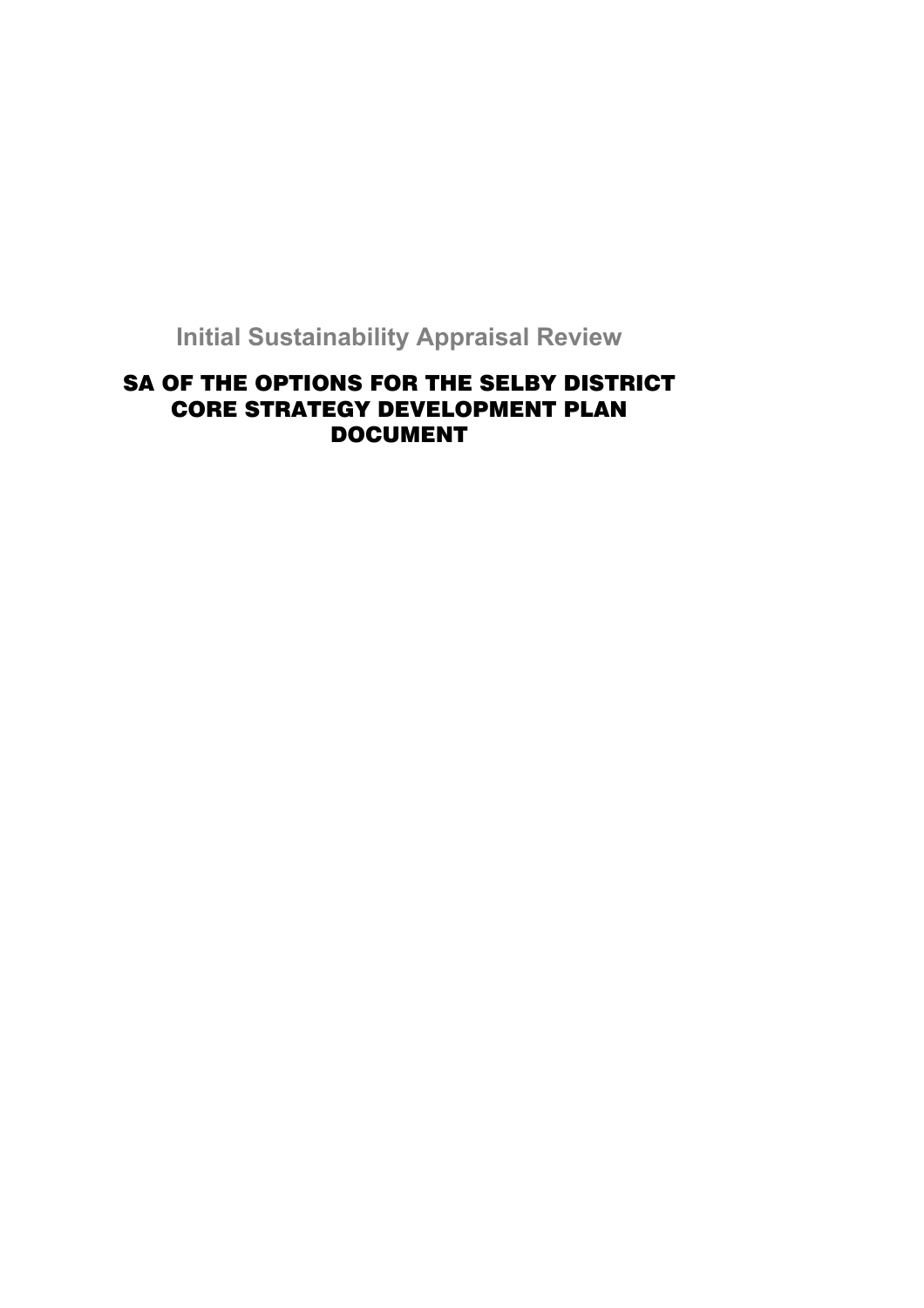**Initial Sustainability Appraisal Review** 

# SA OF THE OPTIONS FOR THE SELBY DISTRICT CORE STRATEGY DEVELOPMENT PLAN DOCUMENT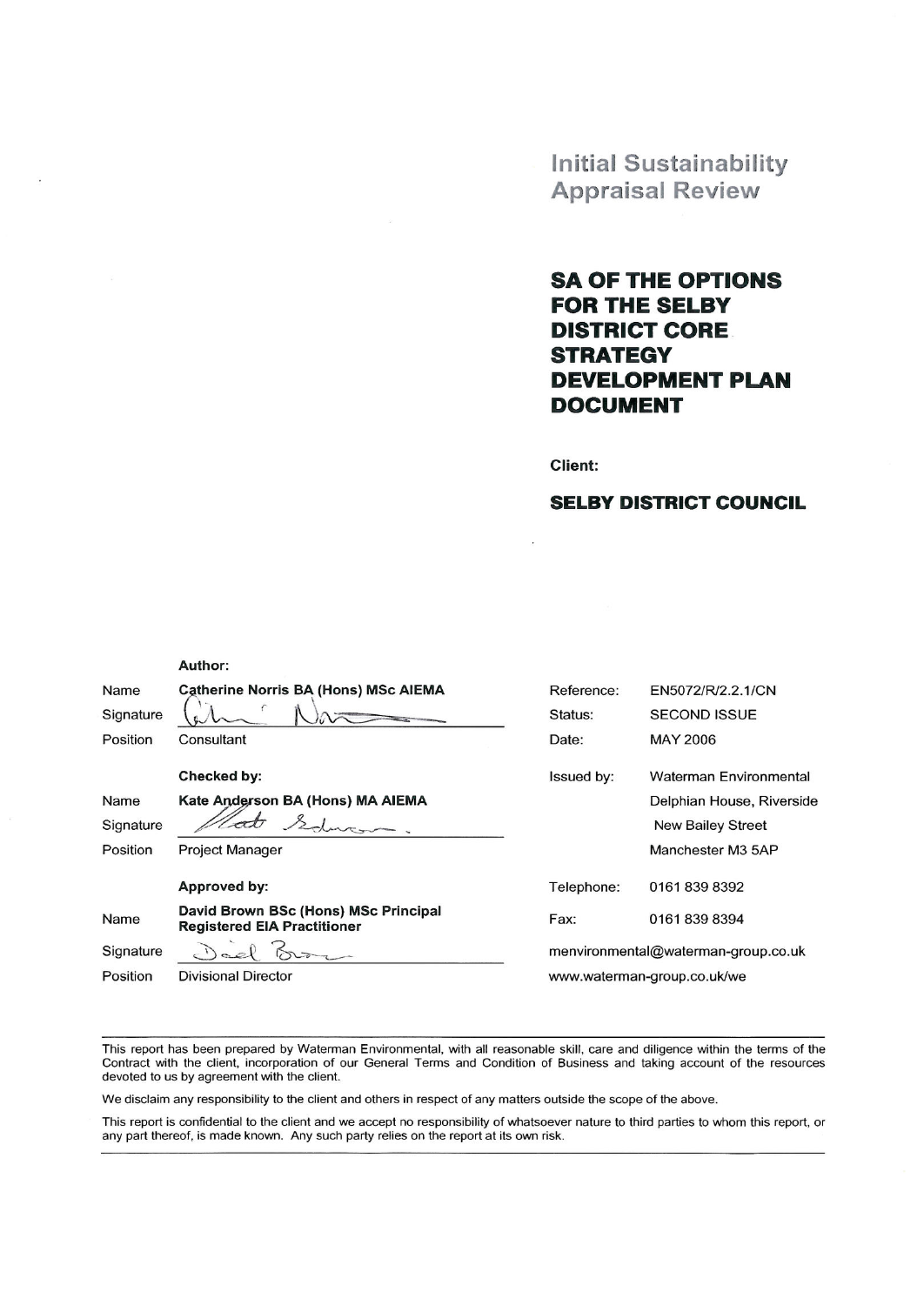**Initial Sustainability Appraisal Review** 

# **SA OF THE OPTIONS FOR THE SELBY DISTRICT CORE STRATEGY DEVELOPMENT PLAN DOCUMENT**

**Client:** 

 $\bar{z}$ 

# **SELBY DISTRICT COUNCIL**

|           | Author:                                                                    |            |                                     |
|-----------|----------------------------------------------------------------------------|------------|-------------------------------------|
| Name      | <b>Catherine Norris BA (Hons) MSc AIEMA</b>                                | Reference: | EN5072/R/2.2.1/CN                   |
| Signature |                                                                            | Status:    | <b>SECOND ISSUE</b>                 |
| Position  | Consultant                                                                 | Date:      | <b>MAY 2006</b>                     |
|           | Checked by:                                                                | Issued by: | Waterman Environmental              |
| Name      | Kate Anderson BA (Hons) MA AIEMA                                           |            | Delphian House, Riverside           |
| Signature |                                                                            |            | New Bailey Street                   |
| Position  | <b>Project Manager</b>                                                     |            | Manchester M3 5AP                   |
|           | Approved by:                                                               | Telephone: | 01618398392                         |
| Name      | David Brown BSc (Hons) MSc Principal<br><b>Registered EIA Practitioner</b> | Fax:       | 01618398394                         |
| Signature |                                                                            |            | menvironmental@waterman-group.co.uk |
| Position  | <b>Divisional Director</b>                                                 |            | www.waterman-group.co.uk/we         |
|           |                                                                            |            |                                     |

This report has been prepared by Waterman Environmental, with all reasonable skill, care and diligence within the terms of the Contract with the client, incorporation of our General Terms and Condition of Business and taking account of the resources devoted to us by agreement with the client.

We disclaim any responsibility to the client and others in respect of any matters outside the scope of the above.

This report is confidential to the client and we accept no responsibility of whatsoever nature to third parties to whom this report, or any part thereof, is made known. Any such party relies on the report at its own risk.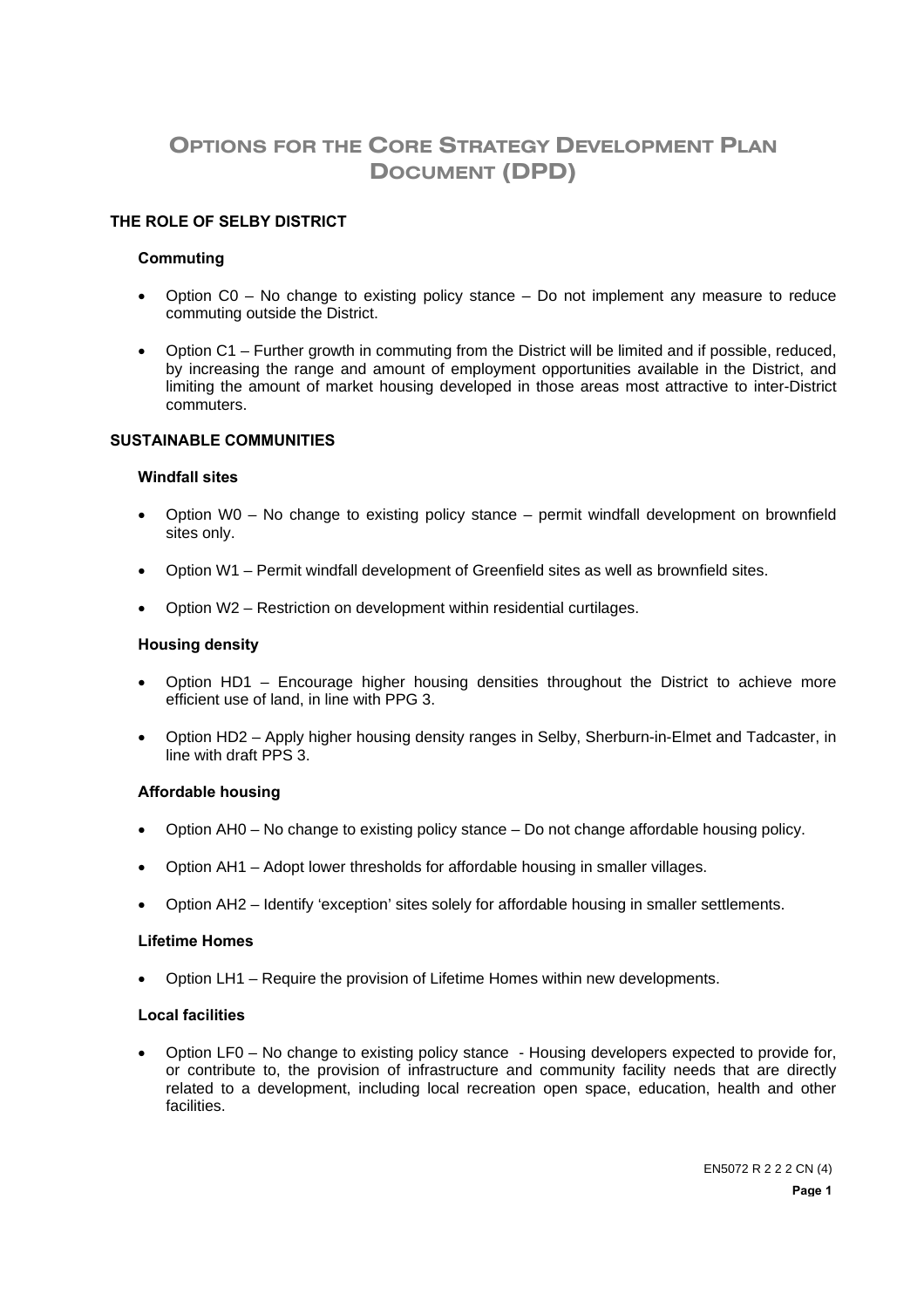# **OPTIONS FOR THE CORE STRATEGY DEVELOPMENT PLAN DOCUMENT (DPD)**

### **THE ROLE OF SELBY DISTRICT**

#### **Commuting**

- Option C0 No change to existing policy stance Do not implement any measure to reduce commuting outside the District.
- Option C1 Further growth in commuting from the District will be limited and if possible, reduced, by increasing the range and amount of employment opportunities available in the District, and limiting the amount of market housing developed in those areas most attractive to inter-District commuters.

#### **SUSTAINABLE COMMUNITIES**

#### **Windfall sites**

- Option W0 No change to existing policy stance permit windfall development on brownfield sites only.
- Option W1 Permit windfall development of Greenfield sites as well as brownfield sites.
- Option W2 Restriction on development within residential curtilages.

#### **Housing density**

- Option HD1 Encourage higher housing densities throughout the District to achieve more efficient use of land, in line with PPG 3.
- Option HD2 Apply higher housing density ranges in Selby, Sherburn-in-Elmet and Tadcaster, in line with draft PPS 3.

#### **Affordable housing**

- Option AH0 No change to existing policy stance Do not change affordable housing policy.
- Option AH1 Adopt lower thresholds for affordable housing in smaller villages.
- Option AH2 Identify 'exception' sites solely for affordable housing in smaller settlements.

#### **Lifetime Homes**

• Option LH1 – Require the provision of Lifetime Homes within new developments.

#### **Local facilities**

• Option LF0 – No change to existing policy stance - Housing developers expected to provide for, or contribute to, the provision of infrastructure and community facility needs that are directly related to a development, including local recreation open space, education, health and other facilities.

> EN5072 R 2 2 2 CN (4) **Page 1**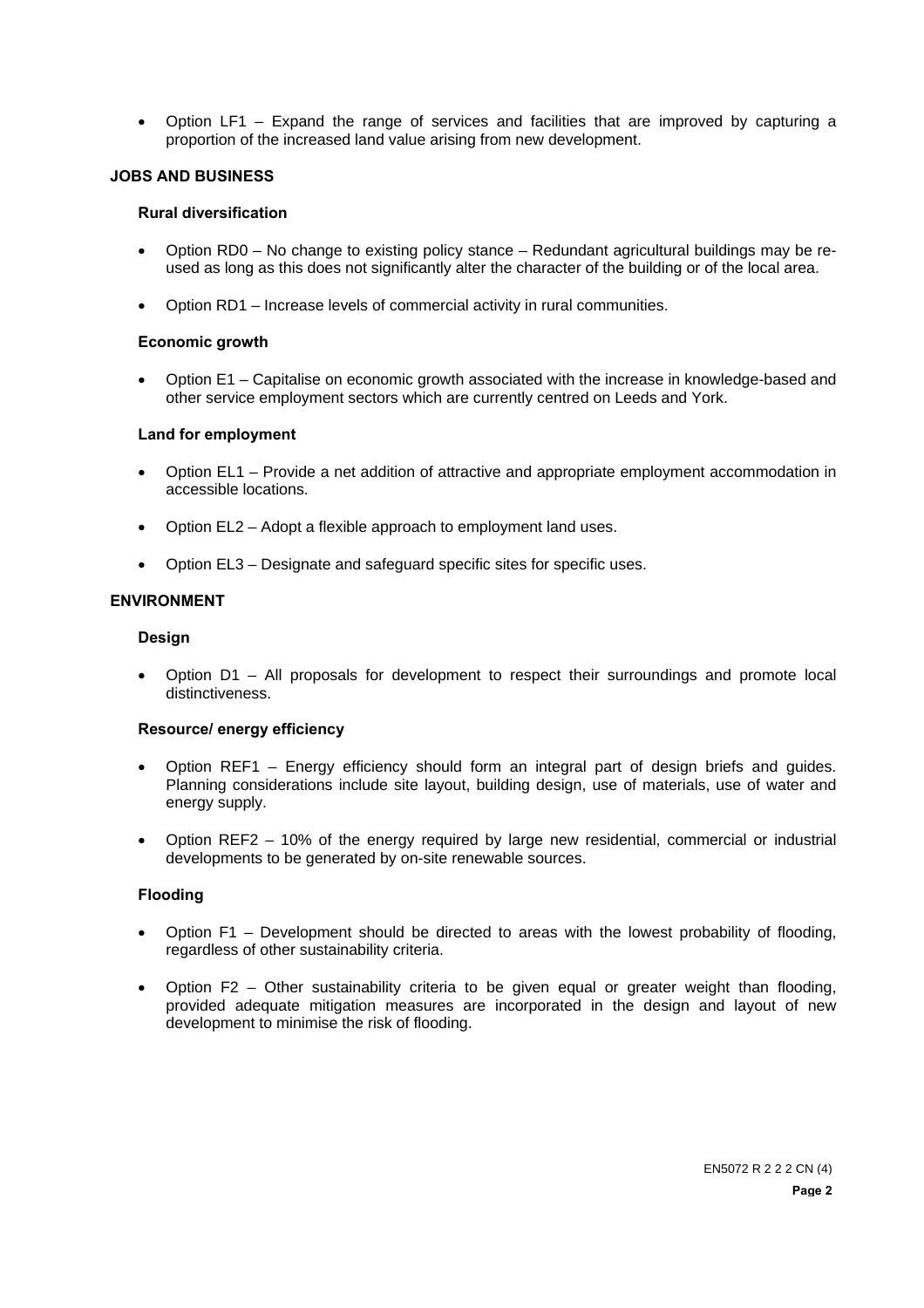• Option LF1 – Expand the range of services and facilities that are improved by capturing a proportion of the increased land value arising from new development.

#### **JOBS AND BUSINESS**

## **Rural diversification**

- Option RD0 No change to existing policy stance Redundant agricultural buildings may be reused as long as this does not significantly alter the character of the building or of the local area.
- Option RD1 Increase levels of commercial activity in rural communities.

#### **Economic growth**

• Option E1 – Capitalise on economic growth associated with the increase in knowledge-based and other service employment sectors which are currently centred on Leeds and York.

#### **Land for employment**

- Option EL1 Provide a net addition of attractive and appropriate employment accommodation in accessible locations.
- Option EL2 Adopt a flexible approach to employment land uses.
- Option EL3 Designate and safeguard specific sites for specific uses.

#### **ENVIRONMENT**

### **Design**

• Option D1 – All proposals for development to respect their surroundings and promote local distinctiveness.

## **Resource/ energy efficiency**

- Option REF1 Energy efficiency should form an integral part of design briefs and guides. Planning considerations include site layout, building design, use of materials, use of water and energy supply.
- Option REF2 10% of the energy required by large new residential, commercial or industrial developments to be generated by on-site renewable sources.

#### **Flooding**

- Option F1 Development should be directed to areas with the lowest probability of flooding, regardless of other sustainability criteria.
- Option F2 Other sustainability criteria to be given equal or greater weight than flooding, provided adequate mitigation measures are incorporated in the design and layout of new development to minimise the risk of flooding.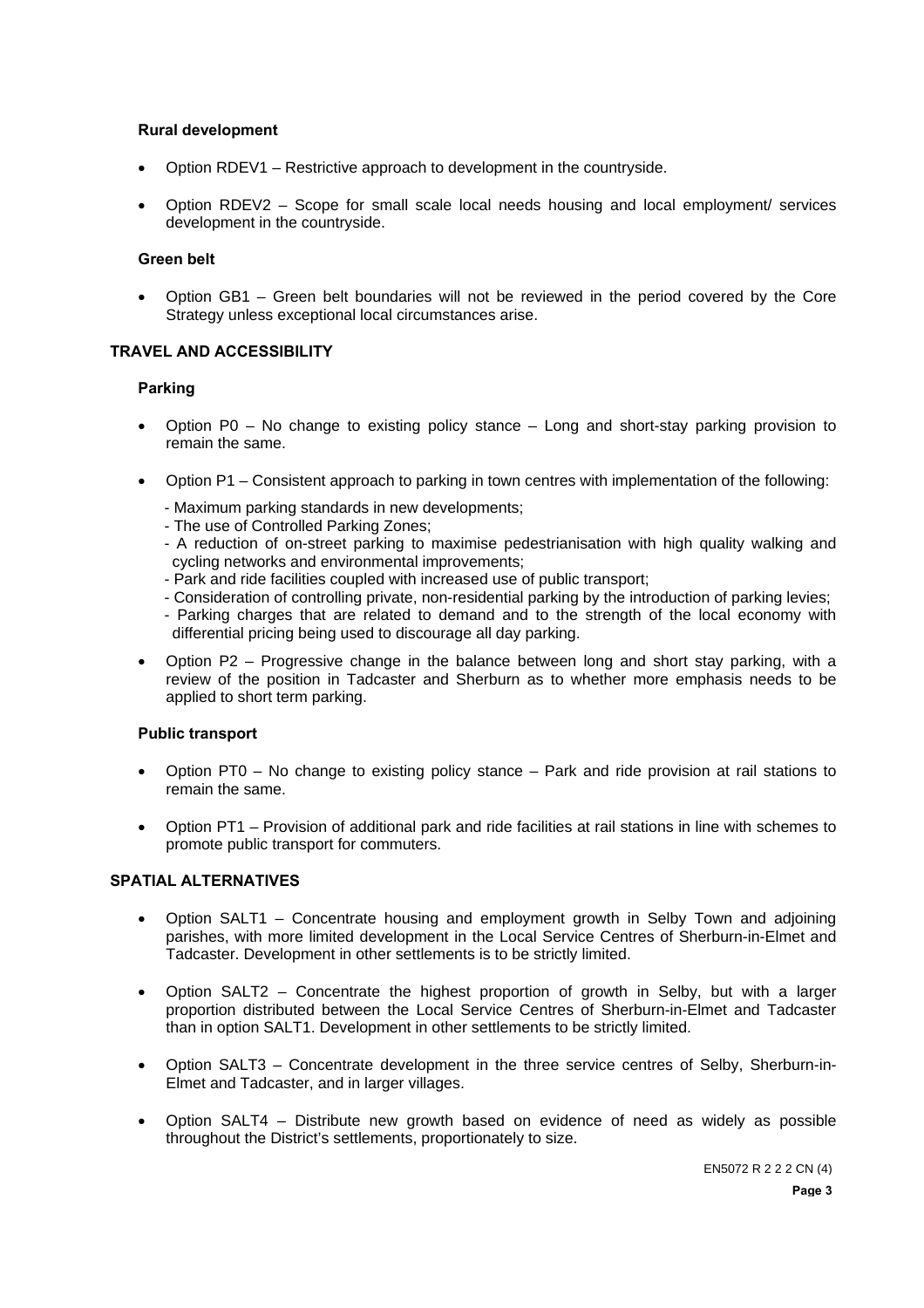#### **Rural development**

- Option RDEV1 Restrictive approach to development in the countryside.
- Option RDEV2 Scope for small scale local needs housing and local employment/ services development in the countryside.

### **Green belt**

• Option GB1 – Green belt boundaries will not be reviewed in the period covered by the Core Strategy unless exceptional local circumstances arise.

#### **TRAVEL AND ACCESSIBILITY**

#### **Parking**

- Option P0 No change to existing policy stance Long and short-stay parking provision to remain the same.
- Option P1 Consistent approach to parking in town centres with implementation of the following:
	- Maximum parking standards in new developments;
	- The use of Controlled Parking Zones;
	- A reduction of on-street parking to maximise pedestrianisation with high quality walking and cycling networks and environmental improvements;
	- Park and ride facilities coupled with increased use of public transport;
	- Consideration of controlling private, non-residential parking by the introduction of parking levies;
	- Parking charges that are related to demand and to the strength of the local economy with differential pricing being used to discourage all day parking.
- Option P2 Progressive change in the balance between long and short stay parking, with a review of the position in Tadcaster and Sherburn as to whether more emphasis needs to be applied to short term parking.

## **Public transport**

- Option PT0 No change to existing policy stance Park and ride provision at rail stations to remain the same.
- Option PT1 Provision of additional park and ride facilities at rail stations in line with schemes to promote public transport for commuters.

## **SPATIAL ALTERNATIVES**

- Option SALT1 Concentrate housing and employment growth in Selby Town and adjoining parishes, with more limited development in the Local Service Centres of Sherburn-in-Elmet and Tadcaster. Development in other settlements is to be strictly limited.
- Option SALT2 Concentrate the highest proportion of growth in Selby, but with a larger proportion distributed between the Local Service Centres of Sherburn-in-Elmet and Tadcaster than in option SALT1. Development in other settlements to be strictly limited.
- Option SALT3 Concentrate development in the three service centres of Selby, Sherburn-in-Elmet and Tadcaster, and in larger villages.
- Option SALT4 Distribute new growth based on evidence of need as widely as possible throughout the District's settlements, proportionately to size.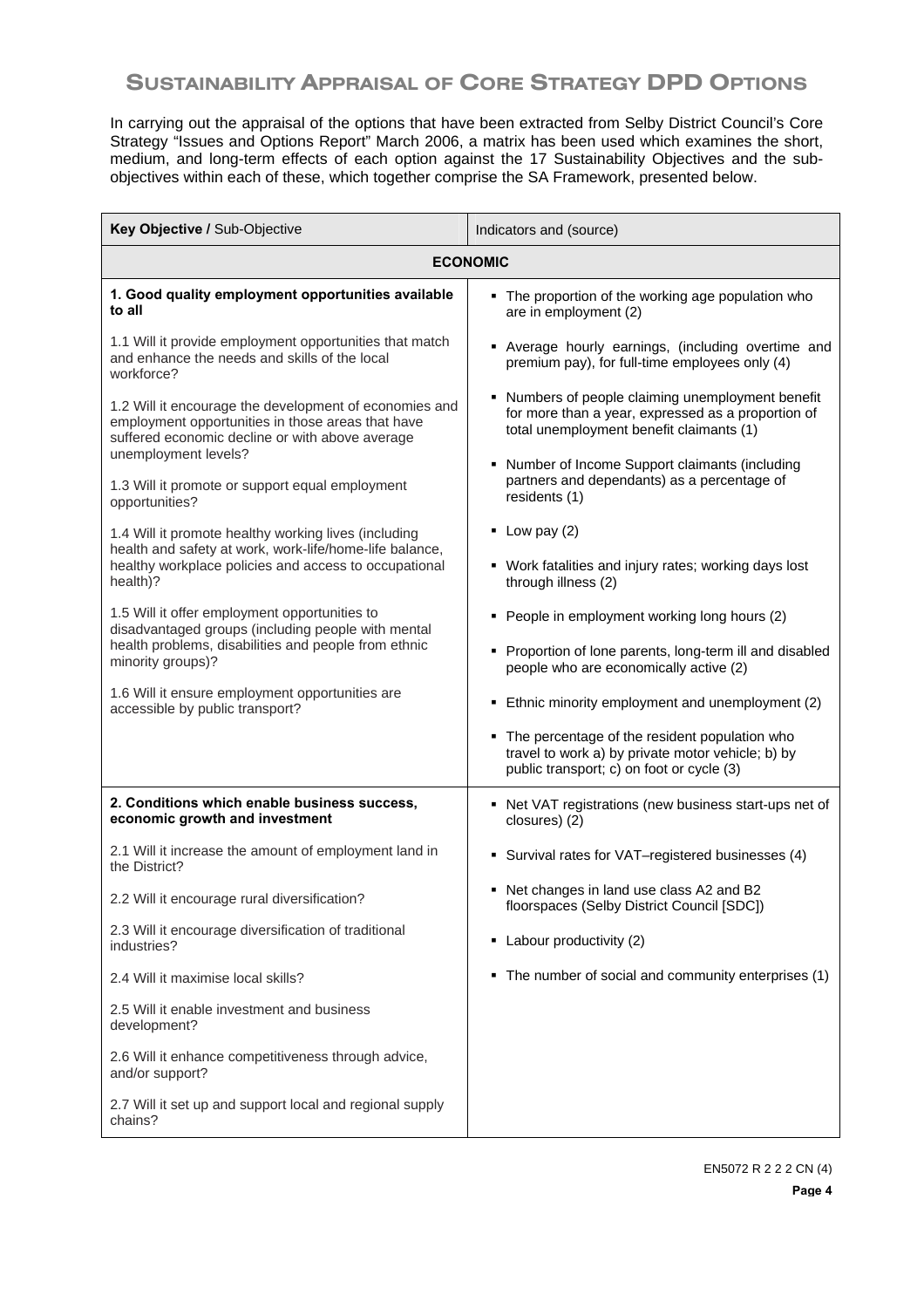# **SUSTAINABILITY APPRAISAL OF CORE STRATEGY DPD OPTIONS**

In carrying out the appraisal of the options that have been extracted from Selby District Council's Core Strategy "Issues and Options Report" March 2006, a matrix has been used which examines the short, medium, and long-term effects of each option against the 17 Sustainability Objectives and the subobjectives within each of these, which together comprise the SA Framework, presented below.

| Key Objective / Sub-Objective                                                                                                                                  | Indicators and (source)                                                                                                                                |  |  |  |  |
|----------------------------------------------------------------------------------------------------------------------------------------------------------------|--------------------------------------------------------------------------------------------------------------------------------------------------------|--|--|--|--|
| <b>ECONOMIC</b>                                                                                                                                                |                                                                                                                                                        |  |  |  |  |
| 1. Good quality employment opportunities available<br>to all                                                                                                   | • The proportion of the working age population who<br>are in employment (2)                                                                            |  |  |  |  |
| 1.1 Will it provide employment opportunities that match<br>and enhance the needs and skills of the local<br>workforce?                                         | • Average hourly earnings, (including overtime and<br>premium pay), for full-time employees only (4)                                                   |  |  |  |  |
| 1.2 Will it encourage the development of economies and<br>employment opportunities in those areas that have<br>suffered economic decline or with above average | Numbers of people claiming unemployment benefit<br>٠<br>for more than a year, expressed as a proportion of<br>total unemployment benefit claimants (1) |  |  |  |  |
| unemployment levels?<br>1.3 Will it promote or support equal employment<br>opportunities?                                                                      | Number of Income Support claimants (including<br>partners and dependants) as a percentage of<br>residents (1)                                          |  |  |  |  |
| 1.4 Will it promote healthy working lives (including                                                                                                           | $\blacksquare$ Low pay (2)                                                                                                                             |  |  |  |  |
| health and safety at work, work-life/home-life balance,<br>healthy workplace policies and access to occupational<br>health)?                                   | • Work fatalities and injury rates; working days lost<br>through illness (2)                                                                           |  |  |  |  |
| 1.5 Will it offer employment opportunities to<br>disadvantaged groups (including people with mental                                                            | People in employment working long hours (2)                                                                                                            |  |  |  |  |
| health problems, disabilities and people from ethnic<br>minority groups)?                                                                                      | Proportion of lone parents, long-term ill and disabled<br>٠<br>people who are economically active (2)                                                  |  |  |  |  |
| 1.6 Will it ensure employment opportunities are<br>accessible by public transport?                                                                             | Ethnic minority employment and unemployment (2)<br>٠                                                                                                   |  |  |  |  |
|                                                                                                                                                                | The percentage of the resident population who<br>٠<br>travel to work a) by private motor vehicle; b) by<br>public transport; c) on foot or cycle (3)   |  |  |  |  |
| 2. Conditions which enable business success,<br>economic growth and investment                                                                                 | • Net VAT registrations (new business start-ups net of<br>closures) (2)                                                                                |  |  |  |  |
| 2.1 Will it increase the amount of employment land in<br>the District?                                                                                         | • Survival rates for VAT-registered businesses (4)                                                                                                     |  |  |  |  |
| 2.2 Will it encourage rural diversification?                                                                                                                   | • Net changes in land use class A2 and B2<br>floorspaces (Selby District Council [SDC])                                                                |  |  |  |  |
| 2.3 Will it encourage diversification of traditional<br>industries?                                                                                            | • Labour productivity (2)                                                                                                                              |  |  |  |  |
| 2.4 Will it maximise local skills?                                                                                                                             | The number of social and community enterprises (1)<br>٠                                                                                                |  |  |  |  |
| 2.5 Will it enable investment and business<br>development?                                                                                                     |                                                                                                                                                        |  |  |  |  |
| 2.6 Will it enhance competitiveness through advice,<br>and/or support?                                                                                         |                                                                                                                                                        |  |  |  |  |
| 2.7 Will it set up and support local and regional supply<br>chains?                                                                                            |                                                                                                                                                        |  |  |  |  |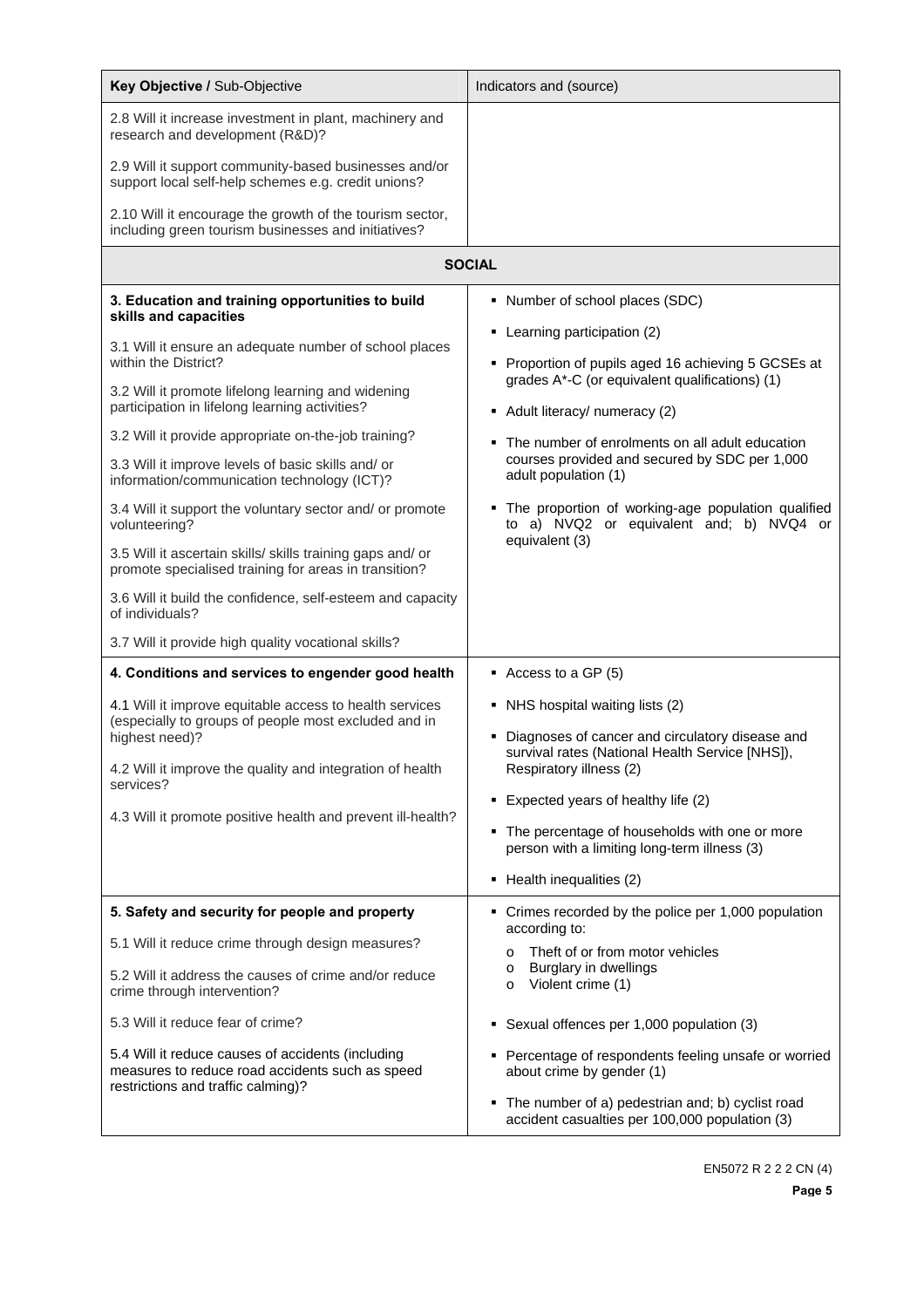| Key Objective / Sub-Objective                                                                                                              | Indicators and (source)                                                                                          |  |  |
|--------------------------------------------------------------------------------------------------------------------------------------------|------------------------------------------------------------------------------------------------------------------|--|--|
| 2.8 Will it increase investment in plant, machinery and<br>research and development (R&D)?                                                 |                                                                                                                  |  |  |
| 2.9 Will it support community-based businesses and/or<br>support local self-help schemes e.g. credit unions?                               |                                                                                                                  |  |  |
| 2.10 Will it encourage the growth of the tourism sector,<br>including green tourism businesses and initiatives?                            |                                                                                                                  |  |  |
|                                                                                                                                            | <b>SOCIAL</b>                                                                                                    |  |  |
| 3. Education and training opportunities to build<br>skills and capacities                                                                  | • Number of school places (SDC)                                                                                  |  |  |
| 3.1 Will it ensure an adequate number of school places<br>within the District?                                                             | • Learning participation (2)<br>Proportion of pupils aged 16 achieving 5 GCSEs at                                |  |  |
| 3.2 Will it promote lifelong learning and widening<br>participation in lifelong learning activities?                                       | grades A*-C (or equivalent qualifications) (1)<br>• Adult literacy/ numeracy (2)                                 |  |  |
| 3.2 Will it provide appropriate on-the-job training?                                                                                       | The number of enrolments on all adult education                                                                  |  |  |
| 3.3 Will it improve levels of basic skills and/ or<br>information/communication technology (ICT)?                                          | courses provided and secured by SDC per 1,000<br>adult population (1)                                            |  |  |
| 3.4 Will it support the voluntary sector and/ or promote<br>volunteering?                                                                  | The proportion of working-age population qualified<br>to a) NVQ2 or equivalent and; b) NVQ4 or<br>equivalent (3) |  |  |
| 3.5 Will it ascertain skills/ skills training gaps and/ or<br>promote specialised training for areas in transition?                        |                                                                                                                  |  |  |
| 3.6 Will it build the confidence, self-esteem and capacity<br>of individuals?                                                              |                                                                                                                  |  |  |
| 3.7 Will it provide high quality vocational skills?                                                                                        |                                                                                                                  |  |  |
| 4. Conditions and services to engender good health                                                                                         | $\blacksquare$ Access to a GP (5)                                                                                |  |  |
| 4.1 Will it improve equitable access to health services<br>(especially to groups of people most excluded and in<br>highest need)?          | • NHS hospital waiting lists (2)<br>Diagnoses of cancer and circulatory disease and                              |  |  |
| 4.2 Will it improve the quality and integration of health<br>services?                                                                     | survival rates (National Health Service [NHS]),<br>Respiratory illness (2)                                       |  |  |
| 4.3 Will it promote positive health and prevent ill-health?                                                                                | Expected years of healthy life (2)                                                                               |  |  |
|                                                                                                                                            | • The percentage of households with one or more<br>person with a limiting long-term illness (3)                  |  |  |
|                                                                                                                                            | Health inequalities (2)<br>٠                                                                                     |  |  |
| 5. Safety and security for people and property                                                                                             | • Crimes recorded by the police per 1,000 population<br>according to:                                            |  |  |
| 5.1 Will it reduce crime through design measures?                                                                                          | Theft of or from motor vehicles<br>$\circ$                                                                       |  |  |
| 5.2 Will it address the causes of crime and/or reduce<br>crime through intervention?                                                       | Burglary in dwellings<br>$\circ$<br>Violent crime (1)<br>$\circ$                                                 |  |  |
| 5.3 Will it reduce fear of crime?                                                                                                          | Sexual offences per 1,000 population (3)<br>٠                                                                    |  |  |
| 5.4 Will it reduce causes of accidents (including<br>measures to reduce road accidents such as speed<br>restrictions and traffic calming)? | Percentage of respondents feeling unsafe or worried<br>about crime by gender (1)                                 |  |  |
|                                                                                                                                            | The number of a) pedestrian and; b) cyclist road<br>accident casualties per 100,000 population (3)               |  |  |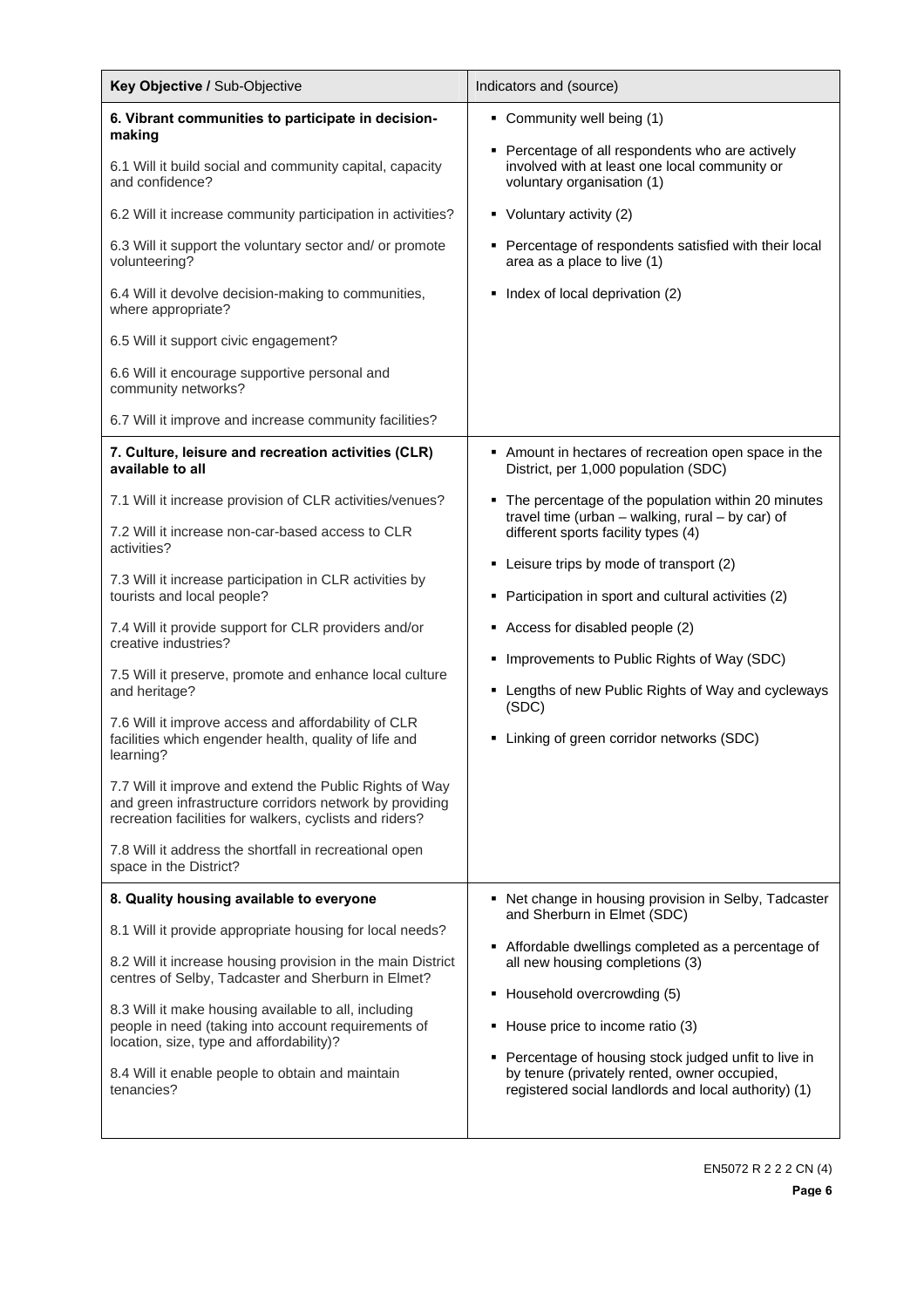| Key Objective / Sub-Objective                                                                                                                                                 | Indicators and (source)                                                                                                                                              |  |  |  |
|-------------------------------------------------------------------------------------------------------------------------------------------------------------------------------|----------------------------------------------------------------------------------------------------------------------------------------------------------------------|--|--|--|
| 6. Vibrant communities to participate in decision-<br>making                                                                                                                  | • Community well being (1)                                                                                                                                           |  |  |  |
| 6.1 Will it build social and community capital, capacity<br>and confidence?                                                                                                   | Percentage of all respondents who are actively<br>٠<br>involved with at least one local community or<br>voluntary organisation (1)                                   |  |  |  |
| 6.2 Will it increase community participation in activities?                                                                                                                   | Voluntary activity (2)<br>٠                                                                                                                                          |  |  |  |
| 6.3 Will it support the voluntary sector and/ or promote<br>volunteering?                                                                                                     | Percentage of respondents satisfied with their local<br>٠<br>area as a place to live (1)                                                                             |  |  |  |
| 6.4 Will it devolve decision-making to communities,<br>where appropriate?                                                                                                     | Index of local deprivation (2)<br>٠                                                                                                                                  |  |  |  |
| 6.5 Will it support civic engagement?                                                                                                                                         |                                                                                                                                                                      |  |  |  |
| 6.6 Will it encourage supportive personal and<br>community networks?                                                                                                          |                                                                                                                                                                      |  |  |  |
| 6.7 Will it improve and increase community facilities?                                                                                                                        |                                                                                                                                                                      |  |  |  |
| 7. Culture, leisure and recreation activities (CLR)<br>available to all                                                                                                       | Amount in hectares of recreation open space in the<br>District, per 1,000 population (SDC)                                                                           |  |  |  |
| 7.1 Will it increase provision of CLR activities/venues?                                                                                                                      | The percentage of the population within 20 minutes<br>٠<br>travel time (urban $-$ walking, rural $-$ by car) of<br>different sports facility types (4)               |  |  |  |
| 7.2 Will it increase non-car-based access to CLR<br>activities?                                                                                                               |                                                                                                                                                                      |  |  |  |
| 7.3 Will it increase participation in CLR activities by<br>tourists and local people?                                                                                         | Leisure trips by mode of transport (2)<br>٠<br>Participation in sport and cultural activities (2)<br>٠                                                               |  |  |  |
| 7.4 Will it provide support for CLR providers and/or<br>creative industries?                                                                                                  | Access for disabled people (2)<br>٠                                                                                                                                  |  |  |  |
| 7.5 Will it preserve, promote and enhance local culture<br>and heritage?                                                                                                      | Improvements to Public Rights of Way (SDC)<br>٠<br>• Lengths of new Public Rights of Way and cycleways<br>(SDC)<br>Linking of green corridor networks (SDC)<br>٠     |  |  |  |
| 7.6 Will it improve access and affordability of CLR<br>facilities which engender health, quality of life and<br>learning?                                                     |                                                                                                                                                                      |  |  |  |
| 7.7 Will it improve and extend the Public Rights of Way<br>and green infrastructure corridors network by providing<br>recreation facilities for walkers, cyclists and riders? |                                                                                                                                                                      |  |  |  |
| 7.8 Will it address the shortfall in recreational open<br>space in the District?                                                                                              |                                                                                                                                                                      |  |  |  |
| 8. Quality housing available to everyone                                                                                                                                      | • Net change in housing provision in Selby, Tadcaster<br>and Sherburn in Elmet (SDC)                                                                                 |  |  |  |
| 8.1 Will it provide appropriate housing for local needs?                                                                                                                      |                                                                                                                                                                      |  |  |  |
| 8.2 Will it increase housing provision in the main District<br>centres of Selby, Tadcaster and Sherburn in Elmet?                                                             | Affordable dwellings completed as a percentage of<br>٠<br>all new housing completions (3)<br>Household overcrowding (5)<br>٠<br>House price to income ratio (3)<br>٠ |  |  |  |
| 8.3 Will it make housing available to all, including<br>people in need (taking into account requirements of<br>location, size, type and affordability)?                       |                                                                                                                                                                      |  |  |  |
| 8.4 Will it enable people to obtain and maintain<br>tenancies?                                                                                                                | Percentage of housing stock judged unfit to live in<br>٠<br>by tenure (privately rented, owner occupied,<br>registered social landlords and local authority) (1)     |  |  |  |
|                                                                                                                                                                               |                                                                                                                                                                      |  |  |  |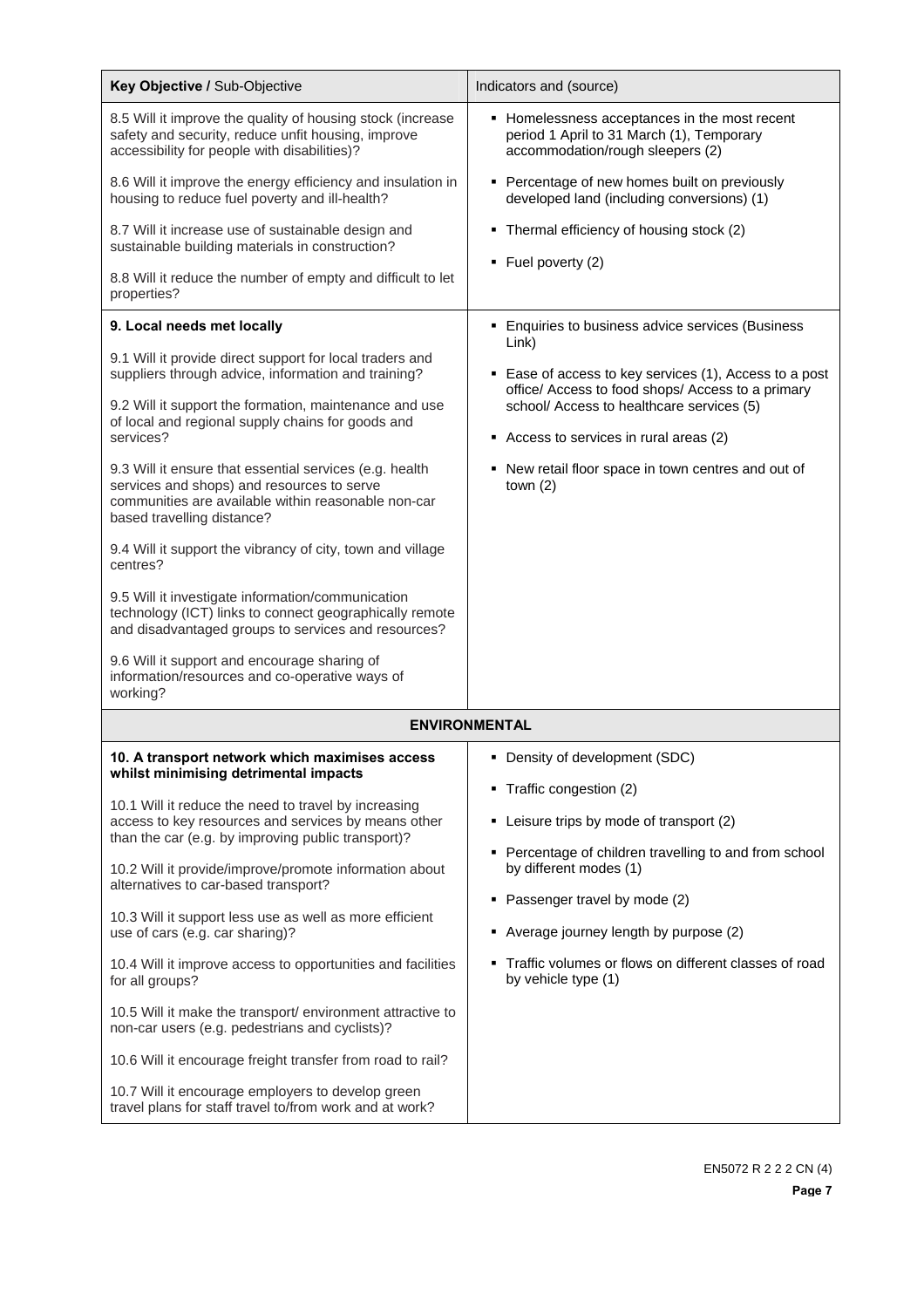| Key Objective / Sub-Objective                                                                                                                                                              | Indicators and (source)                                                                                                        |  |  |  |  |  |
|--------------------------------------------------------------------------------------------------------------------------------------------------------------------------------------------|--------------------------------------------------------------------------------------------------------------------------------|--|--|--|--|--|
| 8.5 Will it improve the quality of housing stock (increase<br>safety and security, reduce unfit housing, improve<br>accessibility for people with disabilities)?                           | • Homelessness acceptances in the most recent<br>period 1 April to 31 March (1), Temporary<br>accommodation/rough sleepers (2) |  |  |  |  |  |
| 8.6 Will it improve the energy efficiency and insulation in<br>housing to reduce fuel poverty and ill-health?                                                                              | • Percentage of new homes built on previously<br>developed land (including conversions) (1)                                    |  |  |  |  |  |
| 8.7 Will it increase use of sustainable design and<br>sustainable building materials in construction?                                                                                      | • Thermal efficiency of housing stock (2)<br>$\blacksquare$ Fuel poverty (2)                                                   |  |  |  |  |  |
| 8.8 Will it reduce the number of empty and difficult to let<br>properties?                                                                                                                 |                                                                                                                                |  |  |  |  |  |
| 9. Local needs met locally                                                                                                                                                                 | • Enquiries to business advice services (Business                                                                              |  |  |  |  |  |
| 9.1 Will it provide direct support for local traders and<br>suppliers through advice, information and training?                                                                            | Link)<br>• Ease of access to key services (1), Access to a post<br>office/ Access to food shops/ Access to a primary           |  |  |  |  |  |
| 9.2 Will it support the formation, maintenance and use<br>of local and regional supply chains for goods and<br>services?                                                                   | school/ Access to healthcare services (5)<br>Access to services in rural areas (2)                                             |  |  |  |  |  |
| 9.3 Will it ensure that essential services (e.g. health<br>services and shops) and resources to serve<br>communities are available within reasonable non-car<br>based travelling distance? | • New retail floor space in town centres and out of<br>town $(2)$                                                              |  |  |  |  |  |
| 9.4 Will it support the vibrancy of city, town and village<br>centres?                                                                                                                     |                                                                                                                                |  |  |  |  |  |
| 9.5 Will it investigate information/communication<br>technology (ICT) links to connect geographically remote<br>and disadvantaged groups to services and resources?                        |                                                                                                                                |  |  |  |  |  |
| 9.6 Will it support and encourage sharing of<br>information/resources and co-operative ways of<br>working?                                                                                 |                                                                                                                                |  |  |  |  |  |
| <b>ENVIRONMENTAL</b>                                                                                                                                                                       |                                                                                                                                |  |  |  |  |  |
| 10. A transport network which maximises access                                                                                                                                             | • Density of development (SDC)                                                                                                 |  |  |  |  |  |
| whilst minimising detrimental impacts                                                                                                                                                      | Traffic congestion (2)                                                                                                         |  |  |  |  |  |
| 10.1 Will it reduce the need to travel by increasing<br>access to key resources and services by means other                                                                                | • Leisure trips by mode of transport (2)                                                                                       |  |  |  |  |  |
| than the car (e.g. by improving public transport)?                                                                                                                                         | • Percentage of children travelling to and from school                                                                         |  |  |  |  |  |
| 10.2 Will it provide/improve/promote information about<br>alternatives to car-based transport?                                                                                             | by different modes (1)                                                                                                         |  |  |  |  |  |
| 10.3 Will it support less use as well as more efficient<br>use of cars (e.g. car sharing)?                                                                                                 | Passenger travel by mode (2)<br>٠<br>• Average journey length by purpose (2)                                                   |  |  |  |  |  |
| 10.4 Will it improve access to opportunities and facilities<br>for all groups?                                                                                                             | Traffic volumes or flows on different classes of road<br>٠<br>by vehicle type (1)                                              |  |  |  |  |  |
| 10.5 Will it make the transport/ environment attractive to<br>non-car users (e.g. pedestrians and cyclists)?                                                                               |                                                                                                                                |  |  |  |  |  |
| 10.6 Will it encourage freight transfer from road to rail?                                                                                                                                 |                                                                                                                                |  |  |  |  |  |
| 10.7 Will it encourage employers to develop green<br>travel plans for staff travel to/from work and at work?                                                                               |                                                                                                                                |  |  |  |  |  |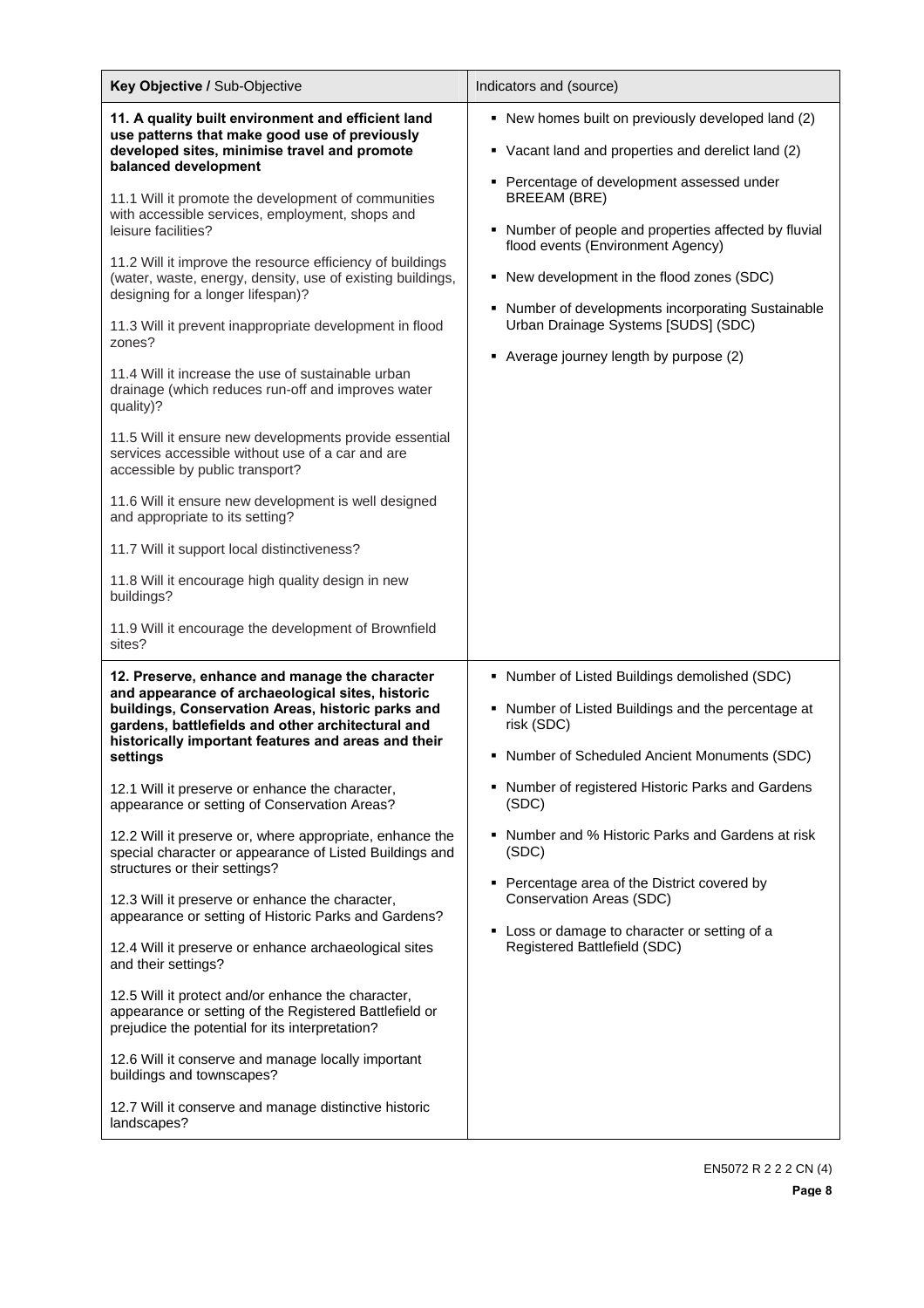| Key Objective / Sub-Objective                                                                                                                                                                                                                                                                                                                                                                                                                                                                                                                                                                                                                                                                                                                                                                                                                                                                                                                                                                                                                                                                              | Indicators and (source)                                                                                                                                                                                                                                                                                                                                                                                                                                           |  |  |  |
|------------------------------------------------------------------------------------------------------------------------------------------------------------------------------------------------------------------------------------------------------------------------------------------------------------------------------------------------------------------------------------------------------------------------------------------------------------------------------------------------------------------------------------------------------------------------------------------------------------------------------------------------------------------------------------------------------------------------------------------------------------------------------------------------------------------------------------------------------------------------------------------------------------------------------------------------------------------------------------------------------------------------------------------------------------------------------------------------------------|-------------------------------------------------------------------------------------------------------------------------------------------------------------------------------------------------------------------------------------------------------------------------------------------------------------------------------------------------------------------------------------------------------------------------------------------------------------------|--|--|--|
| 11. A quality built environment and efficient land<br>use patterns that make good use of previously<br>developed sites, minimise travel and promote<br>balanced development<br>11.1 Will it promote the development of communities<br>with accessible services, employment, shops and<br>leisure facilities?<br>11.2 Will it improve the resource efficiency of buildings<br>(water, waste, energy, density, use of existing buildings,<br>designing for a longer lifespan)?<br>11.3 Will it prevent inappropriate development in flood<br>zones?<br>11.4 Will it increase the use of sustainable urban<br>drainage (which reduces run-off and improves water<br>quality)?<br>11.5 Will it ensure new developments provide essential<br>services accessible without use of a car and are<br>accessible by public transport?<br>11.6 Will it ensure new development is well designed<br>and appropriate to its setting?<br>11.7 Will it support local distinctiveness?<br>11.8 Will it encourage high quality design in new<br>buildings?<br>11.9 Will it encourage the development of Brownfield<br>sites? | • New homes built on previously developed land (2)<br>• Vacant land and properties and derelict land (2)<br>• Percentage of development assessed under<br><b>BREEAM (BRE)</b><br>• Number of people and properties affected by fluvial<br>flood events (Environment Agency)<br>• New development in the flood zones (SDC)<br>• Number of developments incorporating Sustainable<br>Urban Drainage Systems [SUDS] (SDC)<br>• Average journey length by purpose (2) |  |  |  |
| 12. Preserve, enhance and manage the character<br>and appearance of archaeological sites, historic<br>buildings, Conservation Areas, historic parks and<br>gardens, battlefields and other architectural and<br>historically important features and areas and their<br>settings<br>12.1 Will it preserve or enhance the character,<br>appearance or setting of Conservation Areas?<br>12.2 Will it preserve or, where appropriate, enhance the<br>special character or appearance of Listed Buildings and<br>structures or their settings?<br>12.3 Will it preserve or enhance the character,<br>appearance or setting of Historic Parks and Gardens?<br>12.4 Will it preserve or enhance archaeological sites<br>and their settings?<br>12.5 Will it protect and/or enhance the character,<br>appearance or setting of the Registered Battlefield or<br>prejudice the potential for its interpretation?<br>12.6 Will it conserve and manage locally important<br>buildings and townscapes?<br>12.7 Will it conserve and manage distinctive historic<br>landscapes?                                        | • Number of Listed Buildings demolished (SDC)<br>• Number of Listed Buildings and the percentage at<br>risk (SDC)<br>• Number of Scheduled Ancient Monuments (SDC)<br>• Number of registered Historic Parks and Gardens<br>(SDC)<br>• Number and % Historic Parks and Gardens at risk<br>(SDC)<br>• Percentage area of the District covered by<br>Conservation Areas (SDC)<br>• Loss or damage to character or setting of a<br>Registered Battlefield (SDC)       |  |  |  |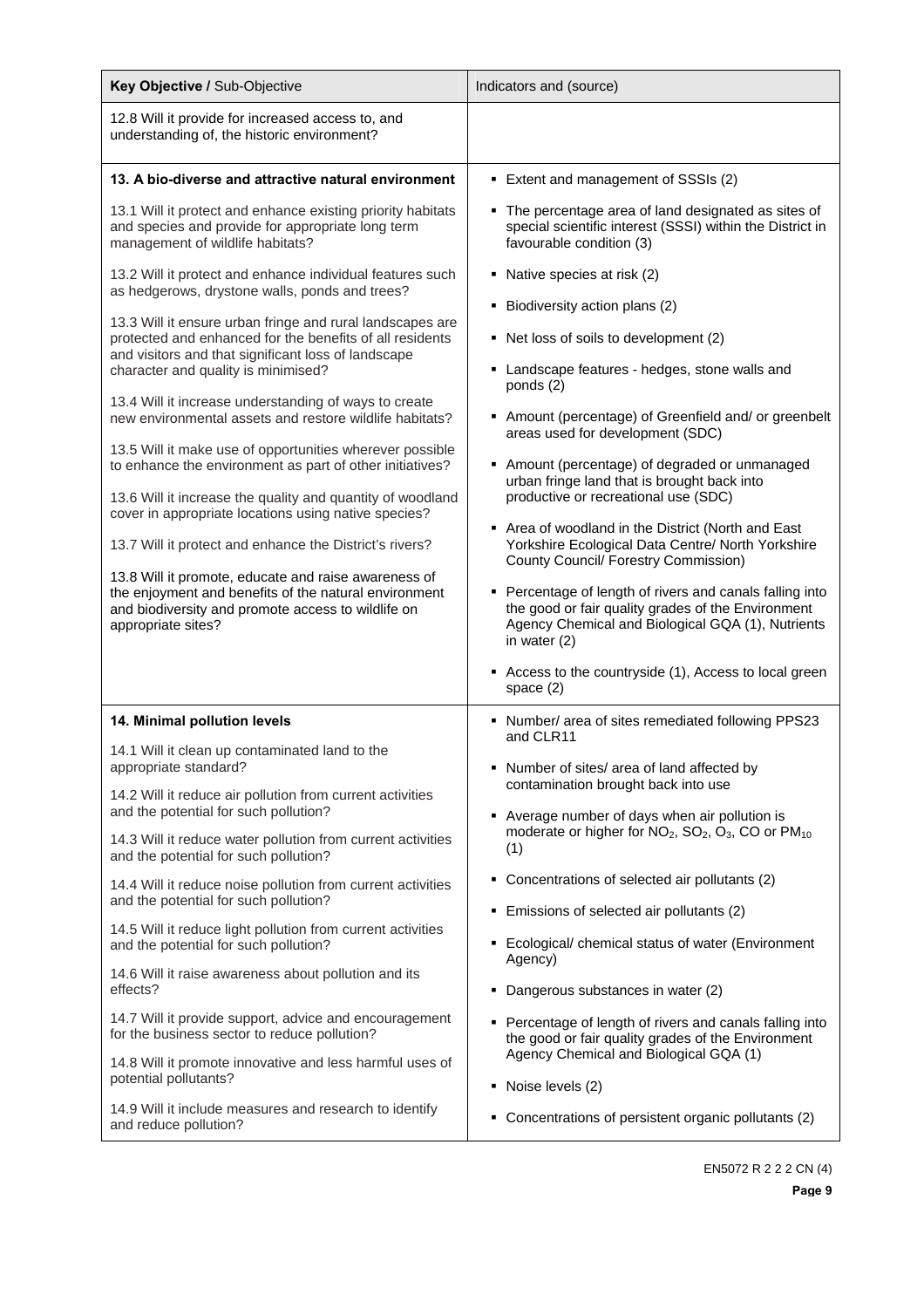| Key Objective / Sub-Objective                                                                                                                                                                                                                                                                                                                                                                                                                                                                                                                                                                                                                                                                                                                                                                                                                                                    | Indicators and (source)                                                                                                                                                                                                                                                                                                                                                                                                                                                                                                                                                                                                       |
|----------------------------------------------------------------------------------------------------------------------------------------------------------------------------------------------------------------------------------------------------------------------------------------------------------------------------------------------------------------------------------------------------------------------------------------------------------------------------------------------------------------------------------------------------------------------------------------------------------------------------------------------------------------------------------------------------------------------------------------------------------------------------------------------------------------------------------------------------------------------------------|-------------------------------------------------------------------------------------------------------------------------------------------------------------------------------------------------------------------------------------------------------------------------------------------------------------------------------------------------------------------------------------------------------------------------------------------------------------------------------------------------------------------------------------------------------------------------------------------------------------------------------|
| 12.8 Will it provide for increased access to, and<br>understanding of, the historic environment?                                                                                                                                                                                                                                                                                                                                                                                                                                                                                                                                                                                                                                                                                                                                                                                 |                                                                                                                                                                                                                                                                                                                                                                                                                                                                                                                                                                                                                               |
| 13. A bio-diverse and attractive natural environment                                                                                                                                                                                                                                                                                                                                                                                                                                                                                                                                                                                                                                                                                                                                                                                                                             | Extent and management of SSSIs (2)                                                                                                                                                                                                                                                                                                                                                                                                                                                                                                                                                                                            |
| 13.1 Will it protect and enhance existing priority habitats<br>and species and provide for appropriate long term<br>management of wildlife habitats?                                                                                                                                                                                                                                                                                                                                                                                                                                                                                                                                                                                                                                                                                                                             | • The percentage area of land designated as sites of<br>special scientific interest (SSSI) within the District in<br>favourable condition (3)                                                                                                                                                                                                                                                                                                                                                                                                                                                                                 |
| 13.2 Will it protect and enhance individual features such<br>as hedgerows, drystone walls, ponds and trees?<br>13.3 Will it ensure urban fringe and rural landscapes are<br>protected and enhanced for the benefits of all residents<br>and visitors and that significant loss of landscape<br>character and quality is minimised?<br>13.4 Will it increase understanding of ways to create<br>new environmental assets and restore wildlife habitats?<br>13.5 Will it make use of opportunities wherever possible<br>to enhance the environment as part of other initiatives?<br>13.6 Will it increase the quality and quantity of woodland<br>cover in appropriate locations using native species?<br>13.7 Will it protect and enhance the District's rivers?<br>13.8 Will it promote, educate and raise awareness of<br>the enjoyment and benefits of the natural environment | Native species at risk (2)<br>• Biodiversity action plans (2)<br>• Net loss of soils to development (2)<br>• Landscape features - hedges, stone walls and<br>ponds $(2)$<br>• Amount (percentage) of Greenfield and/ or greenbelt<br>areas used for development (SDC)<br>• Amount (percentage) of degraded or unmanaged<br>urban fringe land that is brought back into<br>productive or recreational use (SDC)<br>• Area of woodland in the District (North and East<br>Yorkshire Ecological Data Centre/ North Yorkshire<br>County Council/ Forestry Commission)<br>• Percentage of length of rivers and canals falling into |
| and biodiversity and promote access to wildlife on<br>appropriate sites?                                                                                                                                                                                                                                                                                                                                                                                                                                                                                                                                                                                                                                                                                                                                                                                                         | the good or fair quality grades of the Environment<br>Agency Chemical and Biological GQA (1), Nutrients<br>in water $(2)$<br>Access to the countryside (1), Access to local green<br>space $(2)$                                                                                                                                                                                                                                                                                                                                                                                                                              |
| 14. Minimal pollution levels                                                                                                                                                                                                                                                                                                                                                                                                                                                                                                                                                                                                                                                                                                                                                                                                                                                     | • Number/ area of sites remediated following PPS23<br>and CLR11                                                                                                                                                                                                                                                                                                                                                                                                                                                                                                                                                               |
| 14.1 Will it clean up contaminated land to the<br>appropriate standard?<br>14.2 Will it reduce air pollution from current activities<br>and the potential for such pollution?<br>14.3 Will it reduce water pollution from current activities<br>and the potential for such pollution?                                                                                                                                                                                                                                                                                                                                                                                                                                                                                                                                                                                            | Number of sites/ area of land affected by<br>contamination brought back into use<br>• Average number of days when air pollution is<br>moderate or higher for NO <sub>2</sub> , SO <sub>2</sub> , O <sub>3</sub> , CO or PM <sub>10</sub><br>(1)                                                                                                                                                                                                                                                                                                                                                                               |
| 14.4 Will it reduce noise pollution from current activities<br>and the potential for such pollution?                                                                                                                                                                                                                                                                                                                                                                                                                                                                                                                                                                                                                                                                                                                                                                             | Concentrations of selected air pollutants (2)<br>٠                                                                                                                                                                                                                                                                                                                                                                                                                                                                                                                                                                            |
| 14.5 Will it reduce light pollution from current activities<br>and the potential for such pollution?<br>14.6 Will it raise awareness about pollution and its<br>effects?                                                                                                                                                                                                                                                                                                                                                                                                                                                                                                                                                                                                                                                                                                         | Emissions of selected air pollutants (2)<br>• Ecological/ chemical status of water (Environment<br>Agency)<br>• Dangerous substances in water (2)                                                                                                                                                                                                                                                                                                                                                                                                                                                                             |
| 14.7 Will it provide support, advice and encouragement<br>for the business sector to reduce pollution?<br>14.8 Will it promote innovative and less harmful uses of<br>potential pollutants?<br>14.9 Will it include measures and research to identify<br>and reduce pollution?                                                                                                                                                                                                                                                                                                                                                                                                                                                                                                                                                                                                   | • Percentage of length of rivers and canals falling into<br>the good or fair quality grades of the Environment<br>Agency Chemical and Biological GQA (1)<br>• Noise levels (2)<br>• Concentrations of persistent organic pollutants (2)                                                                                                                                                                                                                                                                                                                                                                                       |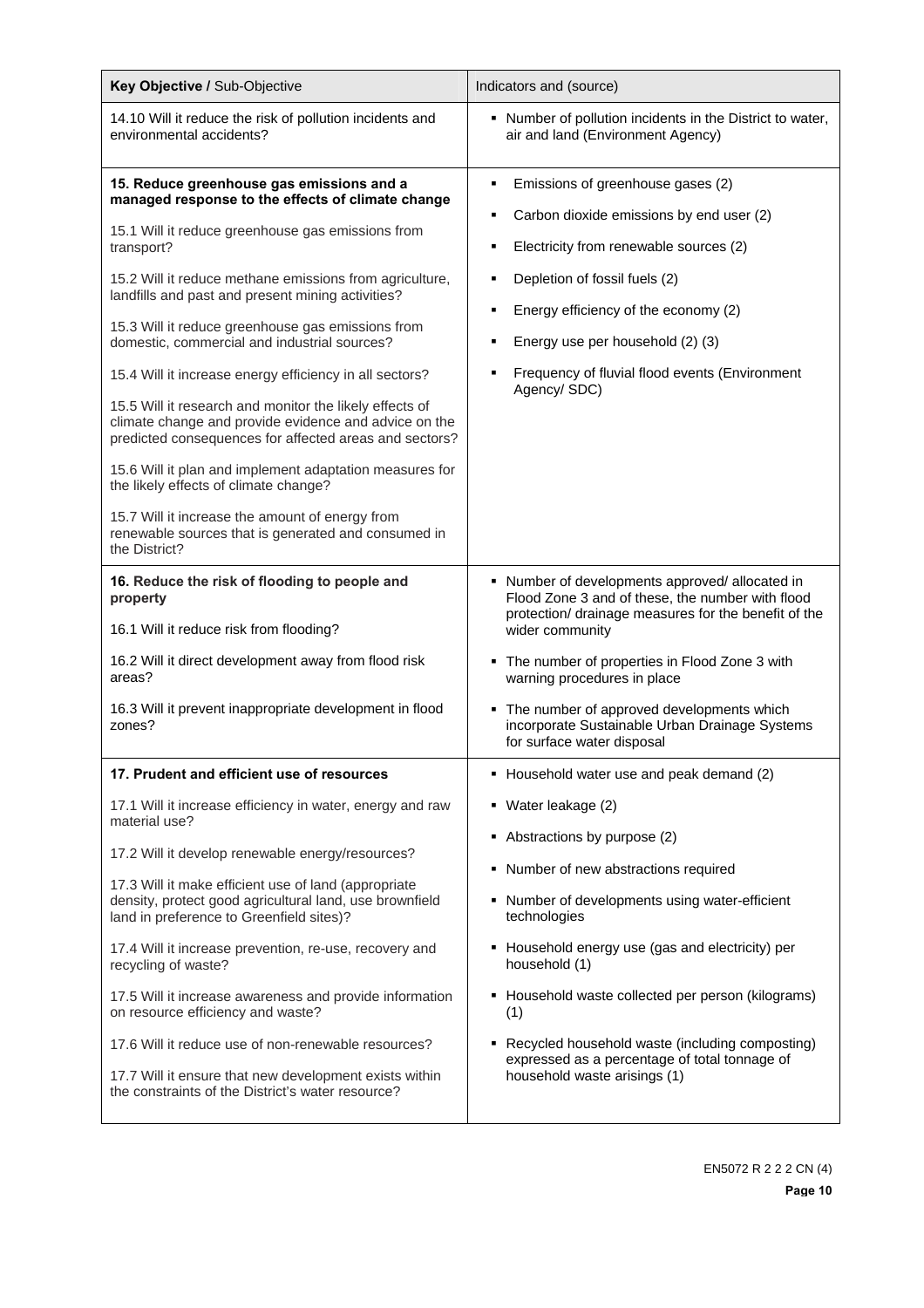| Key Objective / Sub-Objective                                                                                                                                                                                                                                                                                                                                                                                                                                                                                                                                                                                                                                                                                                                                                                                                                                  | Indicators and (source)                                                                                                                                                                                                                                                                                                                                                                                                                                |
|----------------------------------------------------------------------------------------------------------------------------------------------------------------------------------------------------------------------------------------------------------------------------------------------------------------------------------------------------------------------------------------------------------------------------------------------------------------------------------------------------------------------------------------------------------------------------------------------------------------------------------------------------------------------------------------------------------------------------------------------------------------------------------------------------------------------------------------------------------------|--------------------------------------------------------------------------------------------------------------------------------------------------------------------------------------------------------------------------------------------------------------------------------------------------------------------------------------------------------------------------------------------------------------------------------------------------------|
| 14.10 Will it reduce the risk of pollution incidents and<br>environmental accidents?                                                                                                                                                                                                                                                                                                                                                                                                                                                                                                                                                                                                                                                                                                                                                                           | • Number of pollution incidents in the District to water,<br>air and land (Environment Agency)                                                                                                                                                                                                                                                                                                                                                         |
| 15. Reduce greenhouse gas emissions and a<br>managed response to the effects of climate change<br>15.1 Will it reduce greenhouse gas emissions from<br>transport?<br>15.2 Will it reduce methane emissions from agriculture,<br>landfills and past and present mining activities?<br>15.3 Will it reduce greenhouse gas emissions from<br>domestic, commercial and industrial sources?<br>15.4 Will it increase energy efficiency in all sectors?<br>15.5 Will it research and monitor the likely effects of<br>climate change and provide evidence and advice on the<br>predicted consequences for affected areas and sectors?<br>15.6 Will it plan and implement adaptation measures for<br>the likely effects of climate change?<br>15.7 Will it increase the amount of energy from<br>renewable sources that is generated and consumed in<br>the District? | Emissions of greenhouse gases (2)<br>п<br>Carbon dioxide emissions by end user (2)<br>Electricity from renewable sources (2)<br>٠<br>Depletion of fossil fuels (2)<br>п<br>Energy efficiency of the economy (2)<br>п<br>Energy use per household (2) (3)<br>Frequency of fluvial flood events (Environment<br>п<br>Agency/SDC)                                                                                                                         |
| 16. Reduce the risk of flooding to people and<br>property<br>16.1 Will it reduce risk from flooding?<br>16.2 Will it direct development away from flood risk<br>areas?<br>16.3 Will it prevent inappropriate development in flood<br>zones?                                                                                                                                                                                                                                                                                                                                                                                                                                                                                                                                                                                                                    | • Number of developments approved/allocated in<br>Flood Zone 3 and of these, the number with flood<br>protection/ drainage measures for the benefit of the<br>wider community<br>• The number of properties in Flood Zone 3 with<br>warning procedures in place<br>The number of approved developments which<br>٠<br>incorporate Sustainable Urban Drainage Systems<br>for surface water disposal                                                      |
| 17. Prudent and efficient use of resources                                                                                                                                                                                                                                                                                                                                                                                                                                                                                                                                                                                                                                                                                                                                                                                                                     | • Household water use and peak demand (2)                                                                                                                                                                                                                                                                                                                                                                                                              |
| 17.1 Will it increase efficiency in water, energy and raw<br>material use?<br>17.2 Will it develop renewable energy/resources?<br>17.3 Will it make efficient use of land (appropriate<br>density, protect good agricultural land, use brownfield<br>land in preference to Greenfield sites)?<br>17.4 Will it increase prevention, re-use, recovery and<br>recycling of waste?<br>17.5 Will it increase awareness and provide information<br>on resource efficiency and waste?<br>17.6 Will it reduce use of non-renewable resources?<br>17.7 Will it ensure that new development exists within<br>the constraints of the District's water resource?                                                                                                                                                                                                           | Water leakage (2)<br>٠<br>Abstractions by purpose (2)<br>٠<br>Number of new abstractions required<br>٠<br>• Number of developments using water-efficient<br>technologies<br>• Household energy use (gas and electricity) per<br>household (1)<br>Household waste collected per person (kilograms)<br>٠<br>(1)<br>Recycled household waste (including composting)<br>٠<br>expressed as a percentage of total tonnage of<br>household waste arisings (1) |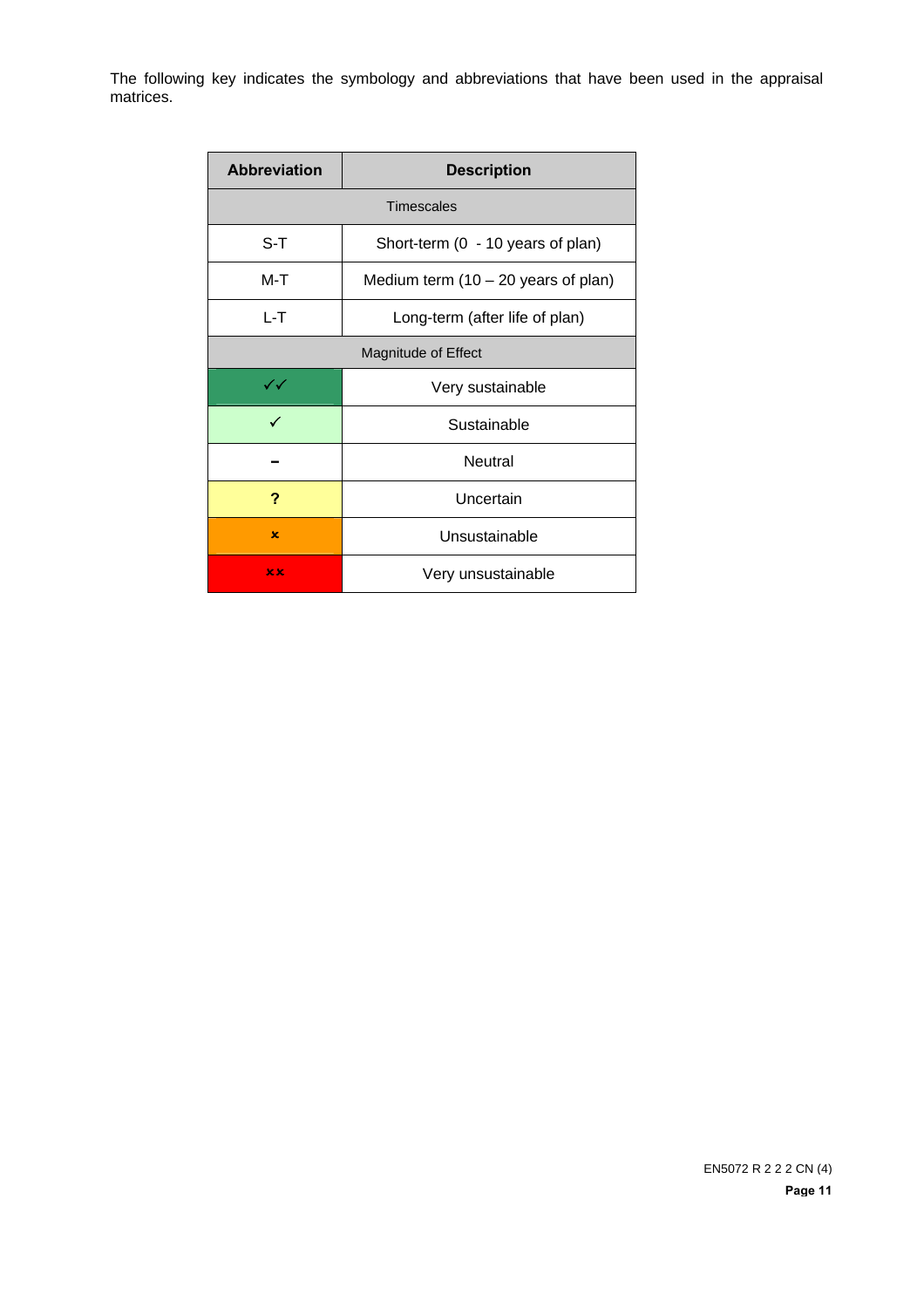The following key indicates the symbology and abbreviations that have been used in the appraisal matrices.

| <b>Abbreviation</b>    | <b>Description</b>                    |  |  |  |  |
|------------------------|---------------------------------------|--|--|--|--|
|                        | <b>Timescales</b>                     |  |  |  |  |
| S-T                    | Short-term (0 - 10 years of plan)     |  |  |  |  |
| M-T                    | Medium term $(10 - 20$ years of plan) |  |  |  |  |
| L-T                    | Long-term (after life of plan)        |  |  |  |  |
| Magnitude of Effect    |                                       |  |  |  |  |
| $\checkmark\checkmark$ | Very sustainable                      |  |  |  |  |
| ✓                      | Sustainable                           |  |  |  |  |
|                        | Neutral                               |  |  |  |  |
| ?                      | Uncertain                             |  |  |  |  |
| x                      | Unsustainable                         |  |  |  |  |
| x x                    | Very unsustainable                    |  |  |  |  |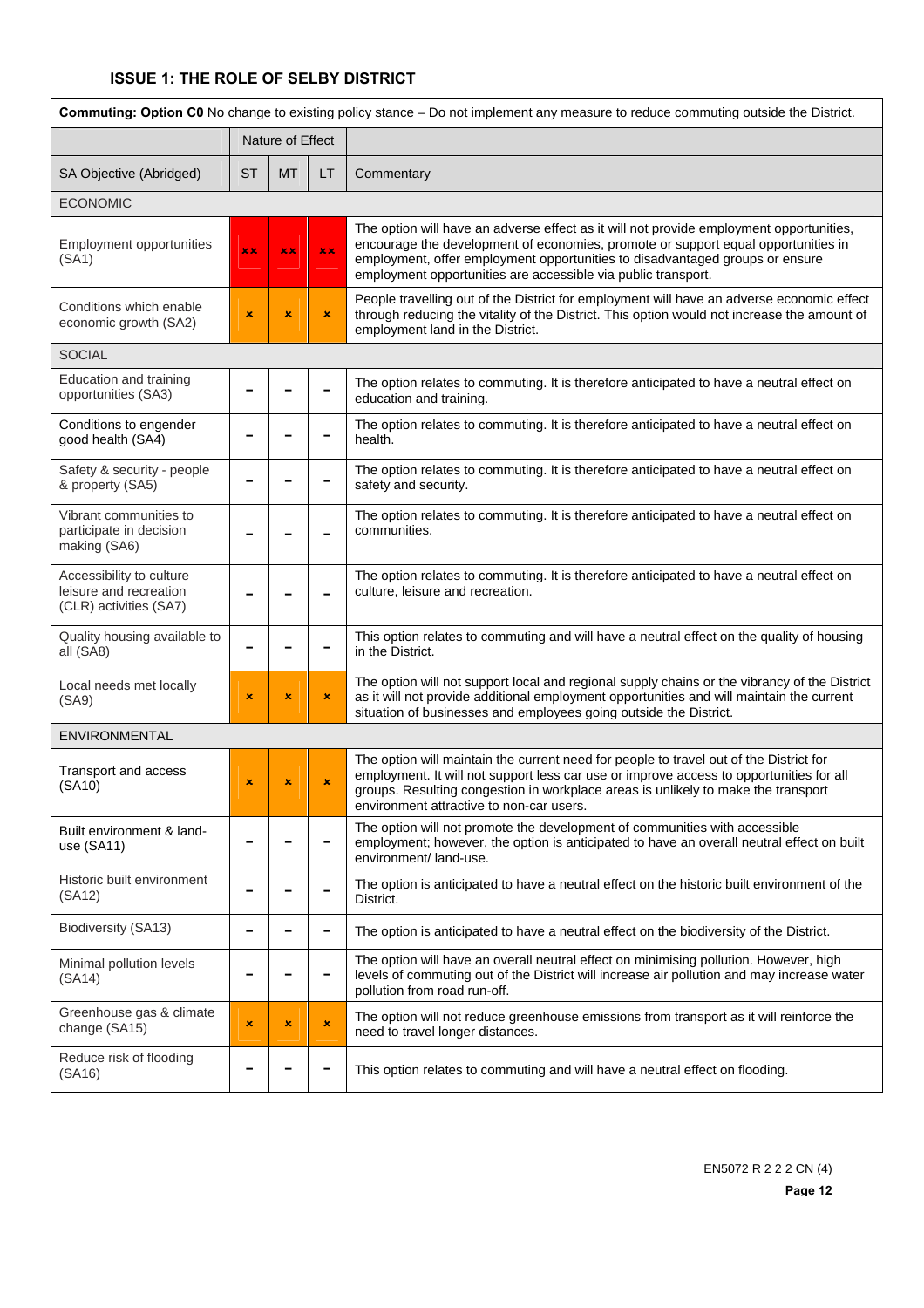# **ISSUE 1: THE ROLE OF SELBY DISTRICT**

| Commuting: Option C0 No change to existing policy stance - Do not implement any measure to reduce commuting outside the District. |                |                |                |                                                                                                                                                                                                                                                                                                                               |  |
|-----------------------------------------------------------------------------------------------------------------------------------|----------------|----------------|----------------|-------------------------------------------------------------------------------------------------------------------------------------------------------------------------------------------------------------------------------------------------------------------------------------------------------------------------------|--|
| Nature of Effect                                                                                                                  |                |                |                |                                                                                                                                                                                                                                                                                                                               |  |
| SA Objective (Abridged)                                                                                                           | <b>ST</b>      | <b>MT</b>      | LT.            | Commentary                                                                                                                                                                                                                                                                                                                    |  |
| <b>ECONOMIC</b>                                                                                                                   |                |                |                |                                                                                                                                                                                                                                                                                                                               |  |
| <b>Employment opportunities</b><br>(SA1)                                                                                          | xx             | xx             | xx             | The option will have an adverse effect as it will not provide employment opportunities,<br>encourage the development of economies, promote or support equal opportunities in<br>employment, offer employment opportunities to disadvantaged groups or ensure<br>employment opportunities are accessible via public transport. |  |
| Conditions which enable<br>economic growth (SA2)                                                                                  | $\pmb{\times}$ | $\pmb{\times}$ | ×              | People travelling out of the District for employment will have an adverse economic effect<br>through reducing the vitality of the District. This option would not increase the amount of<br>employment land in the District.                                                                                                  |  |
| <b>SOCIAL</b>                                                                                                                     |                |                |                |                                                                                                                                                                                                                                                                                                                               |  |
| Education and training<br>opportunities (SA3)                                                                                     |                |                |                | The option relates to commuting. It is therefore anticipated to have a neutral effect on<br>education and training.                                                                                                                                                                                                           |  |
| Conditions to engender<br>good health (SA4)                                                                                       |                |                |                | The option relates to commuting. It is therefore anticipated to have a neutral effect on<br>health.                                                                                                                                                                                                                           |  |
| Safety & security - people<br>& property (SA5)                                                                                    |                |                |                | The option relates to commuting. It is therefore anticipated to have a neutral effect on<br>safety and security.                                                                                                                                                                                                              |  |
| Vibrant communities to<br>participate in decision<br>making (SA6)                                                                 |                |                |                | The option relates to commuting. It is therefore anticipated to have a neutral effect on<br>communities.                                                                                                                                                                                                                      |  |
| Accessibility to culture<br>leisure and recreation<br>(CLR) activities (SA7)                                                      |                |                |                | The option relates to commuting. It is therefore anticipated to have a neutral effect on<br>culture, leisure and recreation.                                                                                                                                                                                                  |  |
| Quality housing available to<br>all (SA8)                                                                                         |                |                |                | This option relates to commuting and will have a neutral effect on the quality of housing<br>in the District.                                                                                                                                                                                                                 |  |
| Local needs met locally<br>(SA9)                                                                                                  | ×              | $\pmb{\times}$ | ×              | The option will not support local and regional supply chains or the vibrancy of the District<br>as it will not provide additional employment opportunities and will maintain the current<br>situation of businesses and employees going outside the District.                                                                 |  |
| <b>ENVIRONMENTAL</b>                                                                                                              |                |                |                |                                                                                                                                                                                                                                                                                                                               |  |
| Transport and access<br>(SA10)                                                                                                    | ×              | $\pmb{\times}$ | $\pmb{\times}$ | The option will maintain the current need for people to travel out of the District for<br>employment. It will not support less car use or improve access to opportunities for all<br>groups. Resulting congestion in workplace areas is unlikely to make the transport<br>environment attractive to non-car users.            |  |
| Built environment & land-<br>use $(SA11)$                                                                                         |                |                |                | The option will not promote the development of communities with accessible<br>employment; however, the option is anticipated to have an overall neutral effect on built<br>environment/ land-use.                                                                                                                             |  |
| Historic built environment<br>(SA12)                                                                                              |                |                |                | The option is anticipated to have a neutral effect on the historic built environment of the<br>District.                                                                                                                                                                                                                      |  |
| Biodiversity (SA13)                                                                                                               | -              |                | -              | The option is anticipated to have a neutral effect on the biodiversity of the District.                                                                                                                                                                                                                                       |  |
| Minimal pollution levels<br>(SA14)                                                                                                | -              |                | -              | The option will have an overall neutral effect on minimising pollution. However, high<br>levels of commuting out of the District will increase air pollution and may increase water<br>pollution from road run-off.                                                                                                           |  |
| Greenhouse gas & climate<br>change (SA15)                                                                                         | ×              | $\pmb{\times}$ | ×              | The option will not reduce greenhouse emissions from transport as it will reinforce the<br>need to travel longer distances.                                                                                                                                                                                                   |  |
| Reduce risk of flooding<br>(SA16)                                                                                                 |                |                |                | This option relates to commuting and will have a neutral effect on flooding.                                                                                                                                                                                                                                                  |  |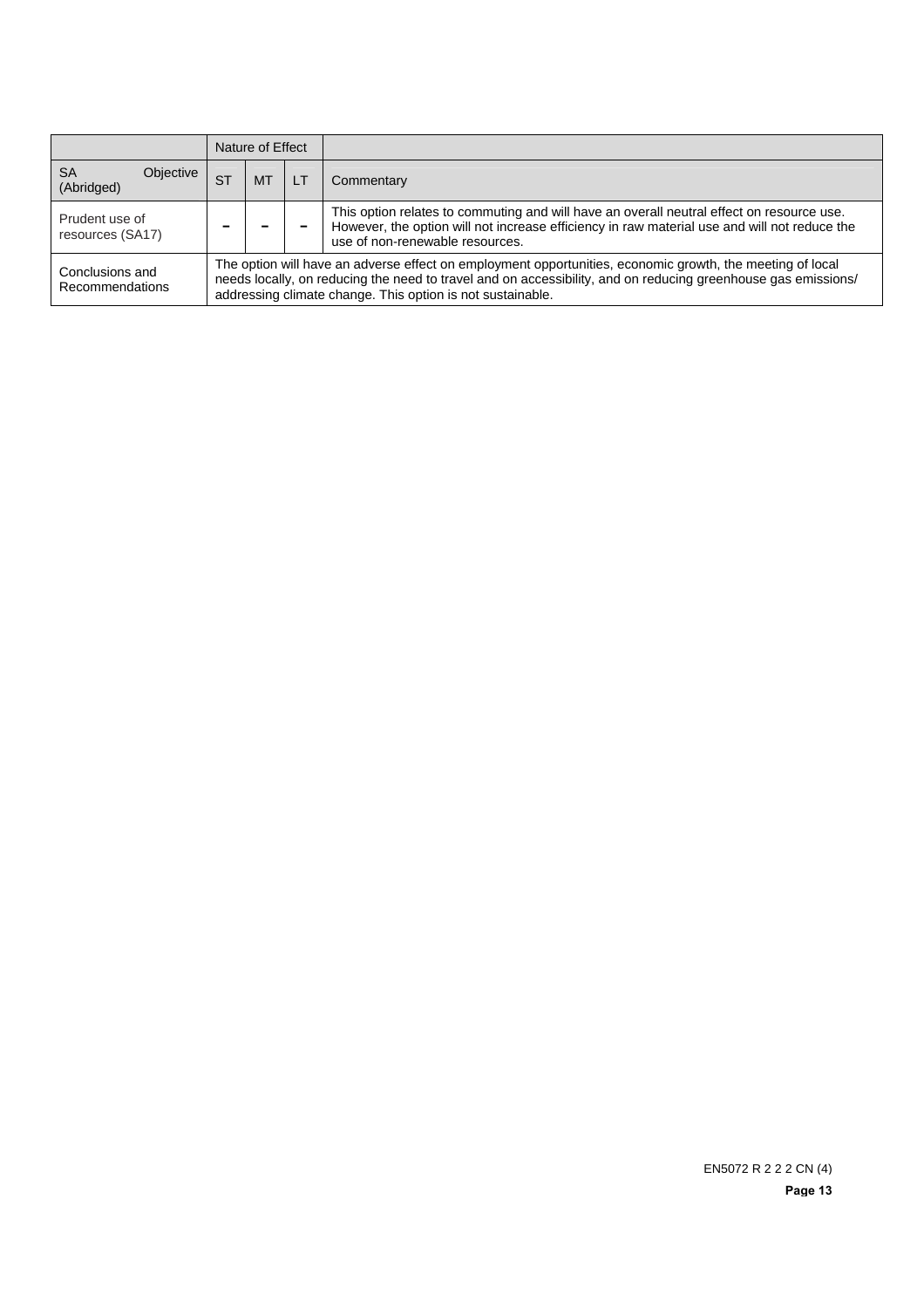|                                      | Nature of Effect |                                                                                                                                                                                                                                                                                          |    |                                                                                                                                                                                                                              |  |  |
|--------------------------------------|------------------|------------------------------------------------------------------------------------------------------------------------------------------------------------------------------------------------------------------------------------------------------------------------------------------|----|------------------------------------------------------------------------------------------------------------------------------------------------------------------------------------------------------------------------------|--|--|
| <b>SA</b><br>Objective<br>(Abridged) | <b>ST</b>        | МT                                                                                                                                                                                                                                                                                       | LT | Commentary                                                                                                                                                                                                                   |  |  |
| Prudent use of<br>resources (SA17)   |                  |                                                                                                                                                                                                                                                                                          |    | This option relates to commuting and will have an overall neutral effect on resource use.<br>However, the option will not increase efficiency in raw material use and will not reduce the<br>use of non-renewable resources. |  |  |
| Conclusions and<br>Recommendations   |                  | The option will have an adverse effect on employment opportunities, economic growth, the meeting of local<br>needs locally, on reducing the need to travel and on accessibility, and on reducing greenhouse gas emissions/<br>addressing climate change. This option is not sustainable. |    |                                                                                                                                                                                                                              |  |  |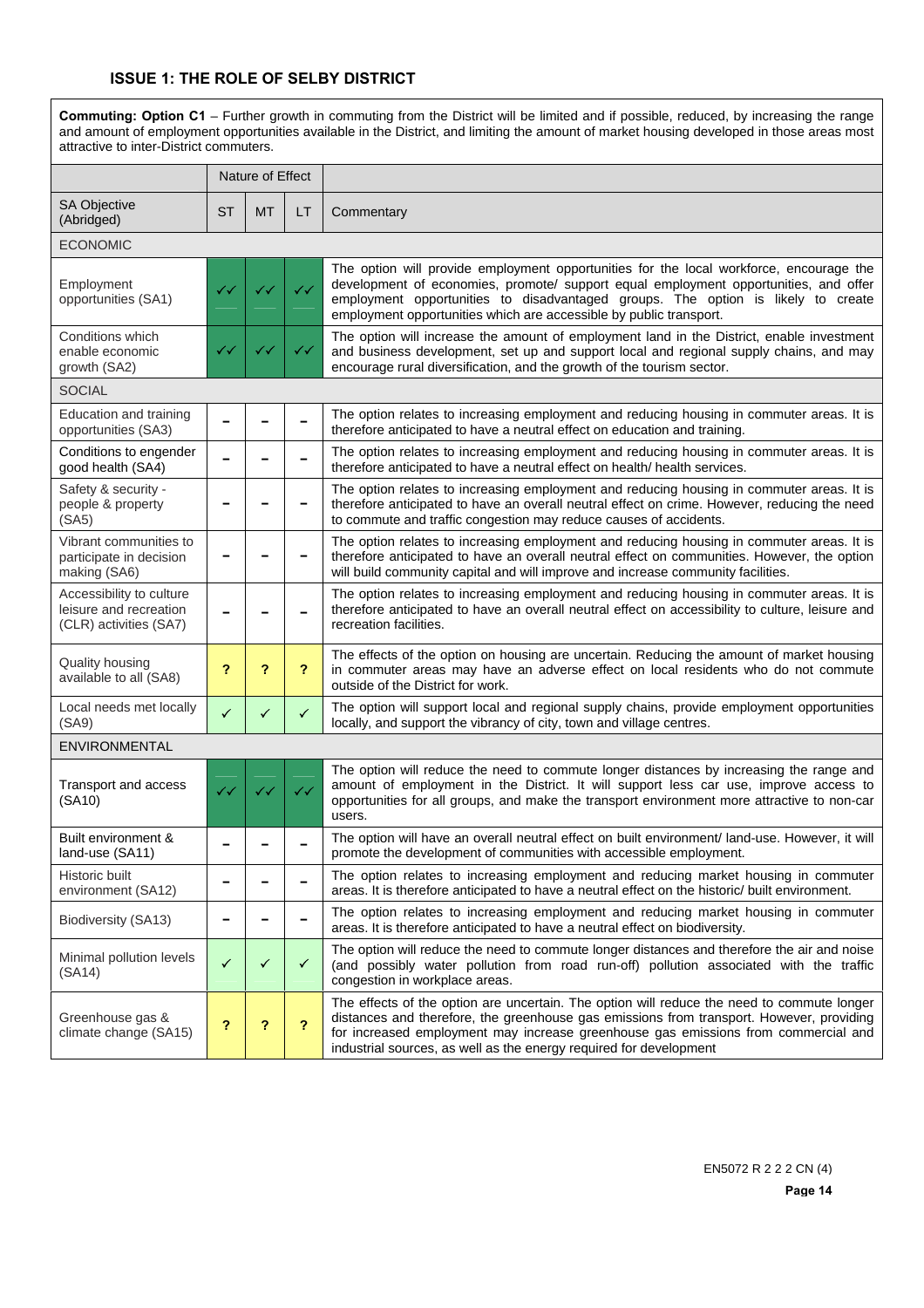### **ISSUE 1: THE ROLE OF SELBY DISTRICT**

**Commuting: Option C1** – Further growth in commuting from the District will be limited and if possible, reduced, by increasing the range and amount of employment opportunities available in the District, and limiting the amount of market housing developed in those areas most attractive to inter-District commuters. Nature of Effect SA Objective SA Objective ST | MT | LT | Commentary ECONOMIC Employment opportunities (SA1) The option will provide employment opportunities for the local workforce, encourage the development of economies, promote/ support equal employment opportunities, and offer employment opportunities to disadvantaged groups. The option is likely to create employment opportunities which are accessible by public transport. Conditions which enable economic growth (SA2)  $33 \times 33$   $33 \times 33$ The option will increase the amount of employment land in the District, enable investment and business development, set up and support local and regional supply chains, and may encourage rural diversification, and the growth of the tourism sector. **SOCIAL** Education and training Education and training **− − − −** The option relates to increasing employment and reducing housing in commuter areas. It is opportunities (SA3) therefore anticipated to have a neutral effect on education and training. Conditions to engender<br>good health (SA4) The option relates to increasing employment and reducing housing in commuter areas. It is therefore anticipated to have a neutral effect on health/ health services. Safety & security people & property  $(SA5)$ **− − −** The option relates to increasing employment and reducing housing in commuter areas. It is therefore anticipated to have an overall neutral effect on crime. However, reducing the need to commute and traffic congestion may reduce causes of accidents. Vibrant communities to participate in decision making (SA6) **− − −** The option relates to increasing employment and reducing housing in commuter areas. It is therefore anticipated to have an overall neutral effect on communities. However, the option will build community capital and will improve and increase community facilities. Accessibility to culture The option relates to increasing employment and reducing housing in commuter areas. It is

leisure and recreation (CLR) activities (SA7) **<sup>−</sup> <sup>−</sup> <sup>−</sup>** therefore anticipated to have an overall neutral effect on accessibility to culture, leisure and recreation facilities. Quality housing available to all (SA8) **? ? ?** The effects of the option on housing are uncertain. Reducing the amount of market housing in commuter areas may have an adverse effect on local residents who do not commute outside of the District for work. Local needs met locally Local needs met locally  $\begin{vmatrix} \cdot \\ \cdot \\ \cdot \end{vmatrix}$   $\begin{vmatrix} \cdot \\ \cdot \\ \cdot \end{vmatrix}$  The option will support local and regional supply chains, provide employment opportunities (SA9) locally, and support the vibrancy of city, town and village centres. ENVIRONMENTAL

| Transport and access<br>(SA10)            | ✓✓ | $\checkmark$             | The option will reduce the need to commute longer distances by increasing the range and<br>amount of employment in the District. It will support less car use, improve access to<br>opportunities for all groups, and make the transport environment more attractive to non-car<br>users.                                                          |
|-------------------------------------------|----|--------------------------|----------------------------------------------------------------------------------------------------------------------------------------------------------------------------------------------------------------------------------------------------------------------------------------------------------------------------------------------------|
| Built environment &<br>land-use (SA11)    |    |                          | The option will have an overall neutral effect on built environment/ land-use. However, it will<br>promote the development of communities with accessible employment.                                                                                                                                                                              |
| Historic built<br>environment (SA12)      |    |                          | The option relates to increasing employment and reducing market housing in commuter<br>areas. It is therefore anticipated to have a neutral effect on the historic/ built environment.                                                                                                                                                             |
| Biodiversity (SA13)                       |    |                          | The option relates to increasing employment and reducing market housing in commuter<br>areas. It is therefore anticipated to have a neutral effect on biodiversity.                                                                                                                                                                                |
| Minimal pollution levels<br>(SA14)        | ✓  | ✓                        | The option will reduce the need to commute longer distances and therefore the air and noise<br>(and possibly water pollution from road run-off) pollution associated with the traffic<br>congestion in workplace areas.                                                                                                                            |
| Greenhouse gas &<br>climate change (SA15) | 2  | $\overline{\phantom{a}}$ | The effects of the option are uncertain. The option will reduce the need to commute longer<br>distances and therefore, the greenhouse gas emissions from transport. However, providing<br>for increased employment may increase greenhouse gas emissions from commercial and<br>industrial sources, as well as the energy required for development |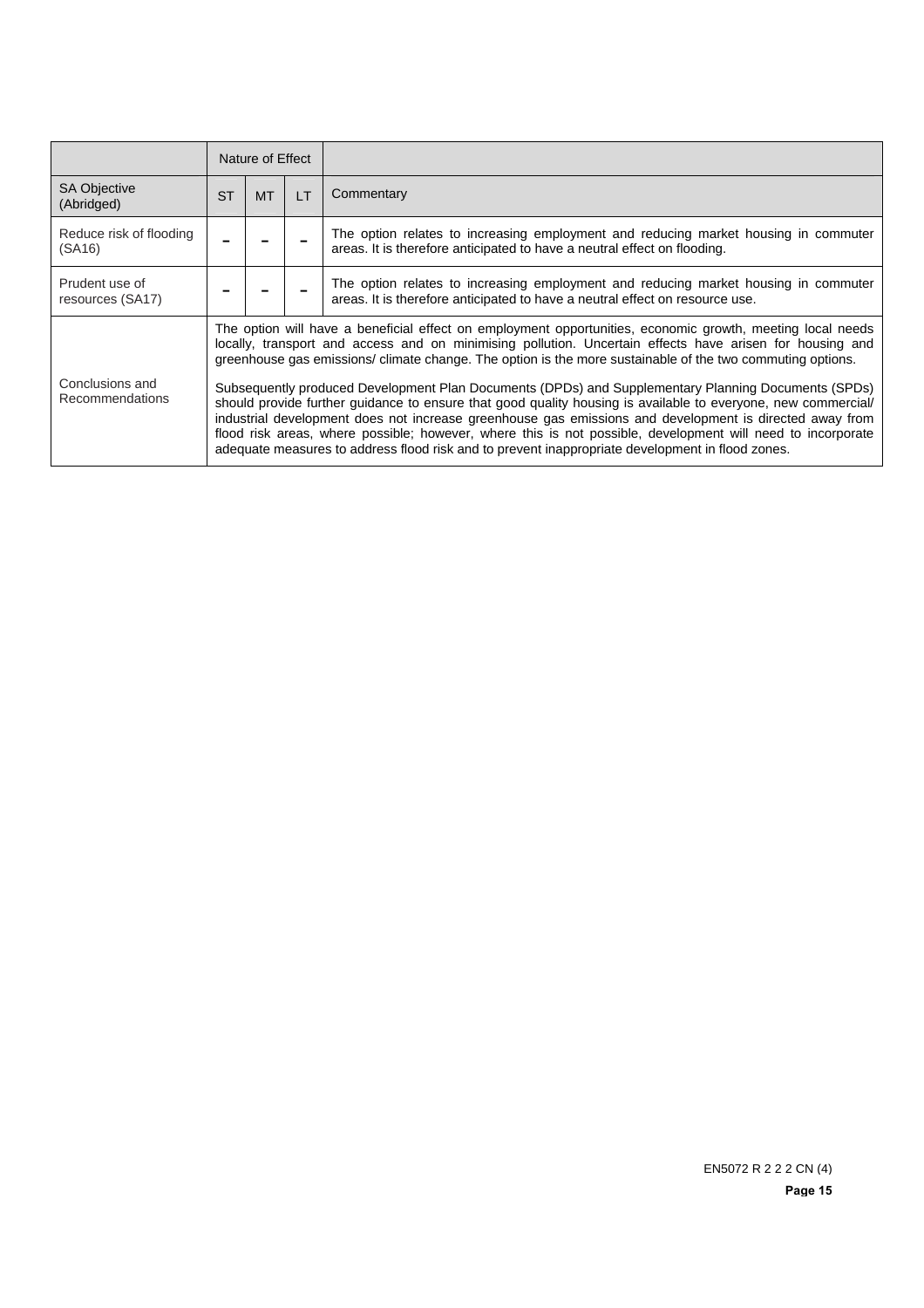|                                    | Nature of Effect |                                                                                                                                                                                                                                                                                                                                                                                                                                                                                                                                                                                                                                                                                                                                                                                                                                                                                           |                |                                                                                                                                                                     |  |
|------------------------------------|------------------|-------------------------------------------------------------------------------------------------------------------------------------------------------------------------------------------------------------------------------------------------------------------------------------------------------------------------------------------------------------------------------------------------------------------------------------------------------------------------------------------------------------------------------------------------------------------------------------------------------------------------------------------------------------------------------------------------------------------------------------------------------------------------------------------------------------------------------------------------------------------------------------------|----------------|---------------------------------------------------------------------------------------------------------------------------------------------------------------------|--|
| <b>SA Objective</b><br>(Abridged)  | <b>ST</b>        | <b>MT</b>                                                                                                                                                                                                                                                                                                                                                                                                                                                                                                                                                                                                                                                                                                                                                                                                                                                                                 | $\overline{1}$ | Commentary                                                                                                                                                          |  |
| Reduce risk of flooding<br>(SA16)  |                  |                                                                                                                                                                                                                                                                                                                                                                                                                                                                                                                                                                                                                                                                                                                                                                                                                                                                                           |                | The option relates to increasing employment and reducing market housing in commuter<br>areas. It is therefore anticipated to have a neutral effect on flooding.     |  |
| Prudent use of<br>resources (SA17) |                  |                                                                                                                                                                                                                                                                                                                                                                                                                                                                                                                                                                                                                                                                                                                                                                                                                                                                                           |                | The option relates to increasing employment and reducing market housing in commuter<br>areas. It is therefore anticipated to have a neutral effect on resource use. |  |
| Conclusions and<br>Recommendations |                  | The option will have a beneficial effect on employment opportunities, economic growth, meeting local needs<br>locally, transport and access and on minimising pollution. Uncertain effects have arisen for housing and<br>greenhouse gas emissions/climate change. The option is the more sustainable of the two commuting options.<br>Subsequently produced Development Plan Documents (DPDs) and Supplementary Planning Documents (SPDs)<br>should provide further guidance to ensure that good quality housing is available to everyone, new commercial/<br>industrial development does not increase greenhouse gas emissions and development is directed away from<br>flood risk areas, where possible; however, where this is not possible, development will need to incorporate<br>adequate measures to address flood risk and to prevent inappropriate development in flood zones. |                |                                                                                                                                                                     |  |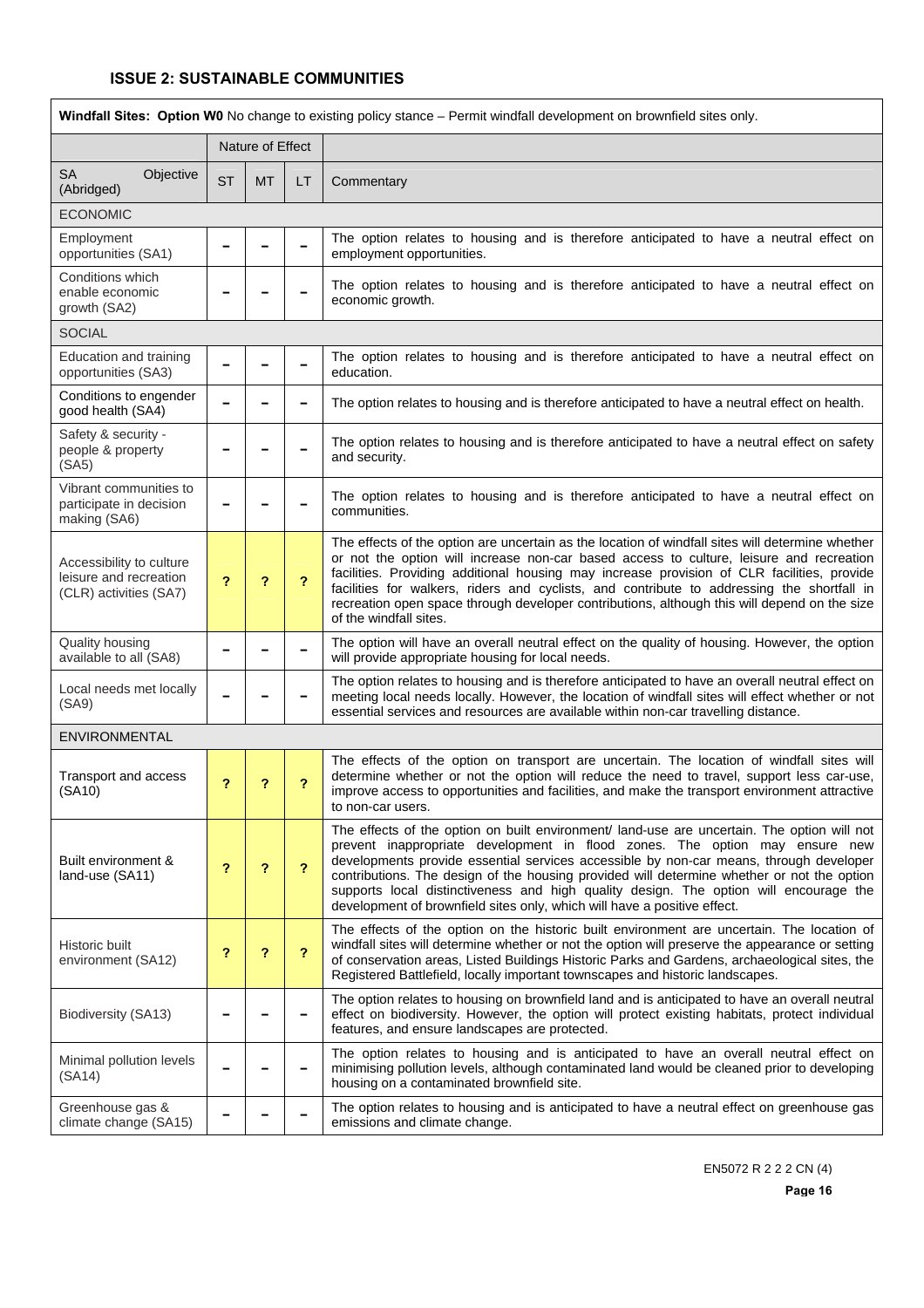|                                                                              | Windfall Sites: Option W0 No change to existing policy stance – Permit windfall development on brownfield sites only. |                  |    |                                                                                                                                                                                                                                                                                                                                                                                                                                                                                                                                         |  |  |  |  |
|------------------------------------------------------------------------------|-----------------------------------------------------------------------------------------------------------------------|------------------|----|-----------------------------------------------------------------------------------------------------------------------------------------------------------------------------------------------------------------------------------------------------------------------------------------------------------------------------------------------------------------------------------------------------------------------------------------------------------------------------------------------------------------------------------------|--|--|--|--|
|                                                                              |                                                                                                                       | Nature of Effect |    |                                                                                                                                                                                                                                                                                                                                                                                                                                                                                                                                         |  |  |  |  |
| SA<br>Objective<br>(Abridged)                                                | <b>ST</b>                                                                                                             | <b>MT</b>        | LT | Commentary                                                                                                                                                                                                                                                                                                                                                                                                                                                                                                                              |  |  |  |  |
| <b>ECONOMIC</b>                                                              |                                                                                                                       |                  |    |                                                                                                                                                                                                                                                                                                                                                                                                                                                                                                                                         |  |  |  |  |
| Employment<br>opportunities (SA1)                                            |                                                                                                                       |                  |    | The option relates to housing and is therefore anticipated to have a neutral effect on<br>employment opportunities.                                                                                                                                                                                                                                                                                                                                                                                                                     |  |  |  |  |
| Conditions which<br>enable economic<br>growth (SA2)                          |                                                                                                                       |                  |    | The option relates to housing and is therefore anticipated to have a neutral effect on<br>economic growth.                                                                                                                                                                                                                                                                                                                                                                                                                              |  |  |  |  |
| <b>SOCIAL</b>                                                                |                                                                                                                       |                  |    |                                                                                                                                                                                                                                                                                                                                                                                                                                                                                                                                         |  |  |  |  |
| Education and training<br>opportunities (SA3)                                |                                                                                                                       |                  |    | The option relates to housing and is therefore anticipated to have a neutral effect on<br>education.                                                                                                                                                                                                                                                                                                                                                                                                                                    |  |  |  |  |
| Conditions to engender<br>good health (SA4)                                  |                                                                                                                       |                  |    | The option relates to housing and is therefore anticipated to have a neutral effect on health.                                                                                                                                                                                                                                                                                                                                                                                                                                          |  |  |  |  |
| Safety & security -<br>people & property<br>(SA5)                            |                                                                                                                       |                  |    | The option relates to housing and is therefore anticipated to have a neutral effect on safety<br>and security.                                                                                                                                                                                                                                                                                                                                                                                                                          |  |  |  |  |
| Vibrant communities to<br>participate in decision<br>making (SA6)            |                                                                                                                       |                  |    | The option relates to housing and is therefore anticipated to have a neutral effect on<br>communities.                                                                                                                                                                                                                                                                                                                                                                                                                                  |  |  |  |  |
| Accessibility to culture<br>leisure and recreation<br>(CLR) activities (SA7) | $\overline{\mathbf{r}}$                                                                                               | ?                | ?  | The effects of the option are uncertain as the location of windfall sites will determine whether<br>or not the option will increase non-car based access to culture, leisure and recreation<br>facilities. Providing additional housing may increase provision of CLR facilities, provide<br>facilities for walkers, riders and cyclists, and contribute to addressing the shortfall in<br>recreation open space through developer contributions, although this will depend on the size<br>of the windfall sites.                       |  |  |  |  |
| Quality housing<br>available to all (SA8)                                    |                                                                                                                       |                  |    | The option will have an overall neutral effect on the quality of housing. However, the option<br>will provide appropriate housing for local needs.                                                                                                                                                                                                                                                                                                                                                                                      |  |  |  |  |
| Local needs met locally<br>(SA9)                                             |                                                                                                                       |                  |    | The option relates to housing and is therefore anticipated to have an overall neutral effect on<br>meeting local needs locally. However, the location of windfall sites will effect whether or not<br>essential services and resources are available within non-car travelling distance.                                                                                                                                                                                                                                                |  |  |  |  |
| <b>ENVIRONMENTAL</b>                                                         |                                                                                                                       |                  |    |                                                                                                                                                                                                                                                                                                                                                                                                                                                                                                                                         |  |  |  |  |
| Transport and access<br>(SA10)                                               | ?                                                                                                                     | ?                | ?  | The effects of the option on transport are uncertain. The location of windfall sites will<br>determine whether or not the option will reduce the need to travel, support less car-use,<br>improve access to opportunities and facilities, and make the transport environment attractive<br>to non-car users.                                                                                                                                                                                                                            |  |  |  |  |
| Built environment &<br>land-use (SA11)                                       | ?                                                                                                                     | ?                | ?  | The effects of the option on built environment/ land-use are uncertain. The option will not<br>prevent inappropriate development in flood zones. The option may ensure new<br>developments provide essential services accessible by non-car means, through developer<br>contributions. The design of the housing provided will determine whether or not the option<br>supports local distinctiveness and high quality design. The option will encourage the<br>development of brownfield sites only, which will have a positive effect. |  |  |  |  |
| Historic built<br>environment (SA12)                                         | ?                                                                                                                     | ?                | ?  | The effects of the option on the historic built environment are uncertain. The location of<br>windfall sites will determine whether or not the option will preserve the appearance or setting<br>of conservation areas, Listed Buildings Historic Parks and Gardens, archaeological sites, the<br>Registered Battlefield, locally important townscapes and historic landscapes.                                                                                                                                                         |  |  |  |  |
| Biodiversity (SA13)                                                          |                                                                                                                       |                  |    | The option relates to housing on brownfield land and is anticipated to have an overall neutral<br>effect on biodiversity. However, the option will protect existing habitats, protect individual<br>features, and ensure landscapes are protected.                                                                                                                                                                                                                                                                                      |  |  |  |  |
| Minimal pollution levels<br>(SA14)                                           |                                                                                                                       |                  |    | The option relates to housing and is anticipated to have an overall neutral effect on<br>minimising pollution levels, although contaminated land would be cleaned prior to developing<br>housing on a contaminated brownfield site.                                                                                                                                                                                                                                                                                                     |  |  |  |  |
| Greenhouse gas &<br>climate change (SA15)                                    |                                                                                                                       |                  |    | The option relates to housing and is anticipated to have a neutral effect on greenhouse gas<br>emissions and climate change.                                                                                                                                                                                                                                                                                                                                                                                                            |  |  |  |  |

EN5072 R 2 2 2 CN (4)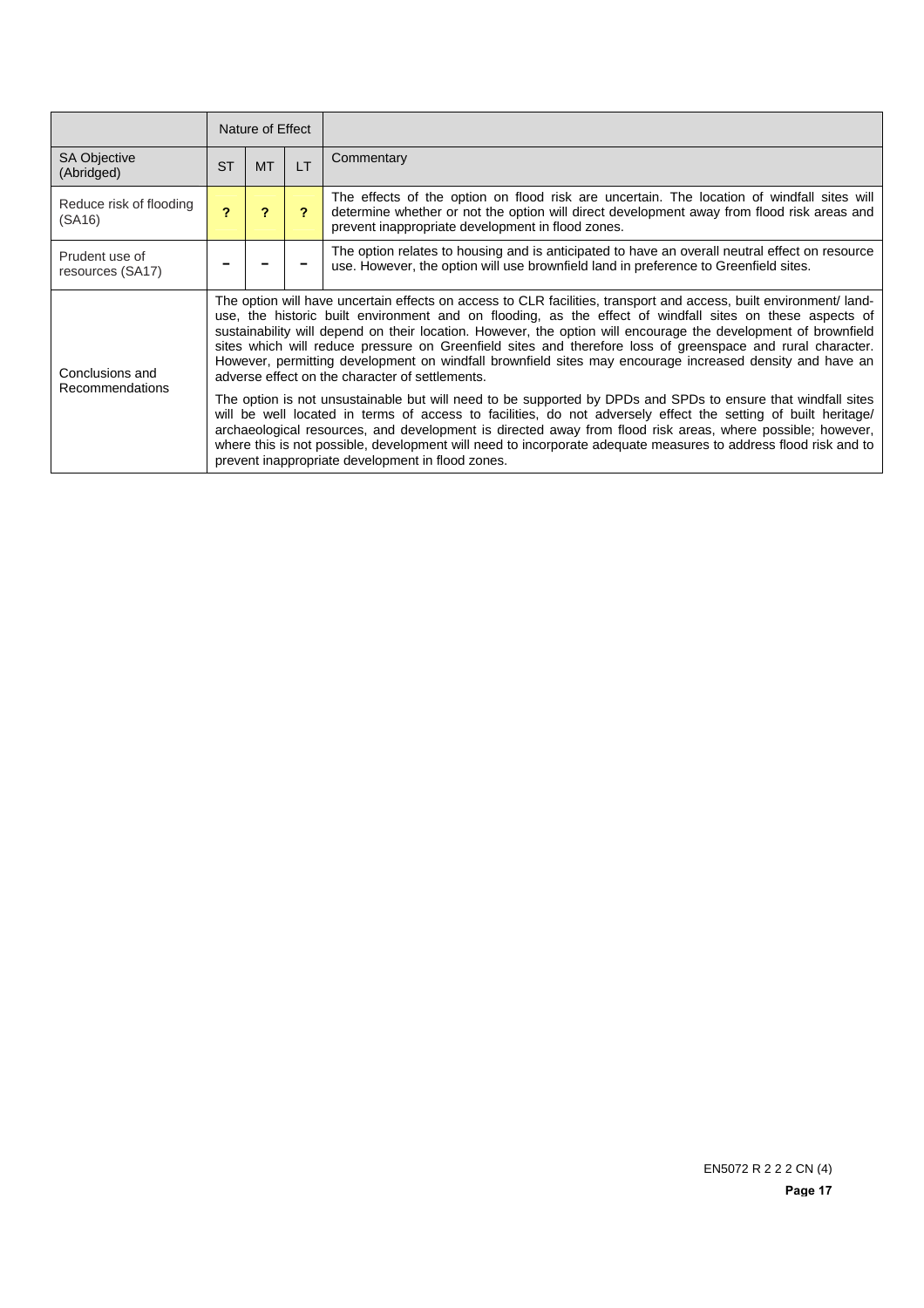|                                    |           | Nature of Effect                                                                                                                                                                                                                                                                                                                                                                                                                                                                                                                                                                                                                                                                                                                                                                                                                                                                                                                                                                                                                                                                                                                                    |                |                                                                                                                                                                                                                                               |  |  |
|------------------------------------|-----------|-----------------------------------------------------------------------------------------------------------------------------------------------------------------------------------------------------------------------------------------------------------------------------------------------------------------------------------------------------------------------------------------------------------------------------------------------------------------------------------------------------------------------------------------------------------------------------------------------------------------------------------------------------------------------------------------------------------------------------------------------------------------------------------------------------------------------------------------------------------------------------------------------------------------------------------------------------------------------------------------------------------------------------------------------------------------------------------------------------------------------------------------------------|----------------|-----------------------------------------------------------------------------------------------------------------------------------------------------------------------------------------------------------------------------------------------|--|--|
| <b>SA Objective</b><br>(Abridged)  | <b>ST</b> | <b>MT</b>                                                                                                                                                                                                                                                                                                                                                                                                                                                                                                                                                                                                                                                                                                                                                                                                                                                                                                                                                                                                                                                                                                                                           | $\overline{1}$ | Commentary                                                                                                                                                                                                                                    |  |  |
| Reduce risk of flooding<br>(SA16)  |           | $\overline{ }$                                                                                                                                                                                                                                                                                                                                                                                                                                                                                                                                                                                                                                                                                                                                                                                                                                                                                                                                                                                                                                                                                                                                      | 2              | The effects of the option on flood risk are uncertain. The location of windfall sites will<br>determine whether or not the option will direct development away from flood risk areas and<br>prevent inappropriate development in flood zones. |  |  |
| Prudent use of<br>resources (SA17) |           |                                                                                                                                                                                                                                                                                                                                                                                                                                                                                                                                                                                                                                                                                                                                                                                                                                                                                                                                                                                                                                                                                                                                                     |                | The option relates to housing and is anticipated to have an overall neutral effect on resource<br>use. However, the option will use brownfield land in preference to Greenfield sites.                                                        |  |  |
| Conclusions and<br>Recommendations |           | The option will have uncertain effects on access to CLR facilities, transport and access, built environment/land-<br>use, the historic built environment and on flooding, as the effect of windfall sites on these aspects of<br>sustainability will depend on their location. However, the option will encourage the development of brownfield<br>sites which will reduce pressure on Greenfield sites and therefore loss of greenspace and rural character.<br>However, permitting development on windfall brownfield sites may encourage increased density and have an<br>adverse effect on the character of settlements.<br>The option is not unsustainable but will need to be supported by DPDs and SPDs to ensure that windfall sites<br>will be well located in terms of access to facilities, do not adversely effect the setting of built heritage/<br>archaeological resources, and development is directed away from flood risk areas, where possible; however,<br>where this is not possible, development will need to incorporate adequate measures to address flood risk and to<br>prevent inappropriate development in flood zones. |                |                                                                                                                                                                                                                                               |  |  |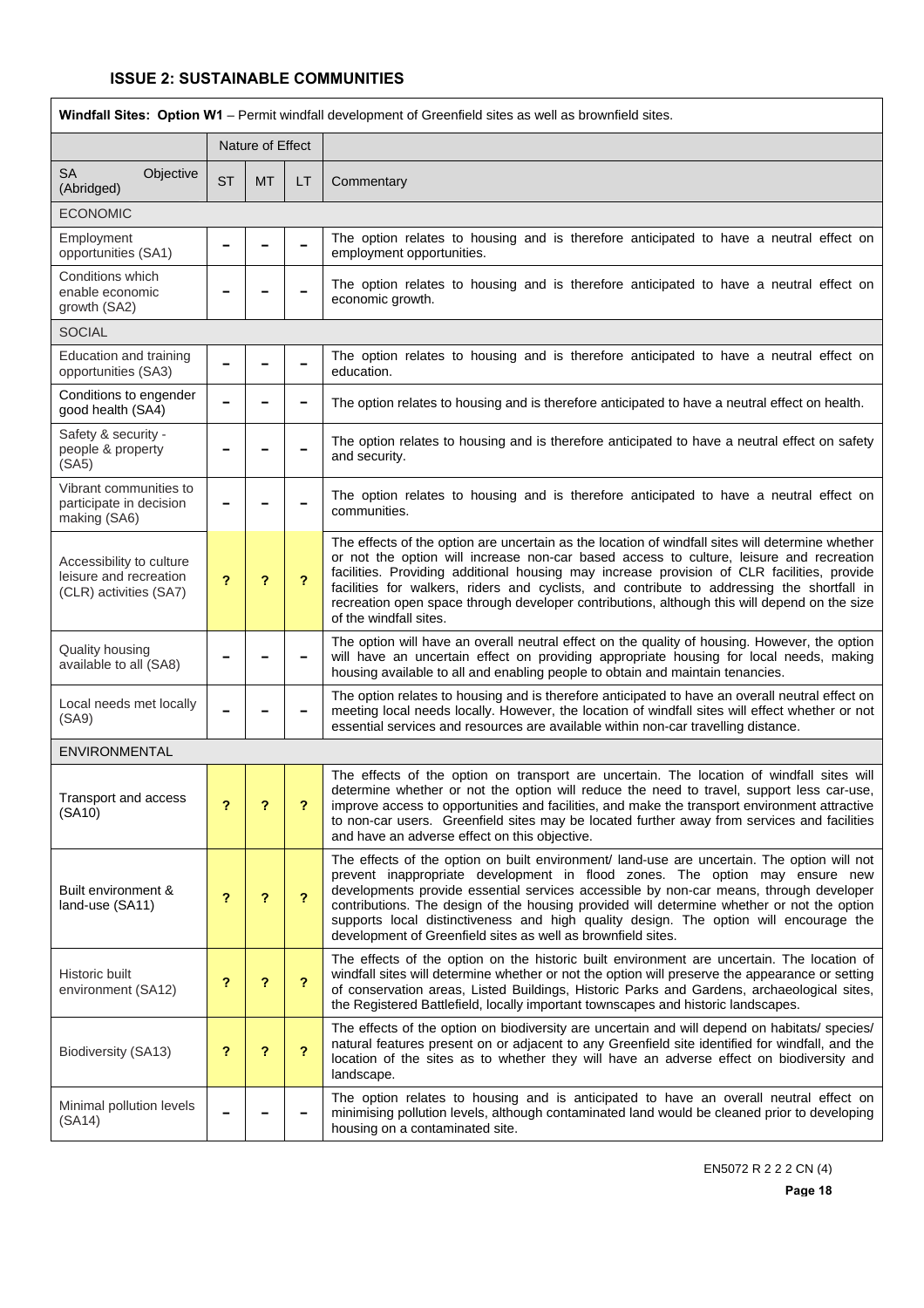| Windfall Sites: Option W1 - Permit windfall development of Greenfield sites as well as brownfield sites. |           |                  |           |                                                                                                                                                                                                                                                                                                                                                                                                                                                                                                                             |  |  |  |  |
|----------------------------------------------------------------------------------------------------------|-----------|------------------|-----------|-----------------------------------------------------------------------------------------------------------------------------------------------------------------------------------------------------------------------------------------------------------------------------------------------------------------------------------------------------------------------------------------------------------------------------------------------------------------------------------------------------------------------------|--|--|--|--|
|                                                                                                          |           | Nature of Effect |           |                                                                                                                                                                                                                                                                                                                                                                                                                                                                                                                             |  |  |  |  |
| <b>SA</b><br>Objective<br>(Abridged)                                                                     | <b>ST</b> | <b>MT</b>        | <b>LT</b> | Commentary                                                                                                                                                                                                                                                                                                                                                                                                                                                                                                                  |  |  |  |  |
| <b>ECONOMIC</b>                                                                                          |           |                  |           |                                                                                                                                                                                                                                                                                                                                                                                                                                                                                                                             |  |  |  |  |
| Employment<br>opportunities (SA1)                                                                        |           |                  |           | The option relates to housing and is therefore anticipated to have a neutral effect on<br>employment opportunities.                                                                                                                                                                                                                                                                                                                                                                                                         |  |  |  |  |
| Conditions which<br>enable economic<br>growth (SA2)                                                      |           |                  |           | The option relates to housing and is therefore anticipated to have a neutral effect on<br>economic growth.                                                                                                                                                                                                                                                                                                                                                                                                                  |  |  |  |  |
| <b>SOCIAL</b>                                                                                            |           |                  |           |                                                                                                                                                                                                                                                                                                                                                                                                                                                                                                                             |  |  |  |  |
| Education and training<br>opportunities (SA3)                                                            |           |                  |           | The option relates to housing and is therefore anticipated to have a neutral effect on<br>education.                                                                                                                                                                                                                                                                                                                                                                                                                        |  |  |  |  |
| Conditions to engender<br>good health (SA4)                                                              |           |                  |           | The option relates to housing and is therefore anticipated to have a neutral effect on health.                                                                                                                                                                                                                                                                                                                                                                                                                              |  |  |  |  |
| Safety & security -<br>people & property<br>(SA5)                                                        |           |                  |           | The option relates to housing and is therefore anticipated to have a neutral effect on safety<br>and security.                                                                                                                                                                                                                                                                                                                                                                                                              |  |  |  |  |
| Vibrant communities to<br>participate in decision<br>making (SA6)                                        |           |                  |           | The option relates to housing and is therefore anticipated to have a neutral effect on<br>communities.                                                                                                                                                                                                                                                                                                                                                                                                                      |  |  |  |  |
| Accessibility to culture<br>leisure and recreation<br>(CLR) activities (SA7)                             | ?         | ?                | ?         | The effects of the option are uncertain as the location of windfall sites will determine whether<br>or not the option will increase non-car based access to culture, leisure and recreation<br>facilities. Providing additional housing may increase provision of CLR facilities, provide<br>facilities for walkers, riders and cyclists, and contribute to addressing the shortfall in<br>recreation open space through developer contributions, although this will depend on the size<br>of the windfall sites.           |  |  |  |  |
| <b>Quality housing</b><br>available to all (SA8)                                                         |           |                  |           | The option will have an overall neutral effect on the quality of housing. However, the option<br>will have an uncertain effect on providing appropriate housing for local needs, making<br>housing available to all and enabling people to obtain and maintain tenancies.                                                                                                                                                                                                                                                   |  |  |  |  |
| Local needs met locally<br>(SA9)                                                                         |           |                  |           | The option relates to housing and is therefore anticipated to have an overall neutral effect on<br>meeting local needs locally. However, the location of windfall sites will effect whether or not<br>essential services and resources are available within non-car travelling distance.                                                                                                                                                                                                                                    |  |  |  |  |
| <b>ENVIRONMENTAL</b>                                                                                     |           |                  |           |                                                                                                                                                                                                                                                                                                                                                                                                                                                                                                                             |  |  |  |  |
| Transport and access<br>(SA10)                                                                           | ?         | ?                | ?         | The effects of the option on transport are uncertain. The location of windfall sites will<br>determine whether or not the option will reduce the need to travel, support less car-use,<br>improve access to opportunities and facilities, and make the transport environment attractive<br>to non-car users. Greenfield sites may be located further away from services and facilities<br>and have an adverse effect on this objective.                                                                                     |  |  |  |  |
| Built environment &<br>land-use (SA11)                                                                   | ?         | ?                | ?         | The effects of the option on built environment/ land-use are uncertain. The option will not<br>prevent inappropriate development in flood zones. The option may ensure new<br>developments provide essential services accessible by non-car means, through developer<br>contributions. The design of the housing provided will determine whether or not the option<br>supports local distinctiveness and high quality design. The option will encourage the<br>development of Greenfield sites as well as brownfield sites. |  |  |  |  |
| Historic built<br>environment (SA12)                                                                     | ?         | ?                | ?         | The effects of the option on the historic built environment are uncertain. The location of<br>windfall sites will determine whether or not the option will preserve the appearance or setting<br>of conservation areas, Listed Buildings, Historic Parks and Gardens, archaeological sites,<br>the Registered Battlefield, locally important townscapes and historic landscapes.                                                                                                                                            |  |  |  |  |
| Biodiversity (SA13)                                                                                      | ?         | ?                | ?         | The effects of the option on biodiversity are uncertain and will depend on habitats/ species/<br>natural features present on or adjacent to any Greenfield site identified for windfall, and the<br>location of the sites as to whether they will have an adverse effect on biodiversity and<br>landscape.                                                                                                                                                                                                                  |  |  |  |  |
| Minimal pollution levels<br>(SA14)                                                                       |           |                  |           | The option relates to housing and is anticipated to have an overall neutral effect on<br>minimising pollution levels, although contaminated land would be cleaned prior to developing<br>housing on a contaminated site.                                                                                                                                                                                                                                                                                                    |  |  |  |  |

EN5072 R 2 2 2 CN (4)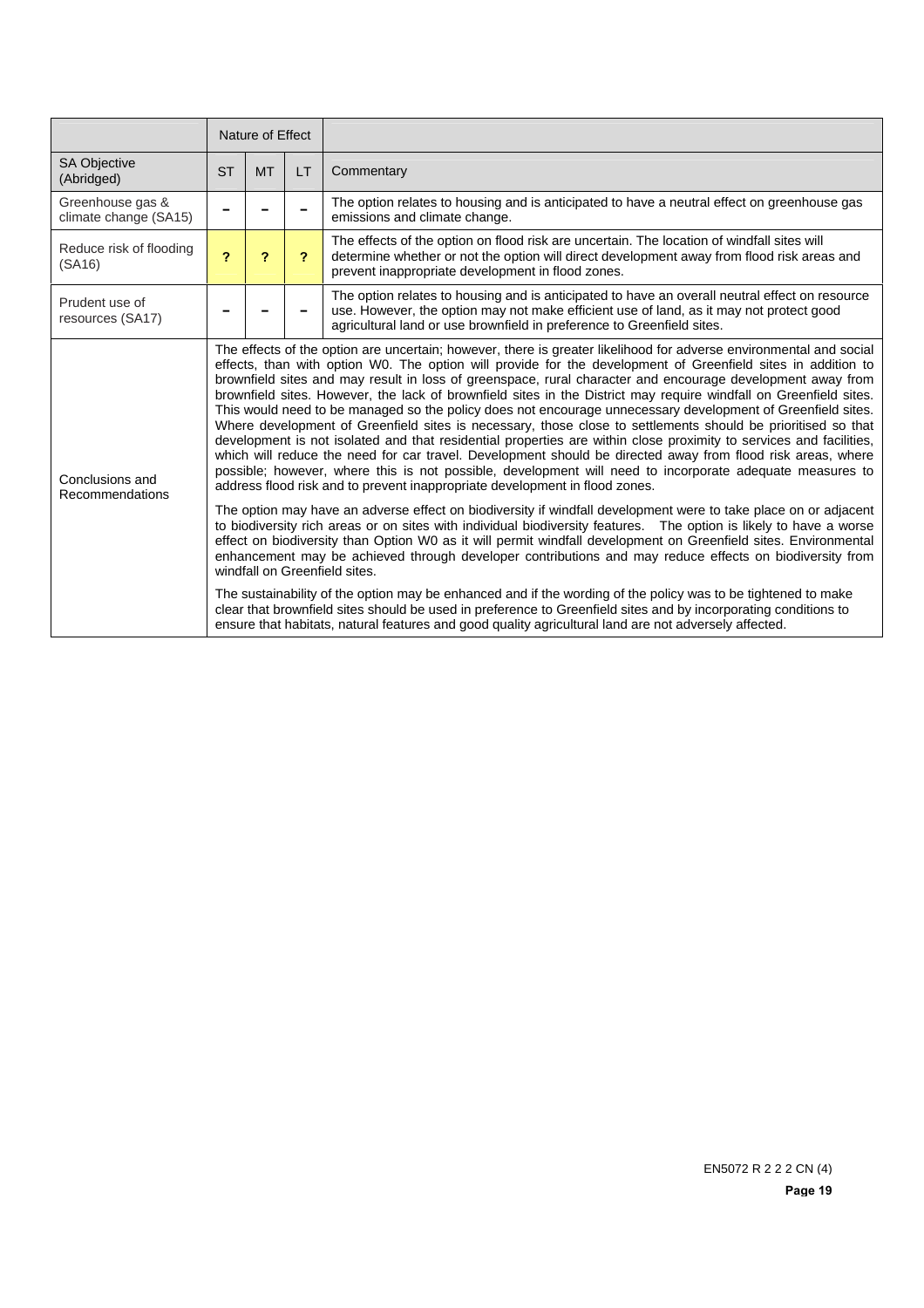|                                           | Nature of Effect                                                                                                                                                                                                                                                                                                                          |           |              |                                                                                                                                                                                                                                                                                                                                                                                                                                                                                                                                                                                                                                                                                                                                                                                                                                                                                                                                                                                                                                                                                                                                                                                                                                                                                                                                                                               |  |
|-------------------------------------------|-------------------------------------------------------------------------------------------------------------------------------------------------------------------------------------------------------------------------------------------------------------------------------------------------------------------------------------------|-----------|--------------|-------------------------------------------------------------------------------------------------------------------------------------------------------------------------------------------------------------------------------------------------------------------------------------------------------------------------------------------------------------------------------------------------------------------------------------------------------------------------------------------------------------------------------------------------------------------------------------------------------------------------------------------------------------------------------------------------------------------------------------------------------------------------------------------------------------------------------------------------------------------------------------------------------------------------------------------------------------------------------------------------------------------------------------------------------------------------------------------------------------------------------------------------------------------------------------------------------------------------------------------------------------------------------------------------------------------------------------------------------------------------------|--|
| <b>SA Objective</b><br>(Abridged)         | <b>ST</b>                                                                                                                                                                                                                                                                                                                                 | <b>MT</b> | LT.          | Commentary                                                                                                                                                                                                                                                                                                                                                                                                                                                                                                                                                                                                                                                                                                                                                                                                                                                                                                                                                                                                                                                                                                                                                                                                                                                                                                                                                                    |  |
| Greenhouse gas &<br>climate change (SA15) |                                                                                                                                                                                                                                                                                                                                           |           |              | The option relates to housing and is anticipated to have a neutral effect on greenhouse gas<br>emissions and climate change.                                                                                                                                                                                                                                                                                                                                                                                                                                                                                                                                                                                                                                                                                                                                                                                                                                                                                                                                                                                                                                                                                                                                                                                                                                                  |  |
| Reduce risk of flooding<br>(SA16)         | $\overline{\mathbf{r}}$                                                                                                                                                                                                                                                                                                                   | 2         | $\mathbf{P}$ | The effects of the option on flood risk are uncertain. The location of windfall sites will<br>determine whether or not the option will direct development away from flood risk areas and<br>prevent inappropriate development in flood zones.                                                                                                                                                                                                                                                                                                                                                                                                                                                                                                                                                                                                                                                                                                                                                                                                                                                                                                                                                                                                                                                                                                                                 |  |
| Prudent use of<br>resources (SA17)        |                                                                                                                                                                                                                                                                                                                                           |           |              | The option relates to housing and is anticipated to have an overall neutral effect on resource<br>use. However, the option may not make efficient use of land, as it may not protect good<br>agricultural land or use brownfield in preference to Greenfield sites.                                                                                                                                                                                                                                                                                                                                                                                                                                                                                                                                                                                                                                                                                                                                                                                                                                                                                                                                                                                                                                                                                                           |  |
| Conclusions and<br>Recommendations        |                                                                                                                                                                                                                                                                                                                                           |           |              | The effects of the option are uncertain; however, there is greater likelihood for adverse environmental and social<br>effects, than with option W0. The option will provide for the development of Greenfield sites in addition to<br>brownfield sites and may result in loss of greenspace, rural character and encourage development away from<br>brownfield sites. However, the lack of brownfield sites in the District may require windfall on Greenfield sites.<br>This would need to be managed so the policy does not encourage unnecessary development of Greenfield sites.<br>Where development of Greenfield sites is necessary, those close to settlements should be prioritised so that<br>development is not isolated and that residential properties are within close proximity to services and facilities,<br>which will reduce the need for car travel. Development should be directed away from flood risk areas, where<br>possible; however, where this is not possible, development will need to incorporate adequate measures to<br>address flood risk and to prevent inappropriate development in flood zones.<br>The option may have an adverse effect on biodiversity if windfall development were to take place on or adjacent<br>to biodiversity rich areas or on sites with individual biodiversity features. The option is likely to have a worse |  |
|                                           |                                                                                                                                                                                                                                                                                                                                           |           |              | effect on biodiversity than Option W0 as it will permit windfall development on Greenfield sites. Environmental<br>enhancement may be achieved through developer contributions and may reduce effects on biodiversity from<br>windfall on Greenfield sites.                                                                                                                                                                                                                                                                                                                                                                                                                                                                                                                                                                                                                                                                                                                                                                                                                                                                                                                                                                                                                                                                                                                   |  |
|                                           | The sustainability of the option may be enhanced and if the wording of the policy was to be tightened to make<br>clear that brownfield sites should be used in preference to Greenfield sites and by incorporating conditions to<br>ensure that habitats, natural features and good quality agricultural land are not adversely affected. |           |              |                                                                                                                                                                                                                                                                                                                                                                                                                                                                                                                                                                                                                                                                                                                                                                                                                                                                                                                                                                                                                                                                                                                                                                                                                                                                                                                                                                               |  |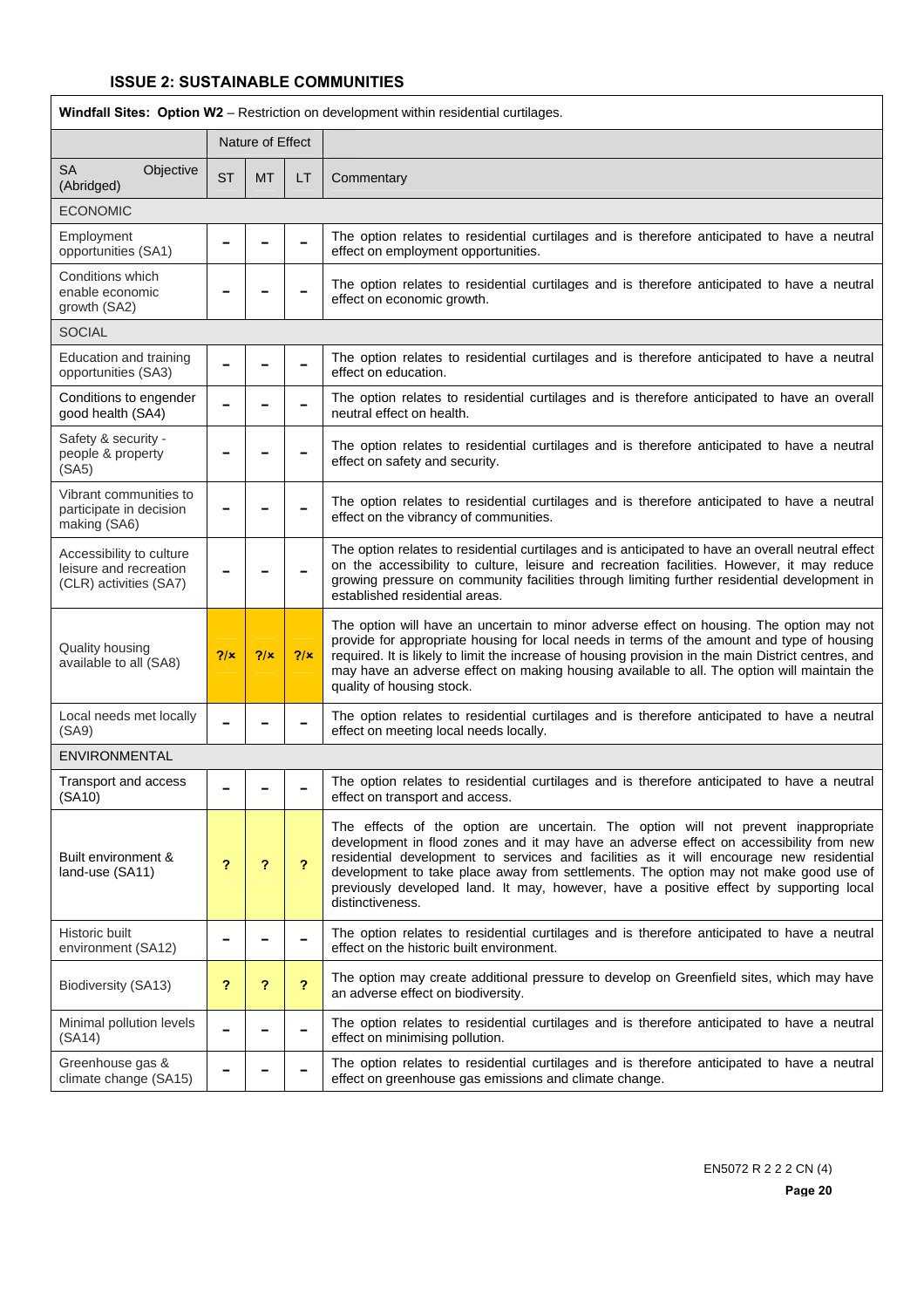Ī

| Windfall Sites: Option W2 - Restriction on development within residential curtilages. |           |                  |     |                                                                                                                                                                                                                                                                                                                                                                                                                                                                               |  |  |
|---------------------------------------------------------------------------------------|-----------|------------------|-----|-------------------------------------------------------------------------------------------------------------------------------------------------------------------------------------------------------------------------------------------------------------------------------------------------------------------------------------------------------------------------------------------------------------------------------------------------------------------------------|--|--|
|                                                                                       |           | Nature of Effect |     |                                                                                                                                                                                                                                                                                                                                                                                                                                                                               |  |  |
| <b>SA</b><br>Objective<br>(Abridged)                                                  | <b>ST</b> | <b>MT</b>        | LT  | Commentary                                                                                                                                                                                                                                                                                                                                                                                                                                                                    |  |  |
| <b>ECONOMIC</b>                                                                       |           |                  |     |                                                                                                                                                                                                                                                                                                                                                                                                                                                                               |  |  |
| Employment<br>opportunities (SA1)                                                     |           |                  |     | The option relates to residential curtilages and is therefore anticipated to have a neutral<br>effect on employment opportunities.                                                                                                                                                                                                                                                                                                                                            |  |  |
| Conditions which<br>enable economic<br>growth (SA2)                                   |           |                  |     | The option relates to residential curtilages and is therefore anticipated to have a neutral<br>effect on economic growth.                                                                                                                                                                                                                                                                                                                                                     |  |  |
| <b>SOCIAL</b>                                                                         |           |                  |     |                                                                                                                                                                                                                                                                                                                                                                                                                                                                               |  |  |
| Education and training<br>opportunities (SA3)                                         |           |                  |     | The option relates to residential curtilages and is therefore anticipated to have a neutral<br>effect on education.                                                                                                                                                                                                                                                                                                                                                           |  |  |
| Conditions to engender<br>good health (SA4)                                           |           |                  |     | The option relates to residential curtilages and is therefore anticipated to have an overall<br>neutral effect on health.                                                                                                                                                                                                                                                                                                                                                     |  |  |
| Safety & security -<br>people & property<br>(SA5)                                     |           |                  |     | The option relates to residential curtilages and is therefore anticipated to have a neutral<br>effect on safety and security.                                                                                                                                                                                                                                                                                                                                                 |  |  |
| Vibrant communities to<br>participate in decision<br>making (SA6)                     |           |                  |     | The option relates to residential curtilages and is therefore anticipated to have a neutral<br>effect on the vibrancy of communities.                                                                                                                                                                                                                                                                                                                                         |  |  |
| Accessibility to culture<br>leisure and recreation<br>(CLR) activities (SA7)          |           |                  |     | The option relates to residential curtilages and is anticipated to have an overall neutral effect<br>on the accessibility to culture, leisure and recreation facilities. However, it may reduce<br>growing pressure on community facilities through limiting further residential development in<br>established residential areas.                                                                                                                                             |  |  |
| Quality housing<br>available to all (SA8)                                             | 2/x       | 7/x              | 2/x | The option will have an uncertain to minor adverse effect on housing. The option may not<br>provide for appropriate housing for local needs in terms of the amount and type of housing<br>required. It is likely to limit the increase of housing provision in the main District centres, and<br>may have an adverse effect on making housing available to all. The option will maintain the<br>quality of housing stock.                                                     |  |  |
| Local needs met locally<br>(SA9)                                                      |           |                  |     | The option relates to residential curtilages and is therefore anticipated to have a neutral<br>effect on meeting local needs locally.                                                                                                                                                                                                                                                                                                                                         |  |  |
| <b>ENVIRONMENTAL</b>                                                                  |           |                  |     |                                                                                                                                                                                                                                                                                                                                                                                                                                                                               |  |  |
| Transport and access<br>(SA10)                                                        |           |                  |     | The option relates to residential curtilages and is therefore anticipated to have a neutral<br>effect on transport and access.                                                                                                                                                                                                                                                                                                                                                |  |  |
| Built environment &<br>land-use (SA11)                                                | ?         | ?                | ?   | The effects of the option are uncertain. The option will not prevent inappropriate<br>development in flood zones and it may have an adverse effect on accessibility from new<br>residential development to services and facilities as it will encourage new residential<br>development to take place away from settlements. The option may not make good use of<br>previously developed land. It may, however, have a positive effect by supporting local<br>distinctiveness. |  |  |
| Historic built<br>environment (SA12)                                                  |           |                  |     | The option relates to residential curtilages and is therefore anticipated to have a neutral<br>effect on the historic built environment.                                                                                                                                                                                                                                                                                                                                      |  |  |
| Biodiversity (SA13)                                                                   | ?         | ?                | ?   | The option may create additional pressure to develop on Greenfield sites, which may have<br>an adverse effect on biodiversity.                                                                                                                                                                                                                                                                                                                                                |  |  |
| Minimal pollution levels<br>(SA14)                                                    |           |                  |     | The option relates to residential curtilages and is therefore anticipated to have a neutral<br>effect on minimising pollution.                                                                                                                                                                                                                                                                                                                                                |  |  |
| Greenhouse gas &<br>climate change (SA15)                                             |           |                  |     | The option relates to residential curtilages and is therefore anticipated to have a neutral<br>effect on greenhouse gas emissions and climate change.                                                                                                                                                                                                                                                                                                                         |  |  |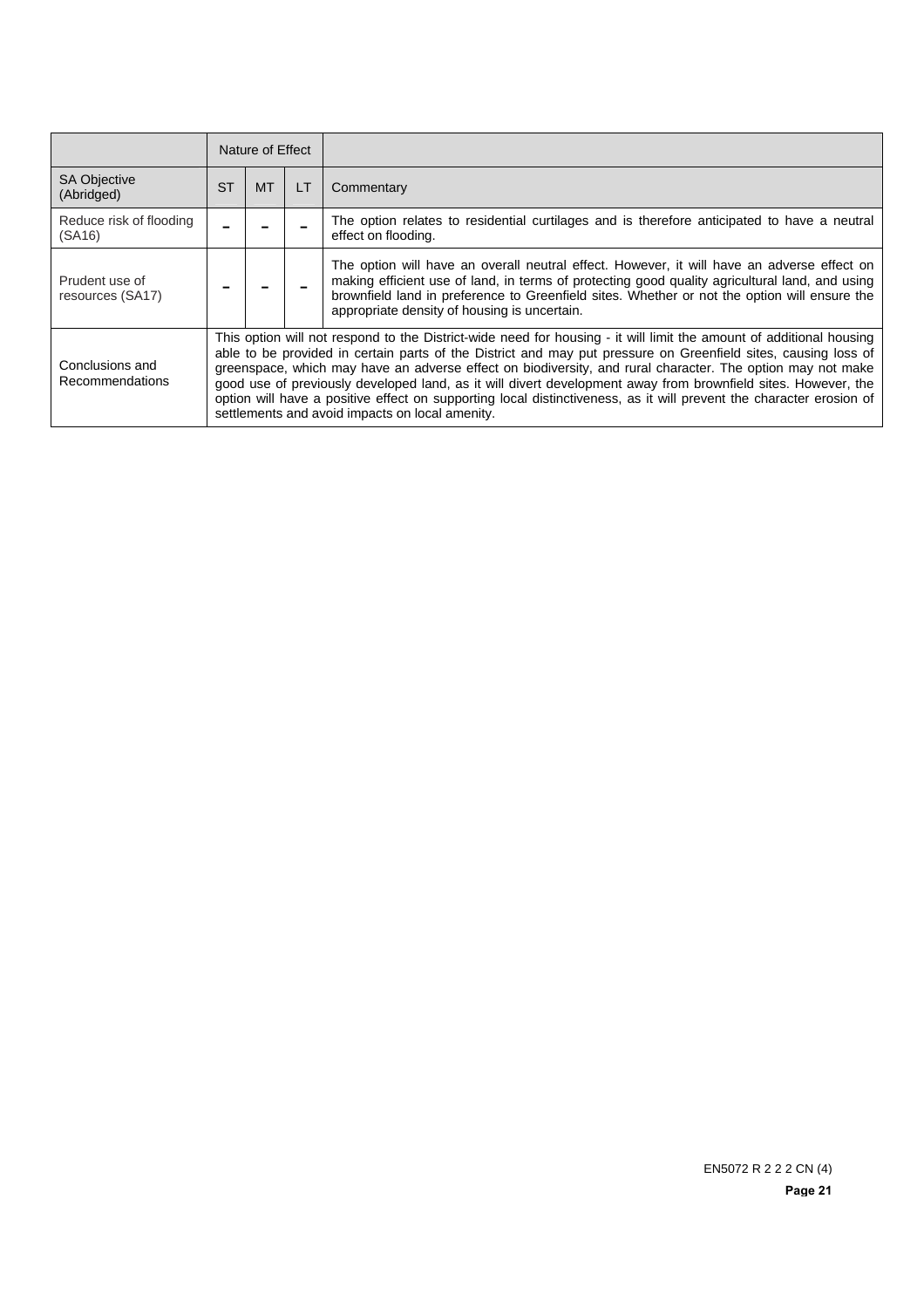|                                    | Nature of Effect |                                                                                                                                                                                                                                                                                                                                                                                                                                                                                                                                                                                                                                                |    |                                                                                                                                                                                                                                                                                                                                              |  |  |
|------------------------------------|------------------|------------------------------------------------------------------------------------------------------------------------------------------------------------------------------------------------------------------------------------------------------------------------------------------------------------------------------------------------------------------------------------------------------------------------------------------------------------------------------------------------------------------------------------------------------------------------------------------------------------------------------------------------|----|----------------------------------------------------------------------------------------------------------------------------------------------------------------------------------------------------------------------------------------------------------------------------------------------------------------------------------------------|--|--|
| <b>SA Objective</b><br>(Abridged)  | <b>ST</b>        | <b>MT</b>                                                                                                                                                                                                                                                                                                                                                                                                                                                                                                                                                                                                                                      | LT | Commentary                                                                                                                                                                                                                                                                                                                                   |  |  |
| Reduce risk of flooding<br>(SA16)  |                  |                                                                                                                                                                                                                                                                                                                                                                                                                                                                                                                                                                                                                                                |    | The option relates to residential curtilages and is therefore anticipated to have a neutral<br>effect on flooding.                                                                                                                                                                                                                           |  |  |
| Prudent use of<br>resources (SA17) |                  |                                                                                                                                                                                                                                                                                                                                                                                                                                                                                                                                                                                                                                                |    | The option will have an overall neutral effect. However, it will have an adverse effect on<br>making efficient use of land, in terms of protecting good quality agricultural land, and using<br>brownfield land in preference to Greenfield sites. Whether or not the option will ensure the<br>appropriate density of housing is uncertain. |  |  |
| Conclusions and<br>Recommendations |                  | This option will not respond to the District-wide need for housing - it will limit the amount of additional housing<br>able to be provided in certain parts of the District and may put pressure on Greenfield sites, causing loss of<br>greenspace, which may have an adverse effect on biodiversity, and rural character. The option may not make<br>good use of previously developed land, as it will divert development away from brownfield sites. However, the<br>option will have a positive effect on supporting local distinctiveness, as it will prevent the character erosion of<br>settlements and avoid impacts on local amenity. |    |                                                                                                                                                                                                                                                                                                                                              |  |  |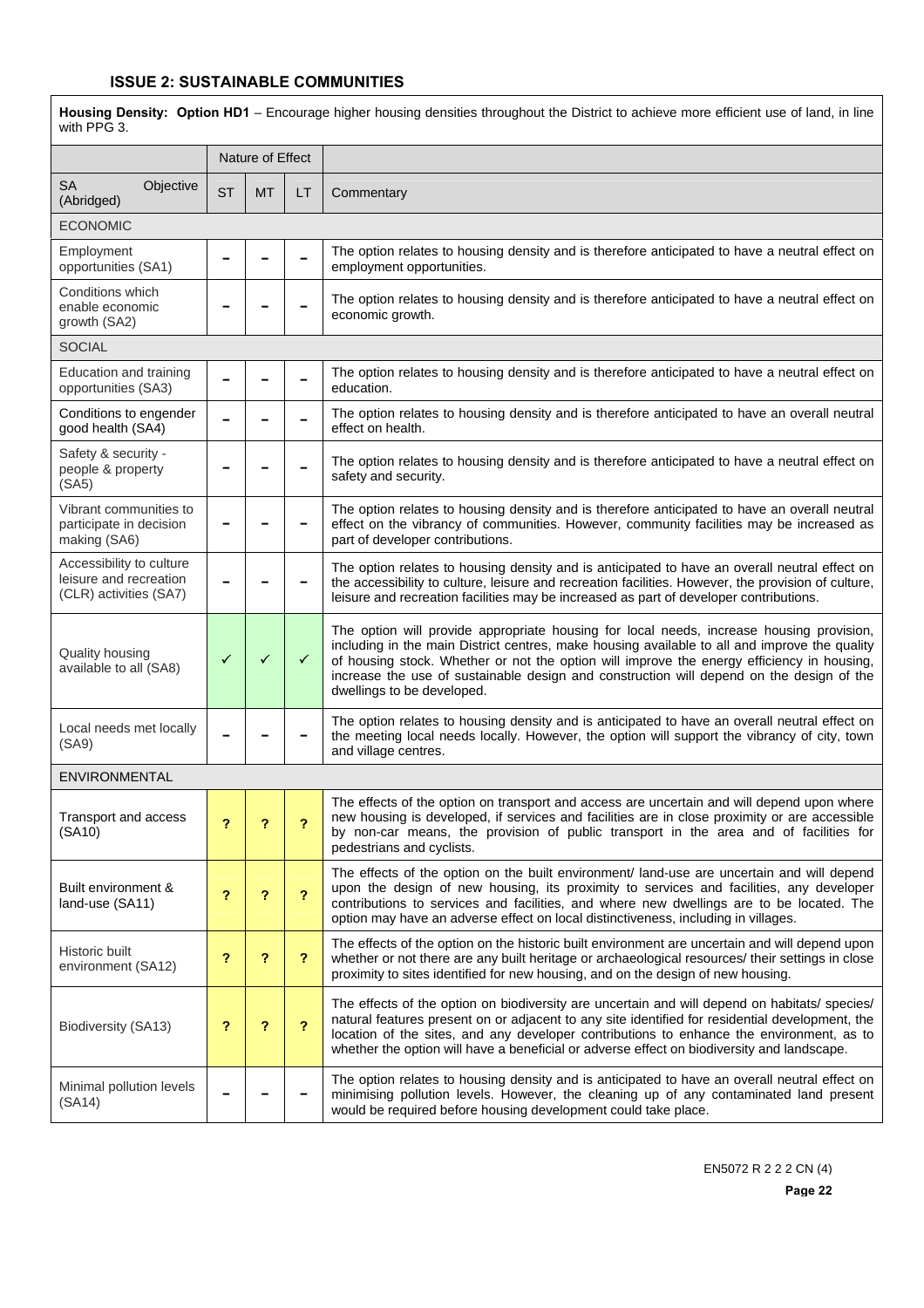Housing Density: Option HD1 – Encourage higher housing densities throughout the District to achieve more efficient use of land, in line with PPG 3.

|                                                                              |           | Nature of Effect |                         |                                                                                                                                                                                                                                                                                                                                                                                                                   |  |  |  |  |
|------------------------------------------------------------------------------|-----------|------------------|-------------------------|-------------------------------------------------------------------------------------------------------------------------------------------------------------------------------------------------------------------------------------------------------------------------------------------------------------------------------------------------------------------------------------------------------------------|--|--|--|--|
| <b>SA</b><br>Objective<br>(Abridged)                                         | <b>ST</b> | <b>MT</b>        | LT                      | Commentary                                                                                                                                                                                                                                                                                                                                                                                                        |  |  |  |  |
| <b>ECONOMIC</b>                                                              |           |                  |                         |                                                                                                                                                                                                                                                                                                                                                                                                                   |  |  |  |  |
| Employment<br>opportunities (SA1)                                            |           |                  |                         | The option relates to housing density and is therefore anticipated to have a neutral effect on<br>employment opportunities.                                                                                                                                                                                                                                                                                       |  |  |  |  |
| Conditions which<br>enable economic<br>growth (SA2)                          |           |                  |                         | The option relates to housing density and is therefore anticipated to have a neutral effect on<br>economic growth.                                                                                                                                                                                                                                                                                                |  |  |  |  |
| <b>SOCIAL</b>                                                                |           |                  |                         |                                                                                                                                                                                                                                                                                                                                                                                                                   |  |  |  |  |
| Education and training<br>opportunities (SA3)                                |           |                  |                         | The option relates to housing density and is therefore anticipated to have a neutral effect on<br>education.                                                                                                                                                                                                                                                                                                      |  |  |  |  |
| Conditions to engender<br>good health (SA4)                                  |           |                  |                         | The option relates to housing density and is therefore anticipated to have an overall neutral<br>effect on health.                                                                                                                                                                                                                                                                                                |  |  |  |  |
| Safety & security -<br>people & property<br>(SA5)                            |           |                  |                         | The option relates to housing density and is therefore anticipated to have a neutral effect on<br>safety and security.                                                                                                                                                                                                                                                                                            |  |  |  |  |
| Vibrant communities to<br>participate in decision<br>making (SA6)            |           |                  |                         | The option relates to housing density and is therefore anticipated to have an overall neutral<br>effect on the vibrancy of communities. However, community facilities may be increased as<br>part of developer contributions.                                                                                                                                                                                     |  |  |  |  |
| Accessibility to culture<br>leisure and recreation<br>(CLR) activities (SA7) |           |                  |                         | The option relates to housing density and is anticipated to have an overall neutral effect on<br>the accessibility to culture, leisure and recreation facilities. However, the provision of culture,<br>leisure and recreation facilities may be increased as part of developer contributions.                                                                                                                    |  |  |  |  |
| Quality housing<br>available to all (SA8)                                    | ✓         | $\checkmark$     | $\checkmark$            | The option will provide appropriate housing for local needs, increase housing provision,<br>including in the main District centres, make housing available to all and improve the quality<br>of housing stock. Whether or not the option will improve the energy efficiency in housing,<br>increase the use of sustainable design and construction will depend on the design of the<br>dwellings to be developed. |  |  |  |  |
| Local needs met locally<br>(SA9)                                             |           |                  |                         | The option relates to housing density and is anticipated to have an overall neutral effect on<br>the meeting local needs locally. However, the option will support the vibrancy of city, town<br>and village centres.                                                                                                                                                                                             |  |  |  |  |
| ENVIRONMENTAL                                                                |           |                  |                         |                                                                                                                                                                                                                                                                                                                                                                                                                   |  |  |  |  |
| Transport and access<br>(SA10)                                               | ?         | ?                | ?                       | The effects of the option on transport and access are uncertain and will depend upon where<br>new housing is developed, if services and facilities are in close proximity or are accessible<br>by non-car means, the provision of public transport in the area and of facilities for<br>pedestrians and cyclists.                                                                                                 |  |  |  |  |
| Built environment &<br>land-use (SA11)                                       | ?         | ?                | $\overline{\mathbf{r}}$ | The effects of the option on the built environment/ land-use are uncertain and will depend<br>upon the design of new housing, its proximity to services and facilities, any developer<br>contributions to services and facilities, and where new dwellings are to be located. The<br>option may have an adverse effect on local distinctiveness, including in villages.                                           |  |  |  |  |
| <b>Historic built</b><br>environment (SA12)                                  | ?         | ?                | ?                       | The effects of the option on the historic built environment are uncertain and will depend upon<br>whether or not there are any built heritage or archaeological resources/ their settings in close<br>proximity to sites identified for new housing, and on the design of new housing.                                                                                                                            |  |  |  |  |
| Biodiversity (SA13)                                                          | ?         | ?                | $\overline{\mathbf{r}}$ | The effects of the option on biodiversity are uncertain and will depend on habitats/ species/<br>natural features present on or adjacent to any site identified for residential development, the<br>location of the sites, and any developer contributions to enhance the environment, as to<br>whether the option will have a beneficial or adverse effect on biodiversity and landscape.                        |  |  |  |  |
| Minimal pollution levels<br>(SA14)                                           |           |                  |                         | The option relates to housing density and is anticipated to have an overall neutral effect on<br>minimising pollution levels. However, the cleaning up of any contaminated land present<br>would be required before housing development could take place.                                                                                                                                                         |  |  |  |  |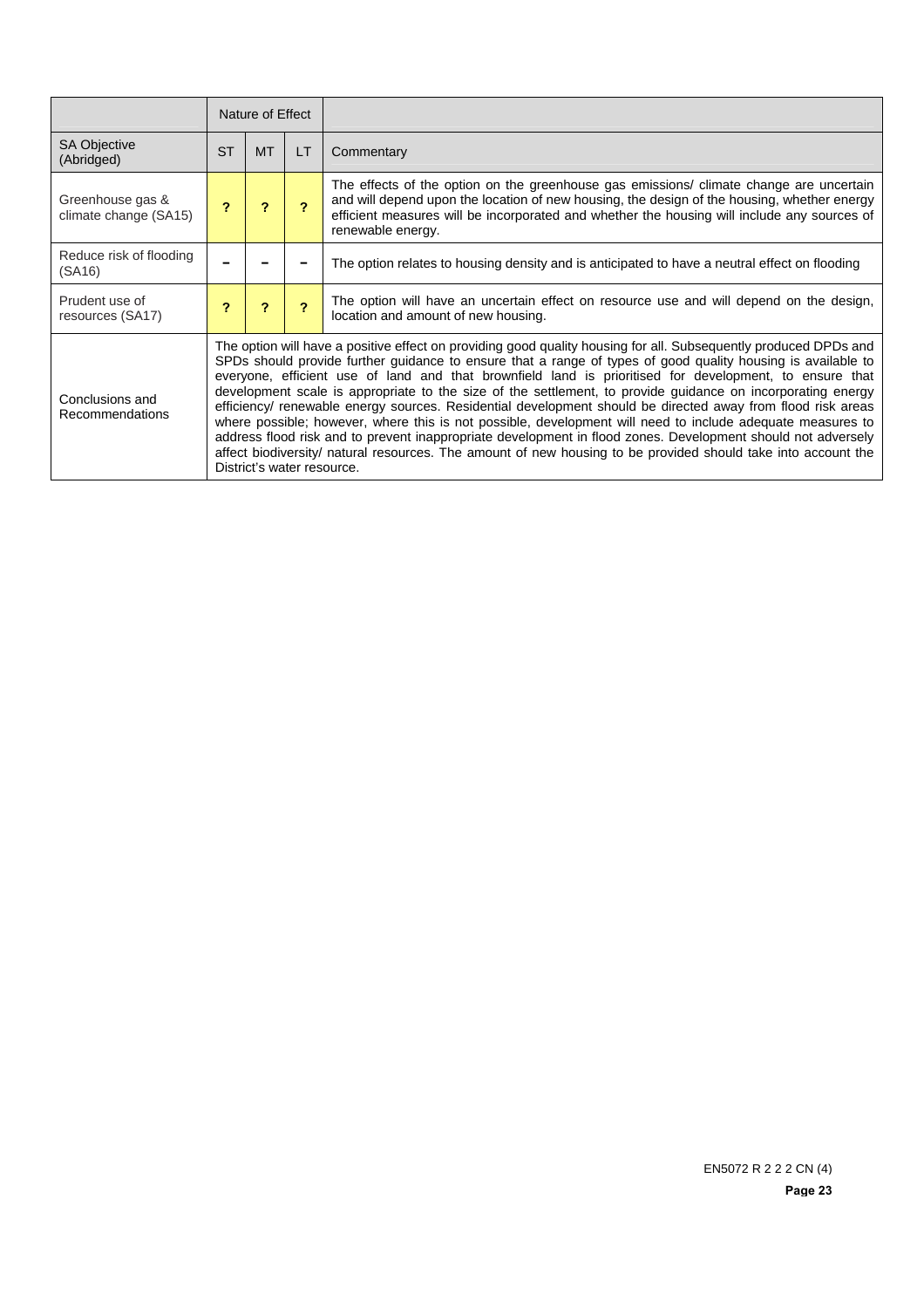|                                           |           | Nature of Effect                                                                                                                                                                                                                                                                                                                                                                                                                                                                                                                                                                                                                                                                                                                                                                                                                                                                                                                                      |                          |                                                                                                                                                                                                                                                                                                            |  |  |
|-------------------------------------------|-----------|-------------------------------------------------------------------------------------------------------------------------------------------------------------------------------------------------------------------------------------------------------------------------------------------------------------------------------------------------------------------------------------------------------------------------------------------------------------------------------------------------------------------------------------------------------------------------------------------------------------------------------------------------------------------------------------------------------------------------------------------------------------------------------------------------------------------------------------------------------------------------------------------------------------------------------------------------------|--------------------------|------------------------------------------------------------------------------------------------------------------------------------------------------------------------------------------------------------------------------------------------------------------------------------------------------------|--|--|
| <b>SA Objective</b><br>(Abridged)         | <b>ST</b> | <b>MT</b>                                                                                                                                                                                                                                                                                                                                                                                                                                                                                                                                                                                                                                                                                                                                                                                                                                                                                                                                             | LT                       | Commentary                                                                                                                                                                                                                                                                                                 |  |  |
| Greenhouse gas &<br>climate change (SA15) |           | 2                                                                                                                                                                                                                                                                                                                                                                                                                                                                                                                                                                                                                                                                                                                                                                                                                                                                                                                                                     | $\overline{\phantom{a}}$ | The effects of the option on the greenhouse gas emissions/ climate change are uncertain<br>and will depend upon the location of new housing, the design of the housing, whether energy<br>efficient measures will be incorporated and whether the housing will include any sources of<br>renewable energy. |  |  |
| Reduce risk of flooding<br>(SA16)         |           |                                                                                                                                                                                                                                                                                                                                                                                                                                                                                                                                                                                                                                                                                                                                                                                                                                                                                                                                                       |                          | The option relates to housing density and is anticipated to have a neutral effect on flooding                                                                                                                                                                                                              |  |  |
| Prudent use of<br>resources (SA17)        | 2         | 2                                                                                                                                                                                                                                                                                                                                                                                                                                                                                                                                                                                                                                                                                                                                                                                                                                                                                                                                                     | $\overline{2}$           | The option will have an uncertain effect on resource use and will depend on the design,<br>location and amount of new housing.                                                                                                                                                                             |  |  |
| Conclusions and<br>Recommendations        |           | The option will have a positive effect on providing good quality housing for all. Subsequently produced DPDs and<br>SPDs should provide further guidance to ensure that a range of types of good quality housing is available to<br>everyone, efficient use of land and that brownfield land is prioritised for development, to ensure that<br>development scale is appropriate to the size of the settlement, to provide guidance on incorporating energy<br>efficiency/ renewable energy sources. Residential development should be directed away from flood risk areas<br>where possible; however, where this is not possible, development will need to include adequate measures to<br>address flood risk and to prevent inappropriate development in flood zones. Development should not adversely<br>affect biodiversity natural resources. The amount of new housing to be provided should take into account the<br>District's water resource. |                          |                                                                                                                                                                                                                                                                                                            |  |  |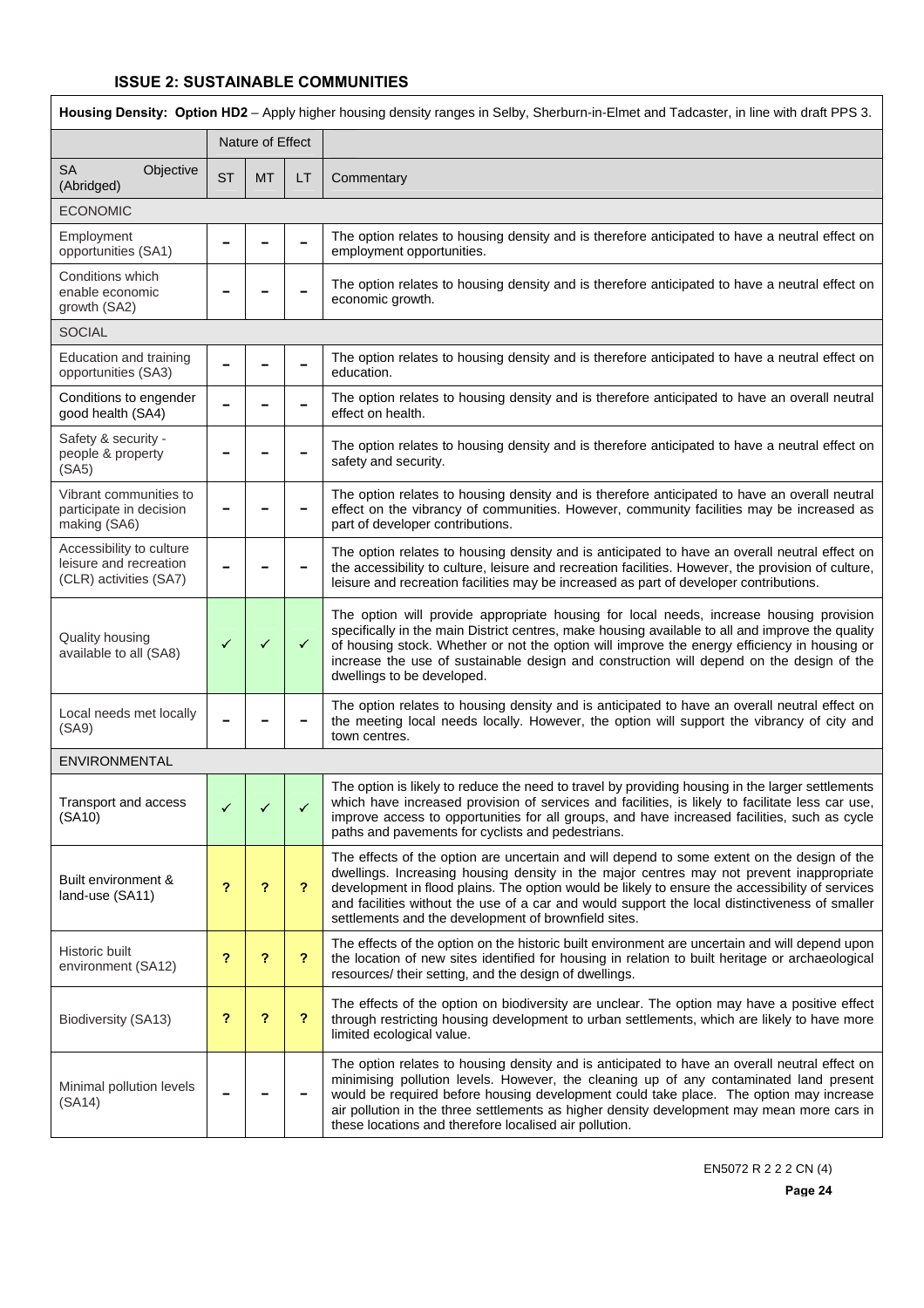| Housing Density: Option HD2 - Apply higher housing density ranges in Selby, Sherburn-in-Elmet and Tadcaster, in line with draft PPS 3. |              |                  |              |                                                                                                                                                                                                                                                                                                                                                                                                                                                      |  |  |  |  |
|----------------------------------------------------------------------------------------------------------------------------------------|--------------|------------------|--------------|------------------------------------------------------------------------------------------------------------------------------------------------------------------------------------------------------------------------------------------------------------------------------------------------------------------------------------------------------------------------------------------------------------------------------------------------------|--|--|--|--|
|                                                                                                                                        |              | Nature of Effect |              |                                                                                                                                                                                                                                                                                                                                                                                                                                                      |  |  |  |  |
| <b>SA</b><br>Objective<br>(Abridged)                                                                                                   | <b>ST</b>    | <b>MT</b>        | LT           | Commentary                                                                                                                                                                                                                                                                                                                                                                                                                                           |  |  |  |  |
| <b>ECONOMIC</b>                                                                                                                        |              |                  |              |                                                                                                                                                                                                                                                                                                                                                                                                                                                      |  |  |  |  |
| Employment<br>opportunities (SA1)                                                                                                      |              |                  |              | The option relates to housing density and is therefore anticipated to have a neutral effect on<br>employment opportunities.                                                                                                                                                                                                                                                                                                                          |  |  |  |  |
| Conditions which<br>enable economic<br>growth (SA2)                                                                                    |              |                  |              | The option relates to housing density and is therefore anticipated to have a neutral effect on<br>economic growth.                                                                                                                                                                                                                                                                                                                                   |  |  |  |  |
| <b>SOCIAL</b>                                                                                                                          |              |                  |              |                                                                                                                                                                                                                                                                                                                                                                                                                                                      |  |  |  |  |
| Education and training<br>opportunities (SA3)                                                                                          |              |                  |              | The option relates to housing density and is therefore anticipated to have a neutral effect on<br>education.                                                                                                                                                                                                                                                                                                                                         |  |  |  |  |
| Conditions to engender<br>good health (SA4)                                                                                            |              |                  |              | The option relates to housing density and is therefore anticipated to have an overall neutral<br>effect on health.                                                                                                                                                                                                                                                                                                                                   |  |  |  |  |
| Safety & security -<br>people & property<br>(SA5)                                                                                      |              |                  |              | The option relates to housing density and is therefore anticipated to have a neutral effect on<br>safety and security.                                                                                                                                                                                                                                                                                                                               |  |  |  |  |
| Vibrant communities to<br>participate in decision<br>making (SA6)                                                                      |              |                  |              | The option relates to housing density and is therefore anticipated to have an overall neutral<br>effect on the vibrancy of communities. However, community facilities may be increased as<br>part of developer contributions.                                                                                                                                                                                                                        |  |  |  |  |
| Accessibility to culture<br>leisure and recreation<br>(CLR) activities (SA7)                                                           |              |                  |              | The option relates to housing density and is anticipated to have an overall neutral effect on<br>the accessibility to culture, leisure and recreation facilities. However, the provision of culture,<br>leisure and recreation facilities may be increased as part of developer contributions.                                                                                                                                                       |  |  |  |  |
| Quality housing<br>available to all (SA8)                                                                                              | $\checkmark$ | $\checkmark$     | $\checkmark$ | The option will provide appropriate housing for local needs, increase housing provision<br>specifically in the main District centres, make housing available to all and improve the quality<br>of housing stock. Whether or not the option will improve the energy efficiency in housing or<br>increase the use of sustainable design and construction will depend on the design of the<br>dwellings to be developed.                                |  |  |  |  |
| Local needs met locally<br>(SA9)                                                                                                       |              |                  |              | The option relates to housing density and is anticipated to have an overall neutral effect on<br>the meeting local needs locally. However, the option will support the vibrancy of city and<br>town centres.                                                                                                                                                                                                                                         |  |  |  |  |
| ENVIRONMENTAL                                                                                                                          |              |                  |              |                                                                                                                                                                                                                                                                                                                                                                                                                                                      |  |  |  |  |
| I ransport and access<br>(SA10)                                                                                                        | ✓            |                  | $\checkmark$ | The option is likely to reduce the need to travel by providing housing in the larger settlements<br>which have increased provision of services and facilities, is likely to facilitate less car use,<br>improve access to opportunities for all groups, and have increased facilities, such as cycle<br>paths and pavements for cyclists and pedestrians.                                                                                            |  |  |  |  |
| Built environment &<br>land-use (SA11)                                                                                                 | ?            | ?                | ?            | The effects of the option are uncertain and will depend to some extent on the design of the<br>dwellings. Increasing housing density in the major centres may not prevent inappropriate<br>development in flood plains. The option would be likely to ensure the accessibility of services<br>and facilities without the use of a car and would support the local distinctiveness of smaller<br>settlements and the development of brownfield sites. |  |  |  |  |
| Historic built<br>environment (SA12)                                                                                                   | ?            | ?                | ?            | The effects of the option on the historic built environment are uncertain and will depend upon<br>the location of new sites identified for housing in relation to built heritage or archaeological<br>resources/ their setting, and the design of dwellings.                                                                                                                                                                                         |  |  |  |  |
| Biodiversity (SA13)                                                                                                                    | ?            | ?                | ?            | The effects of the option on biodiversity are unclear. The option may have a positive effect<br>through restricting housing development to urban settlements, which are likely to have more<br>limited ecological value.                                                                                                                                                                                                                             |  |  |  |  |
| Minimal pollution levels<br>(SA14)                                                                                                     |              |                  |              | The option relates to housing density and is anticipated to have an overall neutral effect on<br>minimising pollution levels. However, the cleaning up of any contaminated land present<br>would be required before housing development could take place. The option may increase<br>air pollution in the three settlements as higher density development may mean more cars in<br>these locations and therefore localised air pollution.            |  |  |  |  |

EN5072 R 2 2 2 CN (4)

ī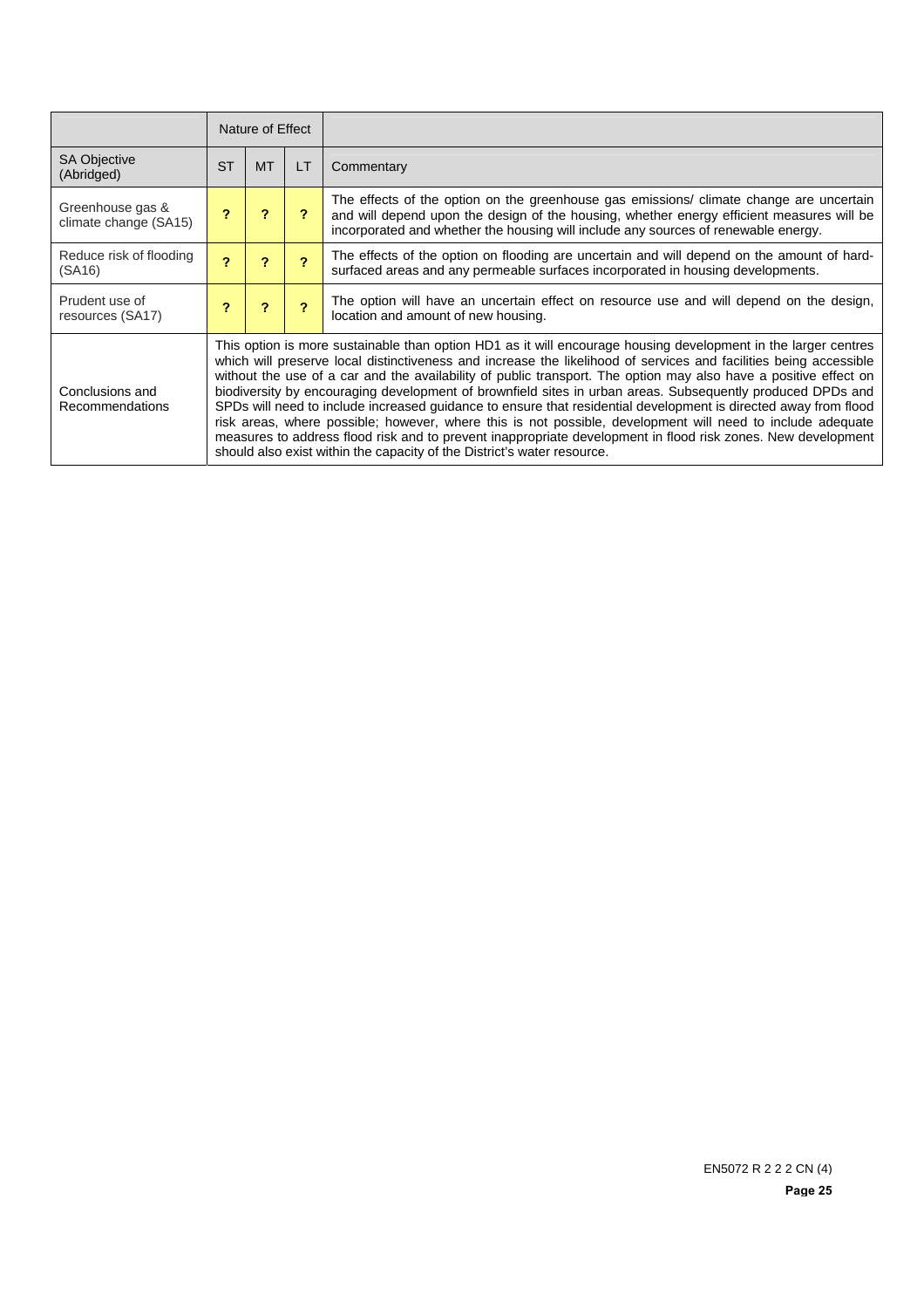|                                           | Nature of Effect           |                                                                                                                                                                                                                                                                                                                                                                                                                                                                                                                                                                                                                                                                                                                                                                                                                                                                                                   |                         |                                                                                                                                                                                                                                                                            |  |
|-------------------------------------------|----------------------------|---------------------------------------------------------------------------------------------------------------------------------------------------------------------------------------------------------------------------------------------------------------------------------------------------------------------------------------------------------------------------------------------------------------------------------------------------------------------------------------------------------------------------------------------------------------------------------------------------------------------------------------------------------------------------------------------------------------------------------------------------------------------------------------------------------------------------------------------------------------------------------------------------|-------------------------|----------------------------------------------------------------------------------------------------------------------------------------------------------------------------------------------------------------------------------------------------------------------------|--|
| <b>SA Objective</b><br>(Abridged)         | <b>ST</b>                  | <b>MT</b>                                                                                                                                                                                                                                                                                                                                                                                                                                                                                                                                                                                                                                                                                                                                                                                                                                                                                         | LT                      | Commentary                                                                                                                                                                                                                                                                 |  |
| Greenhouse gas &<br>climate change (SA15) | $\boldsymbol{\mathcal{P}}$ | 2                                                                                                                                                                                                                                                                                                                                                                                                                                                                                                                                                                                                                                                                                                                                                                                                                                                                                                 | ?                       | The effects of the option on the greenhouse gas emissions/ climate change are uncertain<br>and will depend upon the design of the housing, whether energy efficient measures will be<br>incorporated and whether the housing will include any sources of renewable energy. |  |
| Reduce risk of flooding<br>(SA16)         | 2                          | ?                                                                                                                                                                                                                                                                                                                                                                                                                                                                                                                                                                                                                                                                                                                                                                                                                                                                                                 | $\overline{2}$          | The effects of the option on flooding are uncertain and will depend on the amount of hard-<br>surfaced areas and any permeable surfaces incorporated in housing developments.                                                                                              |  |
| Prudent use of<br>resources (SA17)        | 2                          | 2                                                                                                                                                                                                                                                                                                                                                                                                                                                                                                                                                                                                                                                                                                                                                                                                                                                                                                 | $\overline{\mathbf{c}}$ | The option will have an uncertain effect on resource use and will depend on the design,<br>location and amount of new housing.                                                                                                                                             |  |
| Conclusions and<br>Recommendations        |                            | This option is more sustainable than option HD1 as it will encourage housing development in the larger centres<br>which will preserve local distinctiveness and increase the likelihood of services and facilities being accessible<br>without the use of a car and the availability of public transport. The option may also have a positive effect on<br>biodiversity by encouraging development of brownfield sites in urban areas. Subsequently produced DPDs and<br>SPDs will need to include increased quidance to ensure that residential development is directed away from flood<br>risk areas, where possible; however, where this is not possible, development will need to include adequate<br>measures to address flood risk and to prevent inappropriate development in flood risk zones. New development<br>should also exist within the capacity of the District's water resource. |                         |                                                                                                                                                                                                                                                                            |  |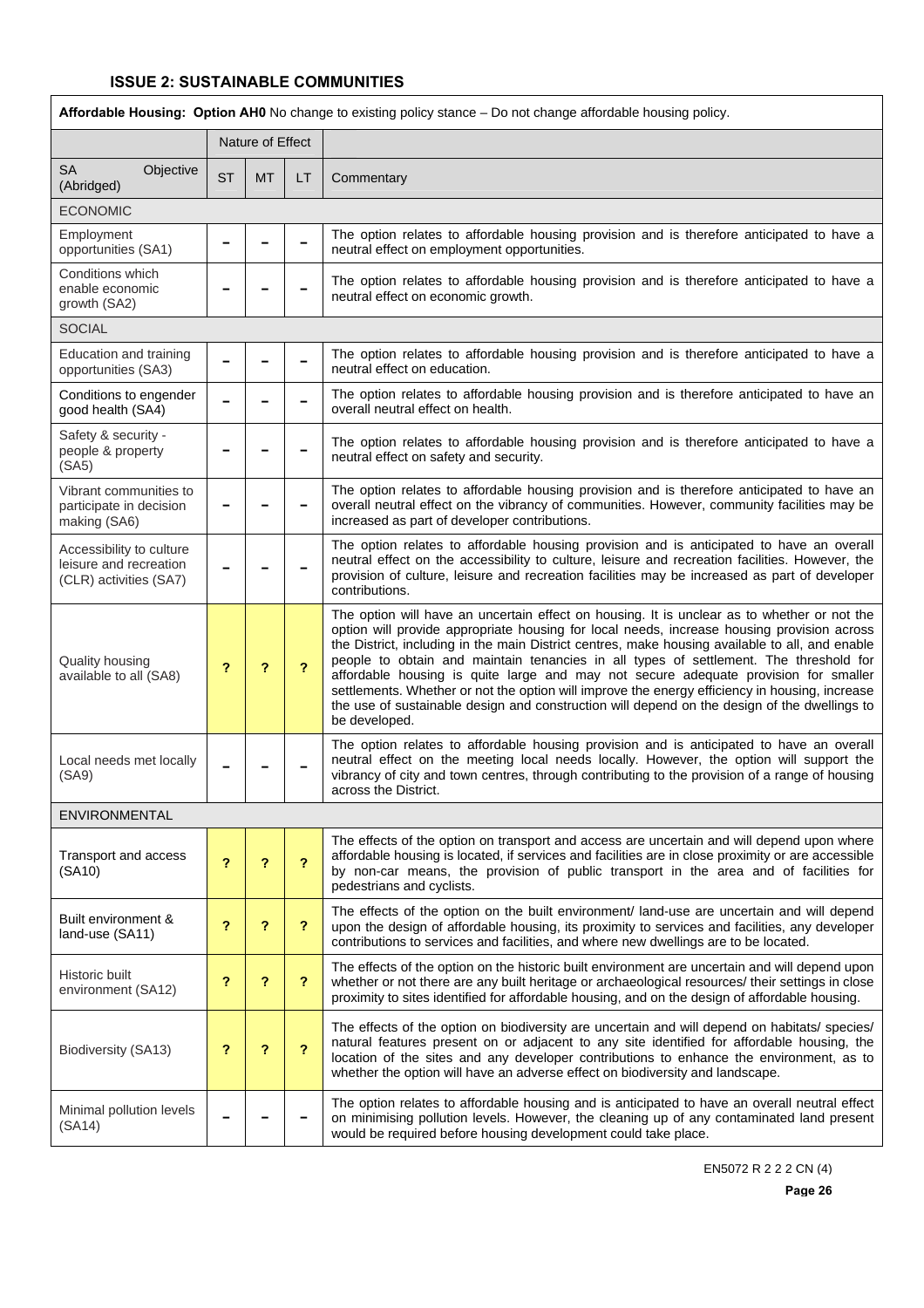| Affordable Housing: Option AH0 No change to existing policy stance - Do not change affordable housing policy. |                            |                  |                |                                                                                                                                                                                                                                                                                                                                                                                                                                                                                                                                                                                                                                                                                                 |  |  |  |  |
|---------------------------------------------------------------------------------------------------------------|----------------------------|------------------|----------------|-------------------------------------------------------------------------------------------------------------------------------------------------------------------------------------------------------------------------------------------------------------------------------------------------------------------------------------------------------------------------------------------------------------------------------------------------------------------------------------------------------------------------------------------------------------------------------------------------------------------------------------------------------------------------------------------------|--|--|--|--|
|                                                                                                               |                            | Nature of Effect |                |                                                                                                                                                                                                                                                                                                                                                                                                                                                                                                                                                                                                                                                                                                 |  |  |  |  |
| <b>SA</b><br>Objective<br>(Abridged)                                                                          | <b>ST</b>                  | <b>MT</b>        | LT             | Commentary                                                                                                                                                                                                                                                                                                                                                                                                                                                                                                                                                                                                                                                                                      |  |  |  |  |
| <b>ECONOMIC</b>                                                                                               |                            |                  |                |                                                                                                                                                                                                                                                                                                                                                                                                                                                                                                                                                                                                                                                                                                 |  |  |  |  |
| Employment<br>opportunities (SA1)                                                                             |                            |                  |                | The option relates to affordable housing provision and is therefore anticipated to have a<br>neutral effect on employment opportunities.                                                                                                                                                                                                                                                                                                                                                                                                                                                                                                                                                        |  |  |  |  |
| Conditions which<br>enable economic<br>growth (SA2)                                                           |                            |                  |                | The option relates to affordable housing provision and is therefore anticipated to have a<br>neutral effect on economic growth.                                                                                                                                                                                                                                                                                                                                                                                                                                                                                                                                                                 |  |  |  |  |
| <b>SOCIAL</b>                                                                                                 |                            |                  |                |                                                                                                                                                                                                                                                                                                                                                                                                                                                                                                                                                                                                                                                                                                 |  |  |  |  |
| Education and training<br>opportunities (SA3)                                                                 |                            |                  |                | The option relates to affordable housing provision and is therefore anticipated to have a<br>neutral effect on education.                                                                                                                                                                                                                                                                                                                                                                                                                                                                                                                                                                       |  |  |  |  |
| Conditions to engender<br>good health (SA4)                                                                   |                            |                  |                | The option relates to affordable housing provision and is therefore anticipated to have an<br>overall neutral effect on health.                                                                                                                                                                                                                                                                                                                                                                                                                                                                                                                                                                 |  |  |  |  |
| Safety & security -<br>people & property<br>(SA5)                                                             |                            |                  |                | The option relates to affordable housing provision and is therefore anticipated to have a<br>neutral effect on safety and security.                                                                                                                                                                                                                                                                                                                                                                                                                                                                                                                                                             |  |  |  |  |
| Vibrant communities to<br>participate in decision<br>making (SA6)                                             |                            |                  |                | The option relates to affordable housing provision and is therefore anticipated to have an<br>overall neutral effect on the vibrancy of communities. However, community facilities may be<br>increased as part of developer contributions.                                                                                                                                                                                                                                                                                                                                                                                                                                                      |  |  |  |  |
| Accessibility to culture<br>leisure and recreation<br>(CLR) activities (SA7)                                  |                            |                  |                | The option relates to affordable housing provision and is anticipated to have an overall<br>neutral effect on the accessibility to culture, leisure and recreation facilities. However, the<br>provision of culture, leisure and recreation facilities may be increased as part of developer<br>contributions.                                                                                                                                                                                                                                                                                                                                                                                  |  |  |  |  |
| Quality housing<br>available to all (SA8)                                                                     | ?                          | ?                | ?              | The option will have an uncertain effect on housing. It is unclear as to whether or not the<br>option will provide appropriate housing for local needs, increase housing provision across<br>the District, including in the main District centres, make housing available to all, and enable<br>people to obtain and maintain tenancies in all types of settlement. The threshold for<br>affordable housing is quite large and may not secure adequate provision for smaller<br>settlements. Whether or not the option will improve the energy efficiency in housing, increase<br>the use of sustainable design and construction will depend on the design of the dwellings to<br>be developed. |  |  |  |  |
| Local needs met locally<br>(SA9)                                                                              |                            |                  |                | The option relates to affordable housing provision and is anticipated to have an overall<br>neutral effect on the meeting local needs locally. However, the option will support the<br>vibrancy of city and town centres, through contributing to the provision of a range of housing<br>across the District.                                                                                                                                                                                                                                                                                                                                                                                   |  |  |  |  |
| ENVIRONMENTAL                                                                                                 |                            |                  |                |                                                                                                                                                                                                                                                                                                                                                                                                                                                                                                                                                                                                                                                                                                 |  |  |  |  |
| Transport and access<br>(SA10)                                                                                | $\boldsymbol{\mathcal{P}}$ | ?                | ?              | The effects of the option on transport and access are uncertain and will depend upon where<br>affordable housing is located, if services and facilities are in close proximity or are accessible<br>by non-car means, the provision of public transport in the area and of facilities for<br>pedestrians and cyclists.                                                                                                                                                                                                                                                                                                                                                                          |  |  |  |  |
| Built environment &<br>land-use (SA11)                                                                        | ?                          | ?                | ?              | The effects of the option on the built environment/ land-use are uncertain and will depend<br>upon the design of affordable housing, its proximity to services and facilities, any developer<br>contributions to services and facilities, and where new dwellings are to be located.                                                                                                                                                                                                                                                                                                                                                                                                            |  |  |  |  |
| Historic built<br>environment (SA12)                                                                          | ?                          | ?                | ?              | The effects of the option on the historic built environment are uncertain and will depend upon<br>whether or not there are any built heritage or archaeological resources/ their settings in close<br>proximity to sites identified for affordable housing, and on the design of affordable housing.                                                                                                                                                                                                                                                                                                                                                                                            |  |  |  |  |
| Biodiversity (SA13)                                                                                           | ?                          | ?                | $\overline{?}$ | The effects of the option on biodiversity are uncertain and will depend on habitats/ species/<br>natural features present on or adjacent to any site identified for affordable housing, the<br>location of the sites and any developer contributions to enhance the environment, as to<br>whether the option will have an adverse effect on biodiversity and landscape.                                                                                                                                                                                                                                                                                                                         |  |  |  |  |
| Minimal pollution levels<br>(SA14)                                                                            |                            |                  |                | The option relates to affordable housing and is anticipated to have an overall neutral effect<br>on minimising pollution levels. However, the cleaning up of any contaminated land present<br>would be required before housing development could take place.                                                                                                                                                                                                                                                                                                                                                                                                                                    |  |  |  |  |

EN5072 R 2 2 2 CN (4)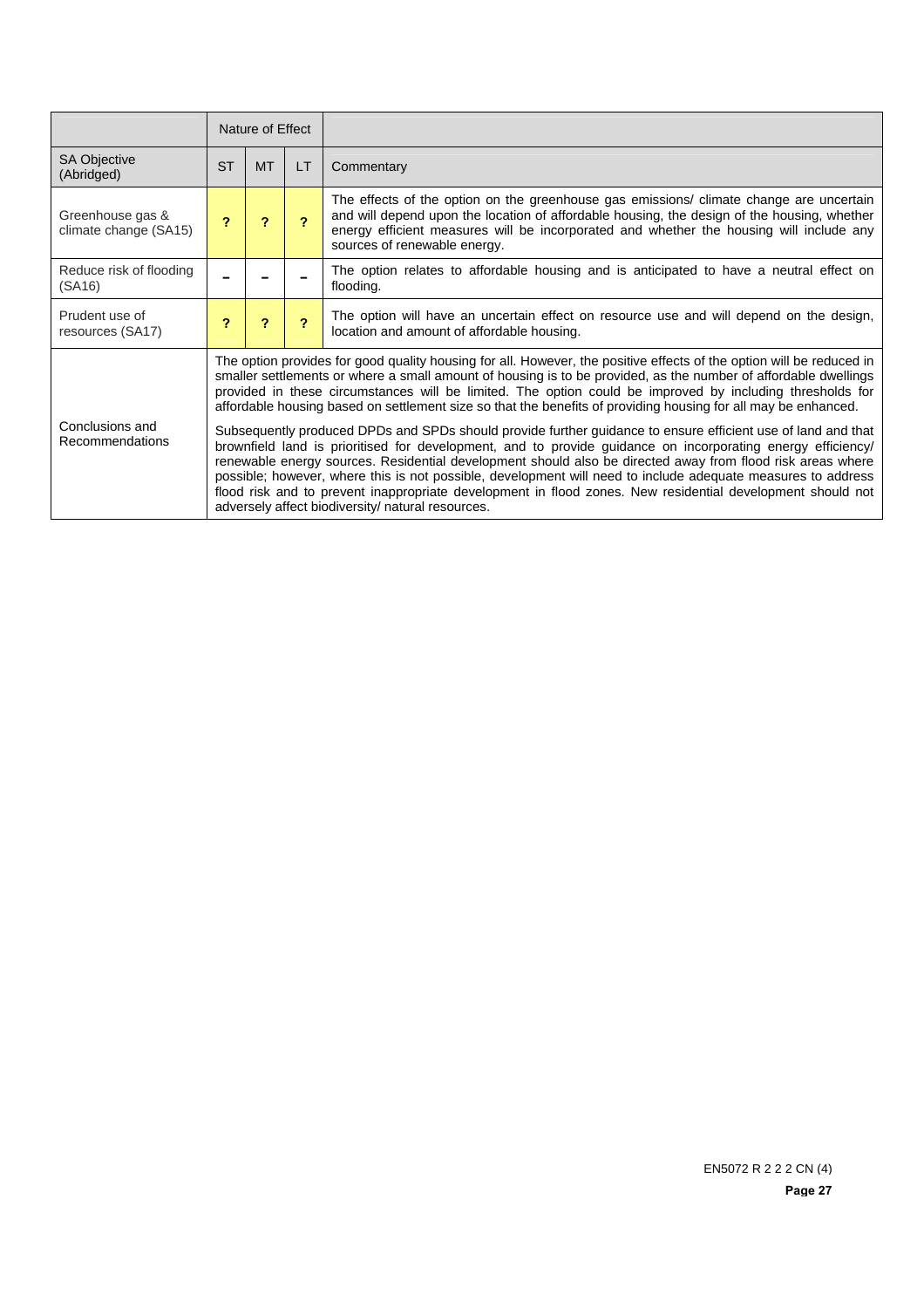|                                           | Nature of Effect           |                                                                                                                                                                                                                                                                                                                                                                                                                                                                                                                                                                                                                                                                                                                                                                                                                                                                                                                                                                                                                                                                                                        |                         |                                                                                                                                                                                                                                                                                                                   |  |
|-------------------------------------------|----------------------------|--------------------------------------------------------------------------------------------------------------------------------------------------------------------------------------------------------------------------------------------------------------------------------------------------------------------------------------------------------------------------------------------------------------------------------------------------------------------------------------------------------------------------------------------------------------------------------------------------------------------------------------------------------------------------------------------------------------------------------------------------------------------------------------------------------------------------------------------------------------------------------------------------------------------------------------------------------------------------------------------------------------------------------------------------------------------------------------------------------|-------------------------|-------------------------------------------------------------------------------------------------------------------------------------------------------------------------------------------------------------------------------------------------------------------------------------------------------------------|--|
| <b>SA Objective</b><br>(Abridged)         | <b>ST</b>                  | <b>MT</b>                                                                                                                                                                                                                                                                                                                                                                                                                                                                                                                                                                                                                                                                                                                                                                                                                                                                                                                                                                                                                                                                                              | LT                      | Commentary                                                                                                                                                                                                                                                                                                        |  |
| Greenhouse gas &<br>climate change (SA15) | $\boldsymbol{\mathcal{P}}$ | $\overline{ }$                                                                                                                                                                                                                                                                                                                                                                                                                                                                                                                                                                                                                                                                                                                                                                                                                                                                                                                                                                                                                                                                                         | $\overline{2}$          | The effects of the option on the greenhouse gas emissions/ climate change are uncertain<br>and will depend upon the location of affordable housing, the design of the housing, whether<br>energy efficient measures will be incorporated and whether the housing will include any<br>sources of renewable energy. |  |
| Reduce risk of flooding<br>(SA16)         |                            |                                                                                                                                                                                                                                                                                                                                                                                                                                                                                                                                                                                                                                                                                                                                                                                                                                                                                                                                                                                                                                                                                                        |                         | The option relates to affordable housing and is anticipated to have a neutral effect on<br>flooding.                                                                                                                                                                                                              |  |
| Prudent use of<br>resources (SA17)        | $\overline{\mathbf{r}}$    | ?                                                                                                                                                                                                                                                                                                                                                                                                                                                                                                                                                                                                                                                                                                                                                                                                                                                                                                                                                                                                                                                                                                      | $\overline{\mathbf{r}}$ | The option will have an uncertain effect on resource use and will depend on the design,<br>location and amount of affordable housing.                                                                                                                                                                             |  |
| Conclusions and<br>Recommendations        |                            | The option provides for good quality housing for all. However, the positive effects of the option will be reduced in<br>smaller settlements or where a small amount of housing is to be provided, as the number of affordable dwellings<br>provided in these circumstances will be limited. The option could be improved by including thresholds for<br>affordable housing based on settlement size so that the benefits of providing housing for all may be enhanced.<br>Subsequently produced DPDs and SPDs should provide further guidance to ensure efficient use of land and that<br>brownfield land is prioritised for development, and to provide guidance on incorporating energy efficiency/<br>renewable energy sources. Residential development should also be directed away from flood risk areas where<br>possible; however, where this is not possible, development will need to include adequate measures to address<br>flood risk and to prevent inappropriate development in flood zones. New residential development should not<br>adversely affect biodiversity/ natural resources. |                         |                                                                                                                                                                                                                                                                                                                   |  |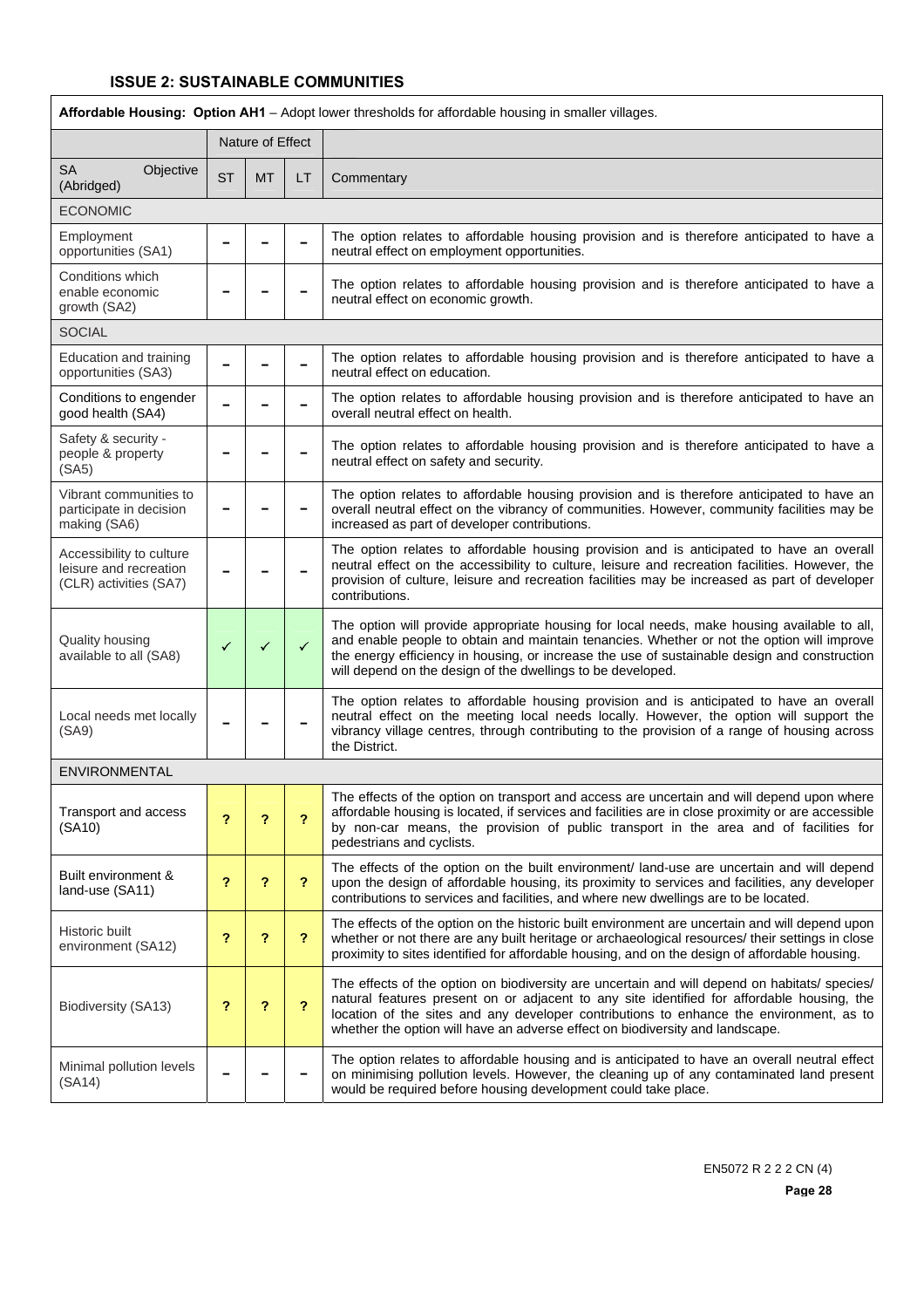| Affordable Housing: Option AH1 - Adopt lower thresholds for affordable housing in smaller villages. |                  |           |              |                                                                                                                                                                                                                                                                                                                                                                         |  |  |
|-----------------------------------------------------------------------------------------------------|------------------|-----------|--------------|-------------------------------------------------------------------------------------------------------------------------------------------------------------------------------------------------------------------------------------------------------------------------------------------------------------------------------------------------------------------------|--|--|
|                                                                                                     | Nature of Effect |           |              |                                                                                                                                                                                                                                                                                                                                                                         |  |  |
| <b>SA</b><br>Objective<br>(Abridged)                                                                | <b>ST</b>        | <b>MT</b> | LТ           | Commentary                                                                                                                                                                                                                                                                                                                                                              |  |  |
| <b>ECONOMIC</b>                                                                                     |                  |           |              |                                                                                                                                                                                                                                                                                                                                                                         |  |  |
| Employment<br>opportunities (SA1)                                                                   |                  |           |              | The option relates to affordable housing provision and is therefore anticipated to have a<br>neutral effect on employment opportunities.                                                                                                                                                                                                                                |  |  |
| Conditions which<br>enable economic<br>growth (SA2)                                                 |                  |           |              | The option relates to affordable housing provision and is therefore anticipated to have a<br>neutral effect on economic growth.                                                                                                                                                                                                                                         |  |  |
| <b>SOCIAL</b>                                                                                       |                  |           |              |                                                                                                                                                                                                                                                                                                                                                                         |  |  |
| Education and training<br>opportunities (SA3)                                                       |                  |           |              | The option relates to affordable housing provision and is therefore anticipated to have a<br>neutral effect on education.                                                                                                                                                                                                                                               |  |  |
| Conditions to engender<br>good health (SA4)                                                         |                  |           |              | The option relates to affordable housing provision and is therefore anticipated to have an<br>overall neutral effect on health.                                                                                                                                                                                                                                         |  |  |
| Safety & security -<br>people & property<br>(SA5)                                                   |                  |           |              | The option relates to affordable housing provision and is therefore anticipated to have a<br>neutral effect on safety and security.                                                                                                                                                                                                                                     |  |  |
| Vibrant communities to<br>participate in decision<br>making (SA6)                                   |                  |           |              | The option relates to affordable housing provision and is therefore anticipated to have an<br>overall neutral effect on the vibrancy of communities. However, community facilities may be<br>increased as part of developer contributions.                                                                                                                              |  |  |
| Accessibility to culture<br>leisure and recreation<br>(CLR) activities (SA7)                        |                  |           |              | The option relates to affordable housing provision and is anticipated to have an overall<br>neutral effect on the accessibility to culture, leisure and recreation facilities. However, the<br>provision of culture, leisure and recreation facilities may be increased as part of developer<br>contributions.                                                          |  |  |
| Quality housing<br>available to all (SA8)                                                           | ✓                | ✓         | $\checkmark$ | The option will provide appropriate housing for local needs, make housing available to all,<br>and enable people to obtain and maintain tenancies. Whether or not the option will improve<br>the energy efficiency in housing, or increase the use of sustainable design and construction<br>will depend on the design of the dwellings to be developed.                |  |  |
| Local needs met locally<br>(SA9)                                                                    |                  |           |              | The option relates to affordable housing provision and is anticipated to have an overall<br>neutral effect on the meeting local needs locally. However, the option will support the<br>vibrancy village centres, through contributing to the provision of a range of housing across<br>the District.                                                                    |  |  |
| ENVIRONMENTAL                                                                                       |                  |           |              |                                                                                                                                                                                                                                                                                                                                                                         |  |  |
| Transport and access<br>(SA10)                                                                      | ?                | ?         | ?            | The effects of the option on transport and access are uncertain and will depend upon where<br>affordable housing is located, if services and facilities are in close proximity or are accessible<br>by non-car means, the provision of public transport in the area and of facilities for<br>pedestrians and cyclists.                                                  |  |  |
| Built environment &<br>land-use (SA11)                                                              | ?                | ?         | ?            | The effects of the option on the built environment/ land-use are uncertain and will depend<br>upon the design of affordable housing, its proximity to services and facilities, any developer<br>contributions to services and facilities, and where new dwellings are to be located.                                                                                    |  |  |
| Historic built<br>environment (SA12)                                                                | ?                | ?         | ?            | The effects of the option on the historic built environment are uncertain and will depend upon<br>whether or not there are any built heritage or archaeological resources/ their settings in close<br>proximity to sites identified for affordable housing, and on the design of affordable housing.                                                                    |  |  |
| Biodiversity (SA13)                                                                                 | ?                | ?         | ?            | The effects of the option on biodiversity are uncertain and will depend on habitats/ species/<br>natural features present on or adjacent to any site identified for affordable housing, the<br>location of the sites and any developer contributions to enhance the environment, as to<br>whether the option will have an adverse effect on biodiversity and landscape. |  |  |
| Minimal pollution levels<br>(SA14)                                                                  |                  |           |              | The option relates to affordable housing and is anticipated to have an overall neutral effect<br>on minimising pollution levels. However, the cleaning up of any contaminated land present<br>would be required before housing development could take place.                                                                                                            |  |  |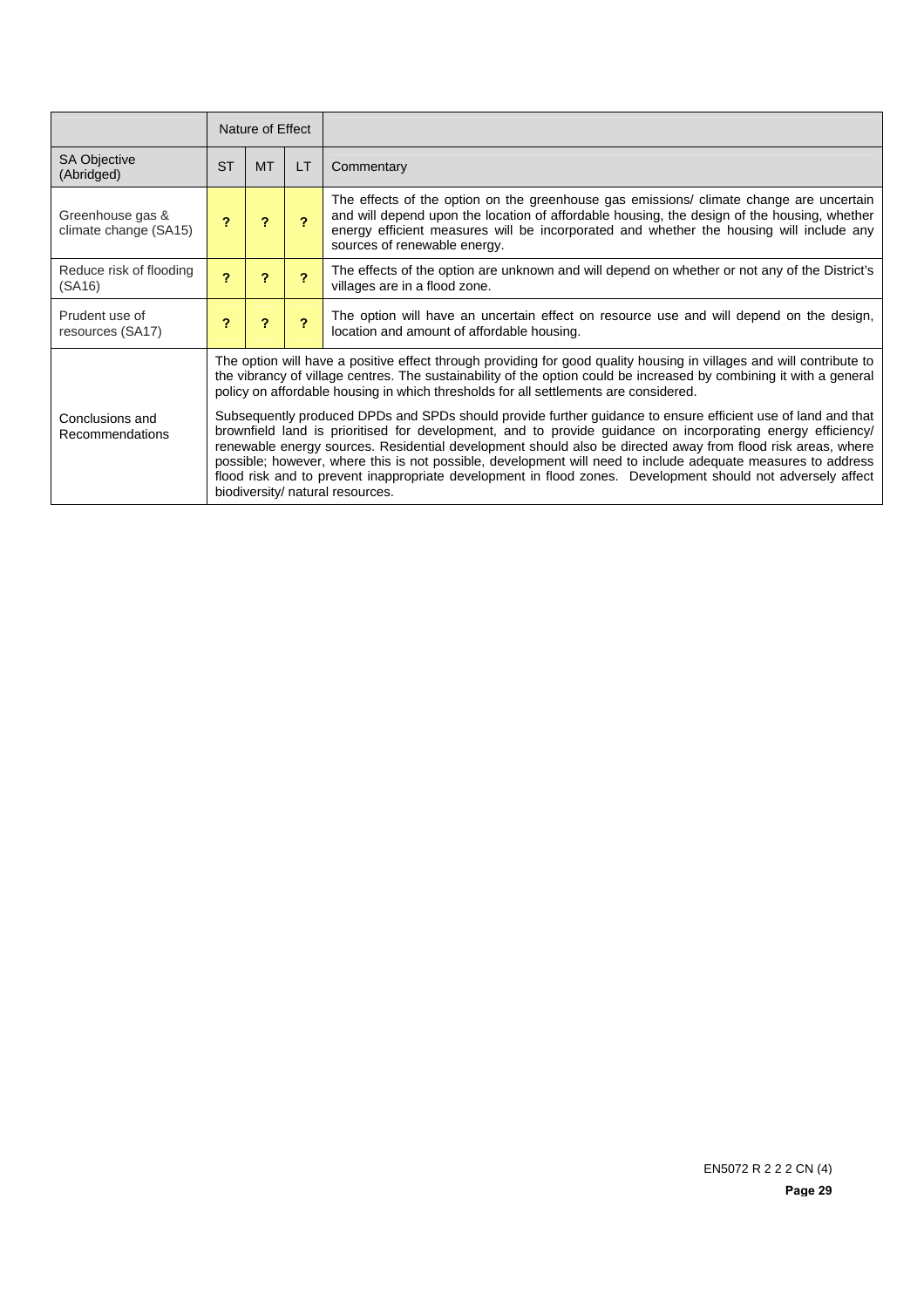|                                           | Nature of Effect                                                                                                                                                                                                                                                                                                                                                                                                                                                                                                                                                                                              |                                                                                                                                                                                                                                                                                                                                     |                         |                                                                                                                                                                                                                                                                                                                   |  |  |
|-------------------------------------------|---------------------------------------------------------------------------------------------------------------------------------------------------------------------------------------------------------------------------------------------------------------------------------------------------------------------------------------------------------------------------------------------------------------------------------------------------------------------------------------------------------------------------------------------------------------------------------------------------------------|-------------------------------------------------------------------------------------------------------------------------------------------------------------------------------------------------------------------------------------------------------------------------------------------------------------------------------------|-------------------------|-------------------------------------------------------------------------------------------------------------------------------------------------------------------------------------------------------------------------------------------------------------------------------------------------------------------|--|--|
| <b>SA Objective</b><br>(Abridged)         | <b>ST</b>                                                                                                                                                                                                                                                                                                                                                                                                                                                                                                                                                                                                     | <b>MT</b>                                                                                                                                                                                                                                                                                                                           | LT                      | Commentary                                                                                                                                                                                                                                                                                                        |  |  |
| Greenhouse gas &<br>climate change (SA15) | 2                                                                                                                                                                                                                                                                                                                                                                                                                                                                                                                                                                                                             | 2                                                                                                                                                                                                                                                                                                                                   | 2                       | The effects of the option on the greenhouse gas emissions/ climate change are uncertain<br>and will depend upon the location of affordable housing, the design of the housing, whether<br>energy efficient measures will be incorporated and whether the housing will include any<br>sources of renewable energy. |  |  |
| Reduce risk of flooding<br>(SA16)         | $\overline{\phantom{a}}$                                                                                                                                                                                                                                                                                                                                                                                                                                                                                                                                                                                      | $\boldsymbol{\mathcal{P}}$                                                                                                                                                                                                                                                                                                          | 2                       | The effects of the option are unknown and will depend on whether or not any of the District's<br>villages are in a flood zone.                                                                                                                                                                                    |  |  |
| Prudent use of<br>resources (SA17)        | 2                                                                                                                                                                                                                                                                                                                                                                                                                                                                                                                                                                                                             | $\boldsymbol{\mathcal{P}}$                                                                                                                                                                                                                                                                                                          | $\overline{\mathbf{r}}$ | The option will have an uncertain effect on resource use and will depend on the design,<br>location and amount of affordable housing.                                                                                                                                                                             |  |  |
|                                           |                                                                                                                                                                                                                                                                                                                                                                                                                                                                                                                                                                                                               | The option will have a positive effect through providing for good quality housing in villages and will contribute to<br>the vibrancy of village centres. The sustainability of the option could be increased by combining it with a general<br>policy on affordable housing in which thresholds for all settlements are considered. |                         |                                                                                                                                                                                                                                                                                                                   |  |  |
| Conclusions and<br>Recommendations        | Subsequently produced DPDs and SPDs should provide further guidance to ensure efficient use of land and that<br>brownfield land is prioritised for development, and to provide guidance on incorporating energy efficiency/<br>renewable energy sources. Residential development should also be directed away from flood risk areas, where<br>possible; however, where this is not possible, development will need to include adequate measures to address<br>flood risk and to prevent inappropriate development in flood zones. Development should not adversely affect<br>biodiversity/ natural resources. |                                                                                                                                                                                                                                                                                                                                     |                         |                                                                                                                                                                                                                                                                                                                   |  |  |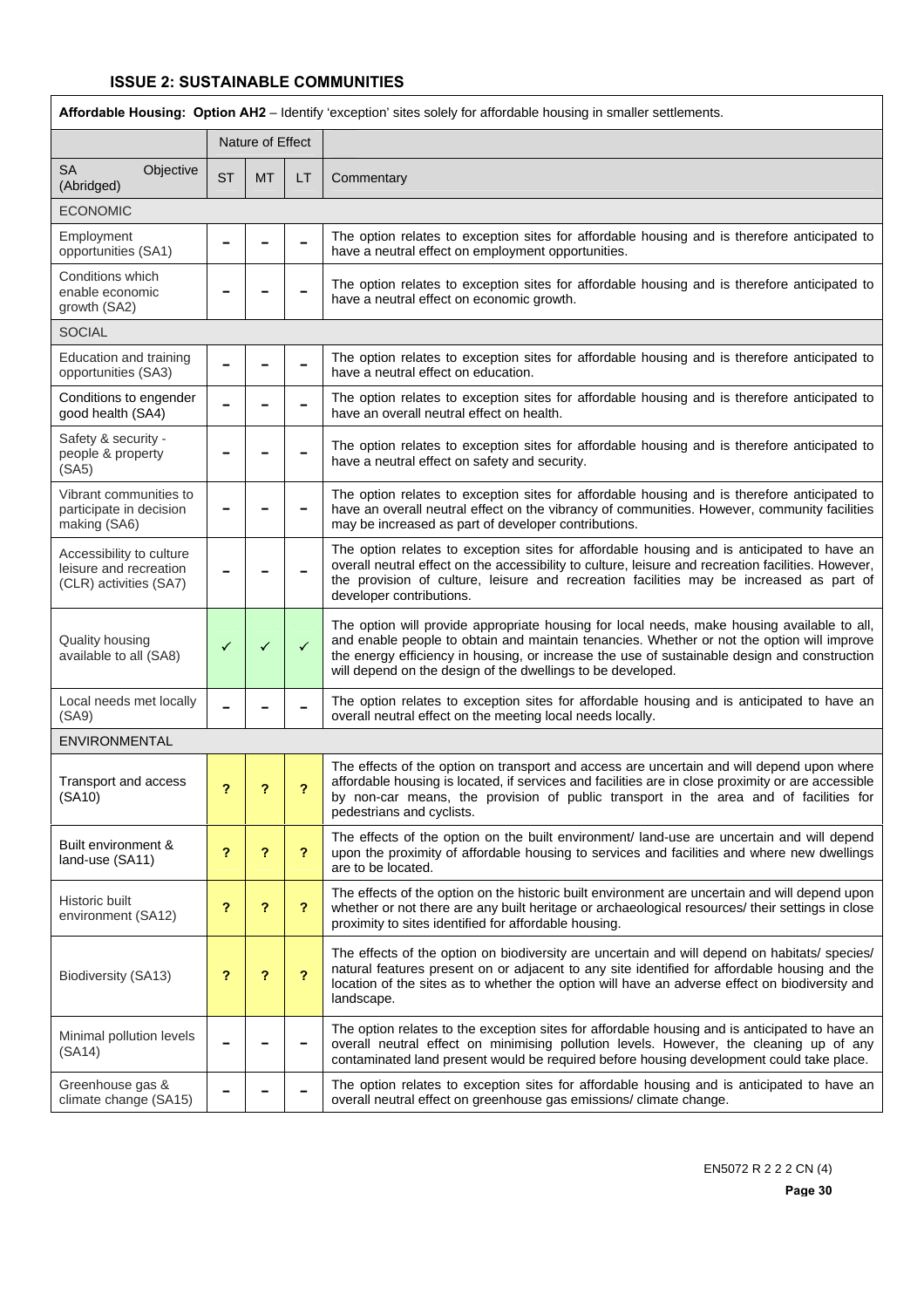Ī

| Affordable Housing: Option AH2 - Identify 'exception' sites solely for affordable housing in smaller settlements. |                            |           |    |                                                                                                                                                                                                                                                                                                                                                          |  |  |
|-------------------------------------------------------------------------------------------------------------------|----------------------------|-----------|----|----------------------------------------------------------------------------------------------------------------------------------------------------------------------------------------------------------------------------------------------------------------------------------------------------------------------------------------------------------|--|--|
|                                                                                                                   | Nature of Effect           |           |    |                                                                                                                                                                                                                                                                                                                                                          |  |  |
| SA<br>Objective<br>(Abridged)                                                                                     | <b>ST</b>                  | <b>MT</b> | LT | Commentary                                                                                                                                                                                                                                                                                                                                               |  |  |
| <b>ECONOMIC</b>                                                                                                   |                            |           |    |                                                                                                                                                                                                                                                                                                                                                          |  |  |
| Employment<br>opportunities (SA1)                                                                                 |                            |           |    | The option relates to exception sites for affordable housing and is therefore anticipated to<br>have a neutral effect on employment opportunities.                                                                                                                                                                                                       |  |  |
| Conditions which<br>enable economic<br>growth (SA2)                                                               |                            |           |    | The option relates to exception sites for affordable housing and is therefore anticipated to<br>have a neutral effect on economic growth.                                                                                                                                                                                                                |  |  |
| <b>SOCIAL</b>                                                                                                     |                            |           |    |                                                                                                                                                                                                                                                                                                                                                          |  |  |
| Education and training<br>opportunities (SA3)                                                                     |                            |           |    | The option relates to exception sites for affordable housing and is therefore anticipated to<br>have a neutral effect on education.                                                                                                                                                                                                                      |  |  |
| Conditions to engender<br>good health (SA4)                                                                       |                            |           |    | The option relates to exception sites for affordable housing and is therefore anticipated to<br>have an overall neutral effect on health.                                                                                                                                                                                                                |  |  |
| Safety & security -<br>people & property<br>(SA5)                                                                 |                            |           |    | The option relates to exception sites for affordable housing and is therefore anticipated to<br>have a neutral effect on safety and security.                                                                                                                                                                                                            |  |  |
| Vibrant communities to<br>participate in decision<br>making (SA6)                                                 |                            |           | -  | The option relates to exception sites for affordable housing and is therefore anticipated to<br>have an overall neutral effect on the vibrancy of communities. However, community facilities<br>may be increased as part of developer contributions.                                                                                                     |  |  |
| Accessibility to culture<br>leisure and recreation<br>(CLR) activities (SA7)                                      |                            |           |    | The option relates to exception sites for affordable housing and is anticipated to have an<br>overall neutral effect on the accessibility to culture, leisure and recreation facilities. However,<br>the provision of culture, leisure and recreation facilities may be increased as part of<br>developer contributions.                                 |  |  |
| Quality housing<br>available to all (SA8)                                                                         | ✓                          | ✓         | ✓  | The option will provide appropriate housing for local needs, make housing available to all,<br>and enable people to obtain and maintain tenancies. Whether or not the option will improve<br>the energy efficiency in housing, or increase the use of sustainable design and construction<br>will depend on the design of the dwellings to be developed. |  |  |
| Local needs met locally<br>(SA9)                                                                                  |                            |           |    | The option relates to exception sites for affordable housing and is anticipated to have an<br>overall neutral effect on the meeting local needs locally.                                                                                                                                                                                                 |  |  |
| ENVIRONMENTAL                                                                                                     |                            |           |    |                                                                                                                                                                                                                                                                                                                                                          |  |  |
| Transport and access<br>(SA10)                                                                                    | ?                          | ?         | ?  | The effects of the option on transport and access are uncertain and will depend upon where<br>affordable housing is located, if services and facilities are in close proximity or are accessible<br>by non-car means, the provision of public transport in the area and of facilities for<br>pedestrians and cyclists.                                   |  |  |
| Built environment &<br>land-use (SA11)                                                                            | ?                          | ?         | ?  | The effects of the option on the built environment/ land-use are uncertain and will depend<br>upon the proximity of affordable housing to services and facilities and where new dwellings<br>are to be located.                                                                                                                                          |  |  |
| Historic built<br>environment (SA12)                                                                              | $\boldsymbol{\mathcal{P}}$ | ?         | ?  | The effects of the option on the historic built environment are uncertain and will depend upon<br>whether or not there are any built heritage or archaeological resources/ their settings in close<br>proximity to sites identified for affordable housing.                                                                                              |  |  |
| Biodiversity (SA13)                                                                                               | ?                          | ?         | ?  | The effects of the option on biodiversity are uncertain and will depend on habitats/ species/<br>natural features present on or adjacent to any site identified for affordable housing and the<br>location of the sites as to whether the option will have an adverse effect on biodiversity and<br>landscape.                                           |  |  |
| Minimal pollution levels<br>(SA14)                                                                                |                            |           |    | The option relates to the exception sites for affordable housing and is anticipated to have an<br>overall neutral effect on minimising pollution levels. However, the cleaning up of any<br>contaminated land present would be required before housing development could take place.                                                                     |  |  |
| Greenhouse gas &<br>climate change (SA15)                                                                         |                            |           |    | The option relates to exception sites for affordable housing and is anticipated to have an<br>overall neutral effect on greenhouse gas emissions/ climate change.                                                                                                                                                                                        |  |  |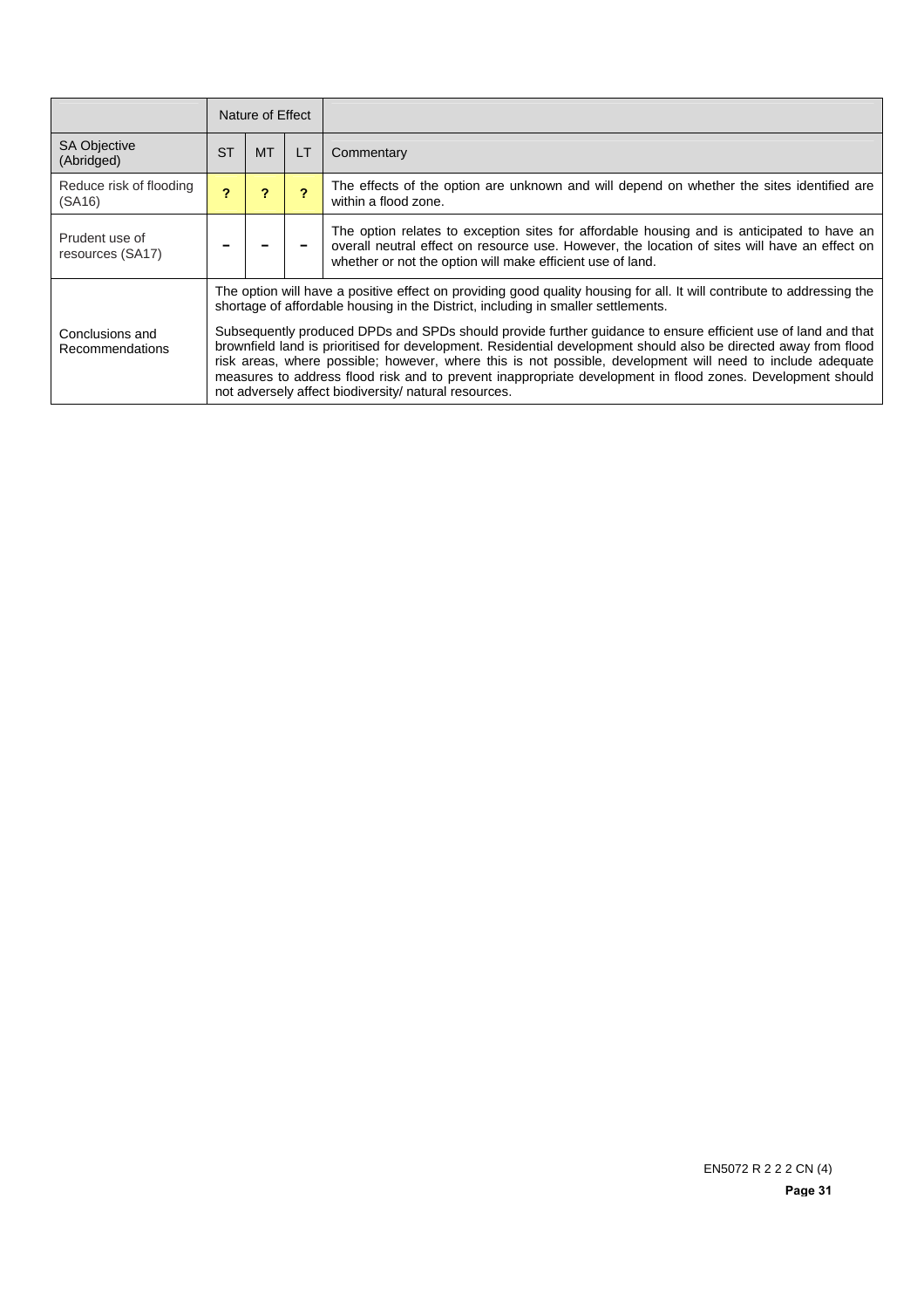|                                    | Nature of Effect |                                                                                                                                                                                                                                                                                                                                                                                                                                                                                                                      |           |                                                                                                                                                                                                                                                           |  |  |
|------------------------------------|------------------|----------------------------------------------------------------------------------------------------------------------------------------------------------------------------------------------------------------------------------------------------------------------------------------------------------------------------------------------------------------------------------------------------------------------------------------------------------------------------------------------------------------------|-----------|-----------------------------------------------------------------------------------------------------------------------------------------------------------------------------------------------------------------------------------------------------------|--|--|
| <b>SA Objective</b><br>(Abridged)  | <b>ST</b>        | <b>MT</b>                                                                                                                                                                                                                                                                                                                                                                                                                                                                                                            | <b>LT</b> | Commentary                                                                                                                                                                                                                                                |  |  |
| Reduce risk of flooding<br>(SA16)  | 2                | 2                                                                                                                                                                                                                                                                                                                                                                                                                                                                                                                    |           | The effects of the option are unknown and will depend on whether the sites identified are<br>within a flood zone.                                                                                                                                         |  |  |
| Prudent use of<br>resources (SA17) |                  |                                                                                                                                                                                                                                                                                                                                                                                                                                                                                                                      |           | The option relates to exception sites for affordable housing and is anticipated to have an<br>overall neutral effect on resource use. However, the location of sites will have an effect on<br>whether or not the option will make efficient use of land. |  |  |
|                                    |                  | The option will have a positive effect on providing good quality housing for all. It will contribute to addressing the<br>shortage of affordable housing in the District, including in smaller settlements.                                                                                                                                                                                                                                                                                                          |           |                                                                                                                                                                                                                                                           |  |  |
| Conclusions and<br>Recommendations |                  | Subsequently produced DPDs and SPDs should provide further guidance to ensure efficient use of land and that<br>brownfield land is prioritised for development. Residential development should also be directed away from flood<br>risk areas, where possible; however, where this is not possible, development will need to include adequate<br>measures to address flood risk and to prevent inappropriate development in flood zones. Development should<br>not adversely affect biodiversity/ natural resources. |           |                                                                                                                                                                                                                                                           |  |  |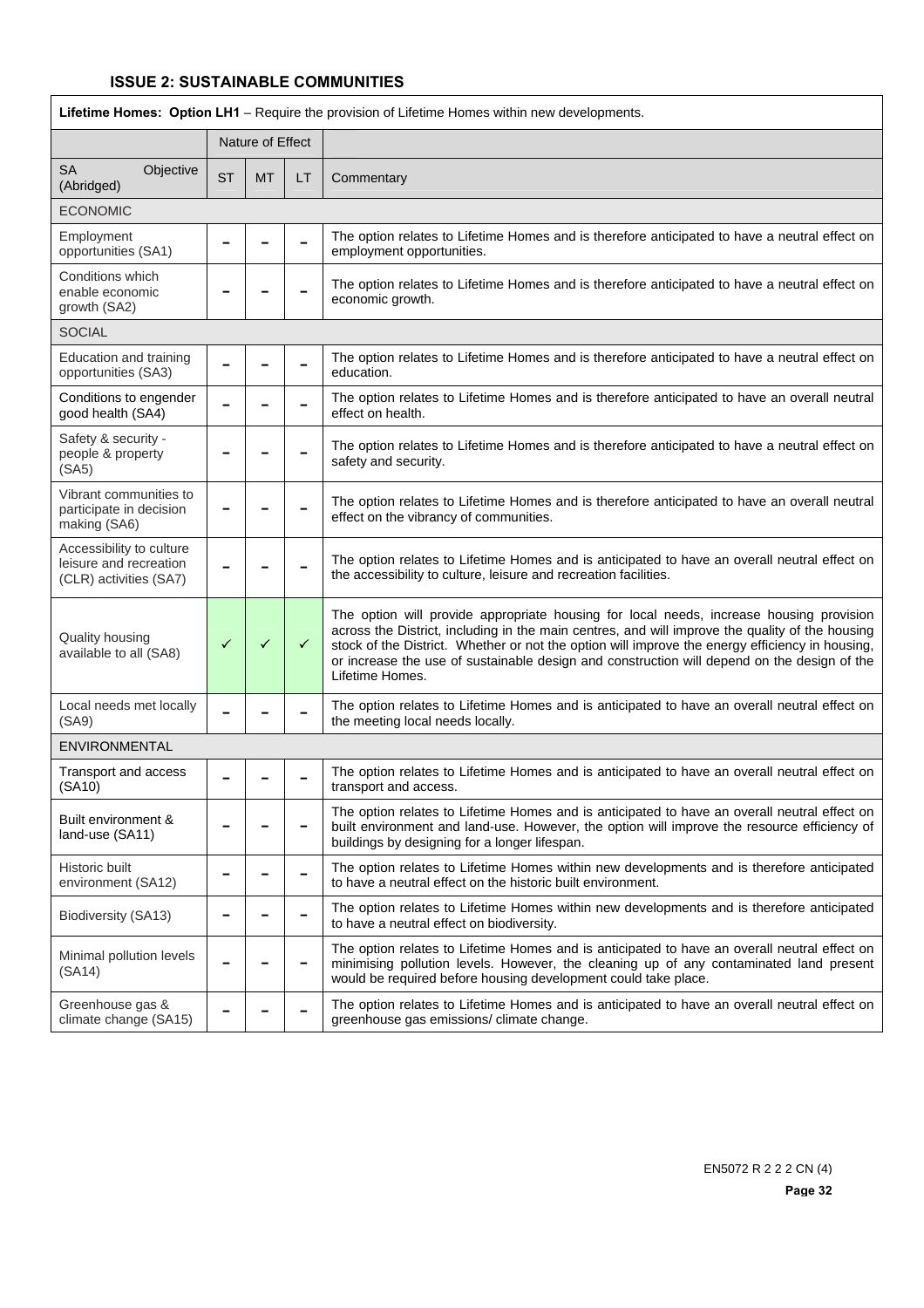| Lifetime Homes: Option LH1 - Require the provision of Lifetime Homes within new developments. |                  |           |              |                                                                                                                                                                                                                                                                                                                                                                                                                 |  |  |
|-----------------------------------------------------------------------------------------------|------------------|-----------|--------------|-----------------------------------------------------------------------------------------------------------------------------------------------------------------------------------------------------------------------------------------------------------------------------------------------------------------------------------------------------------------------------------------------------------------|--|--|
|                                                                                               | Nature of Effect |           |              |                                                                                                                                                                                                                                                                                                                                                                                                                 |  |  |
| <b>SA</b><br>Objective<br>(Abridged)                                                          | <b>ST</b>        | <b>MT</b> | LT           | Commentary                                                                                                                                                                                                                                                                                                                                                                                                      |  |  |
| <b>ECONOMIC</b>                                                                               |                  |           |              |                                                                                                                                                                                                                                                                                                                                                                                                                 |  |  |
| Employment<br>opportunities (SA1)                                                             |                  |           |              | The option relates to Lifetime Homes and is therefore anticipated to have a neutral effect on<br>employment opportunities.                                                                                                                                                                                                                                                                                      |  |  |
| Conditions which<br>enable economic<br>growth (SA2)                                           |                  |           |              | The option relates to Lifetime Homes and is therefore anticipated to have a neutral effect on<br>economic growth.                                                                                                                                                                                                                                                                                               |  |  |
| <b>SOCIAL</b>                                                                                 |                  |           |              |                                                                                                                                                                                                                                                                                                                                                                                                                 |  |  |
| Education and training<br>opportunities (SA3)                                                 |                  |           |              | The option relates to Lifetime Homes and is therefore anticipated to have a neutral effect on<br>education.                                                                                                                                                                                                                                                                                                     |  |  |
| Conditions to engender<br>good health (SA4)                                                   |                  |           |              | The option relates to Lifetime Homes and is therefore anticipated to have an overall neutral<br>effect on health.                                                                                                                                                                                                                                                                                               |  |  |
| Safety & security -<br>people & property<br>(SA5)                                             |                  |           |              | The option relates to Lifetime Homes and is therefore anticipated to have a neutral effect on<br>safety and security.                                                                                                                                                                                                                                                                                           |  |  |
| Vibrant communities to<br>participate in decision<br>making (SA6)                             |                  |           |              | The option relates to Lifetime Homes and is therefore anticipated to have an overall neutral<br>effect on the vibrancy of communities.                                                                                                                                                                                                                                                                          |  |  |
| Accessibility to culture<br>leisure and recreation<br>(CLR) activities (SA7)                  |                  |           |              | The option relates to Lifetime Homes and is anticipated to have an overall neutral effect on<br>the accessibility to culture, leisure and recreation facilities.                                                                                                                                                                                                                                                |  |  |
| Quality housing<br>available to all (SA8)                                                     | ✓                | ✓         | $\checkmark$ | The option will provide appropriate housing for local needs, increase housing provision<br>across the District, including in the main centres, and will improve the quality of the housing<br>stock of the District. Whether or not the option will improve the energy efficiency in housing,<br>or increase the use of sustainable design and construction will depend on the design of the<br>Lifetime Homes. |  |  |
| Local needs met locally<br>(SA9)                                                              |                  |           |              | The option relates to Lifetime Homes and is anticipated to have an overall neutral effect on<br>the meeting local needs locally.                                                                                                                                                                                                                                                                                |  |  |
| ENVIRONMENTAL                                                                                 |                  |           |              |                                                                                                                                                                                                                                                                                                                                                                                                                 |  |  |
| Transport and access<br>(SA10)                                                                |                  |           |              | The option relates to Lifetime Homes and is anticipated to have an overall neutral effect on<br>transport and access.                                                                                                                                                                                                                                                                                           |  |  |
| Built environment &<br>land-use (SA11)                                                        |                  |           |              | The option relates to Lifetime Homes and is anticipated to have an overall neutral effect on<br>built environment and land-use. However, the option will improve the resource efficiency of<br>buildings by designing for a longer lifespan.                                                                                                                                                                    |  |  |
| Historic built<br>environment (SA12)                                                          |                  |           |              | The option relates to Lifetime Homes within new developments and is therefore anticipated<br>to have a neutral effect on the historic built environment.                                                                                                                                                                                                                                                        |  |  |
| Biodiversity (SA13)                                                                           |                  |           |              | The option relates to Lifetime Homes within new developments and is therefore anticipated<br>to have a neutral effect on biodiversity.                                                                                                                                                                                                                                                                          |  |  |
| Minimal pollution levels<br>(SA14)                                                            |                  |           |              | The option relates to Lifetime Homes and is anticipated to have an overall neutral effect on<br>minimising pollution levels. However, the cleaning up of any contaminated land present<br>would be required before housing development could take place.                                                                                                                                                        |  |  |
| Greenhouse gas &<br>climate change (SA15)                                                     |                  |           |              | The option relates to Lifetime Homes and is anticipated to have an overall neutral effect on<br>greenhouse gas emissions/ climate change.                                                                                                                                                                                                                                                                       |  |  |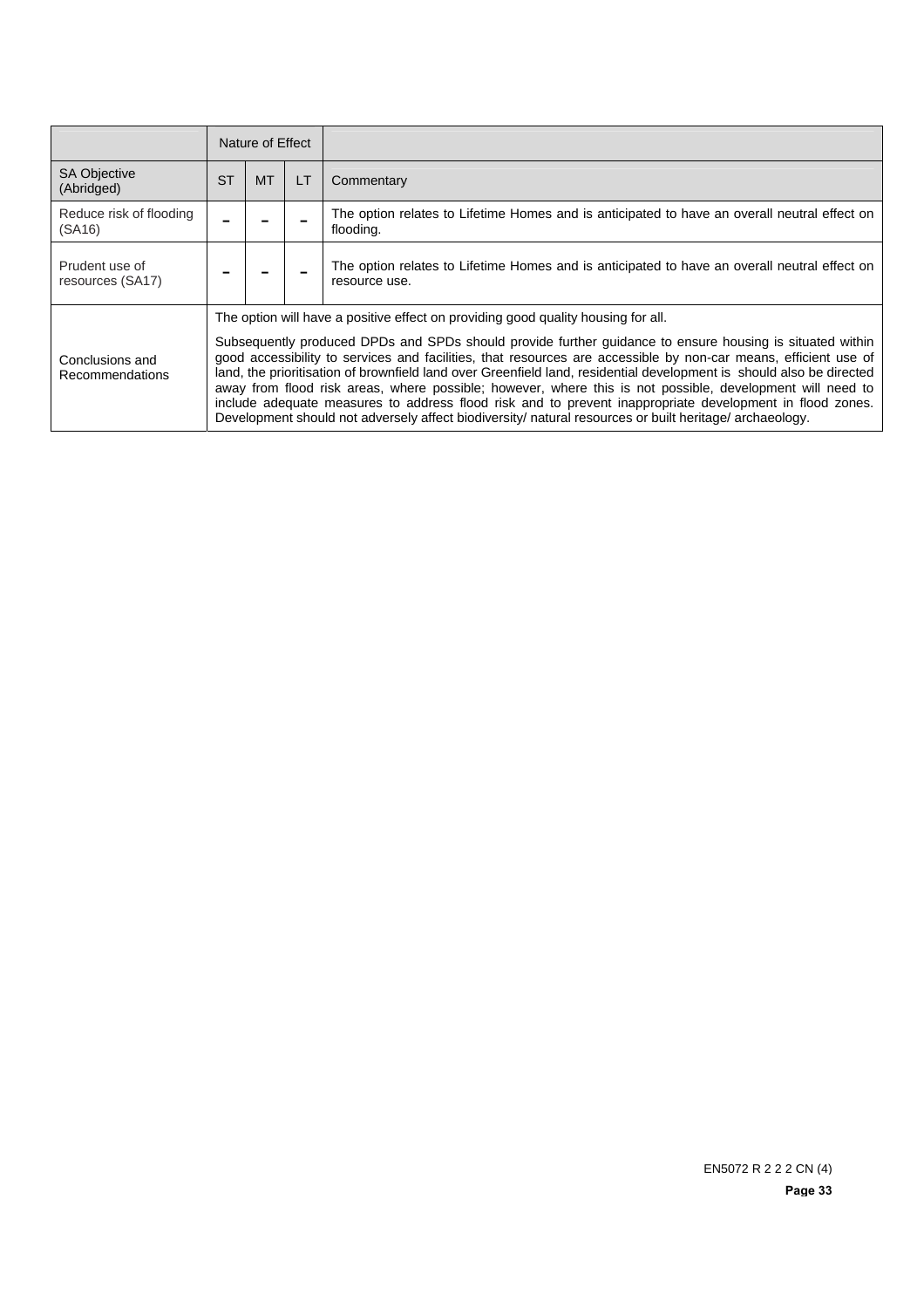|                                    | Nature of Effect |                                                                                                                                                                                                                                                                                                                                                                                                                                                                                                                                                                                                                                                                                                                                                                              |           |                                                                                                               |  |  |
|------------------------------------|------------------|------------------------------------------------------------------------------------------------------------------------------------------------------------------------------------------------------------------------------------------------------------------------------------------------------------------------------------------------------------------------------------------------------------------------------------------------------------------------------------------------------------------------------------------------------------------------------------------------------------------------------------------------------------------------------------------------------------------------------------------------------------------------------|-----------|---------------------------------------------------------------------------------------------------------------|--|--|
| <b>SA Objective</b><br>(Abridged)  | <b>ST</b>        | <b>MT</b>                                                                                                                                                                                                                                                                                                                                                                                                                                                                                                                                                                                                                                                                                                                                                                    | <b>LT</b> | Commentary                                                                                                    |  |  |
| Reduce risk of flooding<br>(SA16)  |                  |                                                                                                                                                                                                                                                                                                                                                                                                                                                                                                                                                                                                                                                                                                                                                                              |           | The option relates to Lifetime Homes and is anticipated to have an overall neutral effect on<br>flooding.     |  |  |
| Prudent use of<br>resources (SA17) |                  |                                                                                                                                                                                                                                                                                                                                                                                                                                                                                                                                                                                                                                                                                                                                                                              |           | The option relates to Lifetime Homes and is anticipated to have an overall neutral effect on<br>resource use. |  |  |
| Conclusions and<br>Recommendations |                  | The option will have a positive effect on providing good quality housing for all.<br>Subsequently produced DPDs and SPDs should provide further guidance to ensure housing is situated within<br>good accessibility to services and facilities, that resources are accessible by non-car means, efficient use of<br>land, the prioritisation of brownfield land over Greenfield land, residential development is should also be directed<br>away from flood risk areas, where possible; however, where this is not possible, development will need to<br>include adequate measures to address flood risk and to prevent inappropriate development in flood zones.<br>Development should not adversely affect biodiversity/ natural resources or built heritage/ archaeology. |           |                                                                                                               |  |  |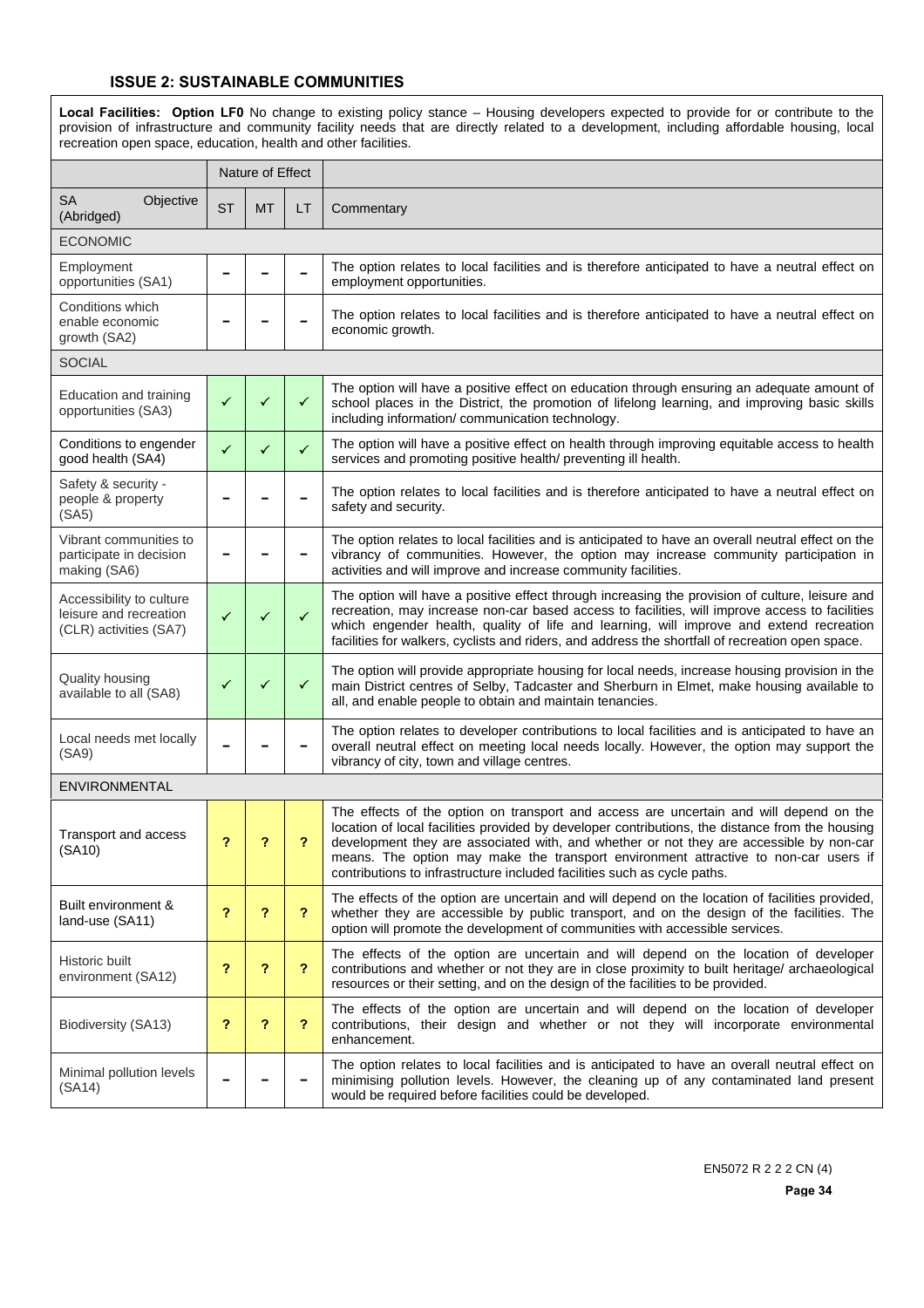**Local Facilities: Option LF0** No change to existing policy stance – Housing developers expected to provide for or contribute to the provision of infrastructure and community facility needs that are directly related to a development, including affordable housing, local recreation open space, education, health and other facilities.

|                                                                              | Nature of Effect |           |              |                                                                                                                                                                                                                                                                                                                                                                                                                                                         |
|------------------------------------------------------------------------------|------------------|-----------|--------------|---------------------------------------------------------------------------------------------------------------------------------------------------------------------------------------------------------------------------------------------------------------------------------------------------------------------------------------------------------------------------------------------------------------------------------------------------------|
| <b>SA</b><br>Objective<br>(Abridged)                                         | <b>ST</b>        | <b>MT</b> | LT           | Commentary                                                                                                                                                                                                                                                                                                                                                                                                                                              |
| <b>ECONOMIC</b>                                                              |                  |           |              |                                                                                                                                                                                                                                                                                                                                                                                                                                                         |
| Employment<br>opportunities (SA1)                                            |                  |           |              | The option relates to local facilities and is therefore anticipated to have a neutral effect on<br>employment opportunities.                                                                                                                                                                                                                                                                                                                            |
| Conditions which<br>enable economic<br>growth (SA2)                          |                  |           |              | The option relates to local facilities and is therefore anticipated to have a neutral effect on<br>economic growth.                                                                                                                                                                                                                                                                                                                                     |
| <b>SOCIAL</b>                                                                |                  |           |              |                                                                                                                                                                                                                                                                                                                                                                                                                                                         |
| Education and training<br>opportunities (SA3)                                | ✓                | ✓         | ✓            | The option will have a positive effect on education through ensuring an adequate amount of<br>school places in the District, the promotion of lifelong learning, and improving basic skills<br>including information/ communication technology.                                                                                                                                                                                                         |
| Conditions to engender<br>good health (SA4)                                  | $\checkmark$     | ✓         | $\checkmark$ | The option will have a positive effect on health through improving equitable access to health<br>services and promoting positive health/ preventing ill health.                                                                                                                                                                                                                                                                                         |
| Safety & security -<br>people & property<br>(SA5)                            |                  |           |              | The option relates to local facilities and is therefore anticipated to have a neutral effect on<br>safety and security.                                                                                                                                                                                                                                                                                                                                 |
| Vibrant communities to<br>participate in decision<br>making (SA6)            |                  |           |              | The option relates to local facilities and is anticipated to have an overall neutral effect on the<br>vibrancy of communities. However, the option may increase community participation in<br>activities and will improve and increase community facilities.                                                                                                                                                                                            |
| Accessibility to culture<br>leisure and recreation<br>(CLR) activities (SA7) | $\checkmark$     | ✓         | $\checkmark$ | The option will have a positive effect through increasing the provision of culture, leisure and<br>recreation, may increase non-car based access to facilities, will improve access to facilities<br>which engender health, quality of life and learning, will improve and extend recreation<br>facilities for walkers, cyclists and riders, and address the shortfall of recreation open space.                                                        |
| Quality housing<br>available to all (SA8)                                    | ✓                | ✓         | $\checkmark$ | The option will provide appropriate housing for local needs, increase housing provision in the<br>main District centres of Selby, Tadcaster and Sherburn in Elmet, make housing available to<br>all, and enable people to obtain and maintain tenancies.                                                                                                                                                                                                |
| Local needs met locally<br>(SA9)                                             |                  |           |              | The option relates to developer contributions to local facilities and is anticipated to have an<br>overall neutral effect on meeting local needs locally. However, the option may support the<br>vibrancy of city, town and village centres.                                                                                                                                                                                                            |
| ENVIRONMENTAL                                                                |                  |           |              |                                                                                                                                                                                                                                                                                                                                                                                                                                                         |
| Transport and access<br>(SA10)                                               | ?                | ?         | ?            | The effects of the option on transport and access are uncertain and will depend on the<br>location of local facilities provided by developer contributions, the distance from the housing<br>development they are associated with, and whether or not they are accessible by non-car<br>means. The option may make the transport environment attractive to non-car users if<br>contributions to infrastructure included facilities such as cycle paths. |
| Built environment &<br>land-use (SA11)                                       | ?                | ?         | ?            | The effects of the option are uncertain and will depend on the location of facilities provided,<br>whether they are accessible by public transport, and on the design of the facilities. The<br>option will promote the development of communities with accessible services.                                                                                                                                                                            |
| Historic built<br>environment (SA12)                                         | ?                | ?         | ?            | The effects of the option are uncertain and will depend on the location of developer<br>contributions and whether or not they are in close proximity to built heritage/ archaeological<br>resources or their setting, and on the design of the facilities to be provided.                                                                                                                                                                               |
| Biodiversity (SA13)                                                          | ?                | ?         | ?            | The effects of the option are uncertain and will depend on the location of developer<br>contributions, their design and whether or not they will incorporate environmental<br>enhancement.                                                                                                                                                                                                                                                              |
| Minimal pollution levels<br>(SA14)                                           |                  |           |              | The option relates to local facilities and is anticipated to have an overall neutral effect on<br>minimising pollution levels. However, the cleaning up of any contaminated land present<br>would be required before facilities could be developed.                                                                                                                                                                                                     |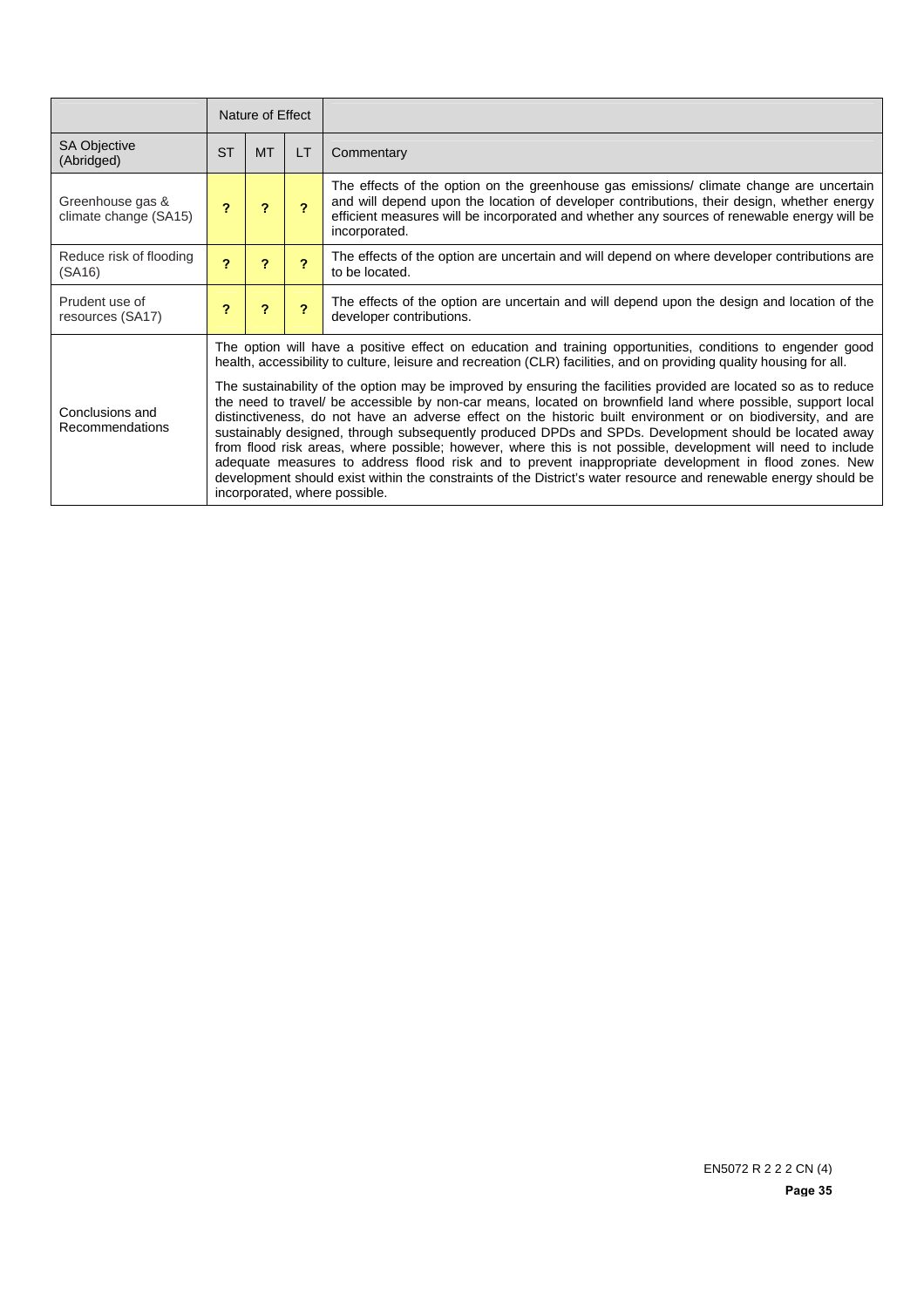|                                           | Nature of Effect           |                                                                                                                                                                                                                                                                                                                                                                                                                                                                                                                                                                                                                                                                                                                                                                                                                                                                                                                                                                                                                                                                              |                          |                                                                                                                                                                                                                                                                                                       |  |  |
|-------------------------------------------|----------------------------|------------------------------------------------------------------------------------------------------------------------------------------------------------------------------------------------------------------------------------------------------------------------------------------------------------------------------------------------------------------------------------------------------------------------------------------------------------------------------------------------------------------------------------------------------------------------------------------------------------------------------------------------------------------------------------------------------------------------------------------------------------------------------------------------------------------------------------------------------------------------------------------------------------------------------------------------------------------------------------------------------------------------------------------------------------------------------|--------------------------|-------------------------------------------------------------------------------------------------------------------------------------------------------------------------------------------------------------------------------------------------------------------------------------------------------|--|--|
| <b>SA Objective</b><br>(Abridged)         | <b>ST</b>                  | <b>MT</b>                                                                                                                                                                                                                                                                                                                                                                                                                                                                                                                                                                                                                                                                                                                                                                                                                                                                                                                                                                                                                                                                    | LT                       | Commentary                                                                                                                                                                                                                                                                                            |  |  |
| Greenhouse gas &<br>climate change (SA15) | 2                          | 2                                                                                                                                                                                                                                                                                                                                                                                                                                                                                                                                                                                                                                                                                                                                                                                                                                                                                                                                                                                                                                                                            | 2                        | The effects of the option on the greenhouse gas emissions/ climate change are uncertain<br>and will depend upon the location of developer contributions, their design, whether energy<br>efficient measures will be incorporated and whether any sources of renewable energy will be<br>incorporated. |  |  |
| Reduce risk of flooding<br>(SA16)         | $\boldsymbol{\mathcal{P}}$ | $\boldsymbol{\mathcal{P}}$                                                                                                                                                                                                                                                                                                                                                                                                                                                                                                                                                                                                                                                                                                                                                                                                                                                                                                                                                                                                                                                   | $\overline{\phantom{a}}$ | The effects of the option are uncertain and will depend on where developer contributions are<br>to be located.                                                                                                                                                                                        |  |  |
| Prudent use of<br>resources (SA17)        | ?                          | ?                                                                                                                                                                                                                                                                                                                                                                                                                                                                                                                                                                                                                                                                                                                                                                                                                                                                                                                                                                                                                                                                            | $\overline{\mathbf{r}}$  | The effects of the option are uncertain and will depend upon the design and location of the<br>developer contributions.                                                                                                                                                                               |  |  |
| Conclusions and<br>Recommendations        |                            | The option will have a positive effect on education and training opportunities, conditions to engender good<br>health, accessibility to culture, leisure and recreation (CLR) facilities, and on providing quality housing for all.<br>The sustainability of the option may be improved by ensuring the facilities provided are located so as to reduce<br>the need to travel/ be accessible by non-car means, located on brownfield land where possible, support local<br>distinctiveness, do not have an adverse effect on the historic built environment or on biodiversity, and are<br>sustainably designed, through subsequently produced DPDs and SPDs. Development should be located away<br>from flood risk areas, where possible; however, where this is not possible, development will need to include<br>adequate measures to address flood risk and to prevent inappropriate development in flood zones. New<br>development should exist within the constraints of the District's water resource and renewable energy should be<br>incorporated, where possible. |                          |                                                                                                                                                                                                                                                                                                       |  |  |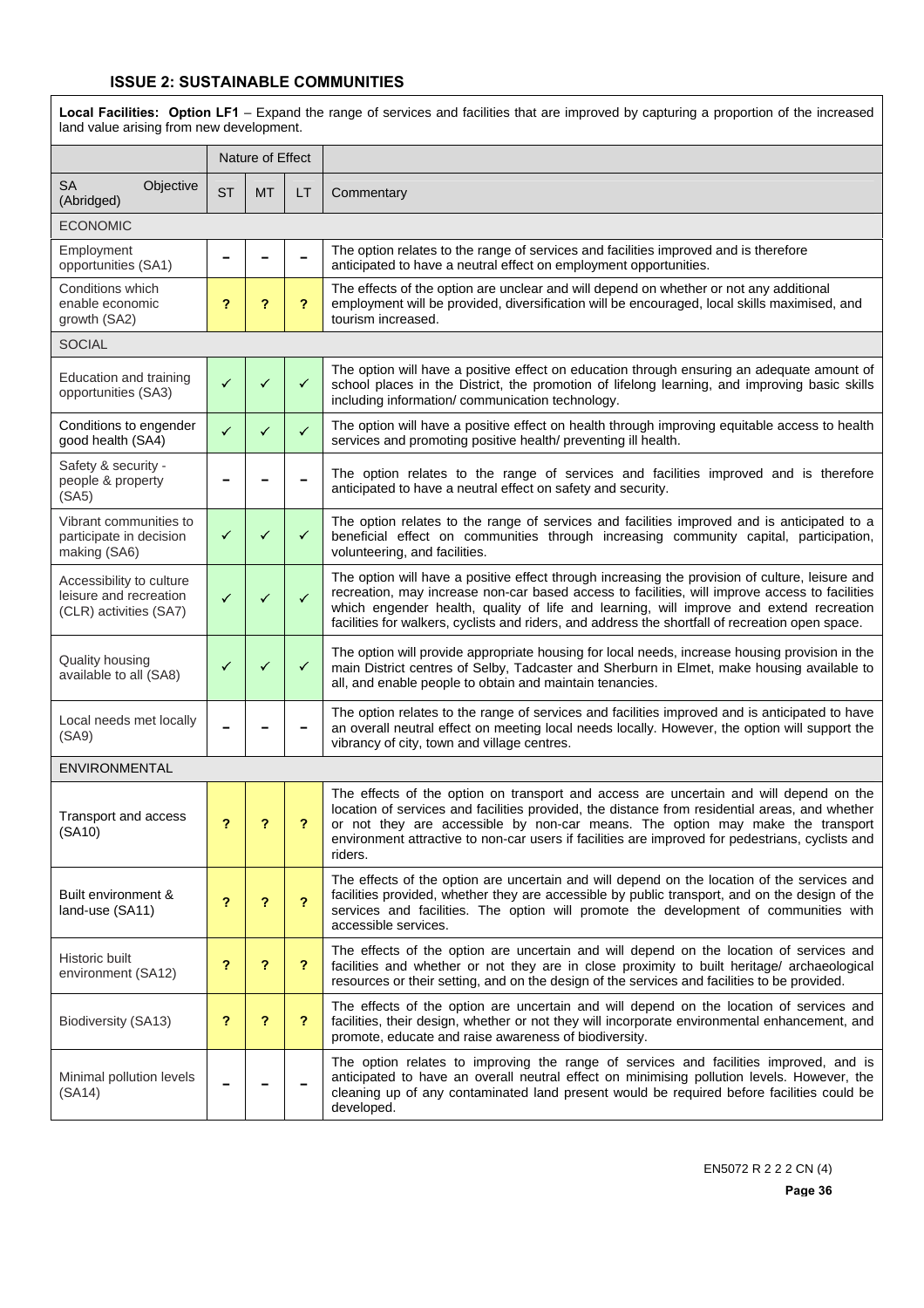#### **ISSUE 2: SUSTAINABLE COMMUNITIES**

**Local Facilities: Option LF1** – Expand the range of services and facilities that are improved by capturing a proportion of the increased land value arising from new development.

|                                                                              |              | Nature of Effect |                         |                                                                                                                                                                                                                                                                                                                                                                                                  |  |  |  |  |  |
|------------------------------------------------------------------------------|--------------|------------------|-------------------------|--------------------------------------------------------------------------------------------------------------------------------------------------------------------------------------------------------------------------------------------------------------------------------------------------------------------------------------------------------------------------------------------------|--|--|--|--|--|
| <b>SA</b><br>Objective<br>(Abridged)                                         | <b>ST</b>    | МT               | LT                      | Commentary                                                                                                                                                                                                                                                                                                                                                                                       |  |  |  |  |  |
| <b>ECONOMIC</b>                                                              |              |                  |                         |                                                                                                                                                                                                                                                                                                                                                                                                  |  |  |  |  |  |
| Employment<br>opportunities (SA1)                                            |              |                  |                         | The option relates to the range of services and facilities improved and is therefore<br>anticipated to have a neutral effect on employment opportunities.                                                                                                                                                                                                                                        |  |  |  |  |  |
| Conditions which<br>enable economic<br>growth (SA2)                          | ?            | ?                | ?                       | The effects of the option are unclear and will depend on whether or not any additional<br>employment will be provided, diversification will be encouraged, local skills maximised, and<br>tourism increased.                                                                                                                                                                                     |  |  |  |  |  |
| <b>SOCIAL</b>                                                                |              |                  |                         |                                                                                                                                                                                                                                                                                                                                                                                                  |  |  |  |  |  |
| Education and training<br>opportunities (SA3)                                | ✓            | ✓                | ✓                       | The option will have a positive effect on education through ensuring an adequate amount of<br>school places in the District, the promotion of lifelong learning, and improving basic skills<br>including information/ communication technology.                                                                                                                                                  |  |  |  |  |  |
| Conditions to engender<br>good health (SA4)                                  | ✓            | ✓                | $\checkmark$            | The option will have a positive effect on health through improving equitable access to health<br>services and promoting positive health/ preventing ill health.                                                                                                                                                                                                                                  |  |  |  |  |  |
| Safety & security -<br>people & property<br>(SA5)                            |              |                  |                         | The option relates to the range of services and facilities improved and is therefore<br>anticipated to have a neutral effect on safety and security.                                                                                                                                                                                                                                             |  |  |  |  |  |
| Vibrant communities to<br>participate in decision<br>making (SA6)            | ✓            | ✓                | ✓                       | The option relates to the range of services and facilities improved and is anticipated to a<br>beneficial effect on communities through increasing community capital, participation,<br>volunteering, and facilities.                                                                                                                                                                            |  |  |  |  |  |
| Accessibility to culture<br>leisure and recreation<br>(CLR) activities (SA7) | $\checkmark$ | ✓                | $\checkmark$            | The option will have a positive effect through increasing the provision of culture, leisure and<br>recreation, may increase non-car based access to facilities, will improve access to facilities<br>which engender health, quality of life and learning, will improve and extend recreation<br>facilities for walkers, cyclists and riders, and address the shortfall of recreation open space. |  |  |  |  |  |
| Quality housing<br>available to all (SA8)                                    |              | ✓                | ✓                       | The option will provide appropriate housing for local needs, increase housing provision in the<br>main District centres of Selby, Tadcaster and Sherburn in Elmet, make housing available to<br>all, and enable people to obtain and maintain tenancies.                                                                                                                                         |  |  |  |  |  |
| Local needs met locally<br>(SA9)                                             |              |                  |                         | The option relates to the range of services and facilities improved and is anticipated to have<br>an overall neutral effect on meeting local needs locally. However, the option will support the<br>vibrancy of city, town and village centres.                                                                                                                                                  |  |  |  |  |  |
| ENVIRONMENTAL                                                                |              |                  |                         |                                                                                                                                                                                                                                                                                                                                                                                                  |  |  |  |  |  |
| Transport and access<br>(SA10)                                               | ?            | ?                | ?                       | The effects of the option on transport and access are uncertain and will depend on the<br>location of services and facilities provided, the distance from residential areas, and whether<br>or not they are accessible by non-car means. The option may make the transport<br>environment attractive to non-car users if facilities are improved for pedestrians, cyclists and<br>riders.        |  |  |  |  |  |
| Built environment &<br>land-use (SA11)                                       | ?            | ?                | $\overline{\mathbf{r}}$ | The effects of the option are uncertain and will depend on the location of the services and<br>facilities provided, whether they are accessible by public transport, and on the design of the<br>services and facilities. The option will promote the development of communities with<br>accessible services.                                                                                    |  |  |  |  |  |
| Historic built<br>environment (SA12)                                         | ?            | ?                | $\overline{\mathbf{r}}$ | The effects of the option are uncertain and will depend on the location of services and<br>facilities and whether or not they are in close proximity to built heritage/ archaeological<br>resources or their setting, and on the design of the services and facilities to be provided.                                                                                                           |  |  |  |  |  |
| Biodiversity (SA13)                                                          | ?            | ?                | $\overline{\mathbf{r}}$ | The effects of the option are uncertain and will depend on the location of services and<br>facilities, their design, whether or not they will incorporate environmental enhancement, and<br>promote, educate and raise awareness of biodiversity.                                                                                                                                                |  |  |  |  |  |
| Minimal pollution levels<br>(SA14)                                           |              |                  |                         | The option relates to improving the range of services and facilities improved, and is<br>anticipated to have an overall neutral effect on minimising pollution levels. However, the<br>cleaning up of any contaminated land present would be required before facilities could be<br>developed.                                                                                                   |  |  |  |  |  |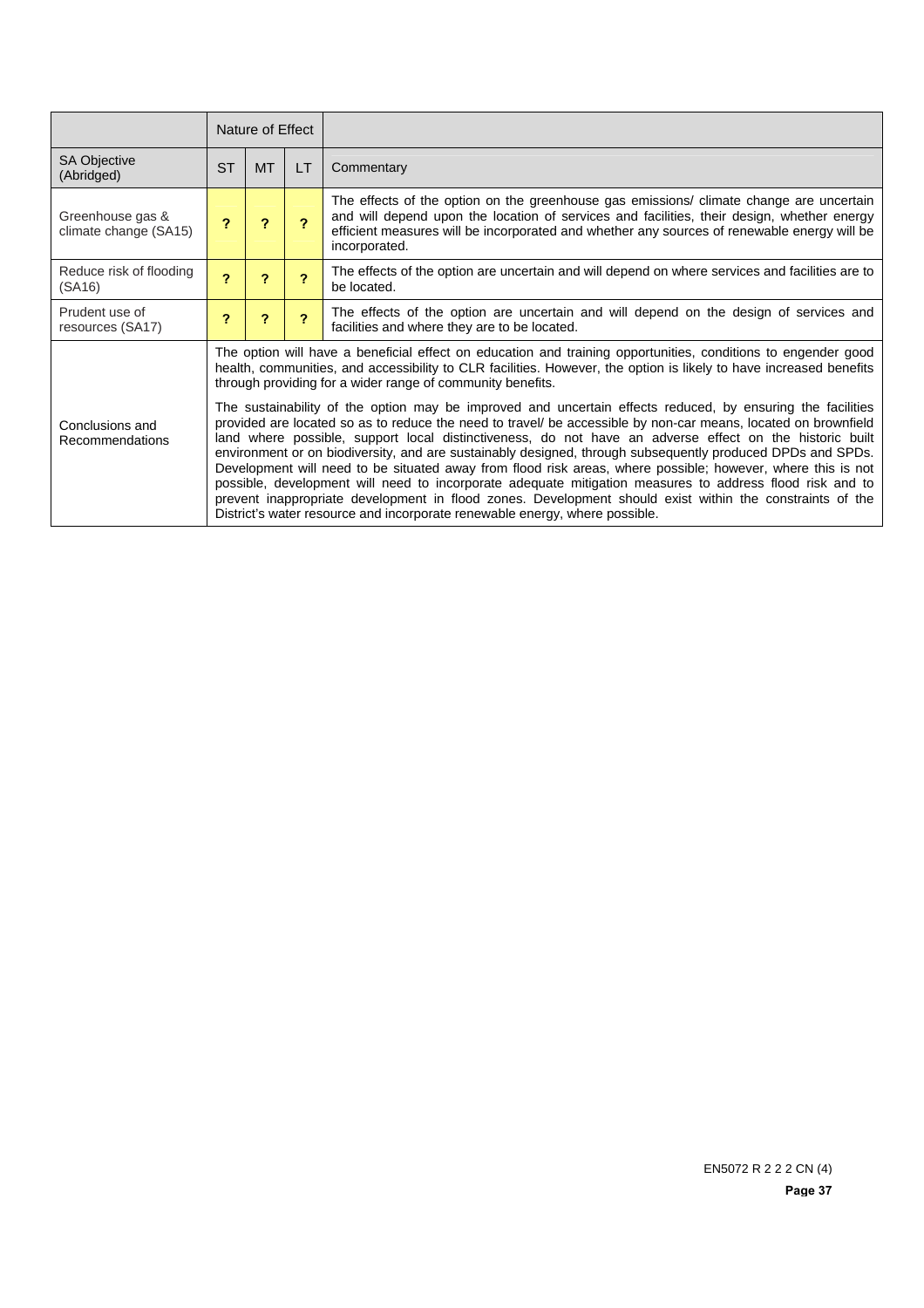|                                           | Nature of Effect |                                                                                                                                                                                                                                                                                                                                                                                                                                                                                                                                                                                                                                                                                                                                                                                                                                                                                                                                                                                                                                                                                                                                                                                  |                |                                                                                                                                                                                                                                                                                                       |  |  |
|-------------------------------------------|------------------|----------------------------------------------------------------------------------------------------------------------------------------------------------------------------------------------------------------------------------------------------------------------------------------------------------------------------------------------------------------------------------------------------------------------------------------------------------------------------------------------------------------------------------------------------------------------------------------------------------------------------------------------------------------------------------------------------------------------------------------------------------------------------------------------------------------------------------------------------------------------------------------------------------------------------------------------------------------------------------------------------------------------------------------------------------------------------------------------------------------------------------------------------------------------------------|----------------|-------------------------------------------------------------------------------------------------------------------------------------------------------------------------------------------------------------------------------------------------------------------------------------------------------|--|--|
| <b>SA Objective</b><br>(Abridged)         | <b>ST</b>        | MT.                                                                                                                                                                                                                                                                                                                                                                                                                                                                                                                                                                                                                                                                                                                                                                                                                                                                                                                                                                                                                                                                                                                                                                              | <b>LT</b>      | Commentary                                                                                                                                                                                                                                                                                            |  |  |
| Greenhouse gas &<br>climate change (SA15) | ?                |                                                                                                                                                                                                                                                                                                                                                                                                                                                                                                                                                                                                                                                                                                                                                                                                                                                                                                                                                                                                                                                                                                                                                                                  | $\mathbf{P}$   | The effects of the option on the greenhouse gas emissions/ climate change are uncertain<br>and will depend upon the location of services and facilities, their design, whether energy<br>efficient measures will be incorporated and whether any sources of renewable energy will be<br>incorporated. |  |  |
| Reduce risk of flooding<br>(SA16)         | 2                | ?                                                                                                                                                                                                                                                                                                                                                                                                                                                                                                                                                                                                                                                                                                                                                                                                                                                                                                                                                                                                                                                                                                                                                                                | $\overline{2}$ | The effects of the option are uncertain and will depend on where services and facilities are to<br>be located.                                                                                                                                                                                        |  |  |
| Prudent use of<br>resources (SA17)        | 2                | ?                                                                                                                                                                                                                                                                                                                                                                                                                                                                                                                                                                                                                                                                                                                                                                                                                                                                                                                                                                                                                                                                                                                                                                                | $\overline{P}$ | The effects of the option are uncertain and will depend on the design of services and<br>facilities and where they are to be located.                                                                                                                                                                 |  |  |
| Conclusions and<br>Recommendations        |                  | The option will have a beneficial effect on education and training opportunities, conditions to engender good<br>health, communities, and accessibility to CLR facilities. However, the option is likely to have increased benefits<br>through providing for a wider range of community benefits.<br>The sustainability of the option may be improved and uncertain effects reduced, by ensuring the facilities<br>provided are located so as to reduce the need to travel/ be accessible by non-car means, located on brownfield<br>land where possible, support local distinctiveness, do not have an adverse effect on the historic built<br>environment or on biodiversity, and are sustainably designed, through subsequently produced DPDs and SPDs.<br>Development will need to be situated away from flood risk areas, where possible; however, where this is not<br>possible, development will need to incorporate adequate mitigation measures to address flood risk and to<br>prevent inappropriate development in flood zones. Development should exist within the constraints of the<br>District's water resource and incorporate renewable energy, where possible. |                |                                                                                                                                                                                                                                                                                                       |  |  |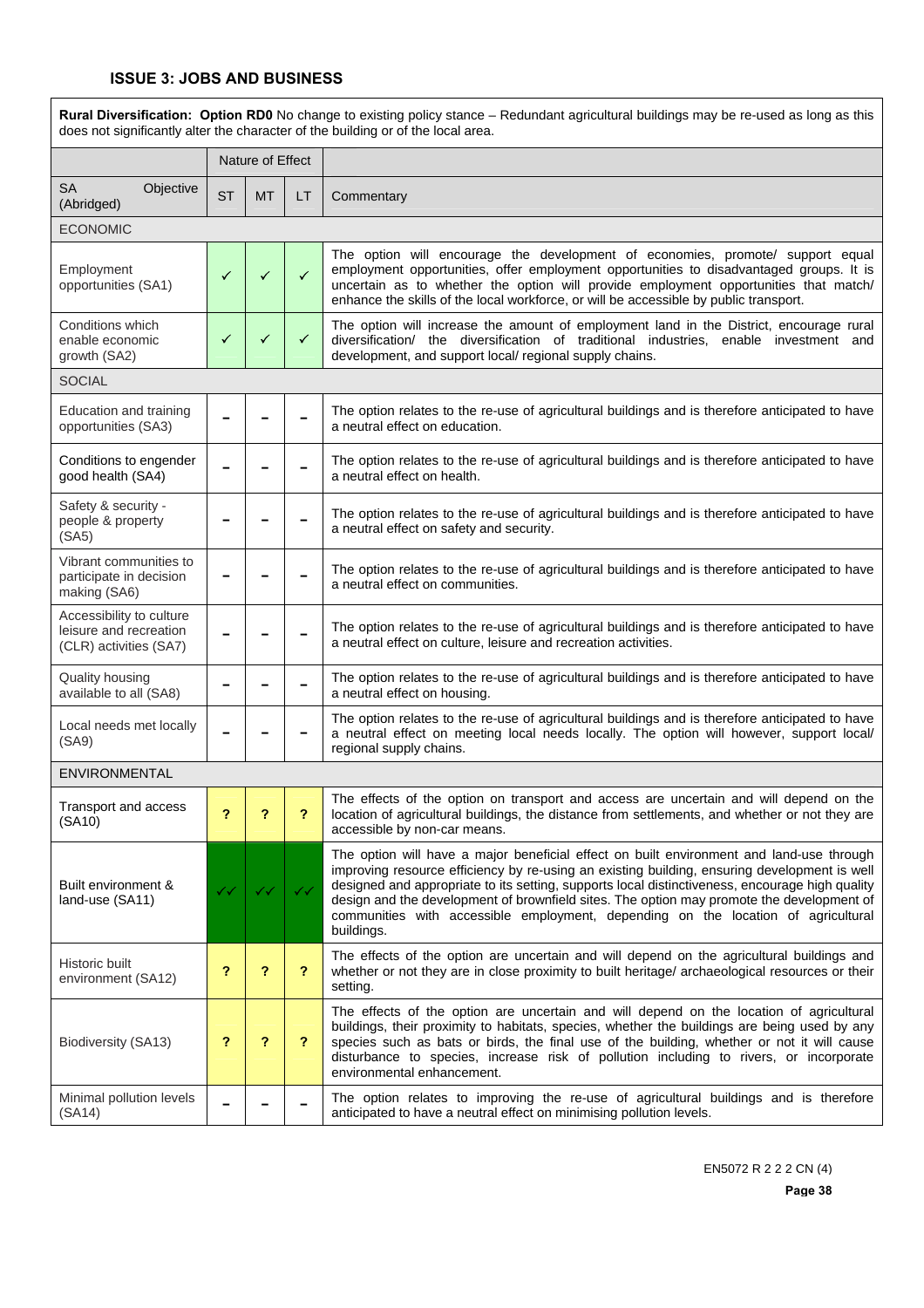$\overline{1}$ 

|                                                                              | Rural Diversification: Option RD0 No change to existing policy stance - Redundant agricultural buildings may be re-used as long as this<br>does not significantly alter the character of the building or of the local area. |                  |              |                                                                                                                                                                                                                                                                                                                                                                                                                                                                                             |  |  |  |  |
|------------------------------------------------------------------------------|-----------------------------------------------------------------------------------------------------------------------------------------------------------------------------------------------------------------------------|------------------|--------------|---------------------------------------------------------------------------------------------------------------------------------------------------------------------------------------------------------------------------------------------------------------------------------------------------------------------------------------------------------------------------------------------------------------------------------------------------------------------------------------------|--|--|--|--|
|                                                                              |                                                                                                                                                                                                                             | Nature of Effect |              |                                                                                                                                                                                                                                                                                                                                                                                                                                                                                             |  |  |  |  |
| SA<br>Objective<br>(Abridged)                                                | <b>ST</b>                                                                                                                                                                                                                   | <b>MT</b>        | LT           | Commentary                                                                                                                                                                                                                                                                                                                                                                                                                                                                                  |  |  |  |  |
| <b>ECONOMIC</b>                                                              |                                                                                                                                                                                                                             |                  |              |                                                                                                                                                                                                                                                                                                                                                                                                                                                                                             |  |  |  |  |
| Employment<br>opportunities (SA1)                                            | ✓                                                                                                                                                                                                                           | ✓                | $\checkmark$ | The option will encourage the development of economies, promote/ support equal<br>employment opportunities, offer employment opportunities to disadvantaged groups. It is<br>uncertain as to whether the option will provide employment opportunities that match/<br>enhance the skills of the local workforce, or will be accessible by public transport.                                                                                                                                  |  |  |  |  |
| Conditions which<br>enable economic<br>growth (SA2)                          | ✓                                                                                                                                                                                                                           | ✓                | $\checkmark$ | The option will increase the amount of employment land in the District, encourage rural<br>diversification/ the diversification of traditional industries, enable investment and<br>development, and support local/ regional supply chains.                                                                                                                                                                                                                                                 |  |  |  |  |
| <b>SOCIAL</b>                                                                |                                                                                                                                                                                                                             |                  |              |                                                                                                                                                                                                                                                                                                                                                                                                                                                                                             |  |  |  |  |
| Education and training<br>opportunities (SA3)                                |                                                                                                                                                                                                                             |                  |              | The option relates to the re-use of agricultural buildings and is therefore anticipated to have<br>a neutral effect on education.                                                                                                                                                                                                                                                                                                                                                           |  |  |  |  |
| Conditions to engender<br>good health (SA4)                                  |                                                                                                                                                                                                                             |                  |              | The option relates to the re-use of agricultural buildings and is therefore anticipated to have<br>a neutral effect on health.                                                                                                                                                                                                                                                                                                                                                              |  |  |  |  |
| Safety & security -<br>people & property<br>(SA5)                            |                                                                                                                                                                                                                             |                  |              | The option relates to the re-use of agricultural buildings and is therefore anticipated to have<br>a neutral effect on safety and security.                                                                                                                                                                                                                                                                                                                                                 |  |  |  |  |
| Vibrant communities to<br>participate in decision<br>making (SA6)            |                                                                                                                                                                                                                             |                  |              | The option relates to the re-use of agricultural buildings and is therefore anticipated to have<br>a neutral effect on communities.                                                                                                                                                                                                                                                                                                                                                         |  |  |  |  |
| Accessibility to culture<br>leisure and recreation<br>(CLR) activities (SA7) |                                                                                                                                                                                                                             |                  |              | The option relates to the re-use of agricultural buildings and is therefore anticipated to have<br>a neutral effect on culture, leisure and recreation activities.                                                                                                                                                                                                                                                                                                                          |  |  |  |  |
| Quality housing<br>available to all (SA8)                                    |                                                                                                                                                                                                                             |                  |              | The option relates to the re-use of agricultural buildings and is therefore anticipated to have<br>a neutral effect on housing.                                                                                                                                                                                                                                                                                                                                                             |  |  |  |  |
| Local needs met locally<br>(SA9)                                             |                                                                                                                                                                                                                             |                  |              | The option relates to the re-use of agricultural buildings and is therefore anticipated to have<br>a neutral effect on meeting local needs locally. The option will however, support local/<br>regional supply chains.                                                                                                                                                                                                                                                                      |  |  |  |  |
| <b>ENVIRONMENTAL</b>                                                         |                                                                                                                                                                                                                             |                  |              |                                                                                                                                                                                                                                                                                                                                                                                                                                                                                             |  |  |  |  |
| Transport and access<br>(SA10)                                               | ?                                                                                                                                                                                                                           | ?                | ?            | The effects of the option on transport and access are uncertain and will depend on the<br>location of agricultural buildings, the distance from settlements, and whether or not they are<br>accessible by non-car means.                                                                                                                                                                                                                                                                    |  |  |  |  |
| Built environment &<br>land-use (SA11)                                       | $\checkmark$                                                                                                                                                                                                                | ✓✓               | ✓✓           | The option will have a major beneficial effect on built environment and land-use through<br>improving resource efficiency by re-using an existing building, ensuring development is well<br>designed and appropriate to its setting, supports local distinctiveness, encourage high quality<br>design and the development of brownfield sites. The option may promote the development of<br>communities with accessible employment, depending on the location of agricultural<br>buildings. |  |  |  |  |
| Historic built<br>environment (SA12)                                         | ?                                                                                                                                                                                                                           | ?                | ?            | The effects of the option are uncertain and will depend on the agricultural buildings and<br>whether or not they are in close proximity to built heritage/ archaeological resources or their<br>setting.                                                                                                                                                                                                                                                                                    |  |  |  |  |
| Biodiversity (SA13)                                                          | ?                                                                                                                                                                                                                           | ?                | ?            | The effects of the option are uncertain and will depend on the location of agricultural<br>buildings, their proximity to habitats, species, whether the buildings are being used by any<br>species such as bats or birds, the final use of the building, whether or not it will cause<br>disturbance to species, increase risk of pollution including to rivers, or incorporate<br>environmental enhancement.                                                                               |  |  |  |  |
| Minimal pollution levels<br>(SA14)                                           |                                                                                                                                                                                                                             |                  |              | The option relates to improving the re-use of agricultural buildings and is therefore<br>anticipated to have a neutral effect on minimising pollution levels.                                                                                                                                                                                                                                                                                                                               |  |  |  |  |

EN5072 R 2 2 2 CN (4)

**Page 38**

٦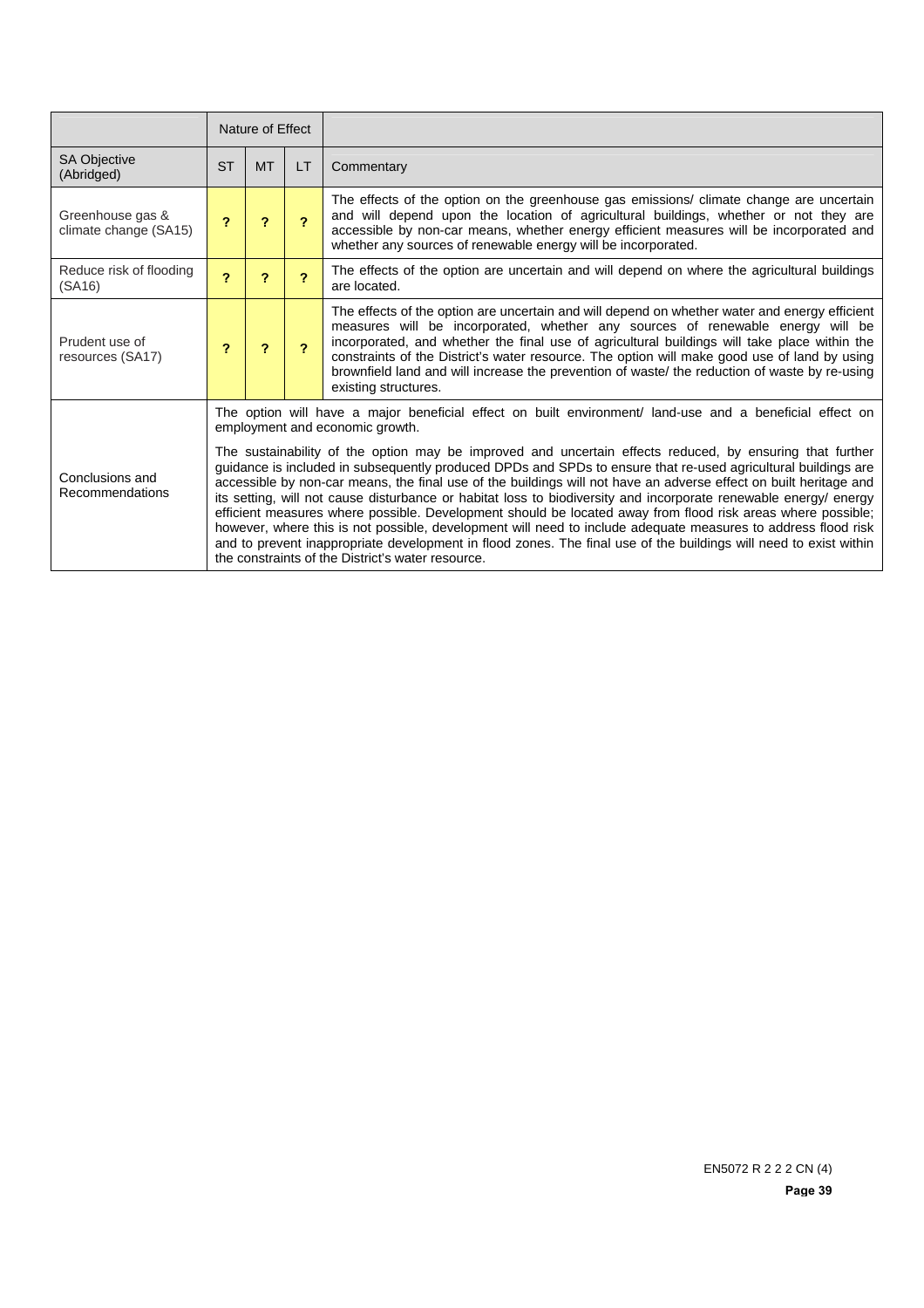|                                           | Nature of Effect                                                                                                                                                                                                                                                                                                                                                                                                                                                                                                                                                                                                                                                                                                                                                                                                                                                            |           |                         |                                                                                                                                                                                                                                                                                                                                                                                                                                                                                                          |
|-------------------------------------------|-----------------------------------------------------------------------------------------------------------------------------------------------------------------------------------------------------------------------------------------------------------------------------------------------------------------------------------------------------------------------------------------------------------------------------------------------------------------------------------------------------------------------------------------------------------------------------------------------------------------------------------------------------------------------------------------------------------------------------------------------------------------------------------------------------------------------------------------------------------------------------|-----------|-------------------------|----------------------------------------------------------------------------------------------------------------------------------------------------------------------------------------------------------------------------------------------------------------------------------------------------------------------------------------------------------------------------------------------------------------------------------------------------------------------------------------------------------|
| SA Objective<br>(Abridged)                | <b>ST</b>                                                                                                                                                                                                                                                                                                                                                                                                                                                                                                                                                                                                                                                                                                                                                                                                                                                                   | <b>MT</b> | LT                      | Commentary                                                                                                                                                                                                                                                                                                                                                                                                                                                                                               |
| Greenhouse gas &<br>climate change (SA15) | 2                                                                                                                                                                                                                                                                                                                                                                                                                                                                                                                                                                                                                                                                                                                                                                                                                                                                           | 2         | $\mathbf{P}$            | The effects of the option on the greenhouse gas emissions/ climate change are uncertain<br>and will depend upon the location of agricultural buildings, whether or not they are<br>accessible by non-car means, whether energy efficient measures will be incorporated and<br>whether any sources of renewable energy will be incorporated.                                                                                                                                                              |
| Reduce risk of flooding<br>(SA16)         | $\overline{\mathbf{r}}$                                                                                                                                                                                                                                                                                                                                                                                                                                                                                                                                                                                                                                                                                                                                                                                                                                                     | ?         | $\overline{\mathbf{c}}$ | The effects of the option are uncertain and will depend on where the agricultural buildings<br>are located.                                                                                                                                                                                                                                                                                                                                                                                              |
| Prudent use of<br>resources (SA17)        | 7                                                                                                                                                                                                                                                                                                                                                                                                                                                                                                                                                                                                                                                                                                                                                                                                                                                                           | 2         |                         | The effects of the option are uncertain and will depend on whether water and energy efficient<br>measures will be incorporated, whether any sources of renewable energy will be<br>incorporated, and whether the final use of agricultural buildings will take place within the<br>constraints of the District's water resource. The option will make good use of land by using<br>brownfield land and will increase the prevention of waste/ the reduction of waste by re-using<br>existing structures. |
|                                           | The option will have a major beneficial effect on built environment/ land-use and a beneficial effect on<br>employment and economic growth.                                                                                                                                                                                                                                                                                                                                                                                                                                                                                                                                                                                                                                                                                                                                 |           |                         |                                                                                                                                                                                                                                                                                                                                                                                                                                                                                                          |
| Conclusions and<br>Recommendations        | The sustainability of the option may be improved and uncertain effects reduced, by ensuring that further<br>guidance is included in subsequently produced DPDs and SPDs to ensure that re-used agricultural buildings are<br>accessible by non-car means, the final use of the buildings will not have an adverse effect on built heritage and<br>its setting, will not cause disturbance or habitat loss to biodiversity and incorporate renewable energy/energy<br>efficient measures where possible. Development should be located away from flood risk areas where possible;<br>however, where this is not possible, development will need to include adequate measures to address flood risk<br>and to prevent inappropriate development in flood zones. The final use of the buildings will need to exist within<br>the constraints of the District's water resource. |           |                         |                                                                                                                                                                                                                                                                                                                                                                                                                                                                                                          |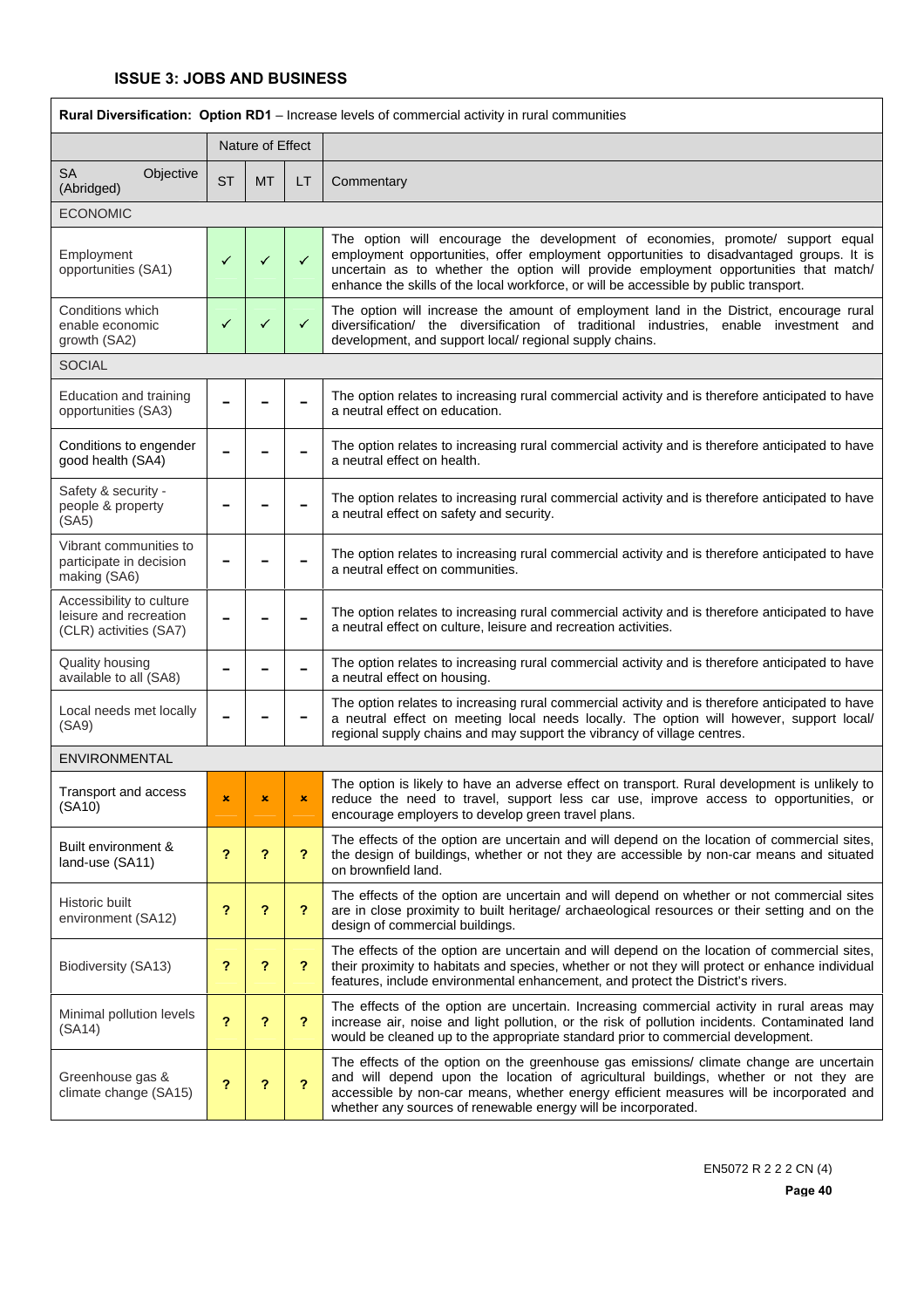| <b>Rural Diversification: Option RD1</b> - Increase levels of commercial activity in rural communities |           |                  |              |                                                                                                                                                                                                                                                                                                                                                            |  |  |
|--------------------------------------------------------------------------------------------------------|-----------|------------------|--------------|------------------------------------------------------------------------------------------------------------------------------------------------------------------------------------------------------------------------------------------------------------------------------------------------------------------------------------------------------------|--|--|
|                                                                                                        |           | Nature of Effect |              |                                                                                                                                                                                                                                                                                                                                                            |  |  |
| <b>SA</b><br>Objective<br>(Abridged)                                                                   | <b>ST</b> | <b>MT</b>        | LT.          | Commentary                                                                                                                                                                                                                                                                                                                                                 |  |  |
| <b>ECONOMIC</b>                                                                                        |           |                  |              |                                                                                                                                                                                                                                                                                                                                                            |  |  |
| Employment<br>opportunities (SA1)                                                                      | ✓         | ✓                | $\checkmark$ | The option will encourage the development of economies, promote/ support equal<br>employment opportunities, offer employment opportunities to disadvantaged groups. It is<br>uncertain as to whether the option will provide employment opportunities that match/<br>enhance the skills of the local workforce, or will be accessible by public transport. |  |  |
| Conditions which<br>enable economic<br>growth (SA2)                                                    | ✓         | ✓                | ✓            | The option will increase the amount of employment land in the District, encourage rural<br>diversification/ the diversification of traditional industries, enable investment and<br>development, and support local/ regional supply chains.                                                                                                                |  |  |
| <b>SOCIAL</b>                                                                                          |           |                  |              |                                                                                                                                                                                                                                                                                                                                                            |  |  |
| Education and training<br>opportunities (SA3)                                                          |           |                  |              | The option relates to increasing rural commercial activity and is therefore anticipated to have<br>a neutral effect on education.                                                                                                                                                                                                                          |  |  |
| Conditions to engender<br>good health (SA4)                                                            |           |                  |              | The option relates to increasing rural commercial activity and is therefore anticipated to have<br>a neutral effect on health.                                                                                                                                                                                                                             |  |  |
| Safety & security -<br>people & property<br>(SA5)                                                      |           |                  |              | The option relates to increasing rural commercial activity and is therefore anticipated to have<br>a neutral effect on safety and security.                                                                                                                                                                                                                |  |  |
| Vibrant communities to<br>participate in decision<br>making (SA6)                                      |           |                  |              | The option relates to increasing rural commercial activity and is therefore anticipated to have<br>a neutral effect on communities.                                                                                                                                                                                                                        |  |  |
| Accessibility to culture<br>leisure and recreation<br>(CLR) activities (SA7)                           |           |                  |              | The option relates to increasing rural commercial activity and is therefore anticipated to have<br>a neutral effect on culture, leisure and recreation activities.                                                                                                                                                                                         |  |  |
| Quality housing<br>available to all (SA8)                                                              |           |                  |              | The option relates to increasing rural commercial activity and is therefore anticipated to have<br>a neutral effect on housing.                                                                                                                                                                                                                            |  |  |
| Local needs met locally<br>(SA9)                                                                       |           |                  |              | The option relates to increasing rural commercial activity and is therefore anticipated to have<br>a neutral effect on meeting local needs locally. The option will however, support local/<br>regional supply chains and may support the vibrancy of village centres.                                                                                     |  |  |
| <b>ENVIRONMENTAL</b>                                                                                   |           |                  |              |                                                                                                                                                                                                                                                                                                                                                            |  |  |
| Transport and access<br>(SA10)                                                                         |           |                  |              | The option is likely to have an adverse effect on transport. Rural development is unlikely to<br>reduce the need to travel, support less car use, improve access to opportunities, or<br>encourage employers to develop green travel plans.                                                                                                                |  |  |
| Built environment &<br>land-use (SA11)                                                                 | ?         | ?                | ?            | The effects of the option are uncertain and will depend on the location of commercial sites,<br>the design of buildings, whether or not they are accessible by non-car means and situated<br>on brownfield land.                                                                                                                                           |  |  |
| Historic built<br>environment (SA12)                                                                   | ?         | ?                | ?            | The effects of the option are uncertain and will depend on whether or not commercial sites<br>are in close proximity to built heritage/ archaeological resources or their setting and on the<br>design of commercial buildings.                                                                                                                            |  |  |
| Biodiversity (SA13)                                                                                    | ?         | ?                | ?            | The effects of the option are uncertain and will depend on the location of commercial sites,<br>their proximity to habitats and species, whether or not they will protect or enhance individual<br>features, include environmental enhancement, and protect the District's rivers.                                                                         |  |  |
| Minimal pollution levels<br>(SA14)                                                                     | 2         | ?                | ?            | The effects of the option are uncertain. Increasing commercial activity in rural areas may<br>increase air, noise and light pollution, or the risk of pollution incidents. Contaminated land<br>would be cleaned up to the appropriate standard prior to commercial development.                                                                           |  |  |
| Greenhouse gas &<br>climate change (SA15)                                                              | ?         | ?                | ?            | The effects of the option on the greenhouse gas emissions/ climate change are uncertain<br>and will depend upon the location of agricultural buildings, whether or not they are<br>accessible by non-car means, whether energy efficient measures will be incorporated and<br>whether any sources of renewable energy will be incorporated.                |  |  |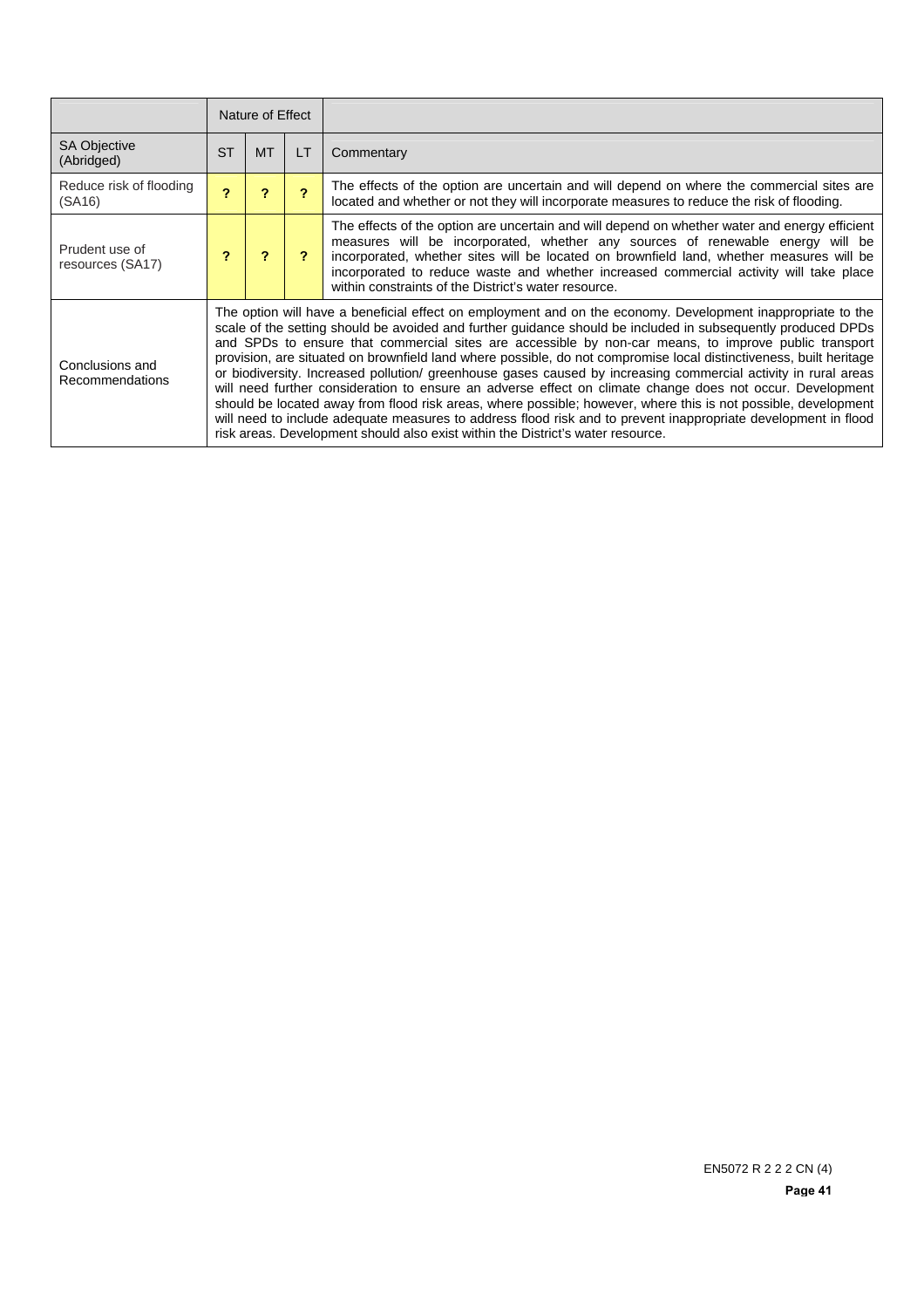|                                    | Nature of Effect |                                                                                                                                                                                                                                                                                                                                                                                                                                                                                                                                                                                                                                                                                                                                                                                                                                                                                                                                                                                                                  |                          |                                                                                                                                                                                                                                                                                                                                                                                                                               |  |
|------------------------------------|------------------|------------------------------------------------------------------------------------------------------------------------------------------------------------------------------------------------------------------------------------------------------------------------------------------------------------------------------------------------------------------------------------------------------------------------------------------------------------------------------------------------------------------------------------------------------------------------------------------------------------------------------------------------------------------------------------------------------------------------------------------------------------------------------------------------------------------------------------------------------------------------------------------------------------------------------------------------------------------------------------------------------------------|--------------------------|-------------------------------------------------------------------------------------------------------------------------------------------------------------------------------------------------------------------------------------------------------------------------------------------------------------------------------------------------------------------------------------------------------------------------------|--|
| <b>SA Objective</b><br>(Abridged)  | <b>ST</b>        | <b>MT</b>                                                                                                                                                                                                                                                                                                                                                                                                                                                                                                                                                                                                                                                                                                                                                                                                                                                                                                                                                                                                        | LT                       | Commentary                                                                                                                                                                                                                                                                                                                                                                                                                    |  |
| Reduce risk of flooding<br>(SA16)  | 2                | ?                                                                                                                                                                                                                                                                                                                                                                                                                                                                                                                                                                                                                                                                                                                                                                                                                                                                                                                                                                                                                | $\overline{\phantom{a}}$ | The effects of the option are uncertain and will depend on where the commercial sites are<br>located and whether or not they will incorporate measures to reduce the risk of flooding.                                                                                                                                                                                                                                        |  |
| Prudent use of<br>resources (SA17) |                  |                                                                                                                                                                                                                                                                                                                                                                                                                                                                                                                                                                                                                                                                                                                                                                                                                                                                                                                                                                                                                  |                          | The effects of the option are uncertain and will depend on whether water and energy efficient<br>measures will be incorporated, whether any sources of renewable energy will be<br>incorporated, whether sites will be located on brownfield land, whether measures will be<br>incorporated to reduce waste and whether increased commercial activity will take place<br>within constraints of the District's water resource. |  |
| Conclusions and<br>Recommendations |                  | The option will have a beneficial effect on employment and on the economy. Development inappropriate to the<br>scale of the setting should be avoided and further guidance should be included in subsequently produced DPDs<br>and SPDs to ensure that commercial sites are accessible by non-car means, to improve public transport<br>provision, are situated on brownfield land where possible, do not compromise local distinctiveness, built heritage<br>or biodiversity. Increased pollution/ greenhouse gases caused by increasing commercial activity in rural areas<br>will need further consideration to ensure an adverse effect on climate change does not occur. Development<br>should be located away from flood risk areas, where possible; however, where this is not possible, development<br>will need to include adequate measures to address flood risk and to prevent inappropriate development in flood<br>risk areas. Development should also exist within the District's water resource. |                          |                                                                                                                                                                                                                                                                                                                                                                                                                               |  |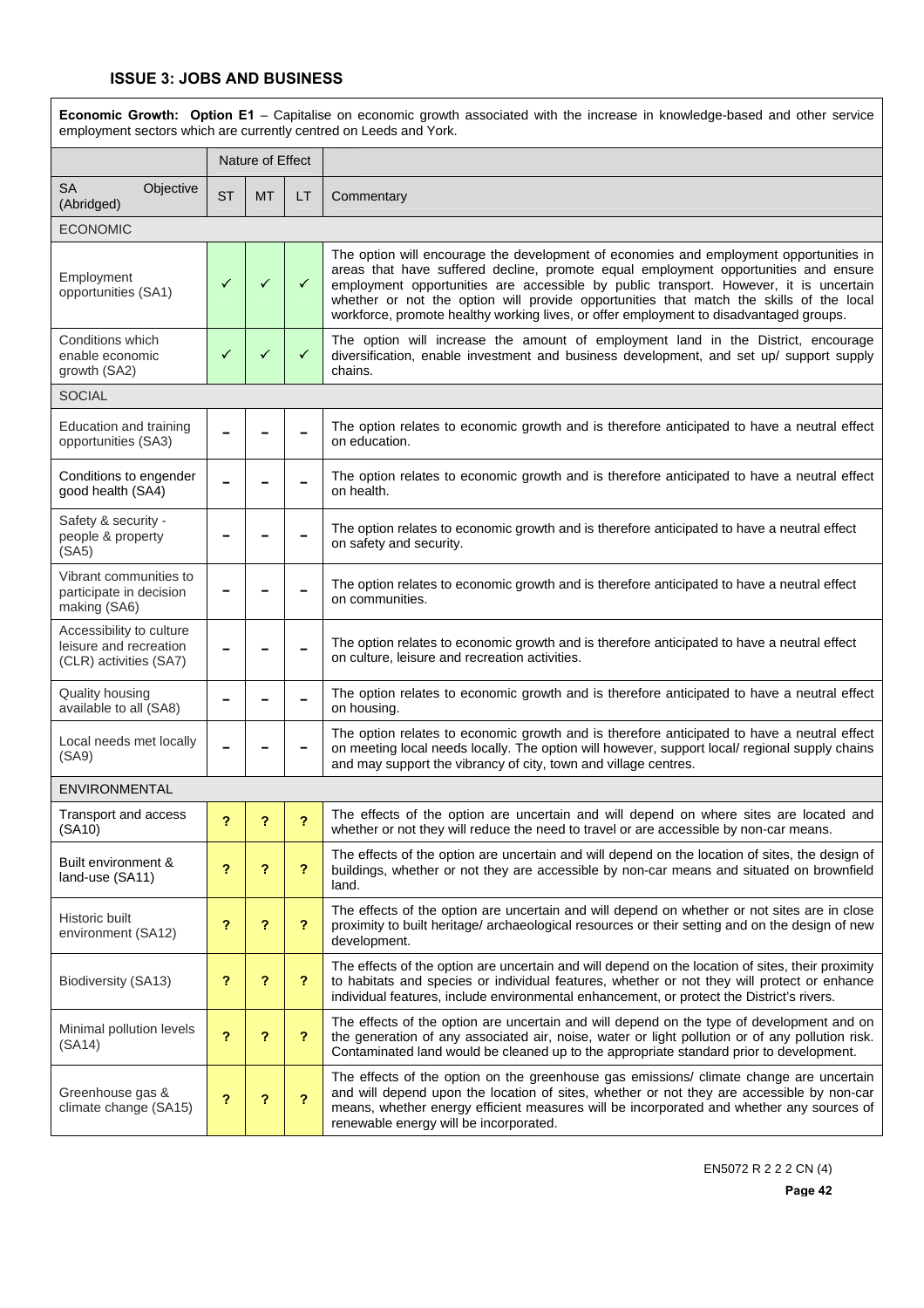| Economic Growth: Option E1 - Capitalise on economic growth associated with the increase in knowledge-based and other service<br>employment sectors which are currently centred on Leeds and York. |                         |                  |              |                                                                                                                                                                                                                                                                                                                                                                                                                                                             |  |  |  |
|---------------------------------------------------------------------------------------------------------------------------------------------------------------------------------------------------|-------------------------|------------------|--------------|-------------------------------------------------------------------------------------------------------------------------------------------------------------------------------------------------------------------------------------------------------------------------------------------------------------------------------------------------------------------------------------------------------------------------------------------------------------|--|--|--|
|                                                                                                                                                                                                   |                         | Nature of Effect |              |                                                                                                                                                                                                                                                                                                                                                                                                                                                             |  |  |  |
| <b>SA</b><br>Objective<br>(Abridged)                                                                                                                                                              | <b>ST</b>               | <b>MT</b>        | LT           | Commentary                                                                                                                                                                                                                                                                                                                                                                                                                                                  |  |  |  |
| <b>ECONOMIC</b>                                                                                                                                                                                   |                         |                  |              |                                                                                                                                                                                                                                                                                                                                                                                                                                                             |  |  |  |
| Employment<br>opportunities (SA1)                                                                                                                                                                 | $\checkmark$            | ✓                | $\checkmark$ | The option will encourage the development of economies and employment opportunities in<br>areas that have suffered decline, promote equal employment opportunities and ensure<br>employment opportunities are accessible by public transport. However, it is uncertain<br>whether or not the option will provide opportunities that match the skills of the local<br>workforce, promote healthy working lives, or offer employment to disadvantaged groups. |  |  |  |
| Conditions which<br>enable economic<br>growth (SA2)                                                                                                                                               | ✓                       | ✓                | ✓            | The option will increase the amount of employment land in the District, encourage<br>diversification, enable investment and business development, and set up/ support supply<br>chains.                                                                                                                                                                                                                                                                     |  |  |  |
| <b>SOCIAL</b>                                                                                                                                                                                     |                         |                  |              |                                                                                                                                                                                                                                                                                                                                                                                                                                                             |  |  |  |
| Education and training<br>opportunities (SA3)                                                                                                                                                     |                         |                  |              | The option relates to economic growth and is therefore anticipated to have a neutral effect<br>on education.                                                                                                                                                                                                                                                                                                                                                |  |  |  |
| Conditions to engender<br>good health (SA4)                                                                                                                                                       |                         |                  |              | The option relates to economic growth and is therefore anticipated to have a neutral effect<br>on health.                                                                                                                                                                                                                                                                                                                                                   |  |  |  |
| Safety & security -<br>people & property<br>(SA5)                                                                                                                                                 |                         |                  |              | The option relates to economic growth and is therefore anticipated to have a neutral effect<br>on safety and security.                                                                                                                                                                                                                                                                                                                                      |  |  |  |
| Vibrant communities to<br>participate in decision<br>making (SA6)                                                                                                                                 |                         |                  |              | The option relates to economic growth and is therefore anticipated to have a neutral effect<br>on communities.                                                                                                                                                                                                                                                                                                                                              |  |  |  |
| Accessibility to culture<br>leisure and recreation<br>(CLR) activities (SA7)                                                                                                                      |                         |                  |              | The option relates to economic growth and is therefore anticipated to have a neutral effect<br>on culture, leisure and recreation activities.                                                                                                                                                                                                                                                                                                               |  |  |  |
| Quality housing<br>available to all (SA8)                                                                                                                                                         |                         |                  |              | The option relates to economic growth and is therefore anticipated to have a neutral effect<br>on housing.                                                                                                                                                                                                                                                                                                                                                  |  |  |  |
| Local needs met locally<br>(SA9)                                                                                                                                                                  |                         |                  |              | The option relates to economic growth and is therefore anticipated to have a neutral effect<br>on meeting local needs locally. The option will however, support local/ regional supply chains<br>and may support the vibrancy of city, town and village centres.                                                                                                                                                                                            |  |  |  |
| ENVIRONMENTAL                                                                                                                                                                                     |                         |                  |              |                                                                                                                                                                                                                                                                                                                                                                                                                                                             |  |  |  |
| Transport and access<br>(SA10)                                                                                                                                                                    | ?                       | ?                | ?            | The effects of the option are uncertain and will depend on where sites are located and<br>whether or not they will reduce the need to travel or are accessible by non-car means.                                                                                                                                                                                                                                                                            |  |  |  |
| Built environment &<br>land-use (SA11)                                                                                                                                                            | ?                       | ?                | ?            | The effects of the option are uncertain and will depend on the location of sites, the design of<br>buildings, whether or not they are accessible by non-car means and situated on brownfield<br>land.                                                                                                                                                                                                                                                       |  |  |  |
| Historic built<br>environment (SA12)                                                                                                                                                              | ?                       | ?                | ?            | The effects of the option are uncertain and will depend on whether or not sites are in close<br>proximity to built heritage/ archaeological resources or their setting and on the design of new<br>development.                                                                                                                                                                                                                                             |  |  |  |
| Biodiversity (SA13)                                                                                                                                                                               | ?                       | ?                | ?            | The effects of the option are uncertain and will depend on the location of sites, their proximity<br>to habitats and species or individual features, whether or not they will protect or enhance<br>individual features, include environmental enhancement, or protect the District's rivers.                                                                                                                                                               |  |  |  |
| Minimal pollution levels<br>(SA14)                                                                                                                                                                | $\overline{\mathbf{r}}$ | ?                | ?            | The effects of the option are uncertain and will depend on the type of development and on<br>the generation of any associated air, noise, water or light pollution or of any pollution risk.<br>Contaminated land would be cleaned up to the appropriate standard prior to development.                                                                                                                                                                     |  |  |  |
| Greenhouse gas &<br>climate change (SA15)                                                                                                                                                         | ?                       | ?                | ?            | The effects of the option on the greenhouse gas emissions/ climate change are uncertain<br>and will depend upon the location of sites, whether or not they are accessible by non-car<br>means, whether energy efficient measures will be incorporated and whether any sources of<br>renewable energy will be incorporated.                                                                                                                                  |  |  |  |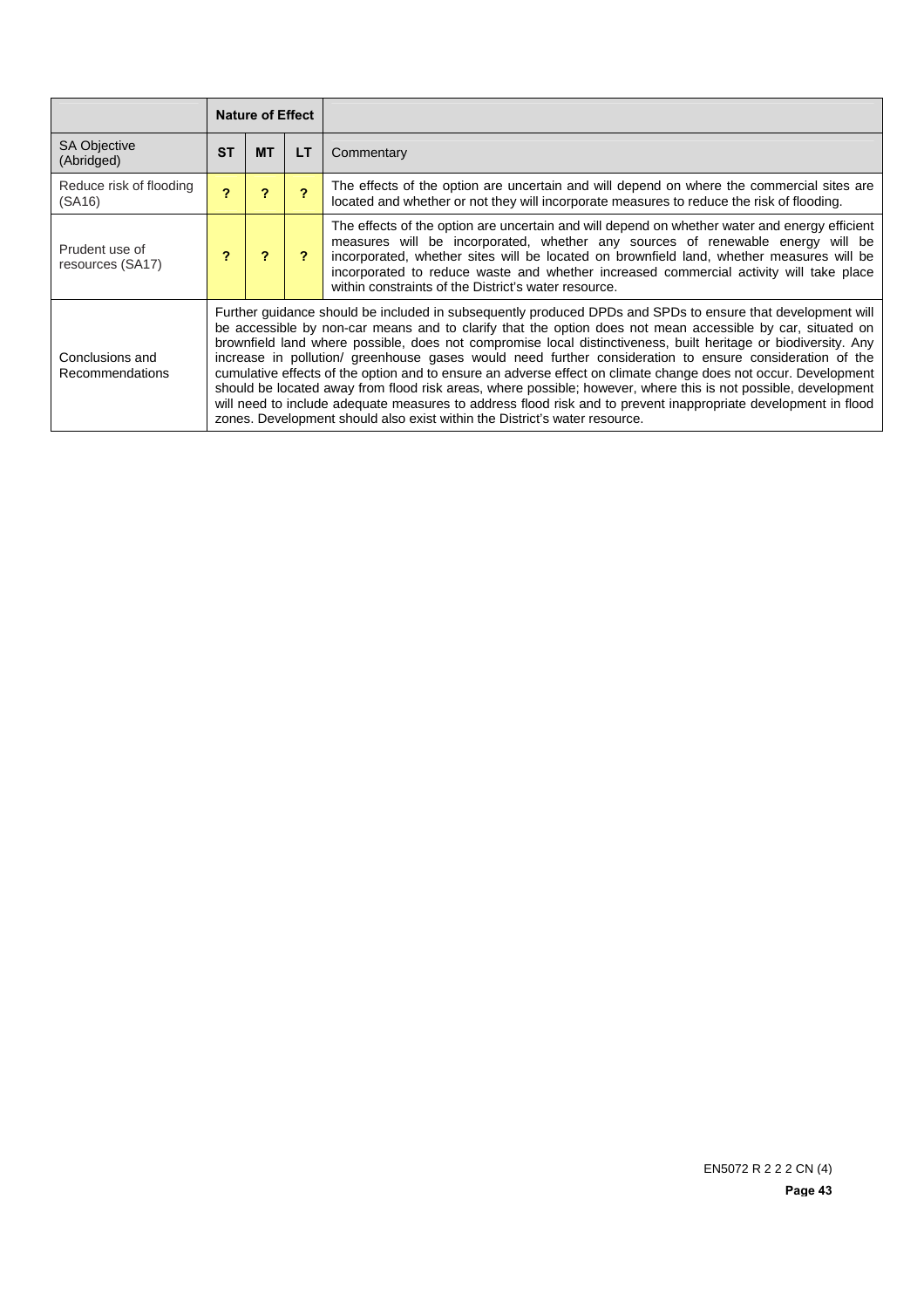|                                    |           | <b>Nature of Effect</b>                                                                                                                                                                                                                                                                                                                                                                                                                                                                                                                                                                                                                                                                                                                                                                                                                                                                   |    |                                                                                                                                                                                                                                                                                                                                                                                                                               |  |
|------------------------------------|-----------|-------------------------------------------------------------------------------------------------------------------------------------------------------------------------------------------------------------------------------------------------------------------------------------------------------------------------------------------------------------------------------------------------------------------------------------------------------------------------------------------------------------------------------------------------------------------------------------------------------------------------------------------------------------------------------------------------------------------------------------------------------------------------------------------------------------------------------------------------------------------------------------------|----|-------------------------------------------------------------------------------------------------------------------------------------------------------------------------------------------------------------------------------------------------------------------------------------------------------------------------------------------------------------------------------------------------------------------------------|--|
| <b>SA Objective</b><br>(Abridged)  | <b>ST</b> | <b>MT</b>                                                                                                                                                                                                                                                                                                                                                                                                                                                                                                                                                                                                                                                                                                                                                                                                                                                                                 | LТ | Commentary                                                                                                                                                                                                                                                                                                                                                                                                                    |  |
| Reduce risk of flooding<br>(SA16)  | ?         | ?                                                                                                                                                                                                                                                                                                                                                                                                                                                                                                                                                                                                                                                                                                                                                                                                                                                                                         |    | The effects of the option are uncertain and will depend on where the commercial sites are<br>located and whether or not they will incorporate measures to reduce the risk of flooding.                                                                                                                                                                                                                                        |  |
| Prudent use of<br>resources (SA17) | 7         | ?                                                                                                                                                                                                                                                                                                                                                                                                                                                                                                                                                                                                                                                                                                                                                                                                                                                                                         | ?  | The effects of the option are uncertain and will depend on whether water and energy efficient<br>measures will be incorporated, whether any sources of renewable energy will be<br>incorporated, whether sites will be located on brownfield land, whether measures will be<br>incorporated to reduce waste and whether increased commercial activity will take place<br>within constraints of the District's water resource. |  |
| Conclusions and<br>Recommendations |           | Further guidance should be included in subsequently produced DPDs and SPDs to ensure that development will<br>be accessible by non-car means and to clarify that the option does not mean accessible by car, situated on<br>brownfield land where possible, does not compromise local distinctiveness, built heritage or biodiversity. Any<br>increase in pollution/ greenhouse gases would need further consideration to ensure consideration of the<br>cumulative effects of the option and to ensure an adverse effect on climate change does not occur. Development<br>should be located away from flood risk areas, where possible; however, where this is not possible, development<br>will need to include adequate measures to address flood risk and to prevent inappropriate development in flood<br>zones. Development should also exist within the District's water resource. |    |                                                                                                                                                                                                                                                                                                                                                                                                                               |  |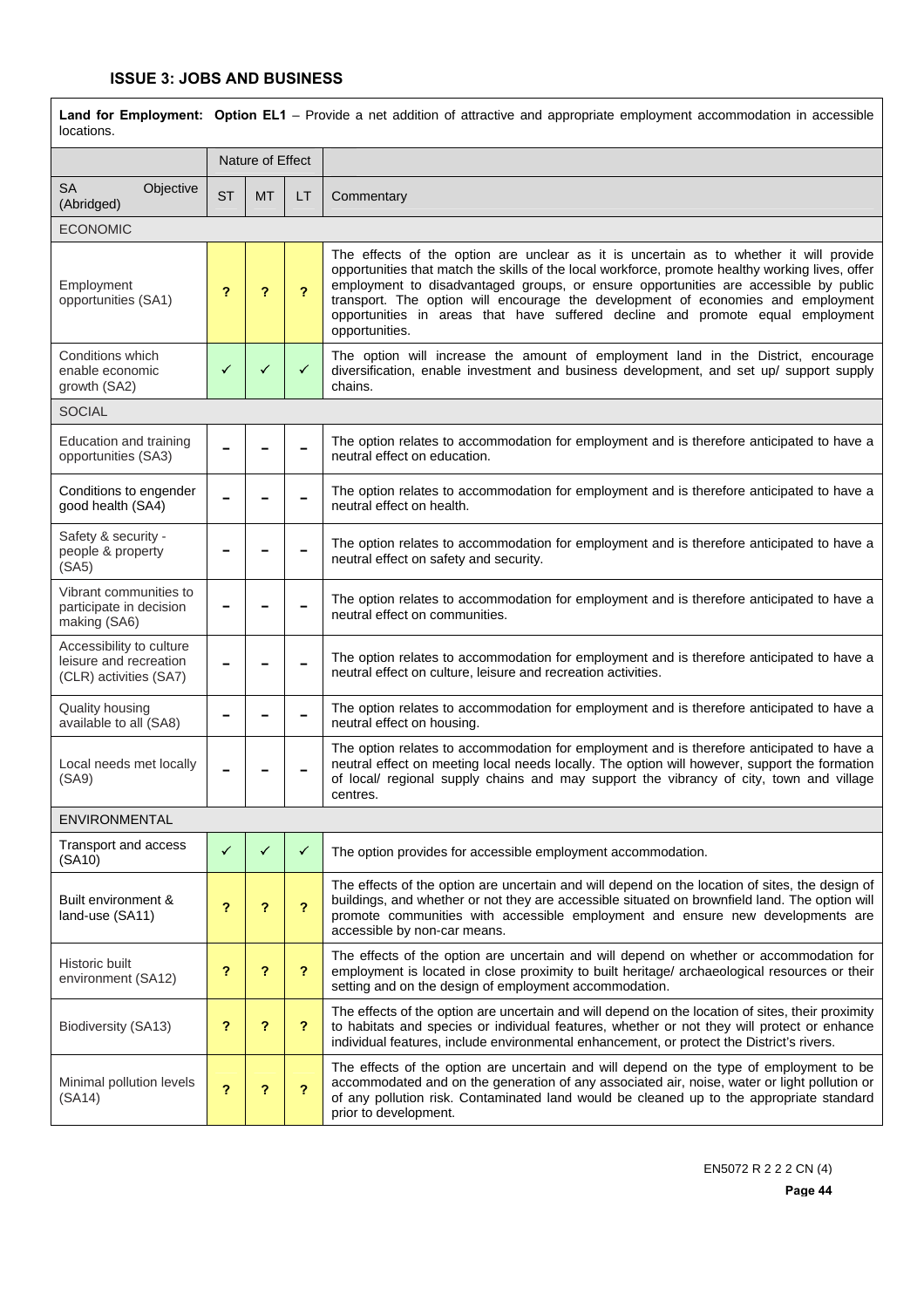| locations.                                                                   |              | Land for Employment: Option EL1 – Provide a net addition of attractive and appropriate employment accommodation in accessible |                         |                                                                                                                                                                                                                                                                                                                                                                                                                                                                            |  |  |  |  |
|------------------------------------------------------------------------------|--------------|-------------------------------------------------------------------------------------------------------------------------------|-------------------------|----------------------------------------------------------------------------------------------------------------------------------------------------------------------------------------------------------------------------------------------------------------------------------------------------------------------------------------------------------------------------------------------------------------------------------------------------------------------------|--|--|--|--|
|                                                                              |              | Nature of Effect                                                                                                              |                         |                                                                                                                                                                                                                                                                                                                                                                                                                                                                            |  |  |  |  |
| Objective<br>SA<br>(Abridged)                                                | <b>ST</b>    | <b>MT</b>                                                                                                                     | LT.                     | Commentary                                                                                                                                                                                                                                                                                                                                                                                                                                                                 |  |  |  |  |
| <b>ECONOMIC</b>                                                              |              |                                                                                                                               |                         |                                                                                                                                                                                                                                                                                                                                                                                                                                                                            |  |  |  |  |
| Employment<br>opportunities (SA1)                                            | ?            | ?                                                                                                                             | 2                       | The effects of the option are unclear as it is uncertain as to whether it will provide<br>opportunities that match the skills of the local workforce, promote healthy working lives, offer<br>employment to disadvantaged groups, or ensure opportunities are accessible by public<br>transport. The option will encourage the development of economies and employment<br>opportunities in areas that have suffered decline and promote equal employment<br>opportunities. |  |  |  |  |
| Conditions which<br>enable economic<br>growth (SA2)                          | ✓            | ✓                                                                                                                             | $\checkmark$            | The option will increase the amount of employment land in the District, encourage<br>diversification, enable investment and business development, and set up/ support supply<br>chains.                                                                                                                                                                                                                                                                                    |  |  |  |  |
| <b>SOCIAL</b>                                                                |              |                                                                                                                               |                         |                                                                                                                                                                                                                                                                                                                                                                                                                                                                            |  |  |  |  |
| Education and training<br>opportunities (SA3)                                |              |                                                                                                                               |                         | The option relates to accommodation for employment and is therefore anticipated to have a<br>neutral effect on education.                                                                                                                                                                                                                                                                                                                                                  |  |  |  |  |
| Conditions to engender<br>good health (SA4)                                  |              |                                                                                                                               |                         | The option relates to accommodation for employment and is therefore anticipated to have a<br>neutral effect on health.                                                                                                                                                                                                                                                                                                                                                     |  |  |  |  |
| Safety & security -<br>people & property<br>(SA5)                            |              |                                                                                                                               |                         | The option relates to accommodation for employment and is therefore anticipated to have a<br>neutral effect on safety and security.                                                                                                                                                                                                                                                                                                                                        |  |  |  |  |
| Vibrant communities to<br>participate in decision<br>making (SA6)            |              |                                                                                                                               |                         | The option relates to accommodation for employment and is therefore anticipated to have a<br>neutral effect on communities.                                                                                                                                                                                                                                                                                                                                                |  |  |  |  |
| Accessibility to culture<br>leisure and recreation<br>(CLR) activities (SA7) |              |                                                                                                                               |                         | The option relates to accommodation for employment and is therefore anticipated to have a<br>neutral effect on culture, leisure and recreation activities.                                                                                                                                                                                                                                                                                                                 |  |  |  |  |
| Quality housing<br>available to all (SA8)                                    |              |                                                                                                                               |                         | The option relates to accommodation for employment and is therefore anticipated to have a<br>neutral effect on housing.                                                                                                                                                                                                                                                                                                                                                    |  |  |  |  |
| Local needs met locally<br>(SA9)                                             |              |                                                                                                                               |                         | The option relates to accommodation for employment and is therefore anticipated to have a<br>neutral effect on meeting local needs locally. The option will however, support the formation<br>of local/ regional supply chains and may support the vibrancy of city, town and village<br>centres.                                                                                                                                                                          |  |  |  |  |
| <b>ENVIRONMENTAL</b>                                                         |              |                                                                                                                               |                         |                                                                                                                                                                                                                                                                                                                                                                                                                                                                            |  |  |  |  |
| Transport and access<br>(SA10)                                               | $\checkmark$ | ✓                                                                                                                             | ✓                       | The option provides for accessible employment accommodation.                                                                                                                                                                                                                                                                                                                                                                                                               |  |  |  |  |
| Built environment &<br>land-use (SA11)                                       | ?            | ?                                                                                                                             | $\overline{\mathbf{r}}$ | The effects of the option are uncertain and will depend on the location of sites, the design of<br>buildings, and whether or not they are accessible situated on brownfield land. The option will<br>promote communities with accessible employment and ensure new developments are<br>accessible by non-car means.                                                                                                                                                        |  |  |  |  |
| Historic built<br>environment (SA12)                                         | ?            | ?                                                                                                                             | ?                       | The effects of the option are uncertain and will depend on whether or accommodation for<br>employment is located in close proximity to built heritage/ archaeological resources or their<br>setting and on the design of employment accommodation.                                                                                                                                                                                                                         |  |  |  |  |
| Biodiversity (SA13)                                                          | ?            | ?                                                                                                                             | ?                       | The effects of the option are uncertain and will depend on the location of sites, their proximity<br>to habitats and species or individual features, whether or not they will protect or enhance<br>individual features, include environmental enhancement, or protect the District's rivers.                                                                                                                                                                              |  |  |  |  |
| Minimal pollution levels<br>(SA14)                                           | ?            | ?                                                                                                                             | ?                       | The effects of the option are uncertain and will depend on the type of employment to be<br>accommodated and on the generation of any associated air, noise, water or light pollution or<br>of any pollution risk. Contaminated land would be cleaned up to the appropriate standard<br>prior to development.                                                                                                                                                               |  |  |  |  |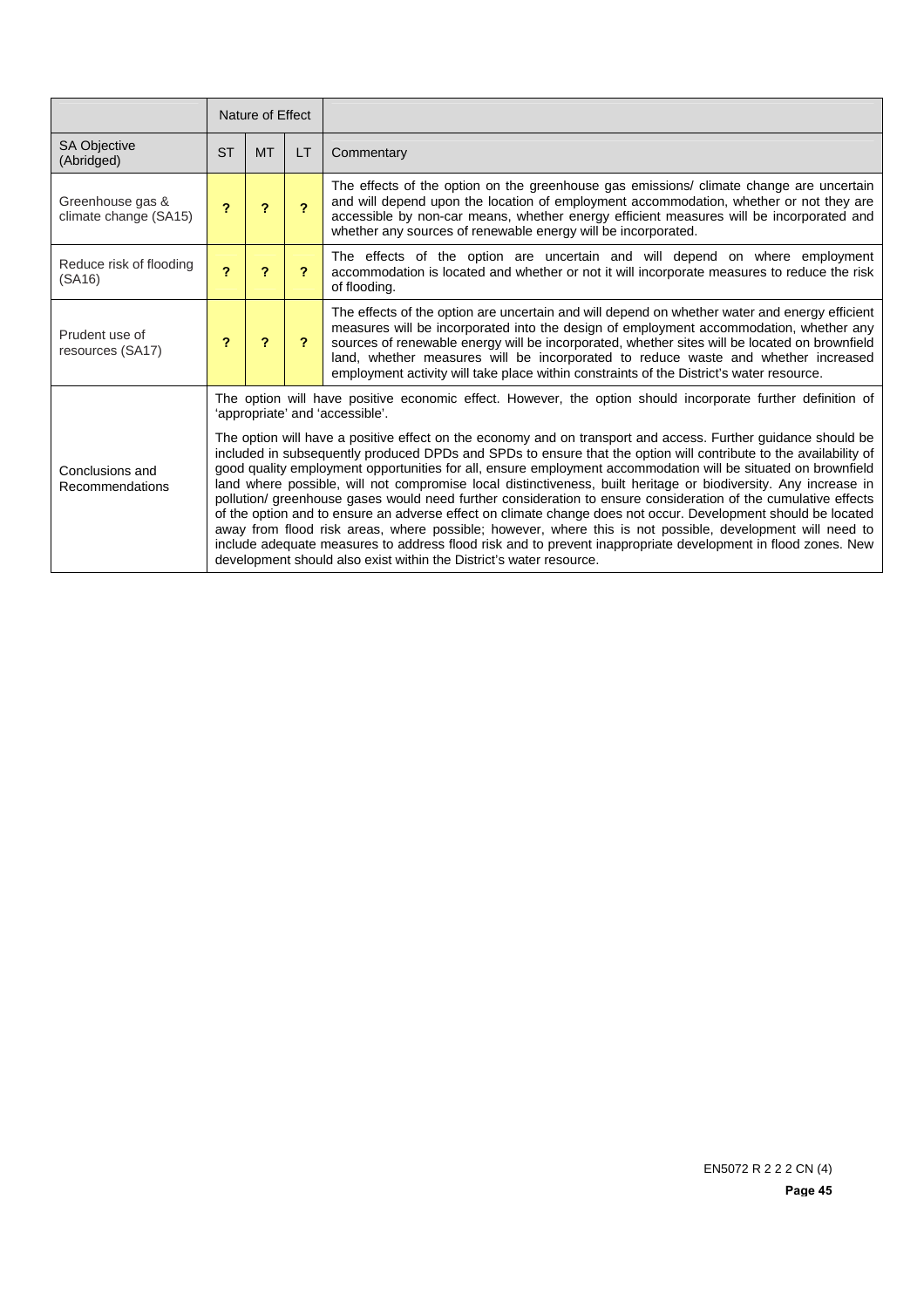|                                           |                         | Nature of Effect                                                                                                                                                                                                                                                                                                                                                                                                                                                                                                                                                                                                                                                                                                                                                                                                                                                                                                                                                                                                                                                                                                                                               |                |                                                                                                                                                                                                                                                                                                                                                                                                                                                                           |  |  |
|-------------------------------------------|-------------------------|----------------------------------------------------------------------------------------------------------------------------------------------------------------------------------------------------------------------------------------------------------------------------------------------------------------------------------------------------------------------------------------------------------------------------------------------------------------------------------------------------------------------------------------------------------------------------------------------------------------------------------------------------------------------------------------------------------------------------------------------------------------------------------------------------------------------------------------------------------------------------------------------------------------------------------------------------------------------------------------------------------------------------------------------------------------------------------------------------------------------------------------------------------------|----------------|---------------------------------------------------------------------------------------------------------------------------------------------------------------------------------------------------------------------------------------------------------------------------------------------------------------------------------------------------------------------------------------------------------------------------------------------------------------------------|--|--|
| <b>SA Objective</b><br>(Abridged)         | <b>ST</b>               | <b>MT</b>                                                                                                                                                                                                                                                                                                                                                                                                                                                                                                                                                                                                                                                                                                                                                                                                                                                                                                                                                                                                                                                                                                                                                      | LT             | Commentary                                                                                                                                                                                                                                                                                                                                                                                                                                                                |  |  |
| Greenhouse gas &<br>climate change (SA15) | ?                       | 2                                                                                                                                                                                                                                                                                                                                                                                                                                                                                                                                                                                                                                                                                                                                                                                                                                                                                                                                                                                                                                                                                                                                                              | $\overline{2}$ | The effects of the option on the greenhouse gas emissions/ climate change are uncertain<br>and will depend upon the location of employment accommodation, whether or not they are<br>accessible by non-car means, whether energy efficient measures will be incorporated and<br>whether any sources of renewable energy will be incorporated.                                                                                                                             |  |  |
| Reduce risk of flooding<br>(SA16)         | $\overline{\mathbf{z}}$ | $\overline{\mathbf{r}}$                                                                                                                                                                                                                                                                                                                                                                                                                                                                                                                                                                                                                                                                                                                                                                                                                                                                                                                                                                                                                                                                                                                                        | $\overline{?}$ | The effects of the option are uncertain and will depend on where employment<br>accommodation is located and whether or not it will incorporate measures to reduce the risk<br>of flooding.                                                                                                                                                                                                                                                                                |  |  |
| Prudent use of<br>resources (SA17)        | ?                       | $\overline{2}$                                                                                                                                                                                                                                                                                                                                                                                                                                                                                                                                                                                                                                                                                                                                                                                                                                                                                                                                                                                                                                                                                                                                                 | 2              | The effects of the option are uncertain and will depend on whether water and energy efficient<br>measures will be incorporated into the design of employment accommodation, whether any<br>sources of renewable energy will be incorporated, whether sites will be located on brownfield<br>land, whether measures will be incorporated to reduce waste and whether increased<br>employment activity will take place within constraints of the District's water resource. |  |  |
| Conclusions and<br>Recommendations        |                         | The option will have positive economic effect. However, the option should incorporate further definition of<br>'appropriate' and 'accessible'.<br>The option will have a positive effect on the economy and on transport and access. Further guidance should be<br>included in subsequently produced DPDs and SPDs to ensure that the option will contribute to the availability of<br>good quality employment opportunities for all, ensure employment accommodation will be situated on brownfield<br>land where possible, will not compromise local distinctiveness, built heritage or biodiversity. Any increase in<br>pollution/ greenhouse gases would need further consideration to ensure consideration of the cumulative effects<br>of the option and to ensure an adverse effect on climate change does not occur. Development should be located<br>away from flood risk areas, where possible; however, where this is not possible, development will need to<br>include adequate measures to address flood risk and to prevent inappropriate development in flood zones. New<br>development should also exist within the District's water resource. |                |                                                                                                                                                                                                                                                                                                                                                                                                                                                                           |  |  |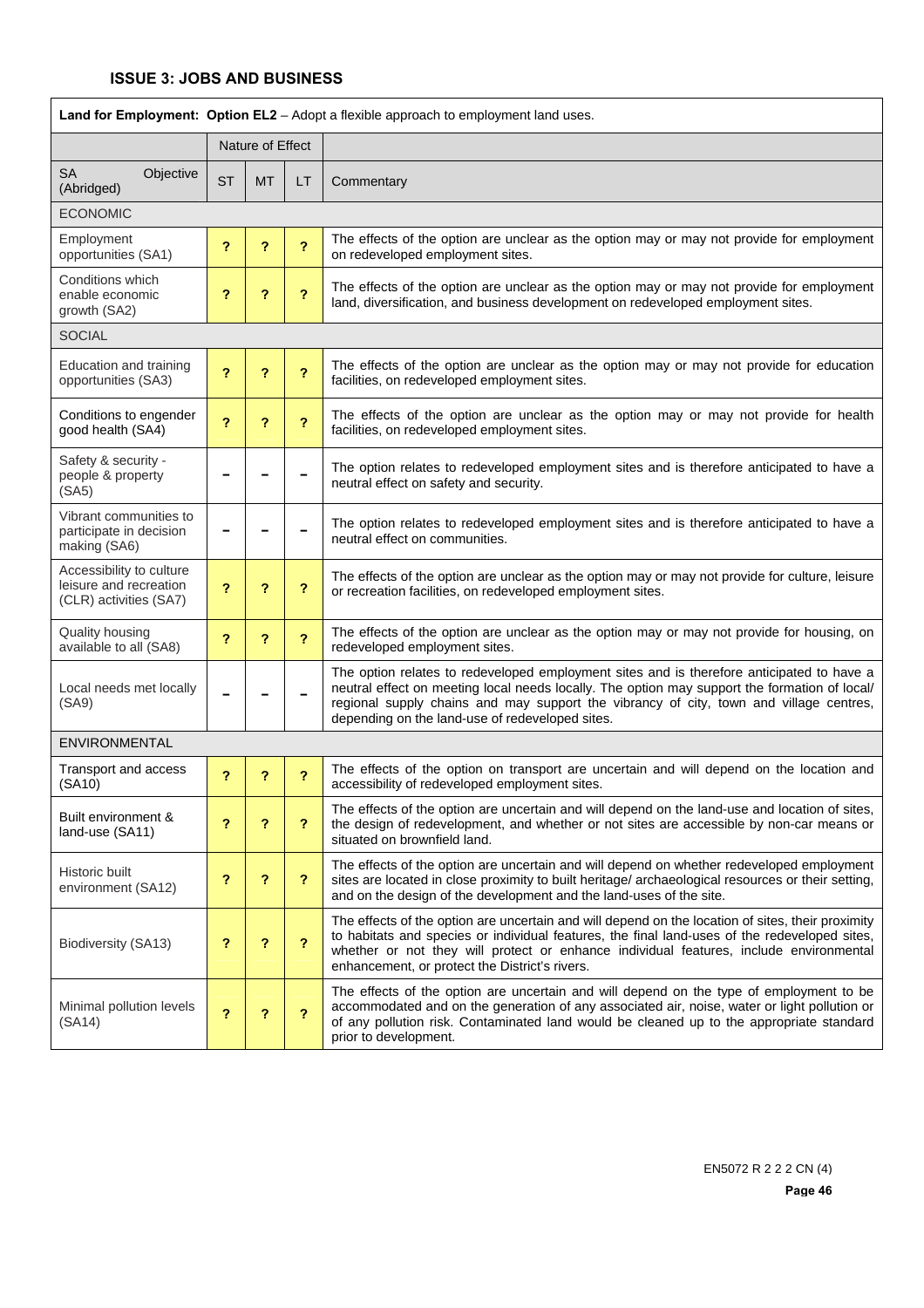| Land for Employment: Option EL2 - Adopt a flexible approach to employment land uses. |           |                  |                         |                                                                                                                                                                                                                                                                                                                                                |  |  |
|--------------------------------------------------------------------------------------|-----------|------------------|-------------------------|------------------------------------------------------------------------------------------------------------------------------------------------------------------------------------------------------------------------------------------------------------------------------------------------------------------------------------------------|--|--|
|                                                                                      |           | Nature of Effect |                         |                                                                                                                                                                                                                                                                                                                                                |  |  |
| <b>SA</b><br>Objective<br>(Abridged)                                                 | <b>ST</b> | <b>MT</b>        | LT                      | Commentary                                                                                                                                                                                                                                                                                                                                     |  |  |
| <b>ECONOMIC</b>                                                                      |           |                  |                         |                                                                                                                                                                                                                                                                                                                                                |  |  |
| Employment<br>opportunities (SA1)                                                    | ?         | ?                | $\overline{\mathbf{?}}$ | The effects of the option are unclear as the option may or may not provide for employment<br>on redeveloped employment sites.                                                                                                                                                                                                                  |  |  |
| Conditions which<br>enable economic<br>growth (SA2)                                  | ?         | ?                | ?                       | The effects of the option are unclear as the option may or may not provide for employment<br>land, diversification, and business development on redeveloped employment sites.                                                                                                                                                                  |  |  |
| <b>SOCIAL</b>                                                                        |           |                  |                         |                                                                                                                                                                                                                                                                                                                                                |  |  |
| Education and training<br>opportunities (SA3)                                        | ?         | ?                | $\overline{\mathbf{?}}$ | The effects of the option are unclear as the option may or may not provide for education<br>facilities, on redeveloped employment sites.                                                                                                                                                                                                       |  |  |
| Conditions to engender<br>good health (SA4)                                          | 2         | ?                | ?                       | The effects of the option are unclear as the option may or may not provide for health<br>facilities, on redeveloped employment sites.                                                                                                                                                                                                          |  |  |
| Safety & security -<br>people & property<br>(SA5)                                    |           |                  |                         | The option relates to redeveloped employment sites and is therefore anticipated to have a<br>neutral effect on safety and security.                                                                                                                                                                                                            |  |  |
| Vibrant communities to<br>participate in decision<br>making (SA6)                    |           |                  |                         | The option relates to redeveloped employment sites and is therefore anticipated to have a<br>neutral effect on communities.                                                                                                                                                                                                                    |  |  |
| Accessibility to culture<br>leisure and recreation<br>(CLR) activities (SA7)         | 2         | ?                | ?                       | The effects of the option are unclear as the option may or may not provide for culture, leisure<br>or recreation facilities, on redeveloped employment sites.                                                                                                                                                                                  |  |  |
| Quality housing<br>available to all (SA8)                                            | ?         | ?                | $\overline{?}$          | The effects of the option are unclear as the option may or may not provide for housing, on<br>redeveloped employment sites.                                                                                                                                                                                                                    |  |  |
| Local needs met locally<br>(SA9)                                                     |           |                  |                         | The option relates to redeveloped employment sites and is therefore anticipated to have a<br>neutral effect on meeting local needs locally. The option may support the formation of local/<br>regional supply chains and may support the vibrancy of city, town and village centres,<br>depending on the land-use of redeveloped sites.        |  |  |
| ENVIRONMENTAL                                                                        |           |                  |                         |                                                                                                                                                                                                                                                                                                                                                |  |  |
| Transport and access<br>(SA10)                                                       | ?         | ?                | ?                       | The effects of the option on transport are uncertain and will depend on the location and<br>accessibility of redeveloped employment sites.                                                                                                                                                                                                     |  |  |
| Built environment &<br>land-use (SA11)                                               | ?         | ?                | $\overline{?}$          | The effects of the option are uncertain and will depend on the land-use and location of sites,<br>the design of redevelopment, and whether or not sites are accessible by non-car means or<br>situated on brownfield land.                                                                                                                     |  |  |
| Historic built<br>environment (SA12)                                                 | ?         | ?                | ?                       | The effects of the option are uncertain and will depend on whether redeveloped employment<br>sites are located in close proximity to built heritage/ archaeological resources or their setting,<br>and on the design of the development and the land-uses of the site.                                                                         |  |  |
| Biodiversity (SA13)                                                                  | ?         | ?                | $\overline{\mathbf{?}}$ | The effects of the option are uncertain and will depend on the location of sites, their proximity<br>to habitats and species or individual features, the final land-uses of the redeveloped sites,<br>whether or not they will protect or enhance individual features, include environmental<br>enhancement, or protect the District's rivers. |  |  |
| Minimal pollution levels<br>(SA14)                                                   | ?         | ?                | $\overline{\mathbf{?}}$ | The effects of the option are uncertain and will depend on the type of employment to be<br>accommodated and on the generation of any associated air, noise, water or light pollution or<br>of any pollution risk. Contaminated land would be cleaned up to the appropriate standard<br>prior to development.                                   |  |  |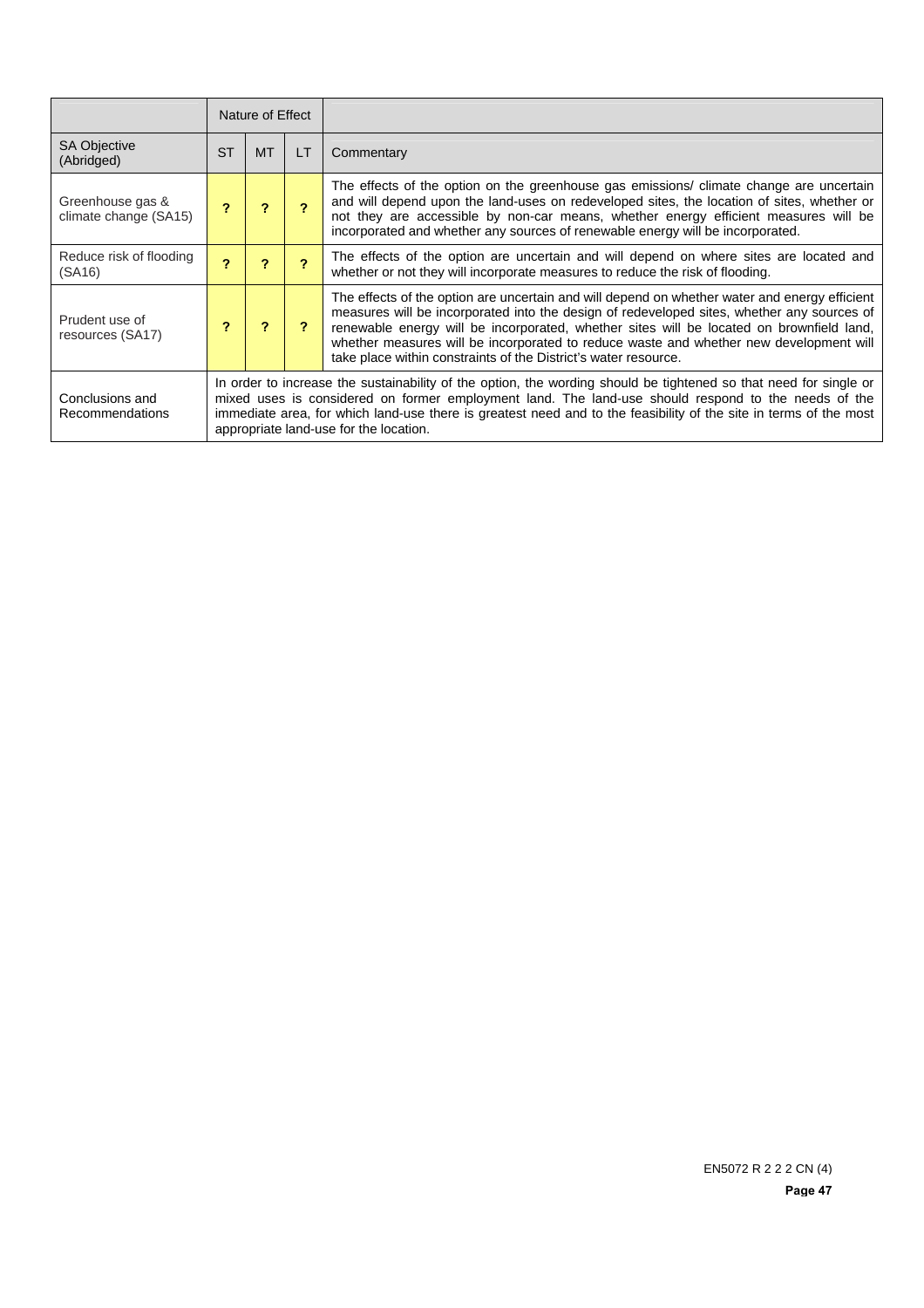|                                           |           | Nature of Effect                                                                                                                                                                                                                                                                                                                                                                        |    |                                                                                                                                                                                                                                                                                                                                                                                                                                                      |  |  |
|-------------------------------------------|-----------|-----------------------------------------------------------------------------------------------------------------------------------------------------------------------------------------------------------------------------------------------------------------------------------------------------------------------------------------------------------------------------------------|----|------------------------------------------------------------------------------------------------------------------------------------------------------------------------------------------------------------------------------------------------------------------------------------------------------------------------------------------------------------------------------------------------------------------------------------------------------|--|--|
| <b>SA Objective</b><br>(Abridged)         | <b>ST</b> | <b>MT</b>                                                                                                                                                                                                                                                                                                                                                                               | LT | Commentary                                                                                                                                                                                                                                                                                                                                                                                                                                           |  |  |
| Greenhouse gas &<br>climate change (SA15) |           |                                                                                                                                                                                                                                                                                                                                                                                         |    | The effects of the option on the greenhouse gas emissions/ climate change are uncertain<br>and will depend upon the land-uses on redeveloped sites, the location of sites, whether or<br>not they are accessible by non-car means, whether energy efficient measures will be<br>incorporated and whether any sources of renewable energy will be incorporated.                                                                                       |  |  |
| Reduce risk of flooding<br>(SA16)         | 2         | 2                                                                                                                                                                                                                                                                                                                                                                                       |    | The effects of the option are uncertain and will depend on where sites are located and<br>whether or not they will incorporate measures to reduce the risk of flooding.                                                                                                                                                                                                                                                                              |  |  |
| Prudent use of<br>resources (SA17)        |           |                                                                                                                                                                                                                                                                                                                                                                                         |    | The effects of the option are uncertain and will depend on whether water and energy efficient<br>measures will be incorporated into the design of redeveloped sites, whether any sources of<br>renewable energy will be incorporated, whether sites will be located on brownfield land,<br>whether measures will be incorporated to reduce waste and whether new development will<br>take place within constraints of the District's water resource. |  |  |
| Conclusions and<br>Recommendations        |           | In order to increase the sustainability of the option, the wording should be tightened so that need for single or<br>mixed uses is considered on former employment land. The land-use should respond to the needs of the<br>immediate area, for which land-use there is greatest need and to the feasibility of the site in terms of the most<br>appropriate land-use for the location. |    |                                                                                                                                                                                                                                                                                                                                                                                                                                                      |  |  |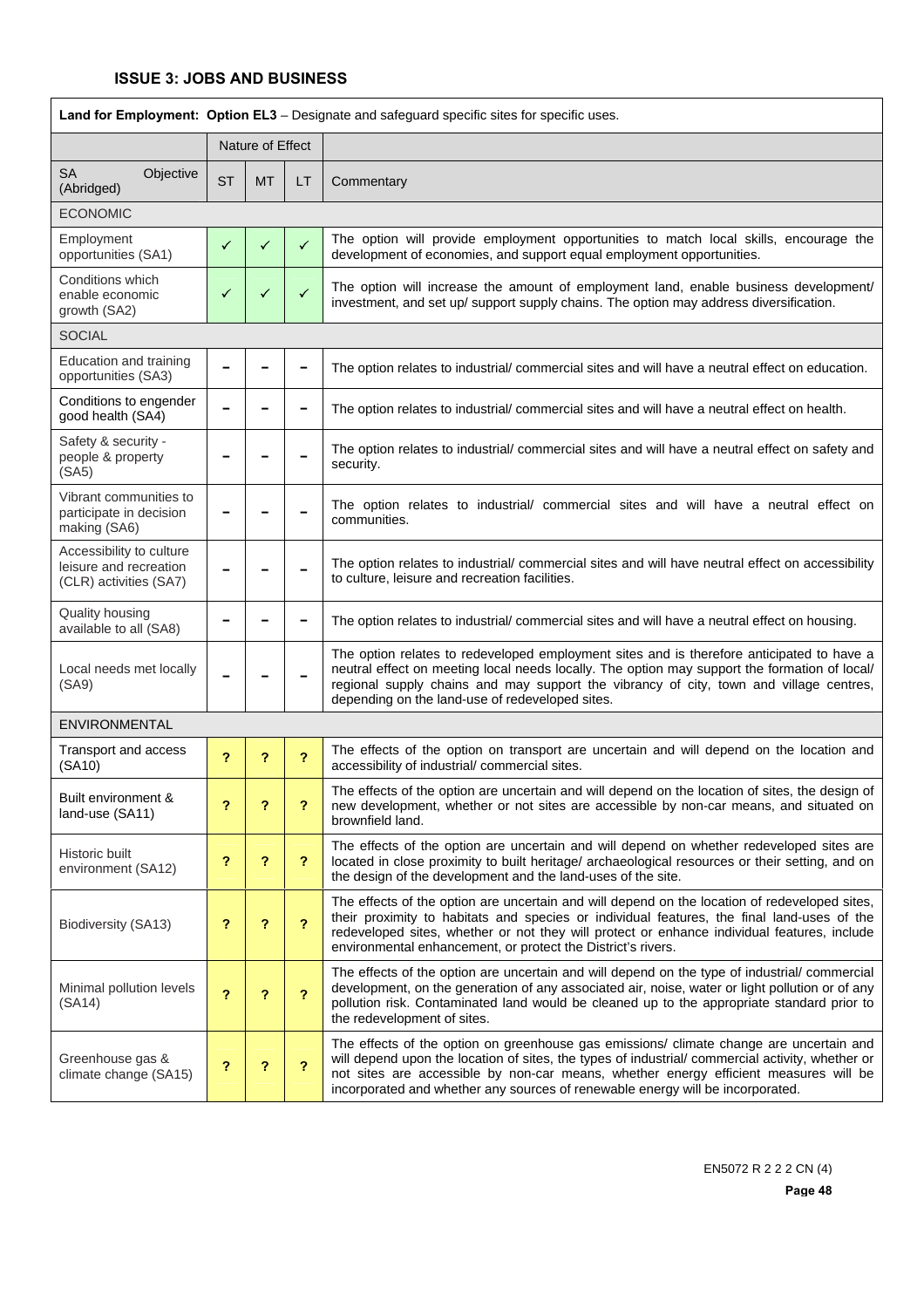| Land for Employment: Option EL3 - Designate and safeguard specific sites for specific uses. |              |                            |                           |                                                                                                                                                                                                                                                                                                                                                                       |  |  |
|---------------------------------------------------------------------------------------------|--------------|----------------------------|---------------------------|-----------------------------------------------------------------------------------------------------------------------------------------------------------------------------------------------------------------------------------------------------------------------------------------------------------------------------------------------------------------------|--|--|
|                                                                                             |              | Nature of Effect           |                           |                                                                                                                                                                                                                                                                                                                                                                       |  |  |
| <b>SA</b><br>Objective<br>(Abridged)                                                        | <b>ST</b>    | <b>MT</b>                  | LT                        | Commentary                                                                                                                                                                                                                                                                                                                                                            |  |  |
| <b>ECONOMIC</b>                                                                             |              |                            |                           |                                                                                                                                                                                                                                                                                                                                                                       |  |  |
| Employment<br>opportunities (SA1)                                                           | $\checkmark$ | ✓                          | $\checkmark$              | The option will provide employment opportunities to match local skills, encourage the<br>development of economies, and support equal employment opportunities.                                                                                                                                                                                                        |  |  |
| Conditions which<br>enable economic<br>growth (SA2)                                         | ✓            | ✓                          | ✓                         | The option will increase the amount of employment land, enable business development/<br>investment, and set up/ support supply chains. The option may address diversification.                                                                                                                                                                                        |  |  |
| <b>SOCIAL</b>                                                                               |              |                            |                           |                                                                                                                                                                                                                                                                                                                                                                       |  |  |
| Education and training<br>opportunities (SA3)                                               |              |                            |                           | The option relates to industrial/ commercial sites and will have a neutral effect on education.                                                                                                                                                                                                                                                                       |  |  |
| Conditions to engender<br>good health (SA4)                                                 |              |                            |                           | The option relates to industrial/ commercial sites and will have a neutral effect on health.                                                                                                                                                                                                                                                                          |  |  |
| Safety & security -<br>people & property<br>(SA5)                                           |              |                            |                           | The option relates to industrial/ commercial sites and will have a neutral effect on safety and<br>security.                                                                                                                                                                                                                                                          |  |  |
| Vibrant communities to<br>participate in decision<br>making (SA6)                           |              |                            |                           | The option relates to industrial/ commercial sites and will have a neutral effect on<br>communities.                                                                                                                                                                                                                                                                  |  |  |
| Accessibility to culture<br>leisure and recreation<br>(CLR) activities (SA7)                |              |                            |                           | The option relates to industrial/ commercial sites and will have neutral effect on accessibility<br>to culture, leisure and recreation facilities.                                                                                                                                                                                                                    |  |  |
| <b>Quality housing</b><br>available to all (SA8)                                            |              |                            |                           | The option relates to industrial/ commercial sites and will have a neutral effect on housing.                                                                                                                                                                                                                                                                         |  |  |
| Local needs met locally<br>(SA9)                                                            |              |                            |                           | The option relates to redeveloped employment sites and is therefore anticipated to have a<br>neutral effect on meeting local needs locally. The option may support the formation of local/<br>regional supply chains and may support the vibrancy of city, town and village centres,<br>depending on the land-use of redeveloped sites.                               |  |  |
| ENVIRONMENTAL                                                                               |              |                            |                           |                                                                                                                                                                                                                                                                                                                                                                       |  |  |
| Transport and access<br>(SA10)                                                              | ?            | ?                          | 2                         | The effects of the option on transport are uncertain and will depend on the location and<br>accessibility of industrial/ commercial sites.                                                                                                                                                                                                                            |  |  |
| Built environment &<br>land-use (SA11)                                                      | ?            | ?                          | ?                         | The effects of the option are uncertain and will depend on the location of sites, the design of<br>new development, whether or not sites are accessible by non-car means, and situated on<br>brownfield land.                                                                                                                                                         |  |  |
| Historic built<br>environment (SA12)                                                        | ?            | ?                          | ?                         | The effects of the option are uncertain and will depend on whether redeveloped sites are<br>located in close proximity to built heritage/ archaeological resources or their setting, and on<br>the design of the development and the land-uses of the site.                                                                                                           |  |  |
| Biodiversity (SA13)                                                                         | ?            | $\boldsymbol{\mathcal{P}}$ | $\overline{\mathbf{?}}$   | The effects of the option are uncertain and will depend on the location of redeveloped sites,<br>their proximity to habitats and species or individual features, the final land-uses of the<br>redeveloped sites, whether or not they will protect or enhance individual features, include<br>environmental enhancement, or protect the District's rivers.            |  |  |
| Minimal pollution levels<br>(SA14)                                                          | ?            | ?                          | $\overline{\mathbf{r}}$   | The effects of the option are uncertain and will depend on the type of industrial/ commercial<br>development, on the generation of any associated air, noise, water or light pollution or of any<br>pollution risk. Contaminated land would be cleaned up to the appropriate standard prior to<br>the redevelopment of sites.                                         |  |  |
| Greenhouse gas &<br>climate change (SA15)                                                   | ?            | ?                          | $\boldsymbol{\mathsf{?}}$ | The effects of the option on greenhouse gas emissions/ climate change are uncertain and<br>will depend upon the location of sites, the types of industrial/ commercial activity, whether or<br>not sites are accessible by non-car means, whether energy efficient measures will be<br>incorporated and whether any sources of renewable energy will be incorporated. |  |  |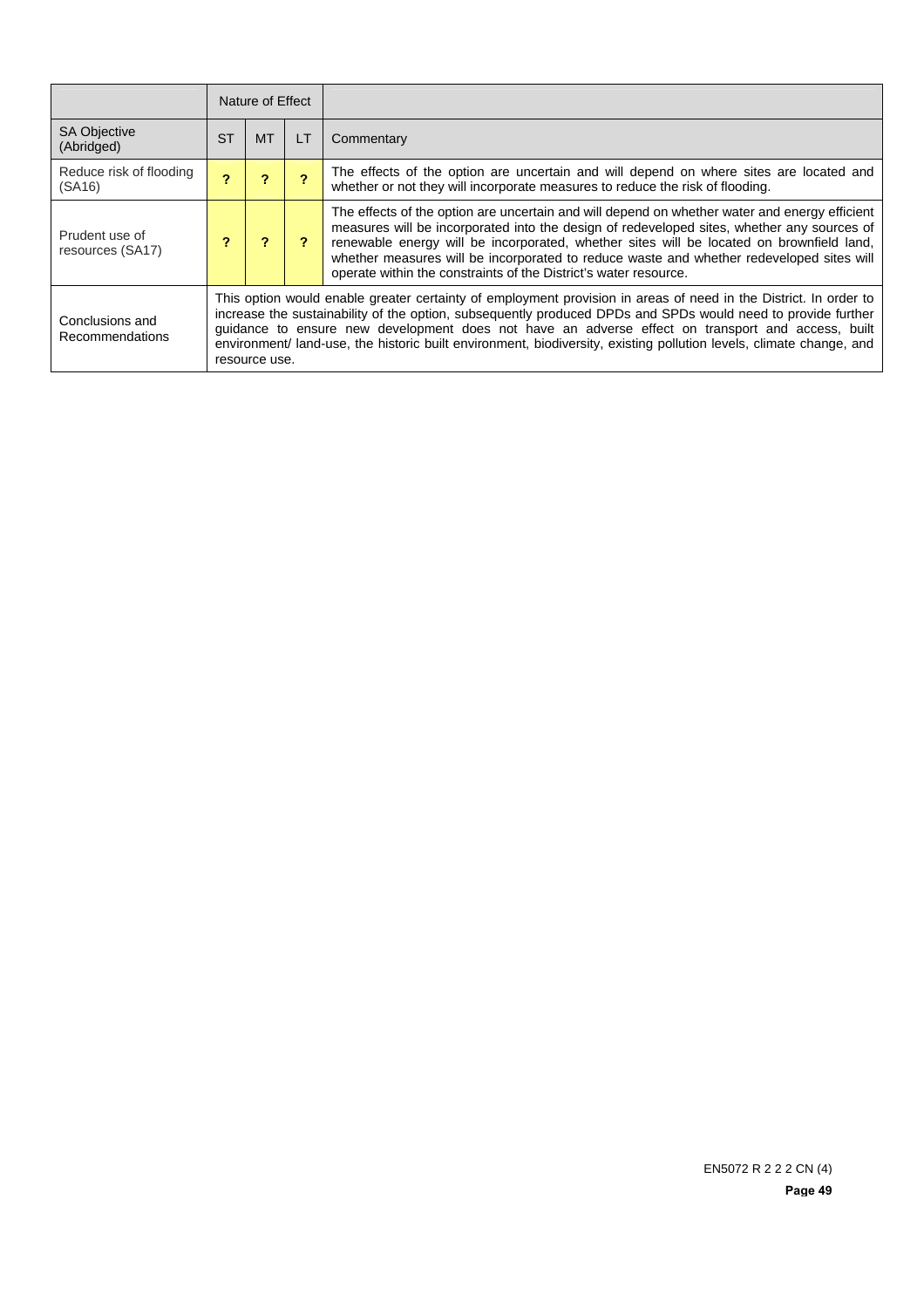|                                    | Nature of Effect                                                                                                                                                                                                                                                                                                                                                                                                                                                              |           |           |                                                                                                                                                                                                                                                                                                                                                                                                                                                         |  |
|------------------------------------|-------------------------------------------------------------------------------------------------------------------------------------------------------------------------------------------------------------------------------------------------------------------------------------------------------------------------------------------------------------------------------------------------------------------------------------------------------------------------------|-----------|-----------|---------------------------------------------------------------------------------------------------------------------------------------------------------------------------------------------------------------------------------------------------------------------------------------------------------------------------------------------------------------------------------------------------------------------------------------------------------|--|
| <b>SA Objective</b><br>(Abridged)  | <b>ST</b>                                                                                                                                                                                                                                                                                                                                                                                                                                                                     | <b>MT</b> | <b>LT</b> | Commentary                                                                                                                                                                                                                                                                                                                                                                                                                                              |  |
| Reduce risk of flooding<br>(SA16)  |                                                                                                                                                                                                                                                                                                                                                                                                                                                                               |           |           | The effects of the option are uncertain and will depend on where sites are located and<br>whether or not they will incorporate measures to reduce the risk of flooding.                                                                                                                                                                                                                                                                                 |  |
| Prudent use of<br>resources (SA17) |                                                                                                                                                                                                                                                                                                                                                                                                                                                                               |           |           | The effects of the option are uncertain and will depend on whether water and energy efficient<br>measures will be incorporated into the design of redeveloped sites, whether any sources of<br>renewable energy will be incorporated, whether sites will be located on brownfield land,<br>whether measures will be incorporated to reduce waste and whether redeveloped sites will<br>operate within the constraints of the District's water resource. |  |
| Conclusions and<br>Recommendations | This option would enable greater certainty of employment provision in areas of need in the District. In order to<br>increase the sustainability of the option, subsequently produced DPDs and SPDs would need to provide further<br>guidance to ensure new development does not have an adverse effect on transport and access, built<br>environment/ land-use, the historic built environment, biodiversity, existing pollution levels, climate change, and<br>resource use. |           |           |                                                                                                                                                                                                                                                                                                                                                                                                                                                         |  |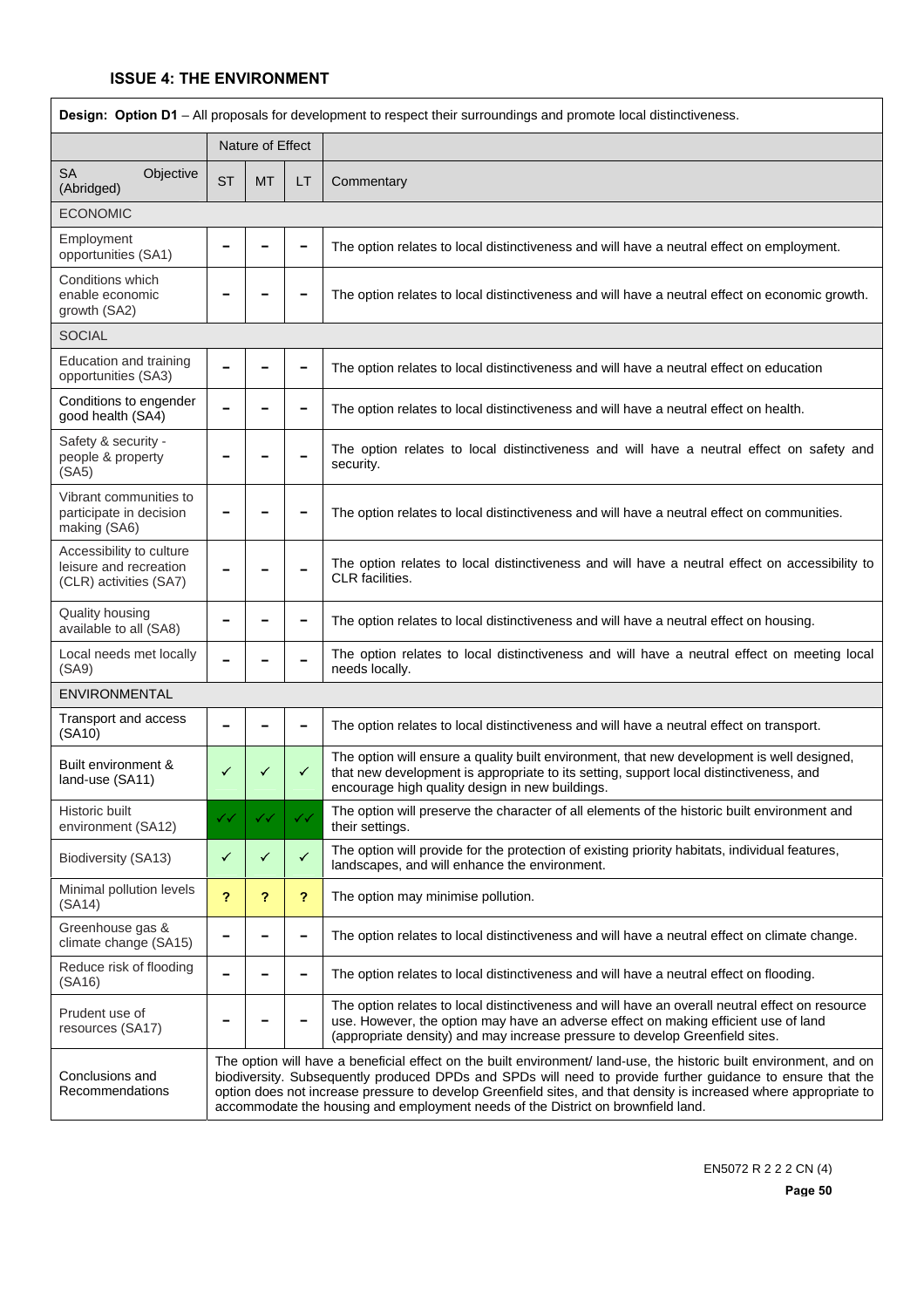| Design: Option D1 - All proposals for development to respect their surroundings and promote local distinctiveness. |           |                  |                          |                                                                                                                                                                                                                                                                                                                                                                                                                                            |  |  |  |  |  |  |
|--------------------------------------------------------------------------------------------------------------------|-----------|------------------|--------------------------|--------------------------------------------------------------------------------------------------------------------------------------------------------------------------------------------------------------------------------------------------------------------------------------------------------------------------------------------------------------------------------------------------------------------------------------------|--|--|--|--|--|--|
|                                                                                                                    |           | Nature of Effect |                          |                                                                                                                                                                                                                                                                                                                                                                                                                                            |  |  |  |  |  |  |
| <b>SA</b><br>Objective<br>(Abridged)                                                                               | <b>ST</b> | <b>MT</b>        | LT                       | Commentary                                                                                                                                                                                                                                                                                                                                                                                                                                 |  |  |  |  |  |  |
| <b>ECONOMIC</b>                                                                                                    |           |                  |                          |                                                                                                                                                                                                                                                                                                                                                                                                                                            |  |  |  |  |  |  |
| Employment<br>opportunities (SA1)                                                                                  |           |                  |                          | The option relates to local distinctiveness and will have a neutral effect on employment.                                                                                                                                                                                                                                                                                                                                                  |  |  |  |  |  |  |
| Conditions which<br>enable economic<br>growth (SA2)                                                                |           |                  |                          | The option relates to local distinctiveness and will have a neutral effect on economic growth.                                                                                                                                                                                                                                                                                                                                             |  |  |  |  |  |  |
| <b>SOCIAL</b>                                                                                                      |           |                  |                          |                                                                                                                                                                                                                                                                                                                                                                                                                                            |  |  |  |  |  |  |
| Education and training<br>opportunities (SA3)                                                                      |           |                  | $\overline{\phantom{a}}$ | The option relates to local distinctiveness and will have a neutral effect on education                                                                                                                                                                                                                                                                                                                                                    |  |  |  |  |  |  |
| Conditions to engender<br>good health (SA4)                                                                        |           |                  |                          | The option relates to local distinctiveness and will have a neutral effect on health.                                                                                                                                                                                                                                                                                                                                                      |  |  |  |  |  |  |
| Safety & security -<br>people & property<br>(SA5)                                                                  |           |                  |                          | The option relates to local distinctiveness and will have a neutral effect on safety and<br>security.                                                                                                                                                                                                                                                                                                                                      |  |  |  |  |  |  |
| Vibrant communities to<br>participate in decision<br>making (SA6)                                                  |           |                  |                          | The option relates to local distinctiveness and will have a neutral effect on communities.                                                                                                                                                                                                                                                                                                                                                 |  |  |  |  |  |  |
| Accessibility to culture<br>leisure and recreation<br>(CLR) activities (SA7)                                       |           |                  |                          | The option relates to local distinctiveness and will have a neutral effect on accessibility to<br>CLR facilities.                                                                                                                                                                                                                                                                                                                          |  |  |  |  |  |  |
| Quality housing<br>available to all (SA8)                                                                          |           |                  |                          | The option relates to local distinctiveness and will have a neutral effect on housing.                                                                                                                                                                                                                                                                                                                                                     |  |  |  |  |  |  |
| Local needs met locally<br>(SA9)                                                                                   |           |                  |                          | The option relates to local distinctiveness and will have a neutral effect on meeting local<br>needs locally.                                                                                                                                                                                                                                                                                                                              |  |  |  |  |  |  |
| ENVIRONMENTAL                                                                                                      |           |                  |                          |                                                                                                                                                                                                                                                                                                                                                                                                                                            |  |  |  |  |  |  |
| Transport and access<br>(SA10)                                                                                     |           |                  | $\overline{\phantom{0}}$ | The option relates to local distinctiveness and will have a neutral effect on transport.                                                                                                                                                                                                                                                                                                                                                   |  |  |  |  |  |  |
| Built environment &<br>land-use (SA11)                                                                             | ✓         | ✓                | ✓                        | The option will ensure a quality built environment, that new development is well designed,<br>that new development is appropriate to its setting, support local distinctiveness, and<br>encourage high quality design in new buildings.                                                                                                                                                                                                    |  |  |  |  |  |  |
| Historic built<br>environment (SA12)                                                                               | ✓✓        | ✓✓               | ✓✓                       | The option will preserve the character of all elements of the historic built environment and<br>their settings.                                                                                                                                                                                                                                                                                                                            |  |  |  |  |  |  |
| Biodiversity (SA13)                                                                                                | ✓         | ✓                | $\checkmark$             | The option will provide for the protection of existing priority habitats, individual features,<br>landscapes, and will enhance the environment.                                                                                                                                                                                                                                                                                            |  |  |  |  |  |  |
| Minimal pollution levels<br>(SA14)                                                                                 | ?         | ?                | $\overline{\mathbf{r}}$  | The option may minimise pollution.                                                                                                                                                                                                                                                                                                                                                                                                         |  |  |  |  |  |  |
| Greenhouse gas &<br>climate change (SA15)                                                                          |           |                  | $\overline{\phantom{a}}$ | The option relates to local distinctiveness and will have a neutral effect on climate change.                                                                                                                                                                                                                                                                                                                                              |  |  |  |  |  |  |
| Reduce risk of flooding<br>(SA16)                                                                                  |           |                  |                          | The option relates to local distinctiveness and will have a neutral effect on flooding.                                                                                                                                                                                                                                                                                                                                                    |  |  |  |  |  |  |
| Prudent use of<br>resources (SA17)                                                                                 |           |                  |                          | The option relates to local distinctiveness and will have an overall neutral effect on resource<br>use. However, the option may have an adverse effect on making efficient use of land<br>(appropriate density) and may increase pressure to develop Greenfield sites.                                                                                                                                                                     |  |  |  |  |  |  |
| Conclusions and<br>Recommendations                                                                                 |           |                  |                          | The option will have a beneficial effect on the built environment/ land-use, the historic built environment, and on<br>biodiversity. Subsequently produced DPDs and SPDs will need to provide further guidance to ensure that the<br>option does not increase pressure to develop Greenfield sites, and that density is increased where appropriate to<br>accommodate the housing and employment needs of the District on brownfield land. |  |  |  |  |  |  |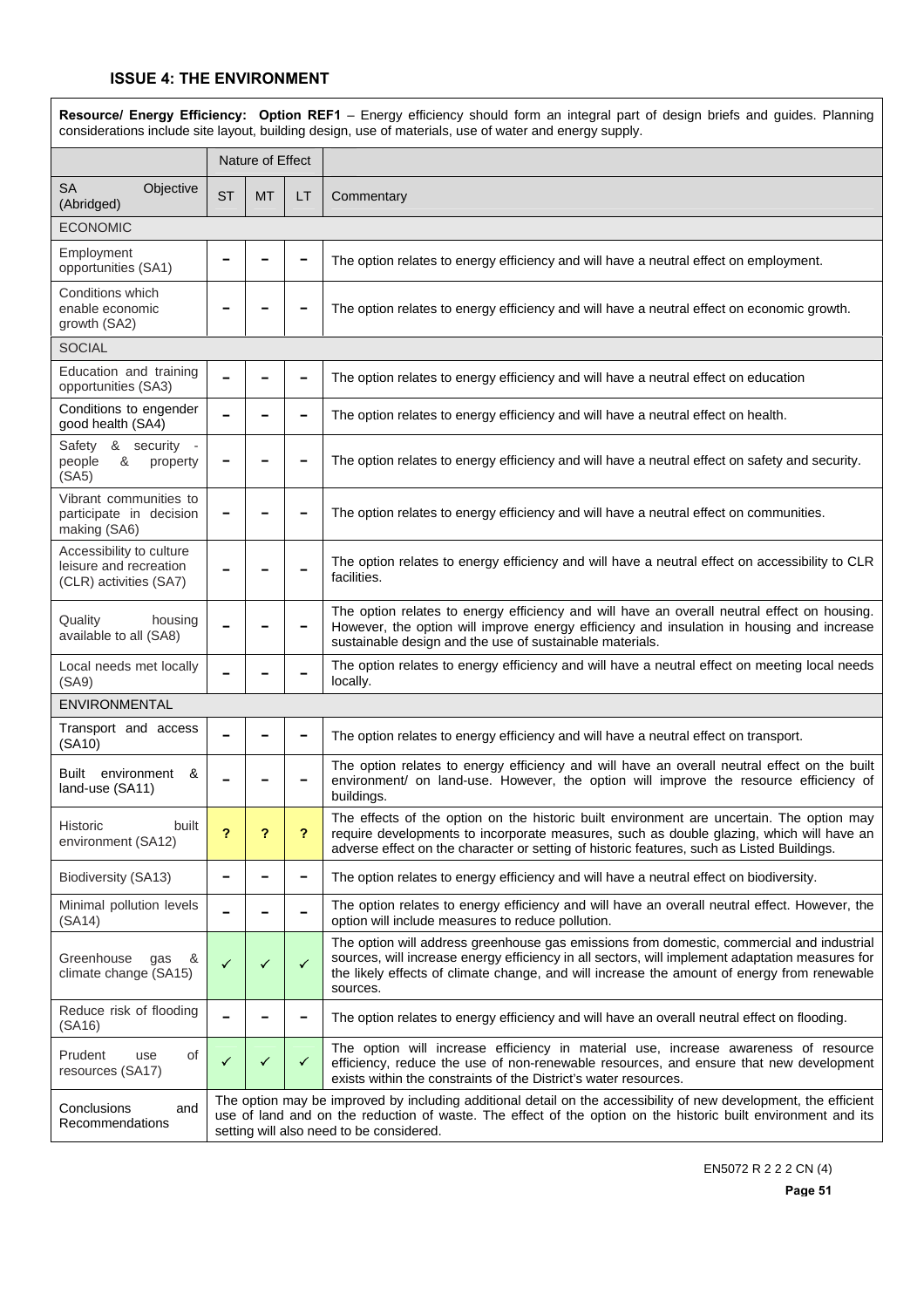|                                                                              |           |                  |              | Resource/ Energy Efficiency: Option REF1 - Energy efficiency should form an integral part of design briefs and guides. Planning<br>considerations include site layout, building design, use of materials, use of water and energy supply.                                                               |
|------------------------------------------------------------------------------|-----------|------------------|--------------|---------------------------------------------------------------------------------------------------------------------------------------------------------------------------------------------------------------------------------------------------------------------------------------------------------|
|                                                                              |           | Nature of Effect |              |                                                                                                                                                                                                                                                                                                         |
| <b>SA</b><br>Objective<br>(Abridged)                                         | <b>ST</b> | <b>MT</b>        | LT           | Commentary                                                                                                                                                                                                                                                                                              |
| <b>ECONOMIC</b>                                                              |           |                  |              |                                                                                                                                                                                                                                                                                                         |
| Employment<br>opportunities (SA1)                                            |           |                  |              | The option relates to energy efficiency and will have a neutral effect on employment.                                                                                                                                                                                                                   |
| Conditions which<br>enable economic<br>growth (SA2)                          |           |                  |              | The option relates to energy efficiency and will have a neutral effect on economic growth.                                                                                                                                                                                                              |
| <b>SOCIAL</b>                                                                |           |                  |              |                                                                                                                                                                                                                                                                                                         |
| Education and training<br>opportunities (SA3)                                |           |                  | -            | The option relates to energy efficiency and will have a neutral effect on education                                                                                                                                                                                                                     |
| Conditions to engender<br>good health (SA4)                                  |           |                  |              | The option relates to energy efficiency and will have a neutral effect on health.                                                                                                                                                                                                                       |
| Safety & security -<br>&<br>property<br>people<br>(SA5)                      |           |                  |              | The option relates to energy efficiency and will have a neutral effect on safety and security.                                                                                                                                                                                                          |
| Vibrant communities to<br>participate in decision<br>making (SA6)            |           |                  |              | The option relates to energy efficiency and will have a neutral effect on communities.                                                                                                                                                                                                                  |
| Accessibility to culture<br>leisure and recreation<br>(CLR) activities (SA7) |           |                  |              | The option relates to energy efficiency and will have a neutral effect on accessibility to CLR<br>facilities.                                                                                                                                                                                           |
| Quality<br>housing<br>available to all (SA8)                                 |           |                  |              | The option relates to energy efficiency and will have an overall neutral effect on housing.<br>However, the option will improve energy efficiency and insulation in housing and increase<br>sustainable design and the use of sustainable materials.                                                    |
| Local needs met locally<br>(SA9)                                             |           |                  |              | The option relates to energy efficiency and will have a neutral effect on meeting local needs<br>locally.                                                                                                                                                                                               |
| ENVIRONMENTAL                                                                |           |                  |              |                                                                                                                                                                                                                                                                                                         |
| Transport and access<br>(SA10)                                               |           |                  | -            | The option relates to energy efficiency and will have a neutral effect on transport.                                                                                                                                                                                                                    |
| environment &<br>Built<br>land-use (SA11)                                    |           |                  |              | The option relates to energy efficiency and will have an overall neutral effect on the built<br>environment/ on land-use. However, the option will improve the resource efficiency of<br>buildings.                                                                                                     |
| Historic<br>built<br>environment (SA12)                                      | 2         | ?                | ?            | The effects of the option on the historic built environment are uncertain. The option may<br>require developments to incorporate measures, such as double glazing, which will have an<br>adverse effect on the character or setting of historic features, such as Listed Buildings.                     |
| Biodiversity (SA13)                                                          |           |                  | -            | The option relates to energy efficiency and will have a neutral effect on biodiversity.                                                                                                                                                                                                                 |
| Minimal pollution levels<br>(SA14)                                           |           |                  |              | The option relates to energy efficiency and will have an overall neutral effect. However, the<br>option will include measures to reduce pollution.                                                                                                                                                      |
| Greenhouse<br>&<br>gas<br>climate change (SA15)                              | ✓         | ✓                | $\checkmark$ | The option will address greenhouse gas emissions from domestic, commercial and industrial<br>sources, will increase energy efficiency in all sectors, will implement adaptation measures for<br>the likely effects of climate change, and will increase the amount of energy from renewable<br>sources. |
| Reduce risk of flooding<br>(SA16)                                            |           |                  |              | The option relates to energy efficiency and will have an overall neutral effect on flooding.                                                                                                                                                                                                            |
| Prudent<br>of<br>use<br>resources (SA17)                                     | ✓         | ✓                | ✓            | The option will increase efficiency in material use, increase awareness of resource<br>efficiency, reduce the use of non-renewable resources, and ensure that new development<br>exists within the constraints of the District's water resources.                                                       |
| Conclusions<br>and<br>Recommendations                                        |           |                  |              | The option may be improved by including additional detail on the accessibility of new development, the efficient<br>use of land and on the reduction of waste. The effect of the option on the historic built environment and its<br>setting will also need to be considered.                           |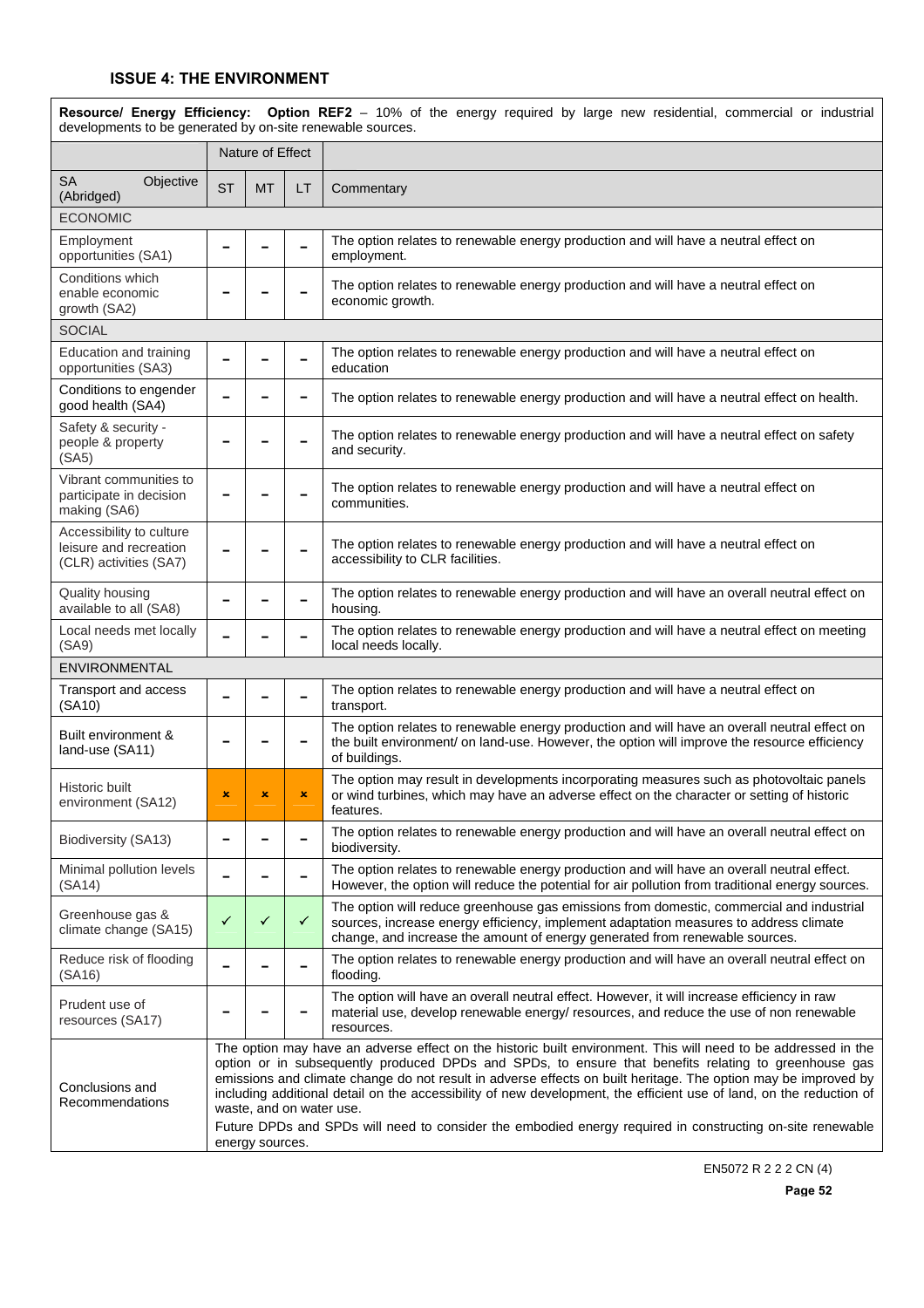| Resource/ Energy Efficiency: Option REF2 - 10% of the energy required by large new residential, commercial or industrial<br>developments to be generated by on-site renewable sources. |              |                  |                |                                                                                                                                                                                                                                                                                                                                                                                                                                                                                                                                                                                                          |  |  |
|----------------------------------------------------------------------------------------------------------------------------------------------------------------------------------------|--------------|------------------|----------------|----------------------------------------------------------------------------------------------------------------------------------------------------------------------------------------------------------------------------------------------------------------------------------------------------------------------------------------------------------------------------------------------------------------------------------------------------------------------------------------------------------------------------------------------------------------------------------------------------------|--|--|
|                                                                                                                                                                                        |              | Nature of Effect |                |                                                                                                                                                                                                                                                                                                                                                                                                                                                                                                                                                                                                          |  |  |
| SA<br>Objective<br>(Abridged)                                                                                                                                                          | <b>ST</b>    | <b>MT</b>        | LT             | Commentary                                                                                                                                                                                                                                                                                                                                                                                                                                                                                                                                                                                               |  |  |
| <b>ECONOMIC</b>                                                                                                                                                                        |              |                  |                |                                                                                                                                                                                                                                                                                                                                                                                                                                                                                                                                                                                                          |  |  |
| Employment<br>opportunities (SA1)                                                                                                                                                      |              |                  |                | The option relates to renewable energy production and will have a neutral effect on<br>employment.                                                                                                                                                                                                                                                                                                                                                                                                                                                                                                       |  |  |
| Conditions which<br>enable economic<br>growth (SA2)                                                                                                                                    |              |                  |                | The option relates to renewable energy production and will have a neutral effect on<br>economic growth.                                                                                                                                                                                                                                                                                                                                                                                                                                                                                                  |  |  |
| <b>SOCIAL</b>                                                                                                                                                                          |              |                  |                |                                                                                                                                                                                                                                                                                                                                                                                                                                                                                                                                                                                                          |  |  |
| Education and training<br>opportunities (SA3)                                                                                                                                          |              |                  |                | The option relates to renewable energy production and will have a neutral effect on<br>education                                                                                                                                                                                                                                                                                                                                                                                                                                                                                                         |  |  |
| Conditions to engender<br>good health (SA4)                                                                                                                                            |              |                  |                | The option relates to renewable energy production and will have a neutral effect on health.                                                                                                                                                                                                                                                                                                                                                                                                                                                                                                              |  |  |
| Safety & security -<br>people & property<br>(SA5)                                                                                                                                      |              |                  |                | The option relates to renewable energy production and will have a neutral effect on safety<br>and security.                                                                                                                                                                                                                                                                                                                                                                                                                                                                                              |  |  |
| Vibrant communities to<br>participate in decision<br>making (SA6)                                                                                                                      |              |                  |                | The option relates to renewable energy production and will have a neutral effect on<br>communities.                                                                                                                                                                                                                                                                                                                                                                                                                                                                                                      |  |  |
| Accessibility to culture<br>leisure and recreation<br>(CLR) activities (SA7)                                                                                                           |              |                  |                | The option relates to renewable energy production and will have a neutral effect on<br>accessibility to CLR facilities.                                                                                                                                                                                                                                                                                                                                                                                                                                                                                  |  |  |
| Quality housing<br>available to all (SA8)                                                                                                                                              |              |                  |                | The option relates to renewable energy production and will have an overall neutral effect on<br>housing.                                                                                                                                                                                                                                                                                                                                                                                                                                                                                                 |  |  |
| Local needs met locally<br>(SA9)                                                                                                                                                       |              |                  |                | The option relates to renewable energy production and will have a neutral effect on meeting<br>local needs locally.                                                                                                                                                                                                                                                                                                                                                                                                                                                                                      |  |  |
| ENVIRONMENTAL                                                                                                                                                                          |              |                  |                |                                                                                                                                                                                                                                                                                                                                                                                                                                                                                                                                                                                                          |  |  |
| Transport and access<br>(SA10)                                                                                                                                                         |              |                  |                | The option relates to renewable energy production and will have a neutral effect on<br>transport.                                                                                                                                                                                                                                                                                                                                                                                                                                                                                                        |  |  |
| Built environment &<br>land-use (SA11)                                                                                                                                                 |              |                  |                | The option relates to renewable energy production and will have an overall neutral effect on<br>the built environment/ on land-use. However, the option will improve the resource efficiency<br>of buildings.                                                                                                                                                                                                                                                                                                                                                                                            |  |  |
| Historic built<br>environment (SA12)                                                                                                                                                   | x            | ×                | $\pmb{\times}$ | The option may result in developments incorporating measures such as photovoltaic panels<br>or wind turbines, which may have an adverse effect on the character or setting of historic<br>features.                                                                                                                                                                                                                                                                                                                                                                                                      |  |  |
| Biodiversity (SA13)                                                                                                                                                                    |              |                  |                | The option relates to renewable energy production and will have an overall neutral effect on<br>biodiversity.                                                                                                                                                                                                                                                                                                                                                                                                                                                                                            |  |  |
| Minimal pollution levels<br>(SA14)                                                                                                                                                     |              |                  |                | The option relates to renewable energy production and will have an overall neutral effect.<br>However, the option will reduce the potential for air pollution from traditional energy sources.                                                                                                                                                                                                                                                                                                                                                                                                           |  |  |
| Greenhouse gas &<br>climate change (SA15)                                                                                                                                              | $\checkmark$ | ✓                | ✓              | The option will reduce greenhouse gas emissions from domestic, commercial and industrial<br>sources, increase energy efficiency, implement adaptation measures to address climate<br>change, and increase the amount of energy generated from renewable sources.                                                                                                                                                                                                                                                                                                                                         |  |  |
| Reduce risk of flooding<br>(SA16)                                                                                                                                                      |              |                  |                | The option relates to renewable energy production and will have an overall neutral effect on<br>flooding.                                                                                                                                                                                                                                                                                                                                                                                                                                                                                                |  |  |
| Prudent use of<br>resources (SA17)                                                                                                                                                     |              |                  |                | The option will have an overall neutral effect. However, it will increase efficiency in raw<br>material use, develop renewable energy/ resources, and reduce the use of non renewable<br>resources.                                                                                                                                                                                                                                                                                                                                                                                                      |  |  |
| Conclusions and<br>Recommendations                                                                                                                                                     |              | energy sources.  |                | The option may have an adverse effect on the historic built environment. This will need to be addressed in the<br>option or in subsequently produced DPDs and SPDs, to ensure that benefits relating to greenhouse gas<br>emissions and climate change do not result in adverse effects on built heritage. The option may be improved by<br>including additional detail on the accessibility of new development, the efficient use of land, on the reduction of<br>waste, and on water use.<br>Future DPDs and SPDs will need to consider the embodied energy required in constructing on-site renewable |  |  |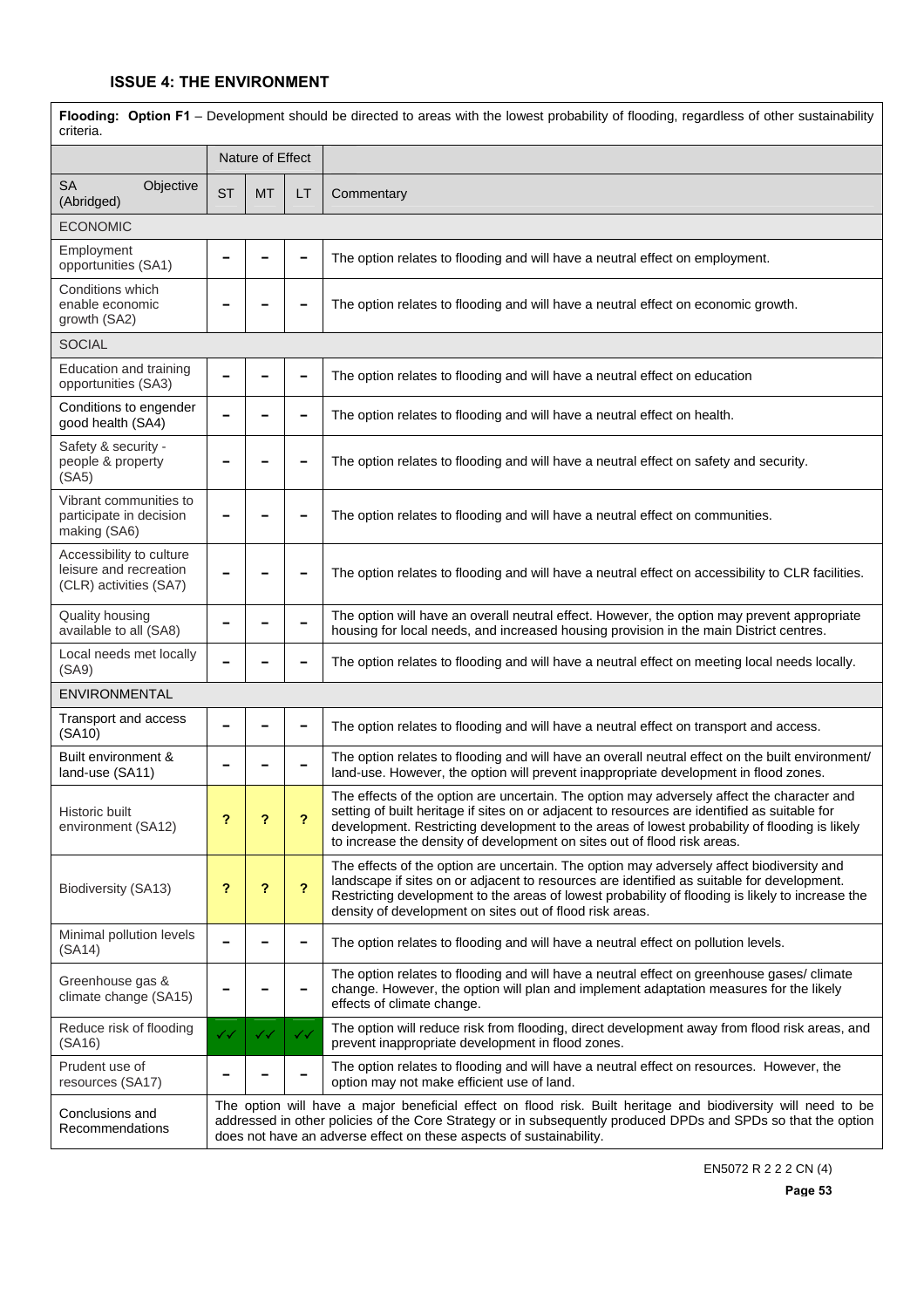| Flooding: Option F1 - Development should be directed to areas with the lowest probability of flooding, regardless of other sustainability<br>criteria. |           |                  |                          |                                                                                                                                                                                                                                                                                                                                                                          |  |  |  |
|--------------------------------------------------------------------------------------------------------------------------------------------------------|-----------|------------------|--------------------------|--------------------------------------------------------------------------------------------------------------------------------------------------------------------------------------------------------------------------------------------------------------------------------------------------------------------------------------------------------------------------|--|--|--|
|                                                                                                                                                        |           | Nature of Effect |                          |                                                                                                                                                                                                                                                                                                                                                                          |  |  |  |
| <b>SA</b><br>Objective<br>(Abridged)                                                                                                                   | <b>ST</b> | <b>MT</b>        | LT                       | Commentary                                                                                                                                                                                                                                                                                                                                                               |  |  |  |
| <b>ECONOMIC</b>                                                                                                                                        |           |                  |                          |                                                                                                                                                                                                                                                                                                                                                                          |  |  |  |
| Employment<br>opportunities (SA1)                                                                                                                      |           |                  |                          | The option relates to flooding and will have a neutral effect on employment.                                                                                                                                                                                                                                                                                             |  |  |  |
| Conditions which<br>enable economic<br>growth (SA2)                                                                                                    |           |                  |                          | The option relates to flooding and will have a neutral effect on economic growth.                                                                                                                                                                                                                                                                                        |  |  |  |
| <b>SOCIAL</b>                                                                                                                                          |           |                  |                          |                                                                                                                                                                                                                                                                                                                                                                          |  |  |  |
| Education and training<br>opportunities (SA3)                                                                                                          |           |                  | -                        | The option relates to flooding and will have a neutral effect on education                                                                                                                                                                                                                                                                                               |  |  |  |
| Conditions to engender<br>good health (SA4)                                                                                                            |           |                  |                          | The option relates to flooding and will have a neutral effect on health.                                                                                                                                                                                                                                                                                                 |  |  |  |
| Safety & security -<br>people & property<br>(SA5)                                                                                                      |           |                  |                          | The option relates to flooding and will have a neutral effect on safety and security.                                                                                                                                                                                                                                                                                    |  |  |  |
| Vibrant communities to<br>participate in decision<br>making (SA6)                                                                                      |           |                  |                          | The option relates to flooding and will have a neutral effect on communities.                                                                                                                                                                                                                                                                                            |  |  |  |
| Accessibility to culture<br>leisure and recreation<br>(CLR) activities (SA7)                                                                           |           |                  |                          | The option relates to flooding and will have a neutral effect on accessibility to CLR facilities.                                                                                                                                                                                                                                                                        |  |  |  |
| Quality housing<br>available to all (SA8)                                                                                                              |           |                  |                          | The option will have an overall neutral effect. However, the option may prevent appropriate<br>housing for local needs, and increased housing provision in the main District centres.                                                                                                                                                                                    |  |  |  |
| Local needs met locally<br>(SA9)                                                                                                                       |           |                  |                          | The option relates to flooding and will have a neutral effect on meeting local needs locally.                                                                                                                                                                                                                                                                            |  |  |  |
| ENVIRONMENTAL                                                                                                                                          |           |                  |                          |                                                                                                                                                                                                                                                                                                                                                                          |  |  |  |
| Transport and access<br>(SA10)                                                                                                                         |           | -                | $\overline{\phantom{a}}$ | The option relates to flooding and will have a neutral effect on transport and access.                                                                                                                                                                                                                                                                                   |  |  |  |
| Built environment &<br>land-use (SA11)                                                                                                                 |           |                  |                          | The option relates to flooding and will have an overall neutral effect on the built environment/<br>land-use. However, the option will prevent inappropriate development in flood zones.                                                                                                                                                                                 |  |  |  |
| Historic built<br>environment (SA12)                                                                                                                   | ?         | ?                | ?                        | The effects of the option are uncertain. The option may adversely affect the character and<br>setting of built heritage if sites on or adjacent to resources are identified as suitable for<br>development. Restricting development to the areas of lowest probability of flooding is likely<br>to increase the density of development on sites out of flood risk areas. |  |  |  |
| Biodiversity (SA13)                                                                                                                                    | ?         | ?                | ?                        | The effects of the option are uncertain. The option may adversely affect biodiversity and<br>landscape if sites on or adjacent to resources are identified as suitable for development.<br>Restricting development to the areas of lowest probability of flooding is likely to increase the<br>density of development on sites out of flood risk areas.                  |  |  |  |
| Minimal pollution levels<br>(SA14)                                                                                                                     |           |                  |                          | The option relates to flooding and will have a neutral effect on pollution levels.                                                                                                                                                                                                                                                                                       |  |  |  |
| Greenhouse gas &<br>climate change (SA15)                                                                                                              |           |                  |                          | The option relates to flooding and will have a neutral effect on greenhouse gases/ climate<br>change. However, the option will plan and implement adaptation measures for the likely<br>effects of climate change.                                                                                                                                                       |  |  |  |
| Reduce risk of flooding<br>(SA16)                                                                                                                      | ✓✓        | ✓✓               | ✓✓                       | The option will reduce risk from flooding, direct development away from flood risk areas, and<br>prevent inappropriate development in flood zones.                                                                                                                                                                                                                       |  |  |  |
| Prudent use of<br>resources (SA17)                                                                                                                     |           |                  |                          | The option relates to flooding and will have a neutral effect on resources. However, the<br>option may not make efficient use of land.                                                                                                                                                                                                                                   |  |  |  |
| Conclusions and<br>Recommendations                                                                                                                     |           |                  |                          | The option will have a major beneficial effect on flood risk. Built heritage and biodiversity will need to be<br>addressed in other policies of the Core Strategy or in subsequently produced DPDs and SPDs so that the option<br>does not have an adverse effect on these aspects of sustainability.                                                                    |  |  |  |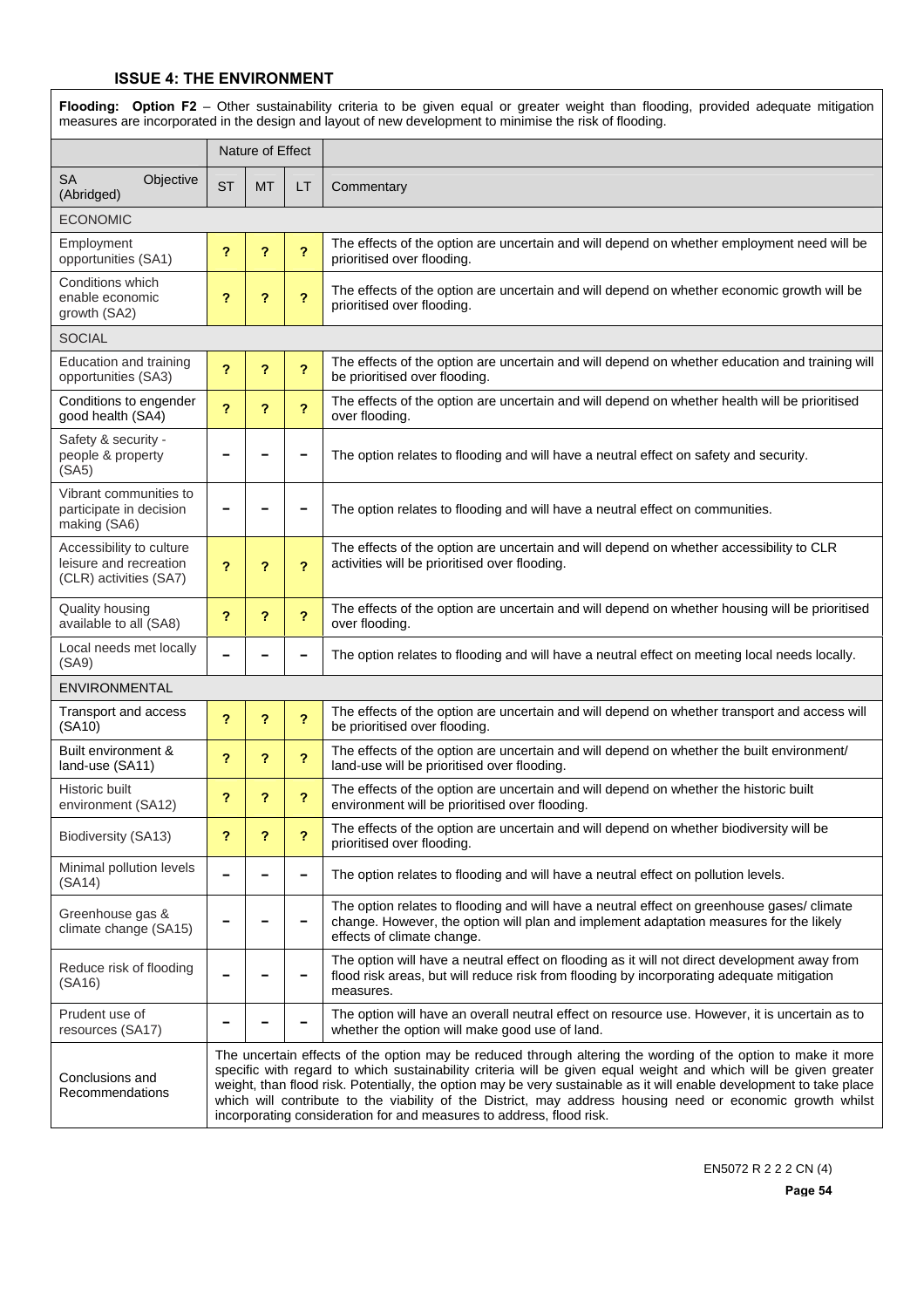| Flooding: Option F2 - Other sustainability criteria to be given equal or greater weight than flooding, provided adequate mitigation<br>measures are incorporated in the design and layout of new development to minimise the risk of flooding. |           |                         |                         |                                                                                                                                                                                                                                                                                                                                                                                                                                                                                                                                                 |  |  |
|------------------------------------------------------------------------------------------------------------------------------------------------------------------------------------------------------------------------------------------------|-----------|-------------------------|-------------------------|-------------------------------------------------------------------------------------------------------------------------------------------------------------------------------------------------------------------------------------------------------------------------------------------------------------------------------------------------------------------------------------------------------------------------------------------------------------------------------------------------------------------------------------------------|--|--|
|                                                                                                                                                                                                                                                |           | Nature of Effect        |                         |                                                                                                                                                                                                                                                                                                                                                                                                                                                                                                                                                 |  |  |
| <b>SA</b><br>Objective<br>(Abridged)                                                                                                                                                                                                           | <b>ST</b> | <b>MT</b>               | LT                      | Commentary                                                                                                                                                                                                                                                                                                                                                                                                                                                                                                                                      |  |  |
| <b>ECONOMIC</b>                                                                                                                                                                                                                                |           |                         |                         |                                                                                                                                                                                                                                                                                                                                                                                                                                                                                                                                                 |  |  |
| Employment<br>opportunities (SA1)                                                                                                                                                                                                              | ?         | $\overline{\mathbf{?}}$ | $\overline{\mathbf{?}}$ | The effects of the option are uncertain and will depend on whether employment need will be<br>prioritised over flooding.                                                                                                                                                                                                                                                                                                                                                                                                                        |  |  |
| Conditions which<br>enable economic<br>growth (SA2)                                                                                                                                                                                            | ?         | ?                       | ?                       | The effects of the option are uncertain and will depend on whether economic growth will be<br>prioritised over flooding.                                                                                                                                                                                                                                                                                                                                                                                                                        |  |  |
| <b>SOCIAL</b>                                                                                                                                                                                                                                  |           |                         |                         |                                                                                                                                                                                                                                                                                                                                                                                                                                                                                                                                                 |  |  |
| Education and training<br>opportunities (SA3)                                                                                                                                                                                                  | ?         | ?                       | ?                       | The effects of the option are uncertain and will depend on whether education and training will<br>be prioritised over flooding.                                                                                                                                                                                                                                                                                                                                                                                                                 |  |  |
| Conditions to engender<br>good health (SA4)                                                                                                                                                                                                    | ?         | ?                       | ?                       | The effects of the option are uncertain and will depend on whether health will be prioritised<br>over flooding.                                                                                                                                                                                                                                                                                                                                                                                                                                 |  |  |
| Safety & security -<br>people & property<br>(SA5)                                                                                                                                                                                              |           |                         |                         | The option relates to flooding and will have a neutral effect on safety and security.                                                                                                                                                                                                                                                                                                                                                                                                                                                           |  |  |
| Vibrant communities to<br>participate in decision<br>making (SA6)                                                                                                                                                                              |           |                         | -                       | The option relates to flooding and will have a neutral effect on communities.                                                                                                                                                                                                                                                                                                                                                                                                                                                                   |  |  |
| Accessibility to culture<br>leisure and recreation<br>(CLR) activities (SA7)                                                                                                                                                                   | 2         | ?                       | ?                       | The effects of the option are uncertain and will depend on whether accessibility to CLR<br>activities will be prioritised over flooding.                                                                                                                                                                                                                                                                                                                                                                                                        |  |  |
| Quality housing<br>available to all (SA8)                                                                                                                                                                                                      | ?         | ?                       | ?                       | The effects of the option are uncertain and will depend on whether housing will be prioritised<br>over flooding.                                                                                                                                                                                                                                                                                                                                                                                                                                |  |  |
| Local needs met locally<br>(SA9)                                                                                                                                                                                                               |           |                         |                         | The option relates to flooding and will have a neutral effect on meeting local needs locally.                                                                                                                                                                                                                                                                                                                                                                                                                                                   |  |  |
| <b>ENVIRONMENTAL</b>                                                                                                                                                                                                                           |           |                         |                         |                                                                                                                                                                                                                                                                                                                                                                                                                                                                                                                                                 |  |  |
| Transport and access<br>(SA10)                                                                                                                                                                                                                 | 2         | ?                       | $\overline{\mathbf{?}}$ | The effects of the option are uncertain and will depend on whether transport and access will<br>be prioritised over flooding.                                                                                                                                                                                                                                                                                                                                                                                                                   |  |  |
| Built environment &<br>land-use (SA11)                                                                                                                                                                                                         | ?         | ?                       | ?                       | The effects of the option are uncertain and will depend on whether the built environment/<br>land-use will be prioritised over flooding.                                                                                                                                                                                                                                                                                                                                                                                                        |  |  |
| Historic built<br>environment (SA12)                                                                                                                                                                                                           | ?         | ?                       | ?                       | The effects of the option are uncertain and will depend on whether the historic built<br>environment will be prioritised over flooding.                                                                                                                                                                                                                                                                                                                                                                                                         |  |  |
| Biodiversity (SA13)                                                                                                                                                                                                                            | ?         | ?                       | $\overline{\mathbf{r}}$ | The effects of the option are uncertain and will depend on whether biodiversity will be<br>prioritised over flooding.                                                                                                                                                                                                                                                                                                                                                                                                                           |  |  |
| Minimal pollution levels<br>(SA14)                                                                                                                                                                                                             |           |                         | -                       | The option relates to flooding and will have a neutral effect on pollution levels.                                                                                                                                                                                                                                                                                                                                                                                                                                                              |  |  |
| Greenhouse gas &<br>climate change (SA15)                                                                                                                                                                                                      |           |                         |                         | The option relates to flooding and will have a neutral effect on greenhouse gases/ climate<br>change. However, the option will plan and implement adaptation measures for the likely<br>effects of climate change.                                                                                                                                                                                                                                                                                                                              |  |  |
| Reduce risk of flooding<br>(SA16)                                                                                                                                                                                                              |           |                         |                         | The option will have a neutral effect on flooding as it will not direct development away from<br>flood risk areas, but will reduce risk from flooding by incorporating adequate mitigation<br>measures.                                                                                                                                                                                                                                                                                                                                         |  |  |
| Prudent use of<br>resources (SA17)                                                                                                                                                                                                             |           |                         |                         | The option will have an overall neutral effect on resource use. However, it is uncertain as to<br>whether the option will make good use of land.                                                                                                                                                                                                                                                                                                                                                                                                |  |  |
| Conclusions and<br>Recommendations                                                                                                                                                                                                             |           |                         |                         | The uncertain effects of the option may be reduced through altering the wording of the option to make it more<br>specific with regard to which sustainability criteria will be given equal weight and which will be given greater<br>weight, than flood risk. Potentially, the option may be very sustainable as it will enable development to take place<br>which will contribute to the viability of the District, may address housing need or economic growth whilst<br>incorporating consideration for and measures to address, flood risk. |  |  |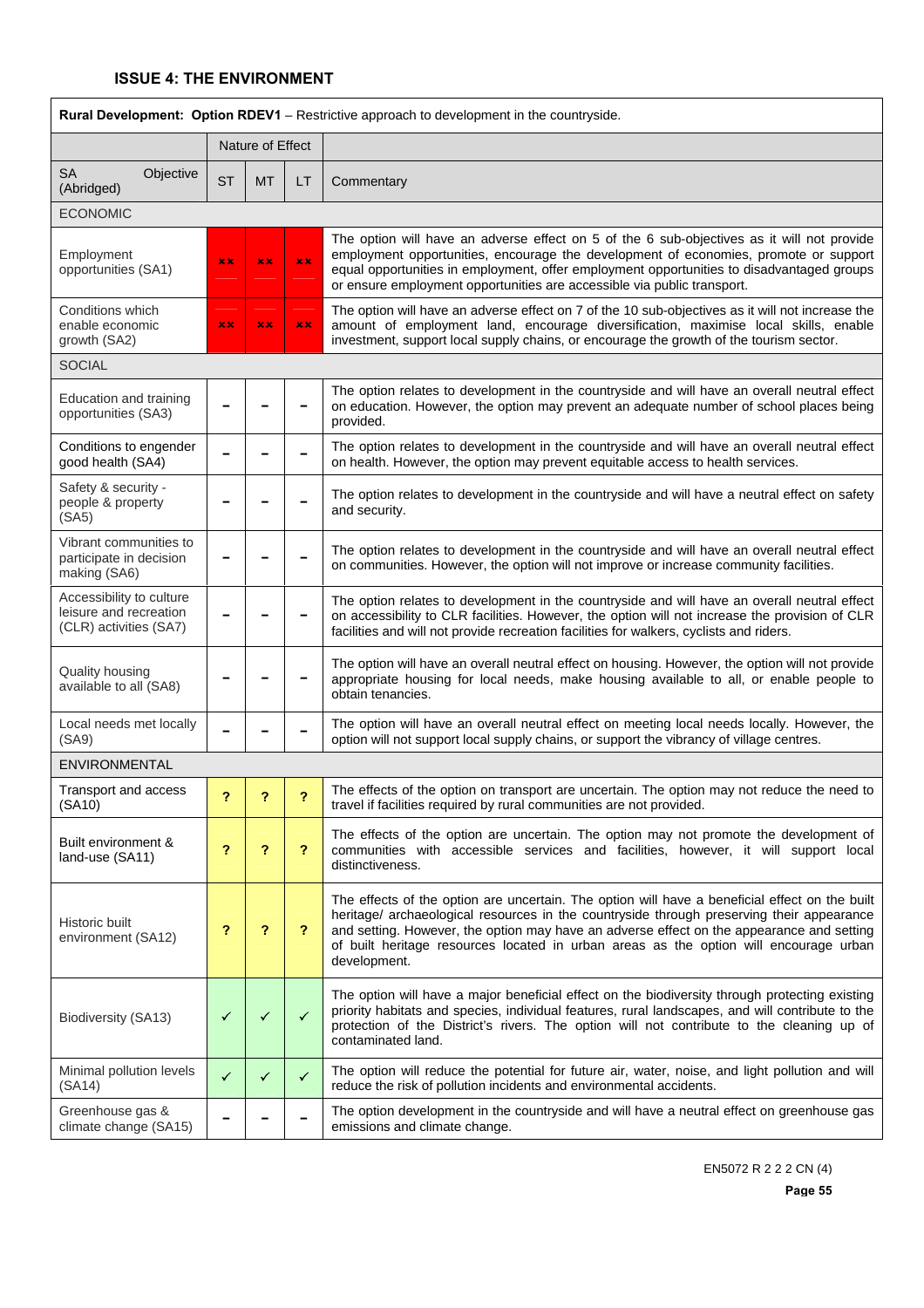| <b>Rural Development: Option RDEV1</b> - Restrictive approach to development in the countryside. |              |                  |                |                                                                                                                                                                                                                                                                                                                                                                                                   |  |  |
|--------------------------------------------------------------------------------------------------|--------------|------------------|----------------|---------------------------------------------------------------------------------------------------------------------------------------------------------------------------------------------------------------------------------------------------------------------------------------------------------------------------------------------------------------------------------------------------|--|--|
|                                                                                                  |              | Nature of Effect |                |                                                                                                                                                                                                                                                                                                                                                                                                   |  |  |
| <b>SA</b><br>Objective<br>(Abridged)                                                             | <b>ST</b>    | <b>MT</b>        | LT             | Commentary                                                                                                                                                                                                                                                                                                                                                                                        |  |  |
| <b>ECONOMIC</b>                                                                                  |              |                  |                |                                                                                                                                                                                                                                                                                                                                                                                                   |  |  |
| Employment<br>opportunities (SA1)                                                                | xx           | xx               | xx.            | The option will have an adverse effect on 5 of the 6 sub-objectives as it will not provide<br>employment opportunities, encourage the development of economies, promote or support<br>equal opportunities in employment, offer employment opportunities to disadvantaged groups<br>or ensure employment opportunities are accessible via public transport.                                        |  |  |
| Conditions which<br>enable economic<br>growth (SA2)                                              | x x          | xx               | x x            | The option will have an adverse effect on 7 of the 10 sub-objectives as it will not increase the<br>amount of employment land, encourage diversification, maximise local skills, enable<br>investment, support local supply chains, or encourage the growth of the tourism sector.                                                                                                                |  |  |
| <b>SOCIAL</b>                                                                                    |              |                  |                |                                                                                                                                                                                                                                                                                                                                                                                                   |  |  |
| Education and training<br>opportunities (SA3)                                                    |              |                  |                | The option relates to development in the countryside and will have an overall neutral effect<br>on education. However, the option may prevent an adequate number of school places being<br>provided.                                                                                                                                                                                              |  |  |
| Conditions to engender<br>good health (SA4)                                                      |              |                  |                | The option relates to development in the countryside and will have an overall neutral effect<br>on health. However, the option may prevent equitable access to health services.                                                                                                                                                                                                                   |  |  |
| Safety & security -<br>people & property<br>(SA5)                                                |              |                  |                | The option relates to development in the countryside and will have a neutral effect on safety<br>and security.                                                                                                                                                                                                                                                                                    |  |  |
| Vibrant communities to<br>participate in decision<br>making (SA6)                                |              |                  |                | The option relates to development in the countryside and will have an overall neutral effect<br>on communities. However, the option will not improve or increase community facilities.                                                                                                                                                                                                            |  |  |
| Accessibility to culture<br>leisure and recreation<br>(CLR) activities (SA7)                     |              |                  |                | The option relates to development in the countryside and will have an overall neutral effect<br>on accessibility to CLR facilities. However, the option will not increase the provision of CLR<br>facilities and will not provide recreation facilities for walkers, cyclists and riders.                                                                                                         |  |  |
| <b>Quality housing</b><br>available to all (SA8)                                                 |              |                  |                | The option will have an overall neutral effect on housing. However, the option will not provide<br>appropriate housing for local needs, make housing available to all, or enable people to<br>obtain tenancies.                                                                                                                                                                                   |  |  |
| Local needs met locally<br>(SA9)                                                                 |              |                  |                | The option will have an overall neutral effect on meeting local needs locally. However, the<br>option will not support local supply chains, or support the vibrancy of village centres.                                                                                                                                                                                                           |  |  |
| <b>ENVIRONMENTAL</b>                                                                             |              |                  |                |                                                                                                                                                                                                                                                                                                                                                                                                   |  |  |
| Transport and access<br>(SA10)                                                                   |              |                  |                | The effects of the option on transport are uncertain. The option may not reduce the need to<br>travel if facilities required by rural communities are not provided.                                                                                                                                                                                                                               |  |  |
| Built environment &<br>land-use (SA11)                                                           | ?            | ?                | $\overline{?}$ | The effects of the option are uncertain. The option may not promote the development of<br>communities with accessible services and facilities, however, it will support local<br>distinctiveness.                                                                                                                                                                                                 |  |  |
| Historic built<br>environment (SA12)                                                             | ?            | ?                | $\mathbf{P}$   | The effects of the option are uncertain. The option will have a beneficial effect on the built<br>heritage/ archaeological resources in the countryside through preserving their appearance<br>and setting. However, the option may have an adverse effect on the appearance and setting<br>of built heritage resources located in urban areas as the option will encourage urban<br>development. |  |  |
| Biodiversity (SA13)                                                                              | ✓            | ✓                | $\checkmark$   | The option will have a major beneficial effect on the biodiversity through protecting existing<br>priority habitats and species, individual features, rural landscapes, and will contribute to the<br>protection of the District's rivers. The option will not contribute to the cleaning up of<br>contaminated land.                                                                             |  |  |
| Minimal pollution levels<br>(SA14)                                                               | $\checkmark$ | ✓                | $\checkmark$   | The option will reduce the potential for future air, water, noise, and light pollution and will<br>reduce the risk of pollution incidents and environmental accidents.                                                                                                                                                                                                                            |  |  |
| Greenhouse gas &<br>climate change (SA15)                                                        |              |                  |                | The option development in the countryside and will have a neutral effect on greenhouse gas<br>emissions and climate change.                                                                                                                                                                                                                                                                       |  |  |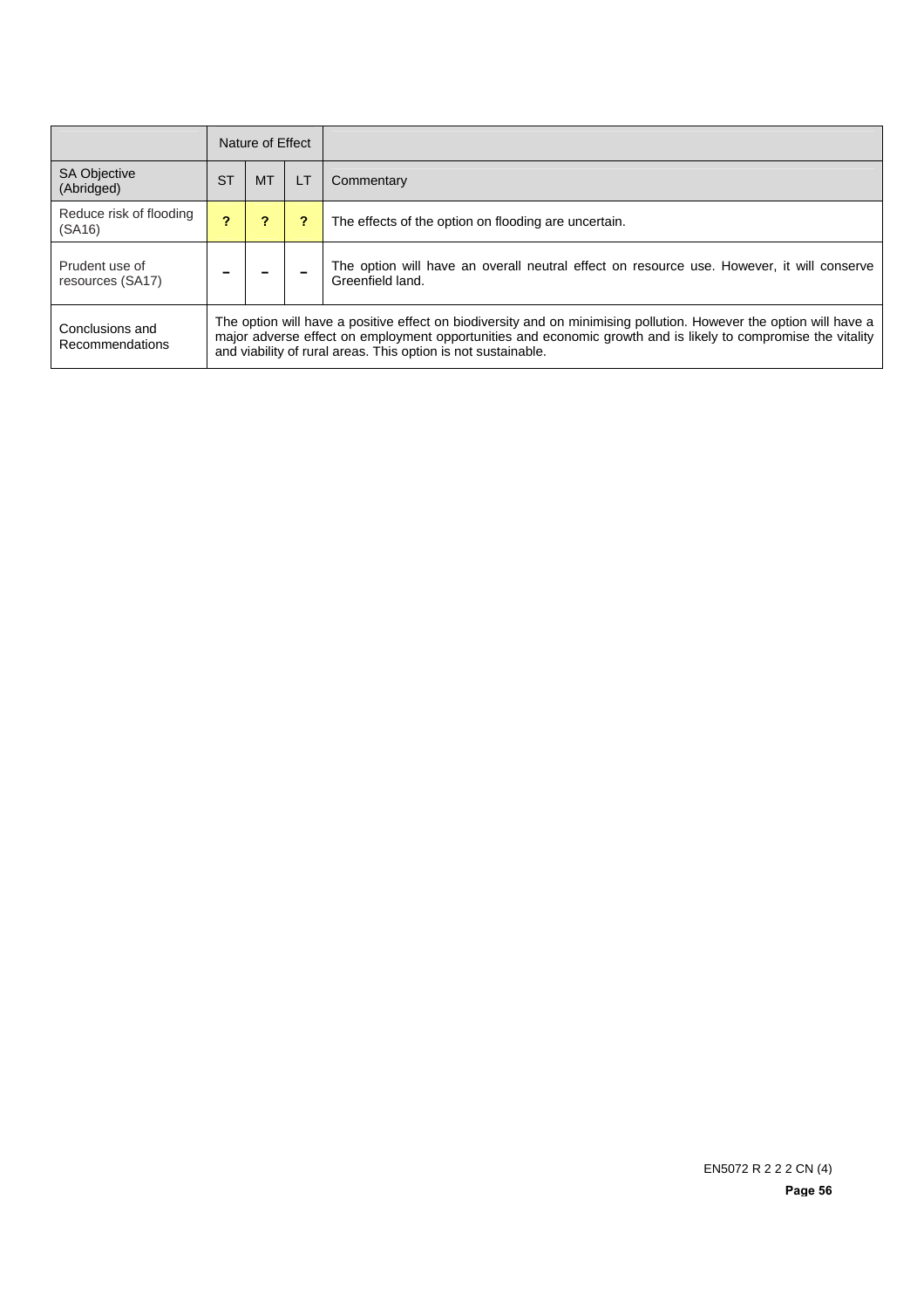|                                    | Nature of Effect                                                                                                                                                                                                                                                                                     |           |    |                                                                                                               |  |
|------------------------------------|------------------------------------------------------------------------------------------------------------------------------------------------------------------------------------------------------------------------------------------------------------------------------------------------------|-----------|----|---------------------------------------------------------------------------------------------------------------|--|
| <b>SA Objective</b><br>(Abridged)  | <b>ST</b>                                                                                                                                                                                                                                                                                            | <b>MT</b> | LT | Commentary                                                                                                    |  |
| Reduce risk of flooding<br>(SA16)  |                                                                                                                                                                                                                                                                                                      |           |    | The effects of the option on flooding are uncertain.                                                          |  |
| Prudent use of<br>resources (SA17) |                                                                                                                                                                                                                                                                                                      |           |    | The option will have an overall neutral effect on resource use. However, it will conserve<br>Greenfield land. |  |
| Conclusions and<br>Recommendations | The option will have a positive effect on biodiversity and on minimising pollution. However the option will have a<br>major adverse effect on employment opportunities and economic growth and is likely to compromise the vitality<br>and viability of rural areas. This option is not sustainable. |           |    |                                                                                                               |  |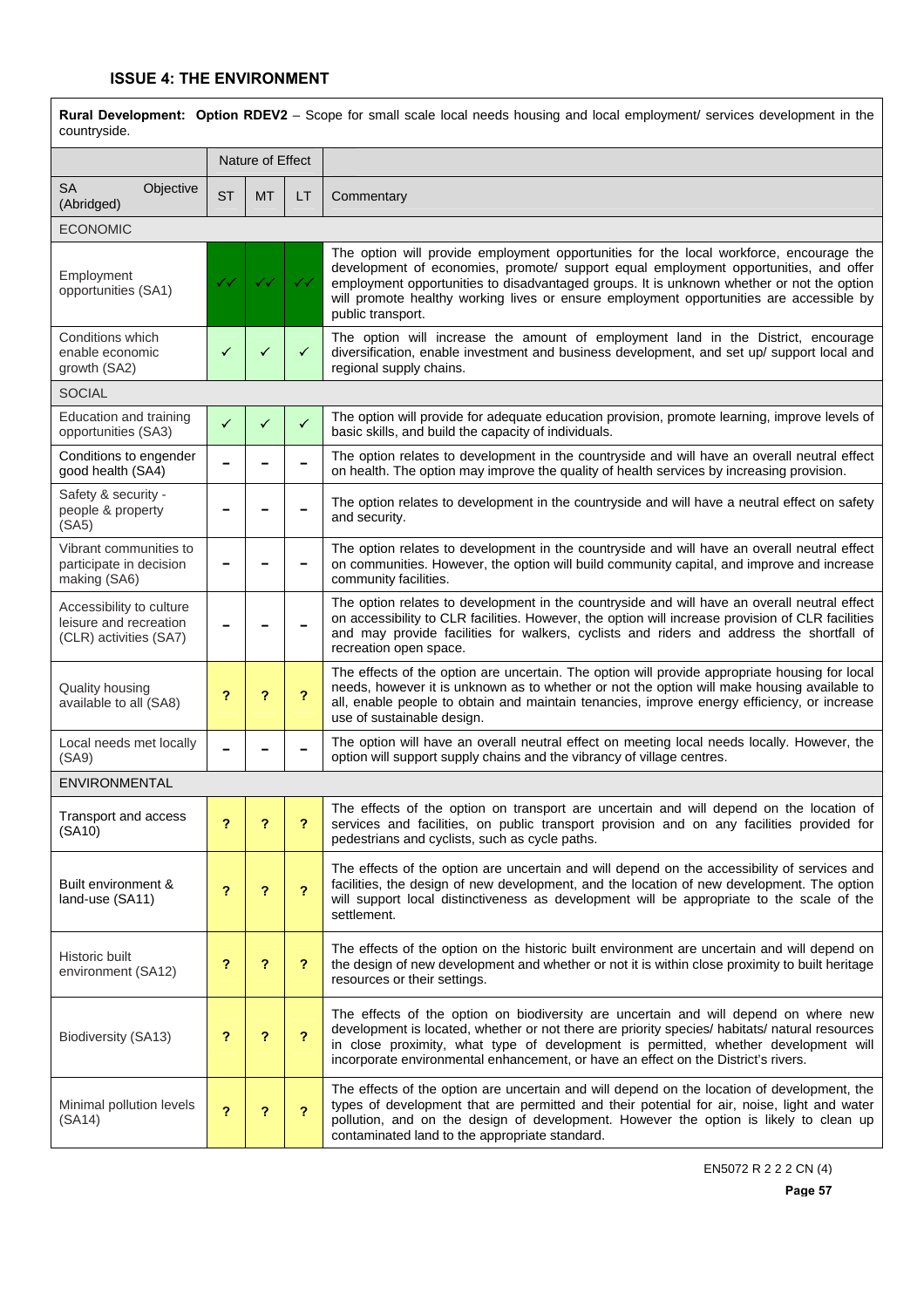| Rural Development: Option RDEV2 - Scope for small scale local needs housing and local employment/ services development in the<br>countryside. |                         |                  |                         |                                                                                                                                                                                                                                                                                                                                                                                              |  |  |  |
|-----------------------------------------------------------------------------------------------------------------------------------------------|-------------------------|------------------|-------------------------|----------------------------------------------------------------------------------------------------------------------------------------------------------------------------------------------------------------------------------------------------------------------------------------------------------------------------------------------------------------------------------------------|--|--|--|
|                                                                                                                                               |                         | Nature of Effect |                         |                                                                                                                                                                                                                                                                                                                                                                                              |  |  |  |
| <b>SA</b><br>Objective<br>(Abridged)                                                                                                          | <b>ST</b>               | <b>MT</b>        | LT                      | Commentary                                                                                                                                                                                                                                                                                                                                                                                   |  |  |  |
| <b>ECONOMIC</b>                                                                                                                               |                         |                  |                         |                                                                                                                                                                                                                                                                                                                                                                                              |  |  |  |
| Employment<br>opportunities (SA1)                                                                                                             |                         | ✓✓               | $\checkmark$            | The option will provide employment opportunities for the local workforce, encourage the<br>development of economies, promote/ support equal employment opportunities, and offer<br>employment opportunities to disadvantaged groups. It is unknown whether or not the option<br>will promote healthy working lives or ensure employment opportunities are accessible by<br>public transport. |  |  |  |
| Conditions which<br>enable economic<br>growth (SA2)                                                                                           | ✓                       | ✓                | ✓                       | The option will increase the amount of employment land in the District, encourage<br>diversification, enable investment and business development, and set up/ support local and<br>regional supply chains.                                                                                                                                                                                   |  |  |  |
| <b>SOCIAL</b>                                                                                                                                 |                         |                  |                         |                                                                                                                                                                                                                                                                                                                                                                                              |  |  |  |
| Education and training<br>opportunities (SA3)                                                                                                 | ✓                       | ✓                | $\checkmark$            | The option will provide for adequate education provision, promote learning, improve levels of<br>basic skills, and build the capacity of individuals.                                                                                                                                                                                                                                        |  |  |  |
| Conditions to engender<br>good health (SA4)                                                                                                   |                         |                  |                         | The option relates to development in the countryside and will have an overall neutral effect<br>on health. The option may improve the quality of health services by increasing provision.                                                                                                                                                                                                    |  |  |  |
| Safety & security -<br>people & property<br>(SA5)                                                                                             |                         |                  |                         | The option relates to development in the countryside and will have a neutral effect on safety<br>and security.                                                                                                                                                                                                                                                                               |  |  |  |
| Vibrant communities to<br>participate in decision<br>making (SA6)                                                                             |                         |                  |                         | The option relates to development in the countryside and will have an overall neutral effect<br>on communities. However, the option will build community capital, and improve and increase<br>community facilities.                                                                                                                                                                          |  |  |  |
| Accessibility to culture<br>leisure and recreation<br>(CLR) activities (SA7)                                                                  |                         |                  |                         | The option relates to development in the countryside and will have an overall neutral effect<br>on accessibility to CLR facilities. However, the option will increase provision of CLR facilities<br>and may provide facilities for walkers, cyclists and riders and address the shortfall of<br>recreation open space.                                                                      |  |  |  |
| Quality housing<br>available to all (SA8)                                                                                                     | ?                       | ?                | 2                       | The effects of the option are uncertain. The option will provide appropriate housing for local<br>needs, however it is unknown as to whether or not the option will make housing available to<br>all, enable people to obtain and maintain tenancies, improve energy efficiency, or increase<br>use of sustainable design.                                                                   |  |  |  |
| Local needs met locally<br>(SA9)                                                                                                              |                         |                  |                         | The option will have an overall neutral effect on meeting local needs locally. However, the<br>option will support supply chains and the vibrancy of village centres.                                                                                                                                                                                                                        |  |  |  |
| ENVIRONMENTAL                                                                                                                                 |                         |                  |                         |                                                                                                                                                                                                                                                                                                                                                                                              |  |  |  |
| Transport and access<br>(SA10)                                                                                                                | ?                       | ?                | ?                       | The effects of the option on transport are uncertain and will depend on the location of<br>services and facilities, on public transport provision and on any facilities provided for<br>pedestrians and cyclists, such as cycle paths.                                                                                                                                                       |  |  |  |
| Built environment &<br>land-use (SA11)                                                                                                        | ?                       | ?                | $\overline{\mathbf{r}}$ | The effects of the option are uncertain and will depend on the accessibility of services and<br>facilities, the design of new development, and the location of new development. The option<br>will support local distinctiveness as development will be appropriate to the scale of the<br>settlement.                                                                                       |  |  |  |
| Historic built<br>environment (SA12)                                                                                                          | ?                       | ?                | ?                       | The effects of the option on the historic built environment are uncertain and will depend on<br>the design of new development and whether or not it is within close proximity to built heritage<br>resources or their settings.                                                                                                                                                              |  |  |  |
| Biodiversity (SA13)                                                                                                                           | ?                       | ?                | $\overline{\mathbf{r}}$ | The effects of the option on biodiversity are uncertain and will depend on where new<br>development is located, whether or not there are priority species/ habitats/ natural resources<br>in close proximity, what type of development is permitted, whether development will<br>incorporate environmental enhancement, or have an effect on the District's rivers.                          |  |  |  |
| Minimal pollution levels<br>(SA14)                                                                                                            | $\overline{\mathbf{r}}$ | ?                | 2                       | The effects of the option are uncertain and will depend on the location of development, the<br>types of development that are permitted and their potential for air, noise, light and water<br>pollution, and on the design of development. However the option is likely to clean up<br>contaminated land to the appropriate standard.                                                        |  |  |  |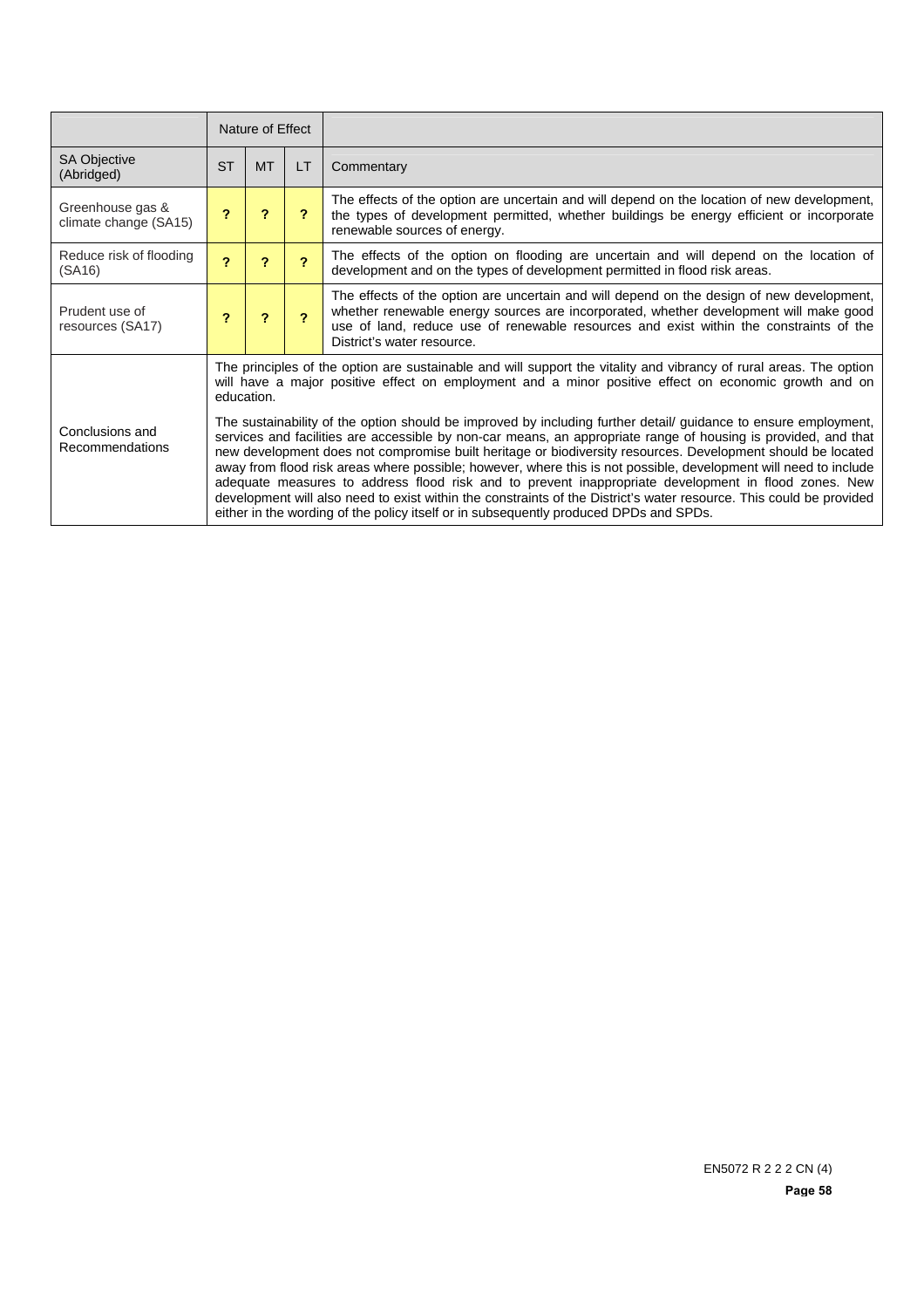|                                           |           | Nature of Effect                                                                                                                                                                                                                                                                                                                                                                                                                                                                                                                                                                                                                                                                                                                                                                                                                                                                                                                                                                                                                         |           |                                                                                                                                                                                                                                                                                                            |  |  |
|-------------------------------------------|-----------|------------------------------------------------------------------------------------------------------------------------------------------------------------------------------------------------------------------------------------------------------------------------------------------------------------------------------------------------------------------------------------------------------------------------------------------------------------------------------------------------------------------------------------------------------------------------------------------------------------------------------------------------------------------------------------------------------------------------------------------------------------------------------------------------------------------------------------------------------------------------------------------------------------------------------------------------------------------------------------------------------------------------------------------|-----------|------------------------------------------------------------------------------------------------------------------------------------------------------------------------------------------------------------------------------------------------------------------------------------------------------------|--|--|
| <b>SA Objective</b><br>(Abridged)         | <b>ST</b> | <b>MT</b>                                                                                                                                                                                                                                                                                                                                                                                                                                                                                                                                                                                                                                                                                                                                                                                                                                                                                                                                                                                                                                | <b>LT</b> | Commentary                                                                                                                                                                                                                                                                                                 |  |  |
| Greenhouse gas &<br>climate change (SA15) | ?         | ?                                                                                                                                                                                                                                                                                                                                                                                                                                                                                                                                                                                                                                                                                                                                                                                                                                                                                                                                                                                                                                        | ?         | The effects of the option are uncertain and will depend on the location of new development,<br>the types of development permitted, whether buildings be energy efficient or incorporate<br>renewable sources of energy.                                                                                    |  |  |
| Reduce risk of flooding<br>(SA16)         | 2         | ?                                                                                                                                                                                                                                                                                                                                                                                                                                                                                                                                                                                                                                                                                                                                                                                                                                                                                                                                                                                                                                        | 2         | The effects of the option on flooding are uncertain and will depend on the location of<br>development and on the types of development permitted in flood risk areas.                                                                                                                                       |  |  |
| Prudent use of<br>resources (SA17)        | 2         | $\boldsymbol{\mathcal{P}}$                                                                                                                                                                                                                                                                                                                                                                                                                                                                                                                                                                                                                                                                                                                                                                                                                                                                                                                                                                                                               | 2         | The effects of the option are uncertain and will depend on the design of new development,<br>whether renewable energy sources are incorporated, whether development will make good<br>use of land, reduce use of renewable resources and exist within the constraints of the<br>District's water resource. |  |  |
| Conclusions and<br>Recommendations        |           | The principles of the option are sustainable and will support the vitality and vibrancy of rural areas. The option<br>will have a major positive effect on employment and a minor positive effect on economic growth and on<br>education.<br>The sustainability of the option should be improved by including further detail guidance to ensure employment,<br>services and facilities are accessible by non-car means, an appropriate range of housing is provided, and that<br>new development does not compromise built heritage or biodiversity resources. Development should be located<br>away from flood risk areas where possible; however, where this is not possible, development will need to include<br>adequate measures to address flood risk and to prevent inappropriate development in flood zones. New<br>development will also need to exist within the constraints of the District's water resource. This could be provided<br>either in the wording of the policy itself or in subsequently produced DPDs and SPDs. |           |                                                                                                                                                                                                                                                                                                            |  |  |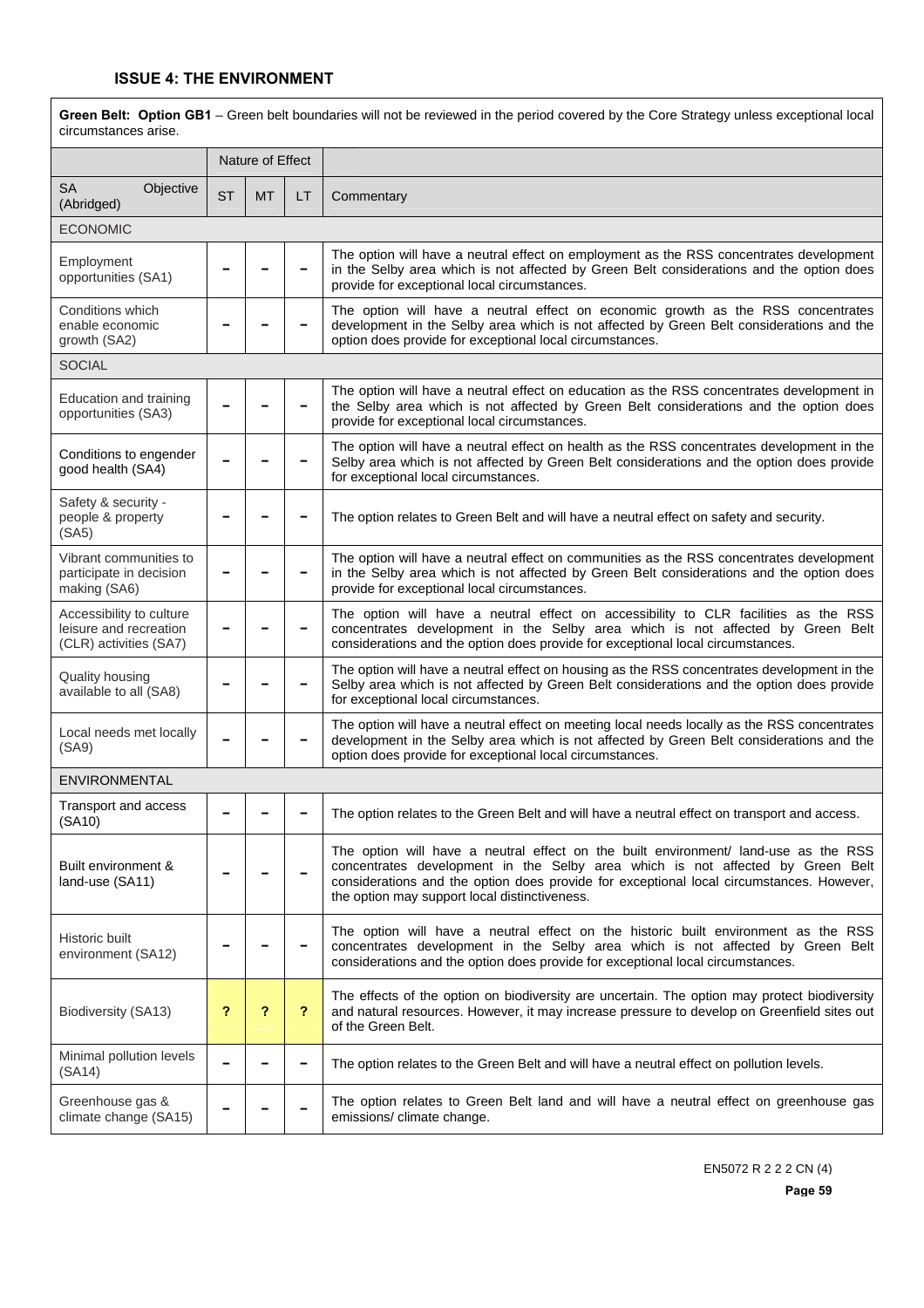$\overline{1}$ 

| Green Belt: Option GB1 - Green belt boundaries will not be reviewed in the period covered by the Core Strategy unless exceptional local<br>circumstances arise. |           |                  |                            |                                                                                                                                                                                                                                                                                                                    |  |  |
|-----------------------------------------------------------------------------------------------------------------------------------------------------------------|-----------|------------------|----------------------------|--------------------------------------------------------------------------------------------------------------------------------------------------------------------------------------------------------------------------------------------------------------------------------------------------------------------|--|--|
|                                                                                                                                                                 |           | Nature of Effect |                            |                                                                                                                                                                                                                                                                                                                    |  |  |
| <b>SA</b><br>Objective<br>(Abridged)                                                                                                                            | <b>ST</b> | МT               | LT                         | Commentary                                                                                                                                                                                                                                                                                                         |  |  |
| <b>ECONOMIC</b>                                                                                                                                                 |           |                  |                            |                                                                                                                                                                                                                                                                                                                    |  |  |
| Employment<br>opportunities (SA1)                                                                                                                               |           |                  |                            | The option will have a neutral effect on employment as the RSS concentrates development<br>in the Selby area which is not affected by Green Belt considerations and the option does<br>provide for exceptional local circumstances.                                                                                |  |  |
| Conditions which<br>enable economic<br>growth (SA2)                                                                                                             |           |                  |                            | The option will have a neutral effect on economic growth as the RSS concentrates<br>development in the Selby area which is not affected by Green Belt considerations and the<br>option does provide for exceptional local circumstances.                                                                           |  |  |
| <b>SOCIAL</b>                                                                                                                                                   |           |                  |                            |                                                                                                                                                                                                                                                                                                                    |  |  |
| Education and training<br>opportunities (SA3)                                                                                                                   |           |                  |                            | The option will have a neutral effect on education as the RSS concentrates development in<br>the Selby area which is not affected by Green Belt considerations and the option does<br>provide for exceptional local circumstances.                                                                                 |  |  |
| Conditions to engender<br>good health (SA4)                                                                                                                     |           |                  |                            | The option will have a neutral effect on health as the RSS concentrates development in the<br>Selby area which is not affected by Green Belt considerations and the option does provide<br>for exceptional local circumstances.                                                                                    |  |  |
| Safety & security -<br>people & property<br>(SA5)                                                                                                               |           |                  |                            | The option relates to Green Belt and will have a neutral effect on safety and security.                                                                                                                                                                                                                            |  |  |
| Vibrant communities to<br>participate in decision<br>making (SA6)                                                                                               |           |                  |                            | The option will have a neutral effect on communities as the RSS concentrates development<br>in the Selby area which is not affected by Green Belt considerations and the option does<br>provide for exceptional local circumstances.                                                                               |  |  |
| Accessibility to culture<br>leisure and recreation<br>(CLR) activities (SA7)                                                                                    |           |                  |                            | The option will have a neutral effect on accessibility to CLR facilities as the RSS<br>concentrates development in the Selby area which is not affected by Green Belt<br>considerations and the option does provide for exceptional local circumstances.                                                           |  |  |
| <b>Quality housing</b><br>available to all (SA8)                                                                                                                |           |                  |                            | The option will have a neutral effect on housing as the RSS concentrates development in the<br>Selby area which is not affected by Green Belt considerations and the option does provide<br>for exceptional local circumstances.                                                                                   |  |  |
| Local needs met locally<br>(SA9)                                                                                                                                |           |                  |                            | The option will have a neutral effect on meeting local needs locally as the RSS concentrates<br>development in the Selby area which is not affected by Green Belt considerations and the<br>option does provide for exceptional local circumstances.                                                               |  |  |
| ENVIRONMENTAL                                                                                                                                                   |           |                  |                            |                                                                                                                                                                                                                                                                                                                    |  |  |
| Transport and access<br>(SA10)                                                                                                                                  |           |                  |                            | The option relates to the Green Belt and will have a neutral effect on transport and access.                                                                                                                                                                                                                       |  |  |
| Built environment &<br>land-use (SA11)                                                                                                                          |           |                  |                            | The option will have a neutral effect on the built environment/ land-use as the RSS<br>concentrates development in the Selby area which is not affected by Green Belt<br>considerations and the option does provide for exceptional local circumstances. However,<br>the option may support local distinctiveness. |  |  |
| Historic built<br>environment (SA12)                                                                                                                            |           |                  |                            | The option will have a neutral effect on the historic built environment as the RSS<br>concentrates development in the Selby area which is not affected by Green Belt<br>considerations and the option does provide for exceptional local circumstances.                                                            |  |  |
| Biodiversity (SA13)                                                                                                                                             | ?         | ?                | $\boldsymbol{\mathcal{P}}$ | The effects of the option on biodiversity are uncertain. The option may protect biodiversity<br>and natural resources. However, it may increase pressure to develop on Greenfield sites out<br>of the Green Belt.                                                                                                  |  |  |
| Minimal pollution levels<br>(SA14)                                                                                                                              |           |                  |                            | The option relates to the Green Belt and will have a neutral effect on pollution levels.                                                                                                                                                                                                                           |  |  |
| Greenhouse gas &<br>climate change (SA15)                                                                                                                       |           |                  |                            | The option relates to Green Belt land and will have a neutral effect on greenhouse gas<br>emissions/ climate change.                                                                                                                                                                                               |  |  |

٦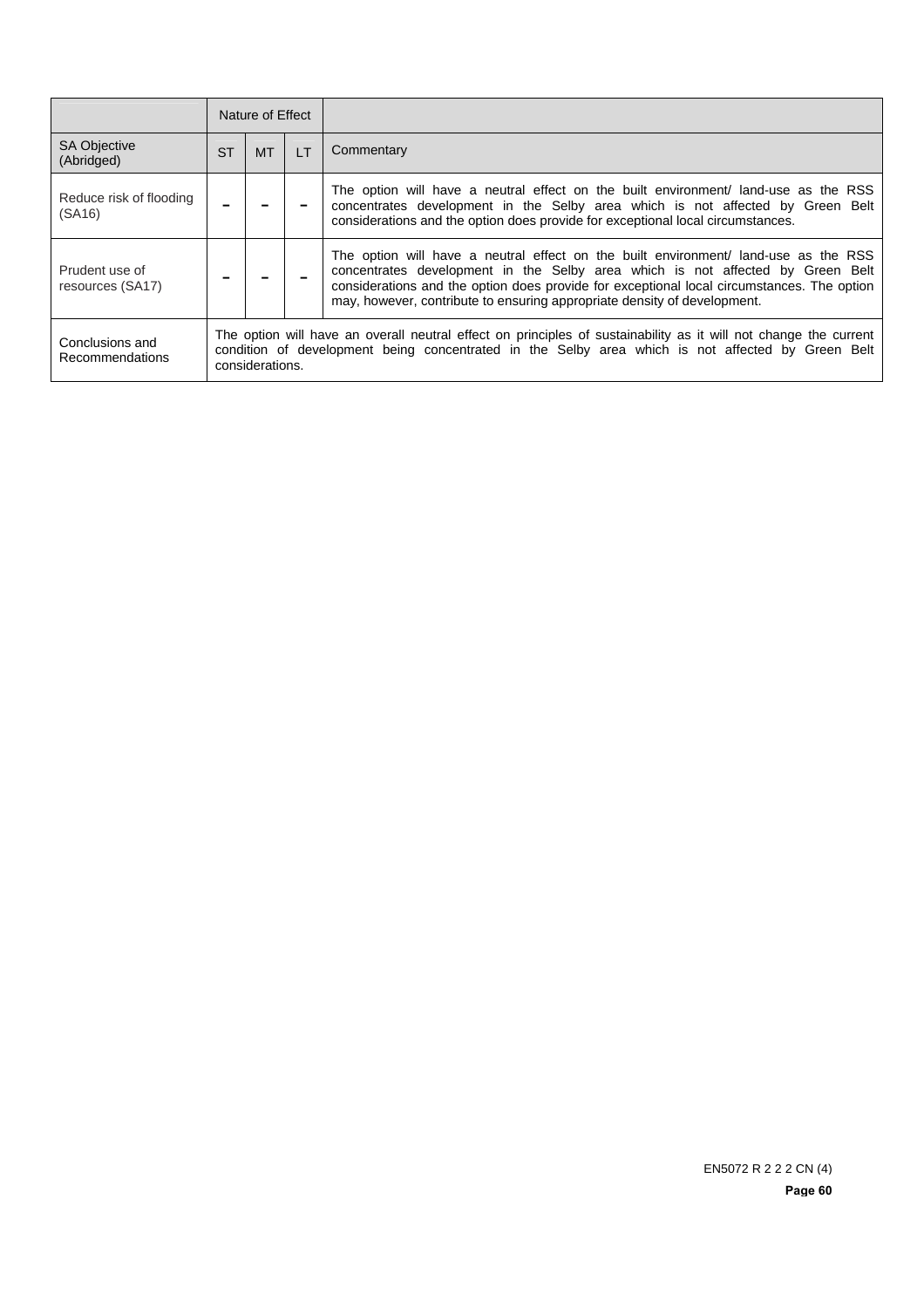|                                    |           | Nature of Effect                                                                                                                                                                                                                         |                |                                                                                                                                                                                                                                                                                                                                                 |  |
|------------------------------------|-----------|------------------------------------------------------------------------------------------------------------------------------------------------------------------------------------------------------------------------------------------|----------------|-------------------------------------------------------------------------------------------------------------------------------------------------------------------------------------------------------------------------------------------------------------------------------------------------------------------------------------------------|--|
| <b>SA Objective</b><br>(Abridged)  | <b>ST</b> | MT.                                                                                                                                                                                                                                      | $\mathsf{I}$ T | Commentary                                                                                                                                                                                                                                                                                                                                      |  |
| Reduce risk of flooding<br>(SA16)  |           |                                                                                                                                                                                                                                          |                | The option will have a neutral effect on the built environment/ land-use as the RSS<br>concentrates development in the Selby area which is not affected by Green Belt<br>considerations and the option does provide for exceptional local circumstances.                                                                                        |  |
| Prudent use of<br>resources (SA17) |           |                                                                                                                                                                                                                                          |                | The option will have a neutral effect on the built environment/ land-use as the RSS<br>concentrates development in the Selby area which is not affected by Green Belt<br>considerations and the option does provide for exceptional local circumstances. The option<br>may, however, contribute to ensuring appropriate density of development. |  |
| Conclusions and<br>Recommendations |           | The option will have an overall neutral effect on principles of sustainability as it will not change the current<br>condition of development being concentrated in the Selby area which is not affected by Green Belt<br>considerations. |                |                                                                                                                                                                                                                                                                                                                                                 |  |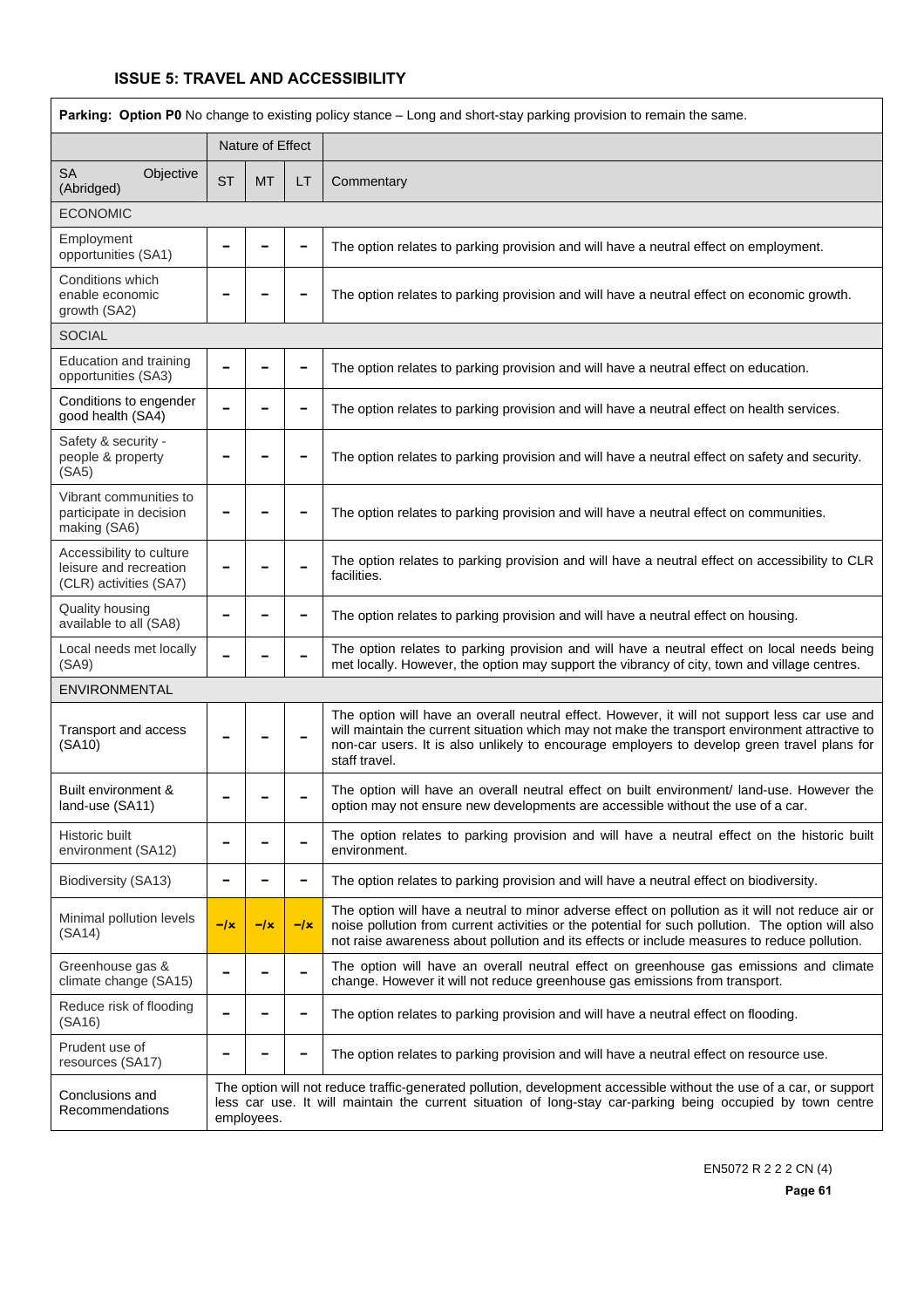| Parking: Option P0 No change to existing policy stance - Long and short-stay parking provision to remain the same. |           |                  |       |                                                                                                                                                                                                                                                                                                                 |  |  |
|--------------------------------------------------------------------------------------------------------------------|-----------|------------------|-------|-----------------------------------------------------------------------------------------------------------------------------------------------------------------------------------------------------------------------------------------------------------------------------------------------------------------|--|--|
|                                                                                                                    |           | Nature of Effect |       |                                                                                                                                                                                                                                                                                                                 |  |  |
| <b>SA</b><br>Objective<br>(Abridged)                                                                               | <b>ST</b> | <b>MT</b>        | LT    | Commentary                                                                                                                                                                                                                                                                                                      |  |  |
| <b>ECONOMIC</b>                                                                                                    |           |                  |       |                                                                                                                                                                                                                                                                                                                 |  |  |
| Employment<br>opportunities (SA1)                                                                                  |           |                  |       | The option relates to parking provision and will have a neutral effect on employment.                                                                                                                                                                                                                           |  |  |
| Conditions which<br>enable economic<br>growth (SA2)                                                                |           |                  |       | The option relates to parking provision and will have a neutral effect on economic growth.                                                                                                                                                                                                                      |  |  |
| <b>SOCIAL</b>                                                                                                      |           |                  |       |                                                                                                                                                                                                                                                                                                                 |  |  |
| Education and training<br>opportunities (SA3)                                                                      |           |                  |       | The option relates to parking provision and will have a neutral effect on education.                                                                                                                                                                                                                            |  |  |
| Conditions to engender<br>good health (SA4)                                                                        |           |                  |       | The option relates to parking provision and will have a neutral effect on health services.                                                                                                                                                                                                                      |  |  |
| Safety & security -<br>people & property<br>(SA5)                                                                  |           |                  |       | The option relates to parking provision and will have a neutral effect on safety and security.                                                                                                                                                                                                                  |  |  |
| Vibrant communities to<br>participate in decision<br>making (SA6)                                                  |           |                  |       | The option relates to parking provision and will have a neutral effect on communities.                                                                                                                                                                                                                          |  |  |
| Accessibility to culture<br>leisure and recreation<br>(CLR) activities (SA7)                                       |           |                  |       | The option relates to parking provision and will have a neutral effect on accessibility to CLR<br>facilities.                                                                                                                                                                                                   |  |  |
| Quality housing<br>available to all (SA8)                                                                          |           |                  |       | The option relates to parking provision and will have a neutral effect on housing.                                                                                                                                                                                                                              |  |  |
| Local needs met locally<br>(SA9)                                                                                   |           |                  |       | The option relates to parking provision and will have a neutral effect on local needs being<br>met locally. However, the option may support the vibrancy of city, town and village centres.                                                                                                                     |  |  |
| ENVIRONMENTAL                                                                                                      |           |                  |       |                                                                                                                                                                                                                                                                                                                 |  |  |
| Transport and access<br>(SA10)                                                                                     |           |                  |       | The option will have an overall neutral effect. However, it will not support less car use and<br>will maintain the current situation which may not make the transport environment attractive to<br>non-car users. It is also unlikely to encourage employers to develop green travel plans for<br>staff travel. |  |  |
| Built environment &<br>land-use (SA11)                                                                             |           |                  |       | The option will have an overall neutral effect on built environment/ land-use. However the<br>option may not ensure new developments are accessible without the use of a car.                                                                                                                                   |  |  |
| Historic built<br>environment (SA12)                                                                               |           |                  |       | The option relates to parking provision and will have a neutral effect on the historic built<br>environment.                                                                                                                                                                                                    |  |  |
| Biodiversity (SA13)                                                                                                |           |                  |       | The option relates to parking provision and will have a neutral effect on biodiversity.                                                                                                                                                                                                                         |  |  |
| Minimal pollution levels<br>(SA14)                                                                                 | $- x $    | $- x $           | $-1x$ | The option will have a neutral to minor adverse effect on pollution as it will not reduce air or<br>noise pollution from current activities or the potential for such pollution. The option will also<br>not raise awareness about pollution and its effects or include measures to reduce pollution.           |  |  |
| Greenhouse gas &<br>climate change (SA15)                                                                          |           |                  |       | The option will have an overall neutral effect on greenhouse gas emissions and climate<br>change. However it will not reduce greenhouse gas emissions from transport.                                                                                                                                           |  |  |
| Reduce risk of flooding<br>(SA16)                                                                                  |           |                  |       | The option relates to parking provision and will have a neutral effect on flooding.                                                                                                                                                                                                                             |  |  |
| Prudent use of<br>resources (SA17)                                                                                 |           |                  |       | The option relates to parking provision and will have a neutral effect on resource use.                                                                                                                                                                                                                         |  |  |
| Conclusions and<br>Recommendations                                                                                 |           | employees.       |       | The option will not reduce traffic-generated pollution, development accessible without the use of a car, or support<br>less car use. It will maintain the current situation of long-stay car-parking being occupied by town centre                                                                              |  |  |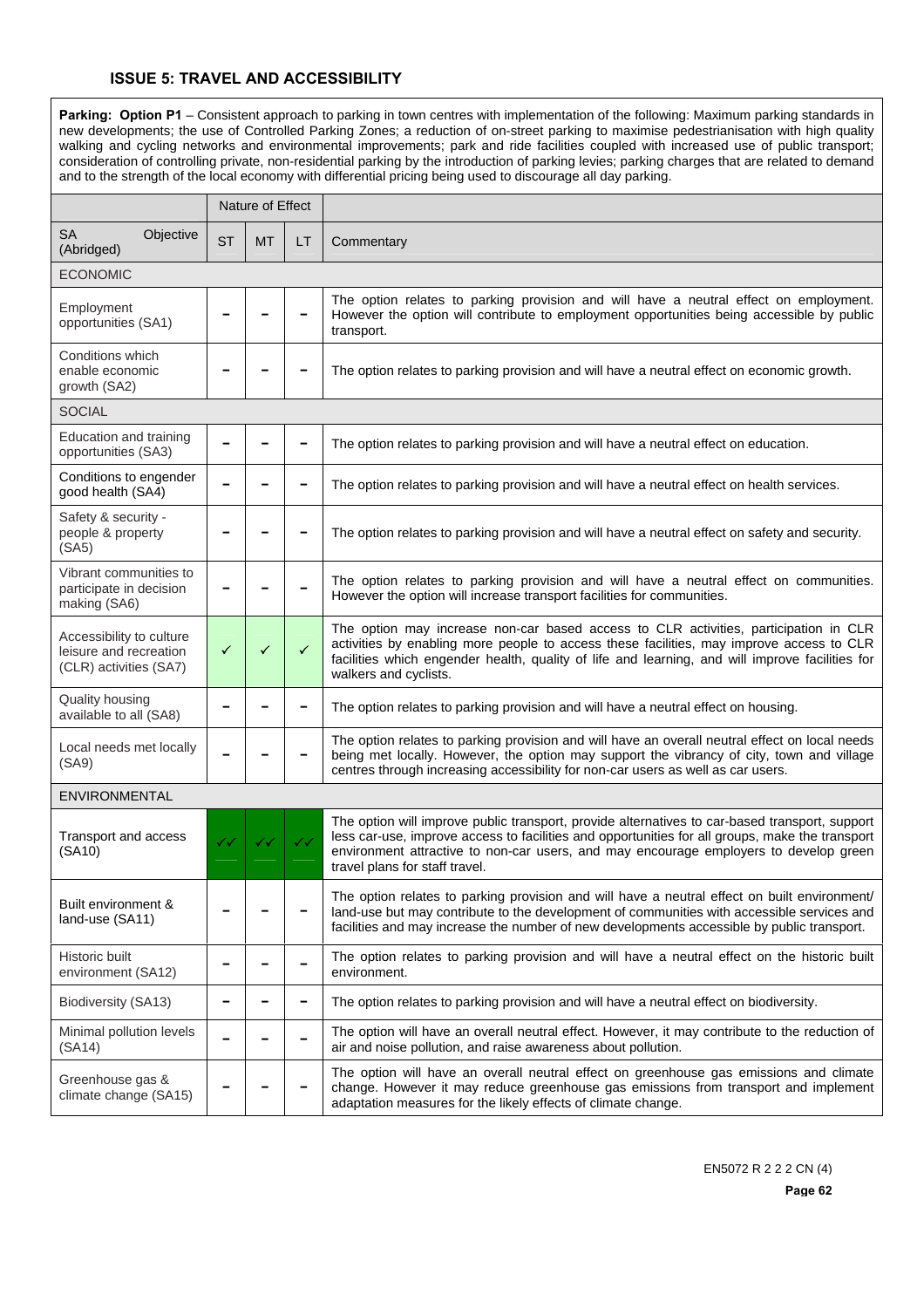Parking: Option P1 - Consistent approach to parking in town centres with implementation of the following: Maximum parking standards in new developments; the use of Controlled Parking Zones; a reduction of on-street parking to maximise pedestrianisation with high quality walking and cycling networks and environmental improvements; park and ride facilities coupled with increased use of public transport; consideration of controlling private, non-residential parking by the introduction of parking levies; parking charges that are related to demand and to the strength of the local economy with differential pricing being used to discourage all day parking.

|                                                                              |              | Nature of Effect |              |                                                                                                                                                                                                                                                                                                                              |  |
|------------------------------------------------------------------------------|--------------|------------------|--------------|------------------------------------------------------------------------------------------------------------------------------------------------------------------------------------------------------------------------------------------------------------------------------------------------------------------------------|--|
| <b>SA</b><br>Objective<br>(Abridged)                                         | <b>ST</b>    | <b>MT</b>        | LT           | Commentary                                                                                                                                                                                                                                                                                                                   |  |
| <b>ECONOMIC</b>                                                              |              |                  |              |                                                                                                                                                                                                                                                                                                                              |  |
| Employment<br>opportunities (SA1)                                            |              |                  |              | The option relates to parking provision and will have a neutral effect on employment.<br>However the option will contribute to employment opportunities being accessible by public<br>transport.                                                                                                                             |  |
| Conditions which<br>enable economic<br>growth (SA2)                          |              |                  |              | The option relates to parking provision and will have a neutral effect on economic growth.                                                                                                                                                                                                                                   |  |
| <b>SOCIAL</b>                                                                |              |                  |              |                                                                                                                                                                                                                                                                                                                              |  |
| Education and training<br>opportunities (SA3)                                |              |                  |              | The option relates to parking provision and will have a neutral effect on education.                                                                                                                                                                                                                                         |  |
| Conditions to engender<br>good health (SA4)                                  |              |                  |              | The option relates to parking provision and will have a neutral effect on health services.                                                                                                                                                                                                                                   |  |
| Safety & security -<br>people & property<br>(SA5)                            |              |                  |              | The option relates to parking provision and will have a neutral effect on safety and security.                                                                                                                                                                                                                               |  |
| Vibrant communities to<br>participate in decision<br>making (SA6)            |              |                  |              | The option relates to parking provision and will have a neutral effect on communities.<br>However the option will increase transport facilities for communities.                                                                                                                                                             |  |
| Accessibility to culture<br>leisure and recreation<br>(CLR) activities (SA7) | $\checkmark$ | ✓                | ✓            | The option may increase non-car based access to CLR activities, participation in CLR<br>activities by enabling more people to access these facilities, may improve access to CLR<br>facilities which engender health, quality of life and learning, and will improve facilities for<br>walkers and cyclists.                 |  |
| Quality housing<br>available to all (SA8)                                    |              |                  |              | The option relates to parking provision and will have a neutral effect on housing.                                                                                                                                                                                                                                           |  |
| Local needs met locally<br>(SA9)                                             |              |                  |              | The option relates to parking provision and will have an overall neutral effect on local needs<br>being met locally. However, the option may support the vibrancy of city, town and village<br>centres through increasing accessibility for non-car users as well as car users.                                              |  |
| <b>ENVIRONMENTAL</b>                                                         |              |                  |              |                                                                                                                                                                                                                                                                                                                              |  |
| Transport and access<br>(SA10)                                               | ✓✓           | ✓✓               | $\checkmark$ | The option will improve public transport, provide alternatives to car-based transport, support<br>less car-use, improve access to facilities and opportunities for all groups, make the transport<br>environment attractive to non-car users, and may encourage employers to develop green<br>travel plans for staff travel. |  |
| Built environment &<br>land-use (SA11)                                       |              |                  |              | The option relates to parking provision and will have a neutral effect on built environment/<br>land-use but may contribute to the development of communities with accessible services and<br>facilities and may increase the number of new developments accessible by public transport.                                     |  |
| Historic built<br>environment (SA12)                                         |              |                  |              | The option relates to parking provision and will have a neutral effect on the historic built<br>environment.                                                                                                                                                                                                                 |  |
| Biodiversity (SA13)                                                          |              |                  | -            | The option relates to parking provision and will have a neutral effect on biodiversity.                                                                                                                                                                                                                                      |  |
| Minimal pollution levels<br>(SA14)                                           |              |                  |              | The option will have an overall neutral effect. However, it may contribute to the reduction of<br>air and noise pollution, and raise awareness about pollution.                                                                                                                                                              |  |
| Greenhouse gas &<br>climate change (SA15)                                    |              |                  |              | The option will have an overall neutral effect on greenhouse gas emissions and climate<br>change. However it may reduce greenhouse gas emissions from transport and implement<br>adaptation measures for the likely effects of climate change.                                                                               |  |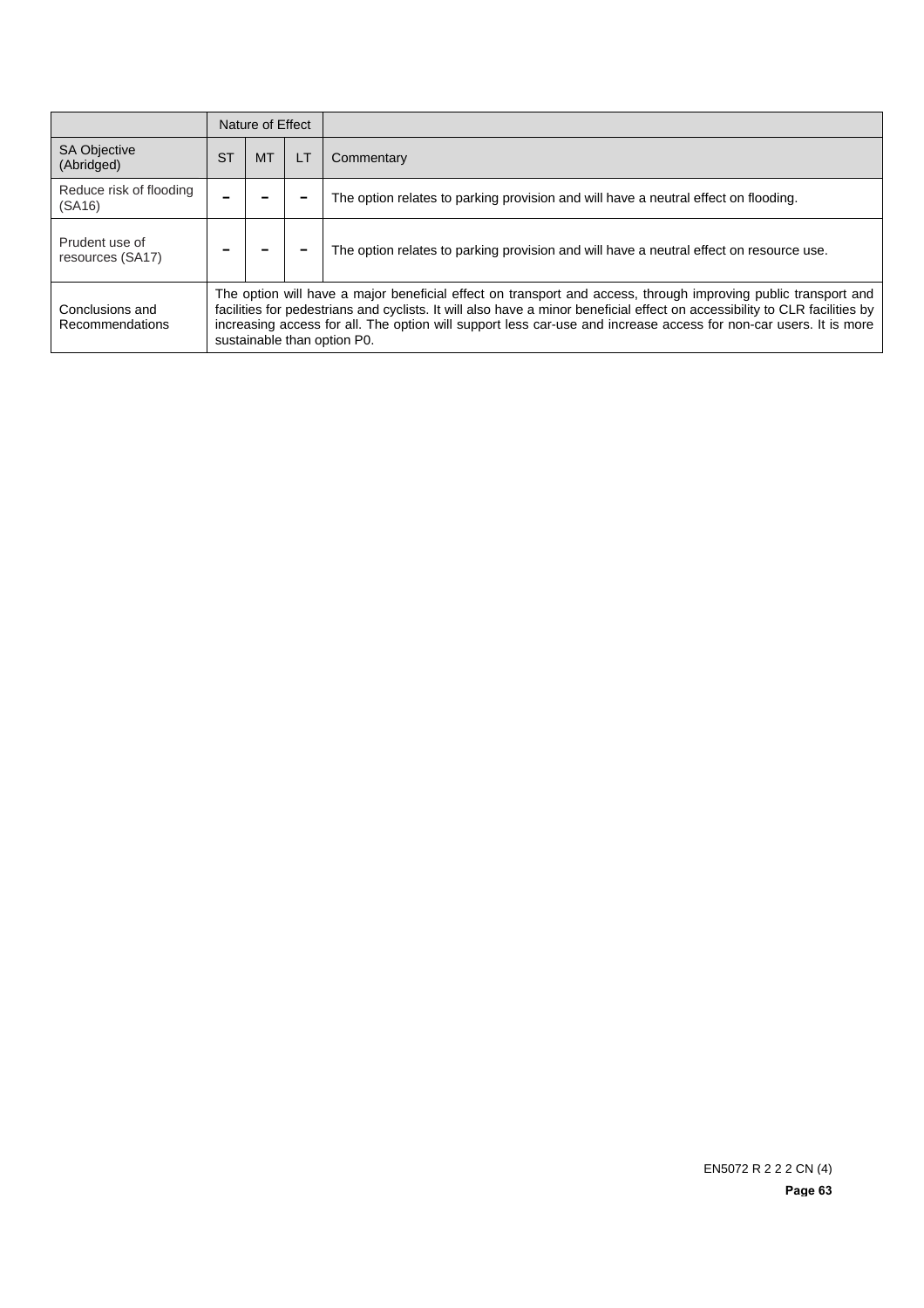|                                    |           | Nature of Effect                                                                                                                                                                                                                                                                                                                                                                                 |    |                                                                                         |  |
|------------------------------------|-----------|--------------------------------------------------------------------------------------------------------------------------------------------------------------------------------------------------------------------------------------------------------------------------------------------------------------------------------------------------------------------------------------------------|----|-----------------------------------------------------------------------------------------|--|
| <b>SA Objective</b><br>(Abridged)  | <b>ST</b> | <b>MT</b>                                                                                                                                                                                                                                                                                                                                                                                        | LT | Commentary                                                                              |  |
| Reduce risk of flooding<br>(SA16)  |           |                                                                                                                                                                                                                                                                                                                                                                                                  |    | The option relates to parking provision and will have a neutral effect on flooding.     |  |
| Prudent use of<br>resources (SA17) |           |                                                                                                                                                                                                                                                                                                                                                                                                  |    | The option relates to parking provision and will have a neutral effect on resource use. |  |
| Conclusions and<br>Recommendations |           | The option will have a major beneficial effect on transport and access, through improving public transport and<br>facilities for pedestrians and cyclists. It will also have a minor beneficial effect on accessibility to CLR facilities by<br>increasing access for all. The option will support less car-use and increase access for non-car users. It is more<br>sustainable than option P0. |    |                                                                                         |  |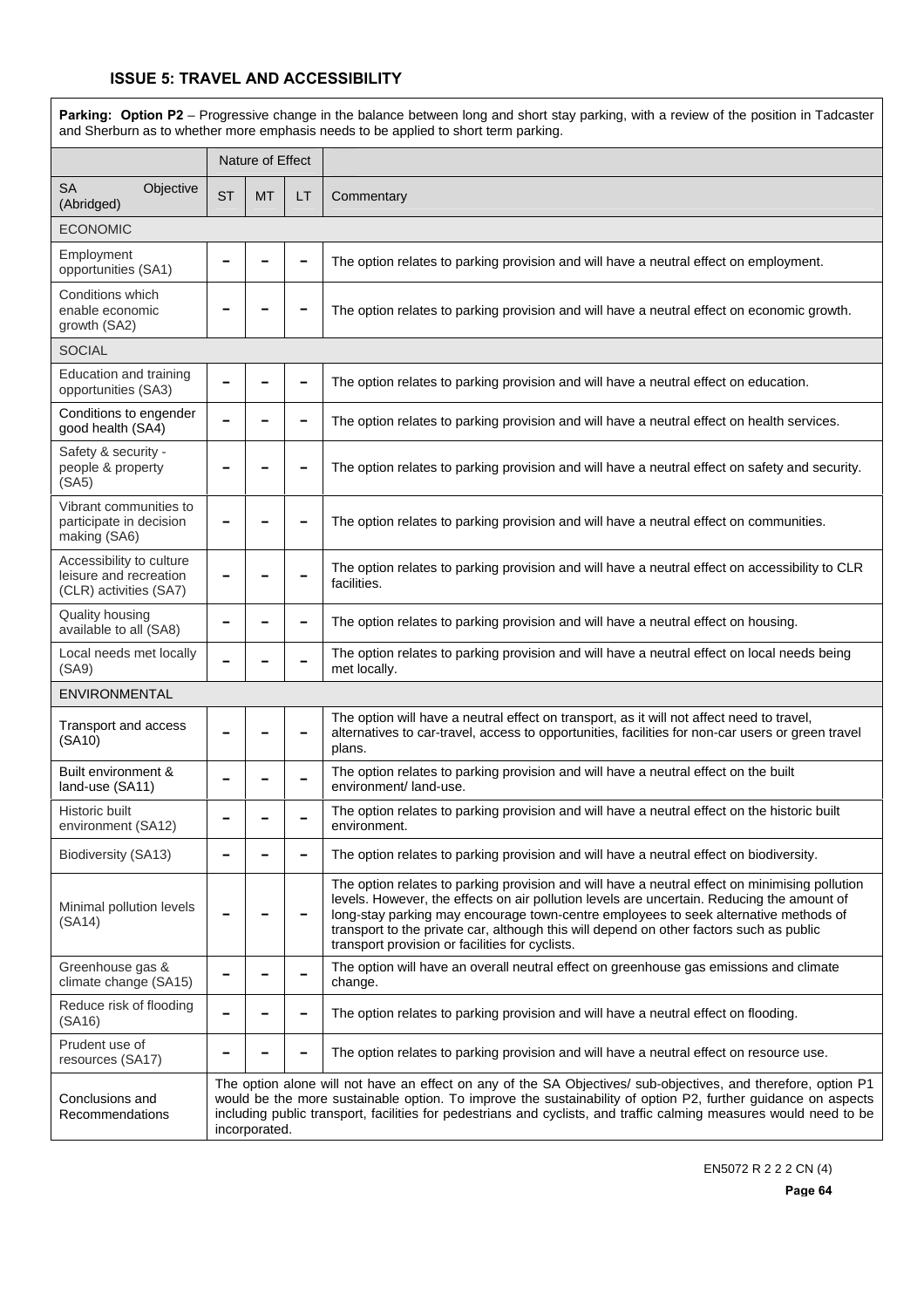| Parking: Option P2 - Progressive change in the balance between long and short stay parking, with a review of the position in Tadcaster<br>and Sherburn as to whether more emphasis needs to be applied to short term parking. |           |                                                                                                                                                                                                                                                                                                                                                                        |    |                                                                                                                                                                                                                                                                                                                                                                                                                                    |  |  |  |
|-------------------------------------------------------------------------------------------------------------------------------------------------------------------------------------------------------------------------------|-----------|------------------------------------------------------------------------------------------------------------------------------------------------------------------------------------------------------------------------------------------------------------------------------------------------------------------------------------------------------------------------|----|------------------------------------------------------------------------------------------------------------------------------------------------------------------------------------------------------------------------------------------------------------------------------------------------------------------------------------------------------------------------------------------------------------------------------------|--|--|--|
|                                                                                                                                                                                                                               |           | Nature of Effect                                                                                                                                                                                                                                                                                                                                                       |    |                                                                                                                                                                                                                                                                                                                                                                                                                                    |  |  |  |
| <b>SA</b><br>Objective<br>(Abridged)                                                                                                                                                                                          | <b>ST</b> | <b>MT</b>                                                                                                                                                                                                                                                                                                                                                              | LT | Commentary                                                                                                                                                                                                                                                                                                                                                                                                                         |  |  |  |
| <b>ECONOMIC</b>                                                                                                                                                                                                               |           |                                                                                                                                                                                                                                                                                                                                                                        |    |                                                                                                                                                                                                                                                                                                                                                                                                                                    |  |  |  |
| Employment<br>opportunities (SA1)                                                                                                                                                                                             |           |                                                                                                                                                                                                                                                                                                                                                                        |    | The option relates to parking provision and will have a neutral effect on employment.                                                                                                                                                                                                                                                                                                                                              |  |  |  |
| Conditions which<br>enable economic<br>growth (SA2)                                                                                                                                                                           |           |                                                                                                                                                                                                                                                                                                                                                                        |    | The option relates to parking provision and will have a neutral effect on economic growth.                                                                                                                                                                                                                                                                                                                                         |  |  |  |
| <b>SOCIAL</b>                                                                                                                                                                                                                 |           |                                                                                                                                                                                                                                                                                                                                                                        |    |                                                                                                                                                                                                                                                                                                                                                                                                                                    |  |  |  |
| Education and training<br>opportunities (SA3)                                                                                                                                                                                 |           |                                                                                                                                                                                                                                                                                                                                                                        |    | The option relates to parking provision and will have a neutral effect on education.                                                                                                                                                                                                                                                                                                                                               |  |  |  |
| Conditions to engender<br>good health (SA4)                                                                                                                                                                                   |           |                                                                                                                                                                                                                                                                                                                                                                        |    | The option relates to parking provision and will have a neutral effect on health services.                                                                                                                                                                                                                                                                                                                                         |  |  |  |
| Safety & security -<br>people & property<br>(SA5)                                                                                                                                                                             |           |                                                                                                                                                                                                                                                                                                                                                                        |    | The option relates to parking provision and will have a neutral effect on safety and security.                                                                                                                                                                                                                                                                                                                                     |  |  |  |
| Vibrant communities to<br>participate in decision<br>making (SA6)                                                                                                                                                             |           |                                                                                                                                                                                                                                                                                                                                                                        |    | The option relates to parking provision and will have a neutral effect on communities.                                                                                                                                                                                                                                                                                                                                             |  |  |  |
| Accessibility to culture<br>leisure and recreation<br>(CLR) activities (SA7)                                                                                                                                                  |           |                                                                                                                                                                                                                                                                                                                                                                        |    | The option relates to parking provision and will have a neutral effect on accessibility to CLR<br>facilities.                                                                                                                                                                                                                                                                                                                      |  |  |  |
| Quality housing<br>available to all (SA8)                                                                                                                                                                                     |           |                                                                                                                                                                                                                                                                                                                                                                        |    | The option relates to parking provision and will have a neutral effect on housing.                                                                                                                                                                                                                                                                                                                                                 |  |  |  |
| Local needs met locally<br>(SA9)                                                                                                                                                                                              |           |                                                                                                                                                                                                                                                                                                                                                                        |    | The option relates to parking provision and will have a neutral effect on local needs being<br>met locally.                                                                                                                                                                                                                                                                                                                        |  |  |  |
| <b>ENVIRONMENTAL</b>                                                                                                                                                                                                          |           |                                                                                                                                                                                                                                                                                                                                                                        |    |                                                                                                                                                                                                                                                                                                                                                                                                                                    |  |  |  |
| Transport and access<br>(SA10)                                                                                                                                                                                                |           |                                                                                                                                                                                                                                                                                                                                                                        |    | The option will have a neutral effect on transport, as it will not affect need to travel,<br>alternatives to car-travel, access to opportunities, facilities for non-car users or green travel<br>plans.                                                                                                                                                                                                                           |  |  |  |
| Built environment &<br>land-use (SA11)                                                                                                                                                                                        |           |                                                                                                                                                                                                                                                                                                                                                                        |    | The option relates to parking provision and will have a neutral effect on the built<br>environment/land-use.                                                                                                                                                                                                                                                                                                                       |  |  |  |
| Historic built<br>environment (SA12)                                                                                                                                                                                          |           |                                                                                                                                                                                                                                                                                                                                                                        |    | The option relates to parking provision and will have a neutral effect on the historic built<br>environment.                                                                                                                                                                                                                                                                                                                       |  |  |  |
| Biodiversity (SA13)                                                                                                                                                                                                           |           |                                                                                                                                                                                                                                                                                                                                                                        |    | The option relates to parking provision and will have a neutral effect on biodiversity.                                                                                                                                                                                                                                                                                                                                            |  |  |  |
| Minimal pollution levels<br>(SA14)                                                                                                                                                                                            |           |                                                                                                                                                                                                                                                                                                                                                                        |    | The option relates to parking provision and will have a neutral effect on minimising pollution<br>levels. However, the effects on air pollution levels are uncertain. Reducing the amount of<br>long-stay parking may encourage town-centre employees to seek alternative methods of<br>transport to the private car, although this will depend on other factors such as public<br>transport provision or facilities for cyclists. |  |  |  |
| Greenhouse gas &<br>climate change (SA15)                                                                                                                                                                                     |           |                                                                                                                                                                                                                                                                                                                                                                        |    | The option will have an overall neutral effect on greenhouse gas emissions and climate<br>change.                                                                                                                                                                                                                                                                                                                                  |  |  |  |
| Reduce risk of flooding<br>(SA16)                                                                                                                                                                                             |           |                                                                                                                                                                                                                                                                                                                                                                        |    | The option relates to parking provision and will have a neutral effect on flooding.                                                                                                                                                                                                                                                                                                                                                |  |  |  |
| Prudent use of<br>resources (SA17)                                                                                                                                                                                            |           |                                                                                                                                                                                                                                                                                                                                                                        |    | The option relates to parking provision and will have a neutral effect on resource use.                                                                                                                                                                                                                                                                                                                                            |  |  |  |
| Conclusions and<br>Recommendations                                                                                                                                                                                            |           | The option alone will not have an effect on any of the SA Objectives/ sub-objectives, and therefore, option P1<br>would be the more sustainable option. To improve the sustainability of option P2, further guidance on aspects<br>including public transport, facilities for pedestrians and cyclists, and traffic calming measures would need to be<br>incorporated. |    |                                                                                                                                                                                                                                                                                                                                                                                                                                    |  |  |  |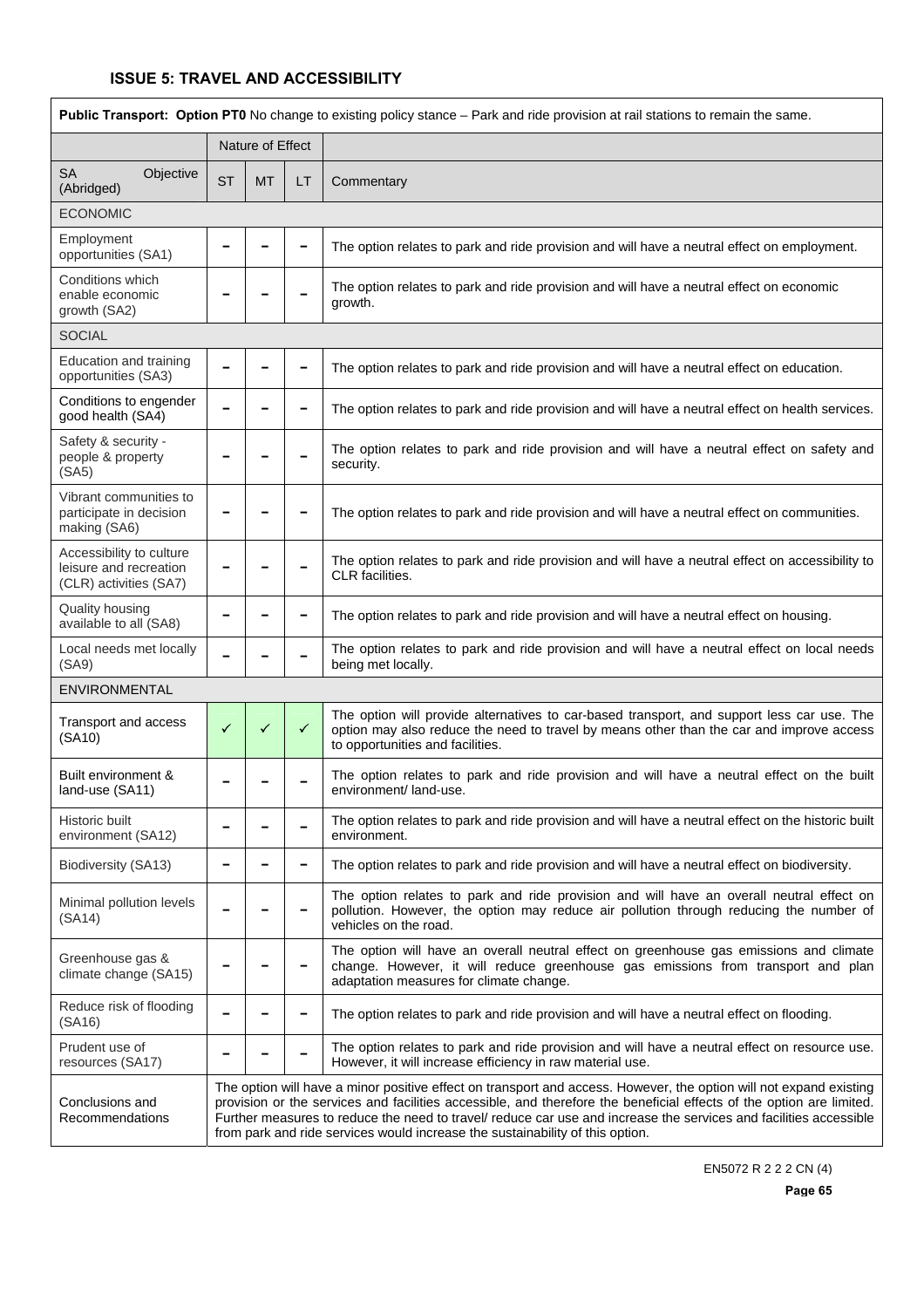| <b>Public Transport: Option PT0</b> No change to existing policy stance – Park and ride provision at rail stations to remain the same. |           |                                                                                                                                                                                                                                                                                                                                                                                                                                                  |                          |                                                                                                                                                                                                                            |  |  |  |  |  |
|----------------------------------------------------------------------------------------------------------------------------------------|-----------|--------------------------------------------------------------------------------------------------------------------------------------------------------------------------------------------------------------------------------------------------------------------------------------------------------------------------------------------------------------------------------------------------------------------------------------------------|--------------------------|----------------------------------------------------------------------------------------------------------------------------------------------------------------------------------------------------------------------------|--|--|--|--|--|
|                                                                                                                                        |           | Nature of Effect                                                                                                                                                                                                                                                                                                                                                                                                                                 |                          |                                                                                                                                                                                                                            |  |  |  |  |  |
| <b>SA</b><br>Objective<br>(Abridged)                                                                                                   | <b>ST</b> | <b>MT</b>                                                                                                                                                                                                                                                                                                                                                                                                                                        | LT                       | Commentary                                                                                                                                                                                                                 |  |  |  |  |  |
| <b>ECONOMIC</b>                                                                                                                        |           |                                                                                                                                                                                                                                                                                                                                                                                                                                                  |                          |                                                                                                                                                                                                                            |  |  |  |  |  |
| Employment<br>opportunities (SA1)                                                                                                      |           |                                                                                                                                                                                                                                                                                                                                                                                                                                                  |                          | The option relates to park and ride provision and will have a neutral effect on employment.                                                                                                                                |  |  |  |  |  |
| Conditions which<br>enable economic<br>growth (SA2)                                                                                    |           |                                                                                                                                                                                                                                                                                                                                                                                                                                                  |                          | The option relates to park and ride provision and will have a neutral effect on economic<br>growth.                                                                                                                        |  |  |  |  |  |
| <b>SOCIAL</b>                                                                                                                          |           |                                                                                                                                                                                                                                                                                                                                                                                                                                                  |                          |                                                                                                                                                                                                                            |  |  |  |  |  |
| Education and training<br>opportunities (SA3)                                                                                          |           |                                                                                                                                                                                                                                                                                                                                                                                                                                                  | $\qquad \qquad$          | The option relates to park and ride provision and will have a neutral effect on education.                                                                                                                                 |  |  |  |  |  |
| Conditions to engender<br>good health (SA4)                                                                                            |           |                                                                                                                                                                                                                                                                                                                                                                                                                                                  |                          | The option relates to park and ride provision and will have a neutral effect on health services.                                                                                                                           |  |  |  |  |  |
| Safety & security -<br>people & property<br>(SA5)                                                                                      |           |                                                                                                                                                                                                                                                                                                                                                                                                                                                  |                          | The option relates to park and ride provision and will have a neutral effect on safety and<br>security.                                                                                                                    |  |  |  |  |  |
| Vibrant communities to<br>participate in decision<br>making (SA6)                                                                      |           |                                                                                                                                                                                                                                                                                                                                                                                                                                                  |                          | The option relates to park and ride provision and will have a neutral effect on communities.                                                                                                                               |  |  |  |  |  |
| Accessibility to culture<br>leisure and recreation<br>(CLR) activities (SA7)                                                           |           |                                                                                                                                                                                                                                                                                                                                                                                                                                                  |                          | The option relates to park and ride provision and will have a neutral effect on accessibility to<br>CLR facilities.                                                                                                        |  |  |  |  |  |
| Quality housing<br>available to all (SA8)                                                                                              |           |                                                                                                                                                                                                                                                                                                                                                                                                                                                  |                          | The option relates to park and ride provision and will have a neutral effect on housing.                                                                                                                                   |  |  |  |  |  |
| Local needs met locally<br>(SA9)                                                                                                       |           |                                                                                                                                                                                                                                                                                                                                                                                                                                                  |                          | The option relates to park and ride provision and will have a neutral effect on local needs<br>being met locally.                                                                                                          |  |  |  |  |  |
| ENVIRONMENTAL                                                                                                                          |           |                                                                                                                                                                                                                                                                                                                                                                                                                                                  |                          |                                                                                                                                                                                                                            |  |  |  |  |  |
| Transport and access<br>(SA10)                                                                                                         | ✓         | ✓                                                                                                                                                                                                                                                                                                                                                                                                                                                | ✓                        | The option will provide alternatives to car-based transport, and support less car use. The<br>option may also reduce the need to travel by means other than the car and improve access<br>to opportunities and facilities. |  |  |  |  |  |
| Built environment &<br>land-use (SA11)                                                                                                 |           |                                                                                                                                                                                                                                                                                                                                                                                                                                                  |                          | The option relates to park and ride provision and will have a neutral effect on the built<br>environment/ land-use.                                                                                                        |  |  |  |  |  |
| Historic built<br>environment (SA12)                                                                                                   |           |                                                                                                                                                                                                                                                                                                                                                                                                                                                  |                          | The option relates to park and ride provision and will have a neutral effect on the historic built<br>environment.                                                                                                         |  |  |  |  |  |
| Biodiversity (SA13)                                                                                                                    |           |                                                                                                                                                                                                                                                                                                                                                                                                                                                  | $\overline{\phantom{0}}$ | The option relates to park and ride provision and will have a neutral effect on biodiversity.                                                                                                                              |  |  |  |  |  |
| Minimal pollution levels<br>(SA14)                                                                                                     |           |                                                                                                                                                                                                                                                                                                                                                                                                                                                  |                          | The option relates to park and ride provision and will have an overall neutral effect on<br>pollution. However, the option may reduce air pollution through reducing the number of<br>vehicles on the road.                |  |  |  |  |  |
| Greenhouse gas &<br>climate change (SA15)                                                                                              |           |                                                                                                                                                                                                                                                                                                                                                                                                                                                  |                          | The option will have an overall neutral effect on greenhouse gas emissions and climate<br>change. However, it will reduce greenhouse gas emissions from transport and plan<br>adaptation measures for climate change.      |  |  |  |  |  |
| Reduce risk of flooding<br>(SA16)                                                                                                      |           |                                                                                                                                                                                                                                                                                                                                                                                                                                                  |                          | The option relates to park and ride provision and will have a neutral effect on flooding.                                                                                                                                  |  |  |  |  |  |
| Prudent use of<br>resources (SA17)                                                                                                     |           |                                                                                                                                                                                                                                                                                                                                                                                                                                                  |                          | The option relates to park and ride provision and will have a neutral effect on resource use.<br>However, it will increase efficiency in raw material use.                                                                 |  |  |  |  |  |
| Conclusions and<br>Recommendations                                                                                                     |           | The option will have a minor positive effect on transport and access. However, the option will not expand existing<br>provision or the services and facilities accessible, and therefore the beneficial effects of the option are limited.<br>Further measures to reduce the need to travel/ reduce car use and increase the services and facilities accessible<br>from park and ride services would increase the sustainability of this option. |                          |                                                                                                                                                                                                                            |  |  |  |  |  |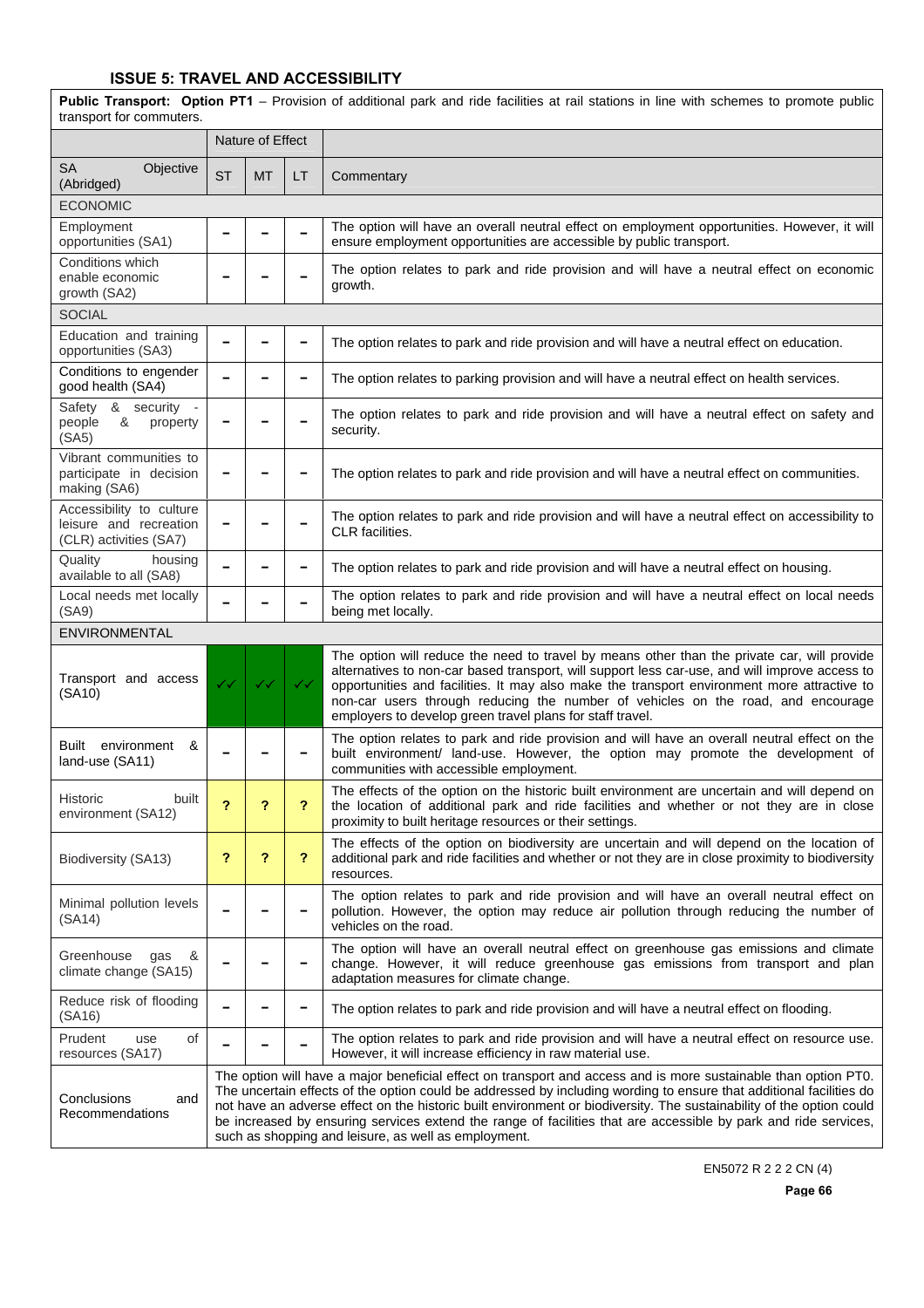**Public Transport: Option PT1** – Provision of additional park and ride facilities at rail stations in line with schemes to promote public transport for commuters. Nature of Effect SA Objective SA CDJective ST MT LT Commentary ECONOMIC Employment Employment **− − − −** The option will have an overall neutral effect on employment opportunities. However, it will opportunities (SA1) **− −** ensure employment opportunities are accessible by public transport. ensure employment opportunities are accessible by public transport. Conditions which enable economic growth (SA2) The option relates to park and ride provision and will have a neutral effect on economic growth. **SOCIAL** Education and training opportunities (SA3) **<sup>−</sup> <sup>−</sup> <sup>−</sup>** The option relates to park and ride provision and will have a neutral effect on education. Conditions to engender good health (SA4) **<sup>−</sup> <sup>−</sup> <sup>−</sup>** The option relates to parking provision and will have a neutral effect on health services. Safety & security people & property (SA5) **−**  $\vert$  **−**  $\vert$  **−** The option relates to park and ride provision and will have a neutral effect on safety and security. Vibrant communities to participate in decision making (SA6) The option relates to park and ride provision and will have a neutral effect on communities. Accessibility to culture leisure and recreation (CLR) activities (SA7) **<sup>−</sup> <sup>−</sup> <sup>−</sup>** The option relates to park and ride provision and will have a neutral effect on accessibility to CLR facilities. Quality housing<br>available to all (SA8) **−**  $\vert$  −  $\vert$  −  $\vert$  The option relates to park and ride provision and will have a neutral effect on housing. Local needs met locally (SA9) **<sup>−</sup> <sup>−</sup> <sup>−</sup>** The option relates to park and ride provision and will have a neutral effect on local needs being met locally. ENVIRONMENTAL Transport and access (SA10)  $33 \times 33$   $33 \times 33$ The option will reduce the need to travel by means other than the private car, will provide alternatives to non-car based transport, will support less car-use, and will improve access to opportunities and facilities. It may also make the transport environment more attractive to non-car users through reducing the number of vehicles on the road, and encourage employers to develop green travel plans for staff travel. Built environment & **Dollit environment ∞**  $\vert$  −  $\vert$  −  $\vert$  − The option relates to park and ride provision and will have an overall neutral effect on the built environment/ land-use. However, the option may promote the development of communities with accessible employment. Historic built environment (SA12) **? ? ?** The effects of the option on the historic built environment are uncertain and will depend on the location of additional park and ride facilities and whether or not they are in close proximity to built heritage resources or their settings. Biodiversity (SA13) **? ? ?** The effects of the option on biodiversity are uncertain and will depend on the location of additional park and ride facilities and whether or not they are in close proximity to biodiversity resources. Minimal pollution levels (SA14) **<sup>−</sup> <sup>−</sup> <sup>−</sup>** The option relates to park and ride provision and will have an overall neutral effect on pollution. However, the option may reduce air pollution through reducing the number of vehicles on the road. Greenhouse gas & climate change (SA15) **<sup>−</sup> <sup>−</sup> <sup>−</sup>** The option will have an overall neutral effect on greenhouse gas emissions and climate change. However, it will reduce greenhouse gas emissions from transport and plan adaptation measures for climate change. Reduce risk of flooding (SA16) **<sup>−</sup> <sup>−</sup> <sup>−</sup>** The option relates to park and ride provision and will have a neutral effect on flooding. Prudent use of Prudent use of **− − −** The option relates to park and ride provision and will have a neutral effect on resource use.<br>resources (SA17) **− F** However, it will increase efficiency in raw material use. However, it will increase efficiency in raw material use. Conclusions and Recommendations The option will have a major beneficial effect on transport and access and is more sustainable than option PT0. The uncertain effects of the option could be addressed by including wording to ensure that additional facilities do not have an adverse effect on the historic built environment or biodiversity. The sustainability of the option could be increased by ensuring services extend the range of facilities that are accessible by park and ride services, such as shopping and leisure, as well as employment.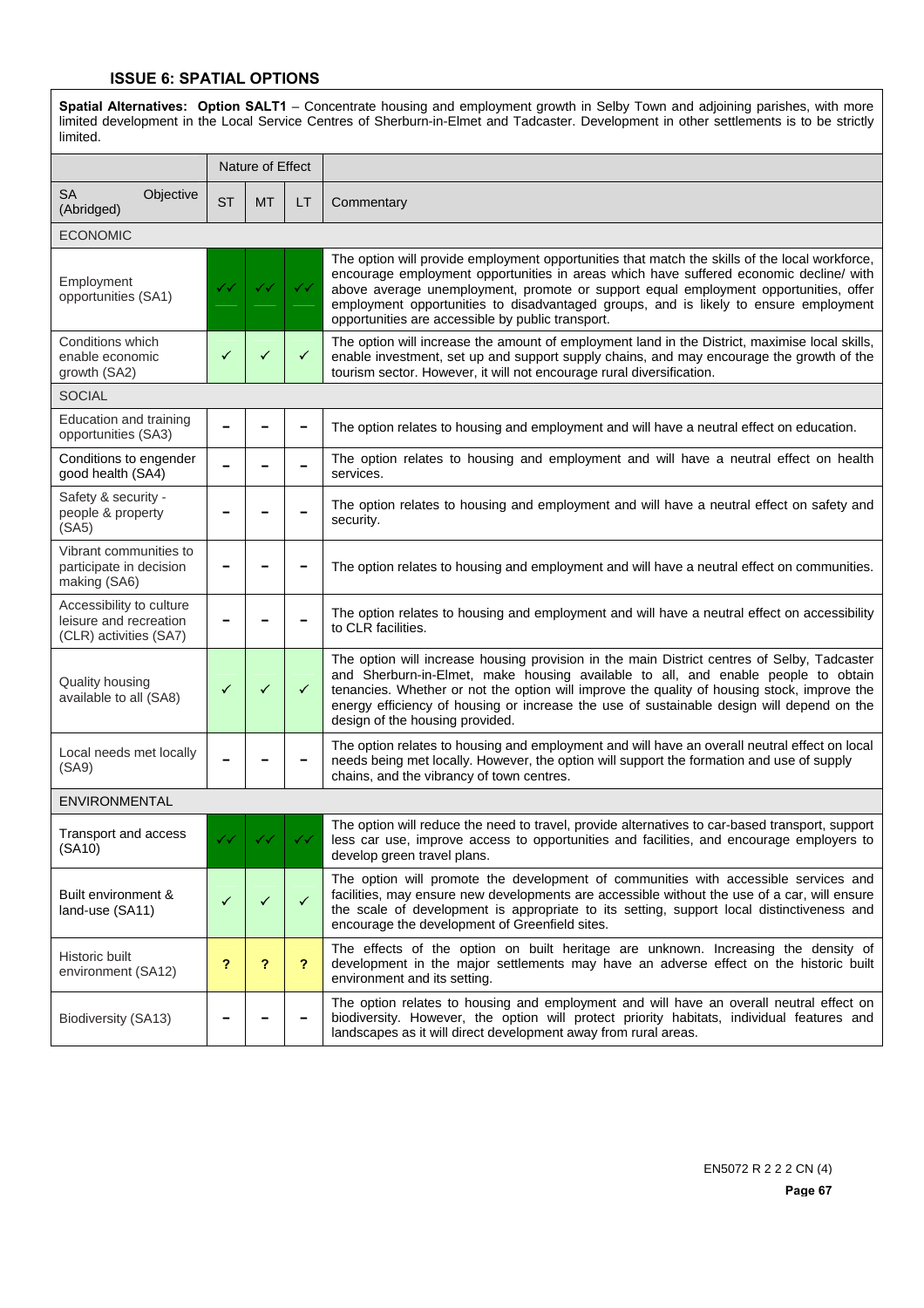#### **ISSUE 6: SPATIAL OPTIONS**

**Spatial Alternatives: Option SALT1** – Concentrate housing and employment growth in Selby Town and adjoining parishes, with more limited development in the Local Service Centres of Sherburn-in-Elmet and Tadcaster. Development in other settlements is to be strictly limited.

|                                                                              |           | Nature of Effect |              |                                                                                                                                                                                                                                                                                                                                                                                                                               |
|------------------------------------------------------------------------------|-----------|------------------|--------------|-------------------------------------------------------------------------------------------------------------------------------------------------------------------------------------------------------------------------------------------------------------------------------------------------------------------------------------------------------------------------------------------------------------------------------|
| SA<br>Objective<br>(Abridged)                                                | <b>ST</b> | <b>MT</b>        | LT.          | Commentary                                                                                                                                                                                                                                                                                                                                                                                                                    |
| <b>ECONOMIC</b>                                                              |           |                  |              |                                                                                                                                                                                                                                                                                                                                                                                                                               |
| Employment<br>opportunities (SA1)                                            |           | ✓✓               | ✓✓           | The option will provide employment opportunities that match the skills of the local workforce,<br>encourage employment opportunities in areas which have suffered economic decline/ with<br>above average unemployment, promote or support equal employment opportunities, offer<br>employment opportunities to disadvantaged groups, and is likely to ensure employment<br>opportunities are accessible by public transport. |
| Conditions which<br>enable economic<br>growth (SA2)                          | ✓         | ✓                | $\checkmark$ | The option will increase the amount of employment land in the District, maximise local skills,<br>enable investment, set up and support supply chains, and may encourage the growth of the<br>tourism sector. However, it will not encourage rural diversification.                                                                                                                                                           |
| <b>SOCIAL</b>                                                                |           |                  |              |                                                                                                                                                                                                                                                                                                                                                                                                                               |
| Education and training<br>opportunities (SA3)                                |           |                  |              | The option relates to housing and employment and will have a neutral effect on education.                                                                                                                                                                                                                                                                                                                                     |
| Conditions to engender<br>good health (SA4)                                  |           |                  |              | The option relates to housing and employment and will have a neutral effect on health<br>services.                                                                                                                                                                                                                                                                                                                            |
| Safety & security -<br>people & property<br>(SA5)                            |           |                  |              | The option relates to housing and employment and will have a neutral effect on safety and<br>security.                                                                                                                                                                                                                                                                                                                        |
| Vibrant communities to<br>participate in decision<br>making (SA6)            |           |                  |              | The option relates to housing and employment and will have a neutral effect on communities.                                                                                                                                                                                                                                                                                                                                   |
| Accessibility to culture<br>leisure and recreation<br>(CLR) activities (SA7) |           |                  |              | The option relates to housing and employment and will have a neutral effect on accessibility<br>to CLR facilities.                                                                                                                                                                                                                                                                                                            |
| Quality housing<br>available to all (SA8)                                    | ✓         | ✓                | $\checkmark$ | The option will increase housing provision in the main District centres of Selby, Tadcaster<br>and Sherburn-in-Elmet, make housing available to all, and enable people to obtain<br>tenancies. Whether or not the option will improve the quality of housing stock, improve the<br>energy efficiency of housing or increase the use of sustainable design will depend on the<br>design of the housing provided.               |
| Local needs met locally<br>(SA9)                                             |           |                  |              | The option relates to housing and employment and will have an overall neutral effect on local<br>needs being met locally. However, the option will support the formation and use of supply<br>chains, and the vibrancy of town centres.                                                                                                                                                                                       |
| <b>ENVIRONMENTAL</b>                                                         |           |                  |              |                                                                                                                                                                                                                                                                                                                                                                                                                               |
| Transport and access<br>(SA10)                                               |           |                  |              | The option will reduce the need to travel, provide alternatives to car-based transport, support<br>less car use, improve access to opportunities and facilities, and encourage employers to<br>develop green travel plans.                                                                                                                                                                                                    |
| Built environment &<br>land-use (SA11)                                       | ✓         | $\checkmark$     | $\checkmark$ | The option will promote the development of communities with accessible services and<br>facilities, may ensure new developments are accessible without the use of a car, will ensure<br>the scale of development is appropriate to its setting, support local distinctiveness and<br>encourage the development of Greenfield sites.                                                                                            |
| Historic built<br>environment (SA12)                                         | ?         | ?                | ?            | The effects of the option on built heritage are unknown. Increasing the density of<br>development in the major settlements may have an adverse effect on the historic built<br>environment and its setting.                                                                                                                                                                                                                   |
| Biodiversity (SA13)                                                          |           |                  |              | The option relates to housing and employment and will have an overall neutral effect on<br>biodiversity. However, the option will protect priority habitats, individual features and<br>landscapes as it will direct development away from rural areas.                                                                                                                                                                       |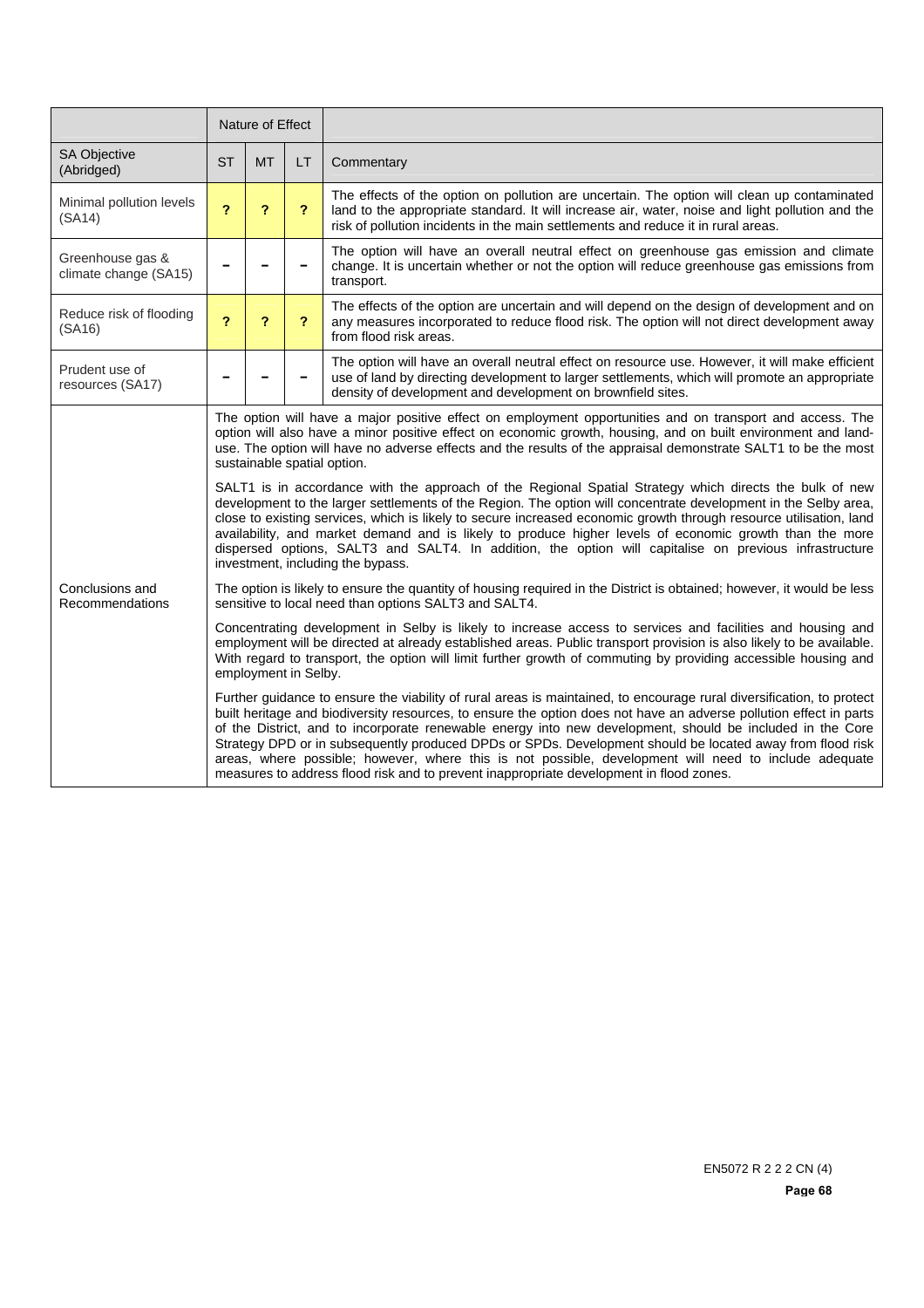|                                           | Nature of Effect                                                                                                                                                                                                                                                                                                                                                                                                                                                                                                                                                                                                                                                                                                                                                                                                                           |                         |                         |                                                                                                                                                                                                                                                                                      |  |  |  |
|-------------------------------------------|--------------------------------------------------------------------------------------------------------------------------------------------------------------------------------------------------------------------------------------------------------------------------------------------------------------------------------------------------------------------------------------------------------------------------------------------------------------------------------------------------------------------------------------------------------------------------------------------------------------------------------------------------------------------------------------------------------------------------------------------------------------------------------------------------------------------------------------------|-------------------------|-------------------------|--------------------------------------------------------------------------------------------------------------------------------------------------------------------------------------------------------------------------------------------------------------------------------------|--|--|--|
| <b>SA Objective</b><br>(Abridged)         | <b>ST</b>                                                                                                                                                                                                                                                                                                                                                                                                                                                                                                                                                                                                                                                                                                                                                                                                                                  | <b>MT</b>               | LT                      | Commentary                                                                                                                                                                                                                                                                           |  |  |  |
| Minimal pollution levels<br>(SA14)        | $\overline{\mathbf{r}}$                                                                                                                                                                                                                                                                                                                                                                                                                                                                                                                                                                                                                                                                                                                                                                                                                    | ?                       | $\overline{\mathbf{r}}$ | The effects of the option on pollution are uncertain. The option will clean up contaminated<br>land to the appropriate standard. It will increase air, water, noise and light pollution and the<br>risk of pollution incidents in the main settlements and reduce it in rural areas. |  |  |  |
| Greenhouse gas &<br>climate change (SA15) |                                                                                                                                                                                                                                                                                                                                                                                                                                                                                                                                                                                                                                                                                                                                                                                                                                            |                         |                         | The option will have an overall neutral effect on greenhouse gas emission and climate<br>change. It is uncertain whether or not the option will reduce greenhouse gas emissions from<br>transport.                                                                                   |  |  |  |
| Reduce risk of flooding<br>(SA16)         | $\overline{\mathbf{r}}$                                                                                                                                                                                                                                                                                                                                                                                                                                                                                                                                                                                                                                                                                                                                                                                                                    | $\overline{\mathbf{r}}$ | $\overline{\mathbf{r}}$ | The effects of the option are uncertain and will depend on the design of development and on<br>any measures incorporated to reduce flood risk. The option will not direct development away<br>from flood risk areas.                                                                 |  |  |  |
| Prudent use of<br>resources (SA17)        |                                                                                                                                                                                                                                                                                                                                                                                                                                                                                                                                                                                                                                                                                                                                                                                                                                            |                         |                         | The option will have an overall neutral effect on resource use. However, it will make efficient<br>use of land by directing development to larger settlements, which will promote an appropriate<br>density of development and development on brownfield sites.                      |  |  |  |
|                                           | The option will have a major positive effect on employment opportunities and on transport and access. The<br>option will also have a minor positive effect on economic growth, housing, and on built environment and land-<br>use. The option will have no adverse effects and the results of the appraisal demonstrate SALT1 to be the most<br>sustainable spatial option.<br>SALT1 is in accordance with the approach of the Regional Spatial Strategy which directs the bulk of new<br>development to the larger settlements of the Region. The option will concentrate development in the Selby area,<br>close to existing services, which is likely to secure increased economic growth through resource utilisation, land<br>availability, and market demand and is likely to produce higher levels of economic growth than the more |                         |                         |                                                                                                                                                                                                                                                                                      |  |  |  |
| Conclusions and                           | dispersed options, SALT3 and SALT4. In addition, the option will capitalise on previous infrastructure<br>investment, including the bypass.<br>The option is likely to ensure the quantity of housing required in the District is obtained; however, it would be less                                                                                                                                                                                                                                                                                                                                                                                                                                                                                                                                                                      |                         |                         |                                                                                                                                                                                                                                                                                      |  |  |  |
| Recommendations                           | sensitive to local need than options SALT3 and SALT4.                                                                                                                                                                                                                                                                                                                                                                                                                                                                                                                                                                                                                                                                                                                                                                                      |                         |                         |                                                                                                                                                                                                                                                                                      |  |  |  |
|                                           | Concentrating development in Selby is likely to increase access to services and facilities and housing and<br>employment will be directed at already established areas. Public transport provision is also likely to be available.<br>With regard to transport, the option will limit further growth of commuting by providing accessible housing and<br>employment in Selby.                                                                                                                                                                                                                                                                                                                                                                                                                                                              |                         |                         |                                                                                                                                                                                                                                                                                      |  |  |  |
|                                           | Further guidance to ensure the viability of rural areas is maintained, to encourage rural diversification, to protect<br>built heritage and biodiversity resources, to ensure the option does not have an adverse pollution effect in parts<br>of the District, and to incorporate renewable energy into new development, should be included in the Core<br>Strategy DPD or in subsequently produced DPDs or SPDs. Development should be located away from flood risk<br>areas, where possible; however, where this is not possible, development will need to include adequate<br>measures to address flood risk and to prevent inappropriate development in flood zones.                                                                                                                                                                  |                         |                         |                                                                                                                                                                                                                                                                                      |  |  |  |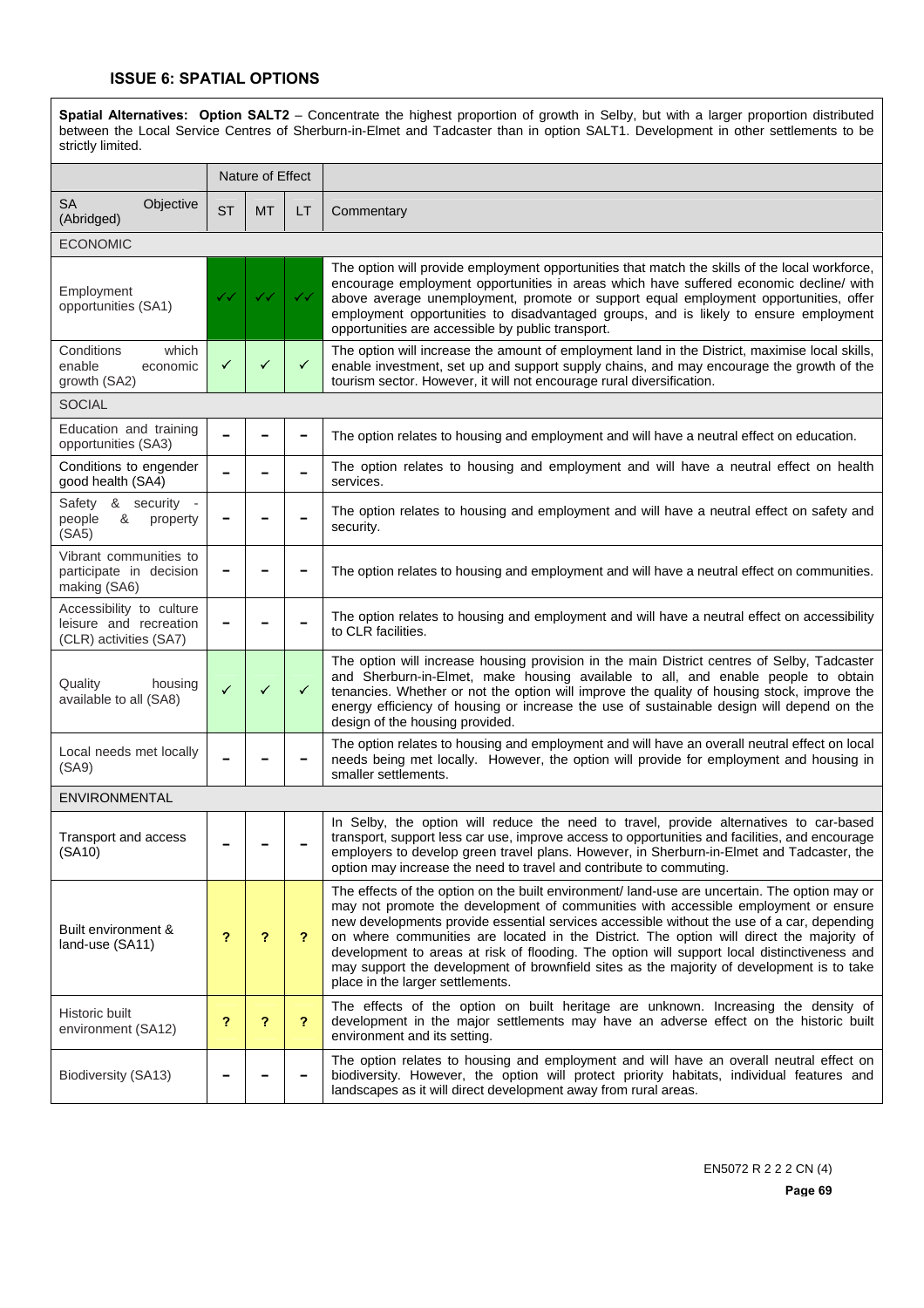#### **ISSUE 6: SPATIAL OPTIONS**

**Spatial Alternatives: Option SALT2** – Concentrate the highest proportion of growth in Selby, but with a larger proportion distributed between the Local Service Centres of Sherburn-in-Elmet and Tadcaster than in option SALT1. Development in other settlements to be strictly limited.

|                                                                                      |              | Nature of Effect |                         |                                                                                                                                                                                                                                                                                                                                                                                                                                                                                                                                                                                                                |
|--------------------------------------------------------------------------------------|--------------|------------------|-------------------------|----------------------------------------------------------------------------------------------------------------------------------------------------------------------------------------------------------------------------------------------------------------------------------------------------------------------------------------------------------------------------------------------------------------------------------------------------------------------------------------------------------------------------------------------------------------------------------------------------------------|
| <b>SA</b><br>Objective<br>(Abridged)                                                 | <b>ST</b>    | <b>MT</b>        | LT                      | Commentary                                                                                                                                                                                                                                                                                                                                                                                                                                                                                                                                                                                                     |
| <b>ECONOMIC</b>                                                                      |              |                  |                         |                                                                                                                                                                                                                                                                                                                                                                                                                                                                                                                                                                                                                |
| Employment<br>opportunities (SA1)                                                    | ✓✓           | ✓✓               | ✓✓                      | The option will provide employment opportunities that match the skills of the local workforce,<br>encourage employment opportunities in areas which have suffered economic decline/ with<br>above average unemployment, promote or support equal employment opportunities, offer<br>employment opportunities to disadvantaged groups, and is likely to ensure employment<br>opportunities are accessible by public transport.                                                                                                                                                                                  |
| which<br>Conditions<br>enable<br>economic<br>growth (SA2)                            | ✓            | ✓                | ✓                       | The option will increase the amount of employment land in the District, maximise local skills,<br>enable investment, set up and support supply chains, and may encourage the growth of the<br>tourism sector. However, it will not encourage rural diversification.                                                                                                                                                                                                                                                                                                                                            |
| <b>SOCIAL</b>                                                                        |              |                  |                         |                                                                                                                                                                                                                                                                                                                                                                                                                                                                                                                                                                                                                |
| Education and training<br>opportunities (SA3)                                        |              |                  |                         | The option relates to housing and employment and will have a neutral effect on education.                                                                                                                                                                                                                                                                                                                                                                                                                                                                                                                      |
| Conditions to engender<br>good health (SA4)                                          |              |                  |                         | The option relates to housing and employment and will have a neutral effect on health<br>services.                                                                                                                                                                                                                                                                                                                                                                                                                                                                                                             |
| & security<br>Safety<br>$\overline{\phantom{a}}$<br>&<br>people<br>property<br>(SA5) |              |                  |                         | The option relates to housing and employment and will have a neutral effect on safety and<br>security.                                                                                                                                                                                                                                                                                                                                                                                                                                                                                                         |
| Vibrant communities to<br>participate in decision<br>making (SA6)                    |              |                  |                         | The option relates to housing and employment and will have a neutral effect on communities.                                                                                                                                                                                                                                                                                                                                                                                                                                                                                                                    |
| Accessibility to culture<br>leisure and recreation<br>(CLR) activities (SA7)         |              |                  |                         | The option relates to housing and employment and will have a neutral effect on accessibility<br>to CLR facilities.                                                                                                                                                                                                                                                                                                                                                                                                                                                                                             |
| Quality<br>housing<br>available to all (SA8)                                         | $\checkmark$ | ✓                | ✓                       | The option will increase housing provision in the main District centres of Selby, Tadcaster<br>and Sherburn-in-Elmet, make housing available to all, and enable people to obtain<br>tenancies. Whether or not the option will improve the quality of housing stock, improve the<br>energy efficiency of housing or increase the use of sustainable design will depend on the<br>design of the housing provided.                                                                                                                                                                                                |
| Local needs met locally<br>(SA9)                                                     |              |                  |                         | The option relates to housing and employment and will have an overall neutral effect on local<br>needs being met locally. However, the option will provide for employment and housing in<br>smaller settlements.                                                                                                                                                                                                                                                                                                                                                                                               |
| <b>ENVIRONMENTAL</b>                                                                 |              |                  |                         |                                                                                                                                                                                                                                                                                                                                                                                                                                                                                                                                                                                                                |
| Transport and access<br>(SA10)                                                       |              |                  |                         | In Selby, the option will reduce the need to travel, provide alternatives to car-based<br>transport, support less car use, improve access to opportunities and facilities, and encourage<br>employers to develop green travel plans. However, in Sherburn-in-Elmet and Tadcaster, the<br>option may increase the need to travel and contribute to commuting.                                                                                                                                                                                                                                                   |
| Built environment &<br>land-use (SA11)                                               | ?            | ?                | $\overline{\mathbf{r}}$ | The effects of the option on the built environment/ land-use are uncertain. The option may or<br>may not promote the development of communities with accessible employment or ensure<br>new developments provide essential services accessible without the use of a car, depending<br>on where communities are located in the District. The option will direct the majority of<br>development to areas at risk of flooding. The option will support local distinctiveness and<br>may support the development of brownfield sites as the majority of development is to take<br>place in the larger settlements. |
| Historic built<br>environment (SA12)                                                 | ?            | ?                | ?                       | The effects of the option on built heritage are unknown. Increasing the density of<br>development in the major settlements may have an adverse effect on the historic built<br>environment and its setting.                                                                                                                                                                                                                                                                                                                                                                                                    |
| Biodiversity (SA13)                                                                  |              |                  |                         | The option relates to housing and employment and will have an overall neutral effect on<br>biodiversity. However, the option will protect priority habitats, individual features and<br>landscapes as it will direct development away from rural areas.                                                                                                                                                                                                                                                                                                                                                        |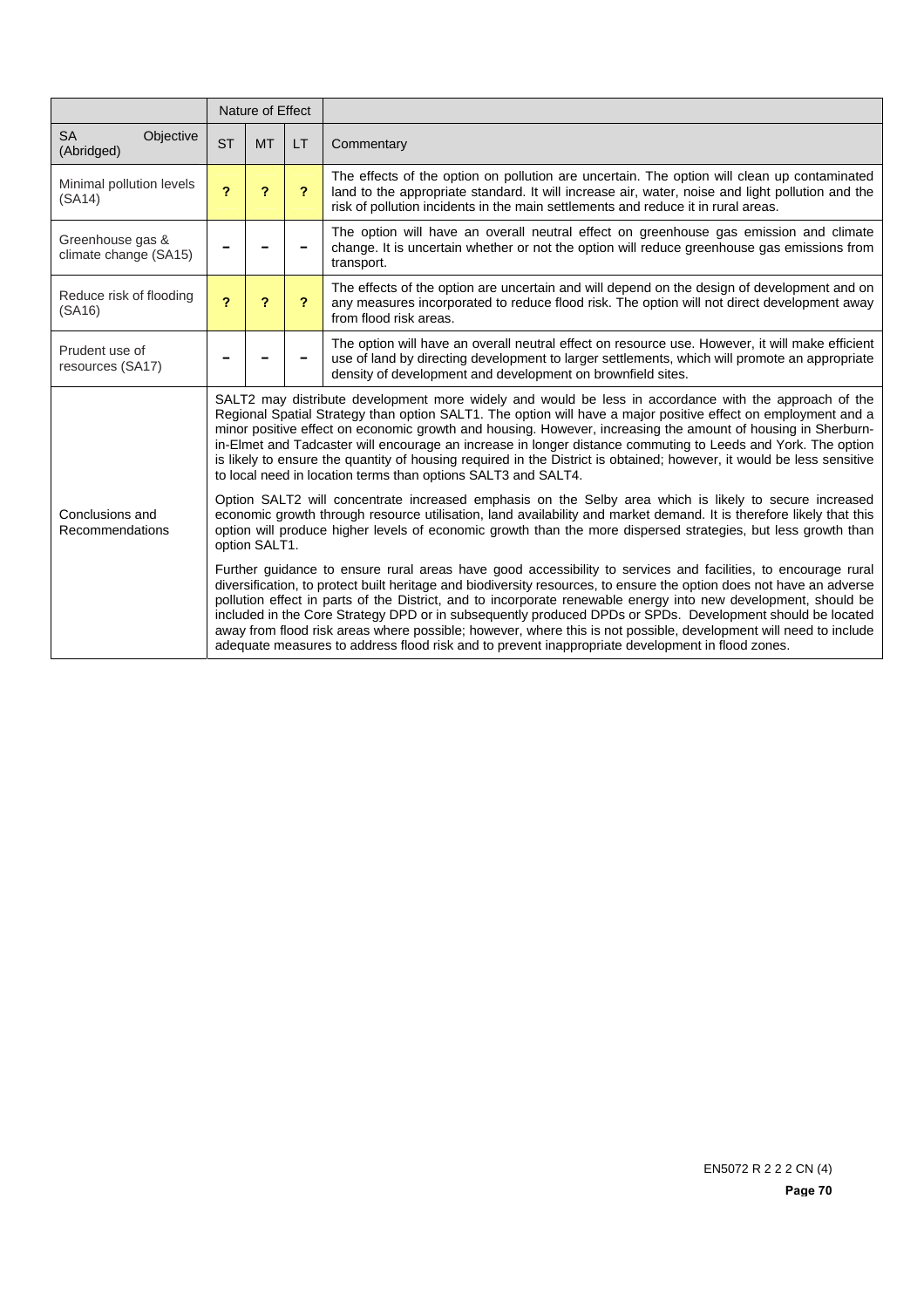|                                           |                                                                                                                                                                                                                                                                                                                                                                                                                                                                                                                                                                                                                                                                                              | Nature of Effect           |                         |                                                                                                                                                                                                                                                                                      |  |  |  |
|-------------------------------------------|----------------------------------------------------------------------------------------------------------------------------------------------------------------------------------------------------------------------------------------------------------------------------------------------------------------------------------------------------------------------------------------------------------------------------------------------------------------------------------------------------------------------------------------------------------------------------------------------------------------------------------------------------------------------------------------------|----------------------------|-------------------------|--------------------------------------------------------------------------------------------------------------------------------------------------------------------------------------------------------------------------------------------------------------------------------------|--|--|--|
| <b>SA</b><br>Objective<br>(Abridged)      | <b>ST</b>                                                                                                                                                                                                                                                                                                                                                                                                                                                                                                                                                                                                                                                                                    | <b>MT</b>                  | LT.                     | Commentary                                                                                                                                                                                                                                                                           |  |  |  |
| Minimal pollution levels<br>(SA14)        | $\overline{\mathbf{r}}$                                                                                                                                                                                                                                                                                                                                                                                                                                                                                                                                                                                                                                                                      | $\boldsymbol{\mathcal{P}}$ | $\overline{\mathbf{r}}$ | The effects of the option on pollution are uncertain. The option will clean up contaminated<br>land to the appropriate standard. It will increase air, water, noise and light pollution and the<br>risk of pollution incidents in the main settlements and reduce it in rural areas. |  |  |  |
| Greenhouse gas &<br>climate change (SA15) |                                                                                                                                                                                                                                                                                                                                                                                                                                                                                                                                                                                                                                                                                              |                            |                         | The option will have an overall neutral effect on greenhouse gas emission and climate<br>change. It is uncertain whether or not the option will reduce greenhouse gas emissions from<br>transport.                                                                                   |  |  |  |
| Reduce risk of flooding<br>(SA16)         | $\overline{\mathbf{c}}$                                                                                                                                                                                                                                                                                                                                                                                                                                                                                                                                                                                                                                                                      | $\boldsymbol{\mathcal{P}}$ | 2                       | The effects of the option are uncertain and will depend on the design of development and on<br>any measures incorporated to reduce flood risk. The option will not direct development away<br>from flood risk areas.                                                                 |  |  |  |
| Prudent use of<br>resources (SA17)        |                                                                                                                                                                                                                                                                                                                                                                                                                                                                                                                                                                                                                                                                                              |                            |                         | The option will have an overall neutral effect on resource use. However, it will make efficient<br>use of land by directing development to larger settlements, which will promote an appropriate<br>density of development and development on brownfield sites.                      |  |  |  |
|                                           | SALT2 may distribute development more widely and would be less in accordance with the approach of the<br>Regional Spatial Strategy than option SALT1. The option will have a major positive effect on employment and a<br>minor positive effect on economic growth and housing. However, increasing the amount of housing in Sherburn-<br>in-Elmet and Tadcaster will encourage an increase in longer distance commuting to Leeds and York. The option<br>is likely to ensure the quantity of housing required in the District is obtained; however, it would be less sensitive<br>to local need in location terms than options SALT3 and SALT4.                                             |                            |                         |                                                                                                                                                                                                                                                                                      |  |  |  |
| Conclusions and<br>Recommendations        | Option SALT2 will concentrate increased emphasis on the Selby area which is likely to secure increased<br>economic growth through resource utilisation, land availability and market demand. It is therefore likely that this<br>option will produce higher levels of economic growth than the more dispersed strategies, but less growth than<br>option SALT1.                                                                                                                                                                                                                                                                                                                              |                            |                         |                                                                                                                                                                                                                                                                                      |  |  |  |
|                                           | Further guidance to ensure rural areas have good accessibility to services and facilities, to encourage rural<br>diversification, to protect built heritage and biodiversity resources, to ensure the option does not have an adverse<br>pollution effect in parts of the District, and to incorporate renewable energy into new development, should be<br>included in the Core Strategy DPD or in subsequently produced DPDs or SPDs. Development should be located<br>away from flood risk areas where possible; however, where this is not possible, development will need to include<br>adequate measures to address flood risk and to prevent inappropriate development in flood zones. |                            |                         |                                                                                                                                                                                                                                                                                      |  |  |  |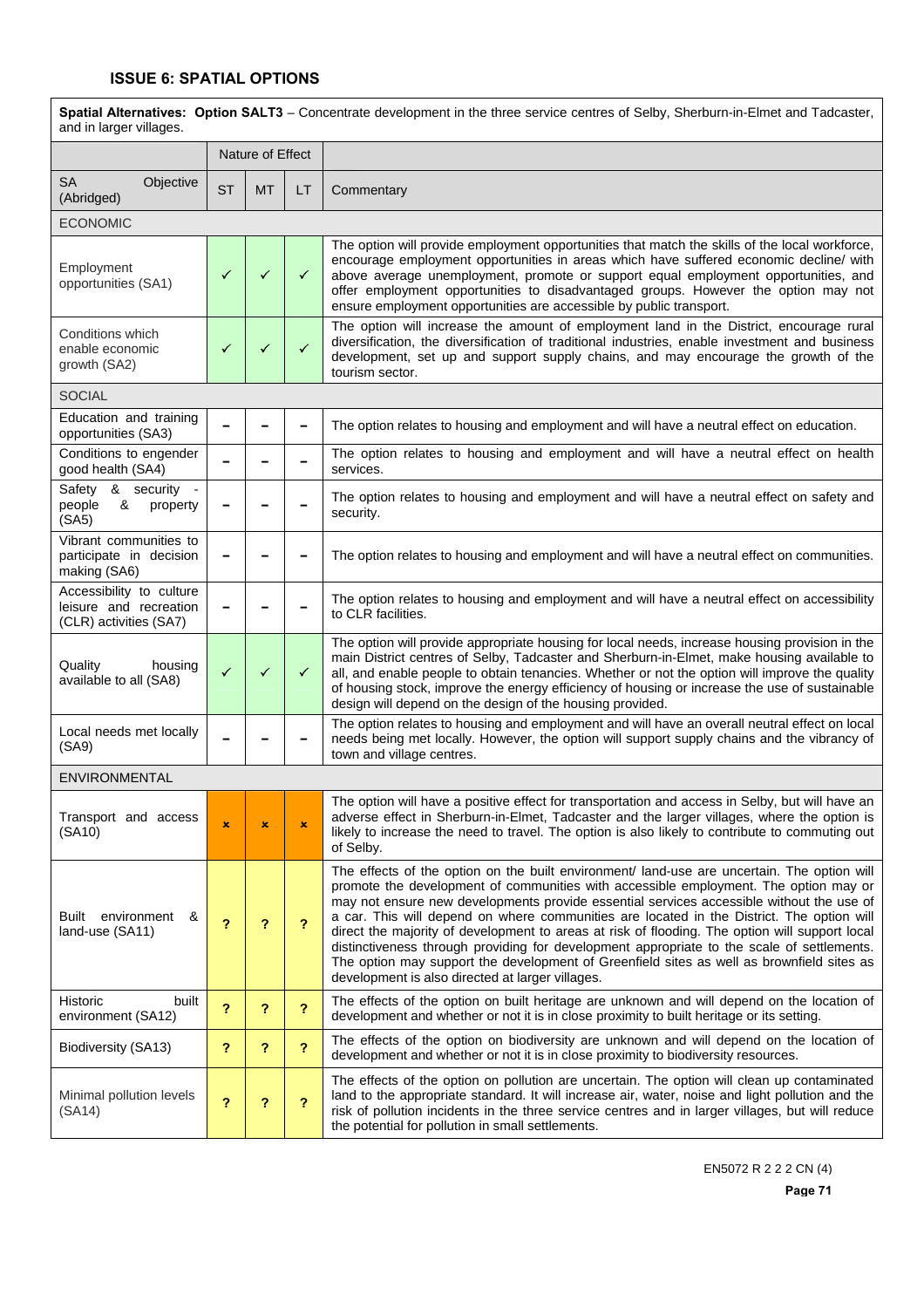## **ISSUE 6: SPATIAL OPTIONS**

| Spatial Alternatives: Option SALT3 - Concentrate development in the three service centres of Selby, Sherburn-in-Elmet and Tadcaster,<br>and in larger villages. |                         |                |                |                                                                                                                                                                                                                                                                                                                                                                                                                                                                                                                                                                                                                                                                                                                               |
|-----------------------------------------------------------------------------------------------------------------------------------------------------------------|-------------------------|----------------|----------------|-------------------------------------------------------------------------------------------------------------------------------------------------------------------------------------------------------------------------------------------------------------------------------------------------------------------------------------------------------------------------------------------------------------------------------------------------------------------------------------------------------------------------------------------------------------------------------------------------------------------------------------------------------------------------------------------------------------------------------|
|                                                                                                                                                                 | Nature of Effect        |                |                |                                                                                                                                                                                                                                                                                                                                                                                                                                                                                                                                                                                                                                                                                                                               |
| <b>SA</b><br>Objective<br>(Abridged)                                                                                                                            | <b>ST</b>               | <b>MT</b>      | LT.            | Commentary                                                                                                                                                                                                                                                                                                                                                                                                                                                                                                                                                                                                                                                                                                                    |
| <b>ECONOMIC</b>                                                                                                                                                 |                         |                |                |                                                                                                                                                                                                                                                                                                                                                                                                                                                                                                                                                                                                                                                                                                                               |
| Employment<br>opportunities (SA1)                                                                                                                               | ✓                       | ✓              | $\checkmark$   | The option will provide employment opportunities that match the skills of the local workforce,<br>encourage employment opportunities in areas which have suffered economic decline/ with<br>above average unemployment, promote or support equal employment opportunities, and<br>offer employment opportunities to disadvantaged groups. However the option may not<br>ensure employment opportunities are accessible by public transport.                                                                                                                                                                                                                                                                                   |
| Conditions which<br>enable economic<br>growth (SA2)                                                                                                             | ✓                       | ✓              | $\checkmark$   | The option will increase the amount of employment land in the District, encourage rural<br>diversification, the diversification of traditional industries, enable investment and business<br>development, set up and support supply chains, and may encourage the growth of the<br>tourism sector.                                                                                                                                                                                                                                                                                                                                                                                                                            |
| <b>SOCIAL</b>                                                                                                                                                   |                         |                |                |                                                                                                                                                                                                                                                                                                                                                                                                                                                                                                                                                                                                                                                                                                                               |
| Education and training<br>opportunities (SA3)                                                                                                                   |                         |                |                | The option relates to housing and employment and will have a neutral effect on education.                                                                                                                                                                                                                                                                                                                                                                                                                                                                                                                                                                                                                                     |
| Conditions to engender<br>good health (SA4)                                                                                                                     |                         |                |                | The option relates to housing and employment and will have a neutral effect on health<br>services.                                                                                                                                                                                                                                                                                                                                                                                                                                                                                                                                                                                                                            |
| Safety & security -<br>&<br>people<br>property<br>(SA5)                                                                                                         |                         |                |                | The option relates to housing and employment and will have a neutral effect on safety and<br>security.                                                                                                                                                                                                                                                                                                                                                                                                                                                                                                                                                                                                                        |
| Vibrant communities to<br>participate in decision<br>making (SA6)                                                                                               |                         |                |                | The option relates to housing and employment and will have a neutral effect on communities.                                                                                                                                                                                                                                                                                                                                                                                                                                                                                                                                                                                                                                   |
| Accessibility to culture<br>leisure and recreation<br>(CLR) activities (SA7)                                                                                    | -                       |                |                | The option relates to housing and employment and will have a neutral effect on accessibility<br>to CLR facilities.                                                                                                                                                                                                                                                                                                                                                                                                                                                                                                                                                                                                            |
| Quality<br>housing<br>available to all (SA8)                                                                                                                    | ✓                       | ✓              | $\checkmark$   | The option will provide appropriate housing for local needs, increase housing provision in the<br>main District centres of Selby, Tadcaster and Sherburn-in-Elmet, make housing available to<br>all, and enable people to obtain tenancies. Whether or not the option will improve the quality<br>of housing stock, improve the energy efficiency of housing or increase the use of sustainable<br>design will depend on the design of the housing provided.                                                                                                                                                                                                                                                                  |
| Local needs met locally<br>(SA9)                                                                                                                                |                         |                |                | The option relates to housing and employment and will have an overall neutral effect on local<br>needs being met locally. However, the option will support supply chains and the vibrancy of<br>town and village centres.                                                                                                                                                                                                                                                                                                                                                                                                                                                                                                     |
| ENVIRONMENTAL                                                                                                                                                   |                         |                |                |                                                                                                                                                                                                                                                                                                                                                                                                                                                                                                                                                                                                                                                                                                                               |
| Transport and access<br>(SA10)                                                                                                                                  | $\pmb{\times}$          | $\pmb{\times}$ | $\pmb{\times}$ | The option will have a positive effect for transportation and access in Selby, but will have an<br>adverse effect in Sherburn-in-Elmet, Tadcaster and the larger villages, where the option is<br>likely to increase the need to travel. The option is also likely to contribute to commuting out<br>of Selby.                                                                                                                                                                                                                                                                                                                                                                                                                |
| Built environment<br>&<br>land-use (SA11)                                                                                                                       | ?                       | ?              | ?              | The effects of the option on the built environment/ land-use are uncertain. The option will<br>promote the development of communities with accessible employment. The option may or<br>may not ensure new developments provide essential services accessible without the use of<br>a car. This will depend on where communities are located in the District. The option will<br>direct the majority of development to areas at risk of flooding. The option will support local<br>distinctiveness through providing for development appropriate to the scale of settlements.<br>The option may support the development of Greenfield sites as well as brownfield sites as<br>development is also directed at larger villages. |
| Historic<br>built<br>environment (SA12)                                                                                                                         | ?                       | ?              | $\overline{?}$ | The effects of the option on built heritage are unknown and will depend on the location of<br>development and whether or not it is in close proximity to built heritage or its setting.                                                                                                                                                                                                                                                                                                                                                                                                                                                                                                                                       |
| Biodiversity (SA13)                                                                                                                                             | $\overline{\mathbf{r}}$ | ?              | $\overline{?}$ | The effects of the option on biodiversity are unknown and will depend on the location of<br>development and whether or not it is in close proximity to biodiversity resources.                                                                                                                                                                                                                                                                                                                                                                                                                                                                                                                                                |
| Minimal pollution levels<br>(SA14)                                                                                                                              | 2                       | ?              | 2              | The effects of the option on pollution are uncertain. The option will clean up contaminated<br>land to the appropriate standard. It will increase air, water, noise and light pollution and the<br>risk of pollution incidents in the three service centres and in larger villages, but will reduce<br>the potential for pollution in small settlements.                                                                                                                                                                                                                                                                                                                                                                      |

EN5072 R 2 2 2 CN (4)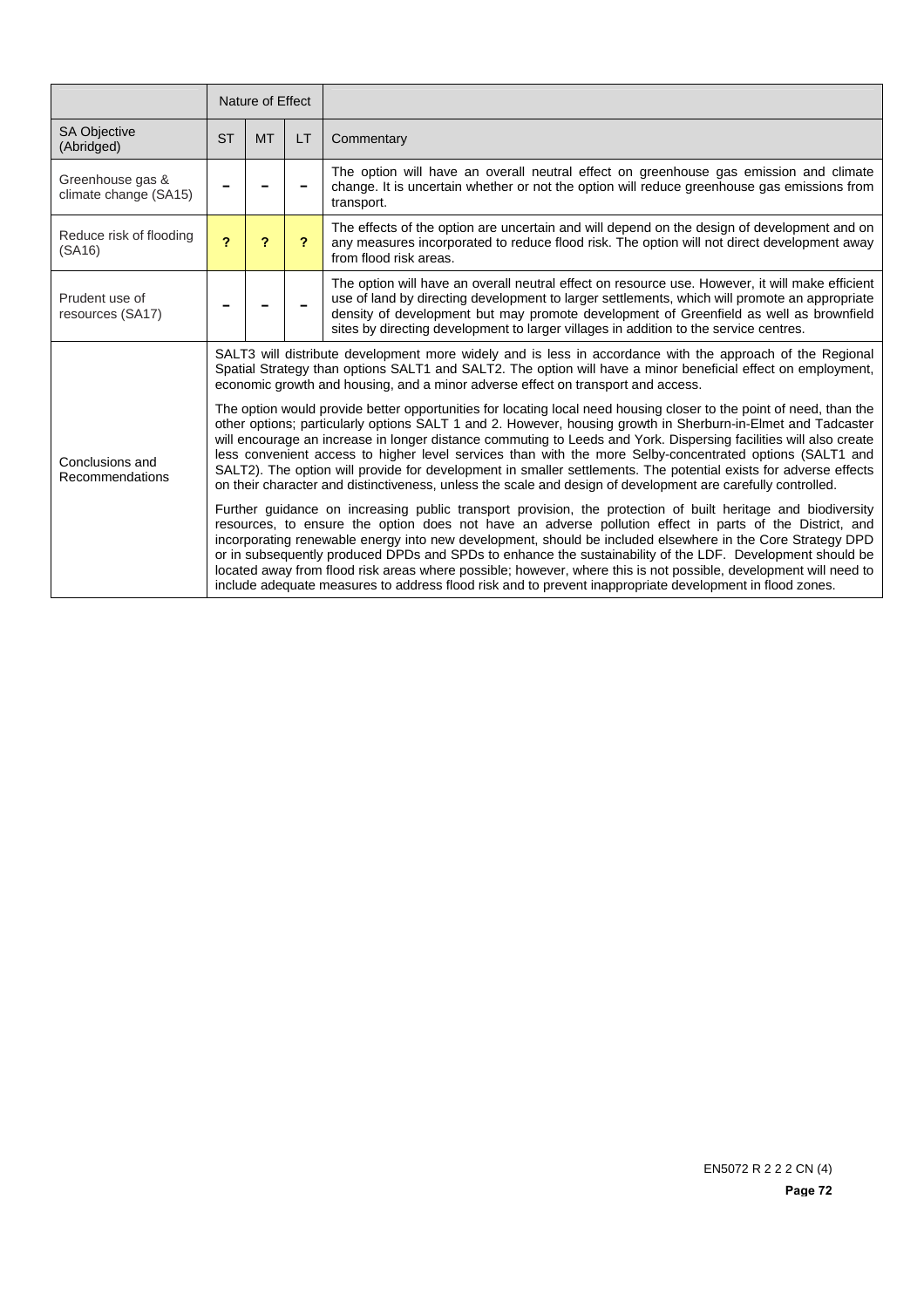|                                           | Nature of Effect                                                                                                                                                                                                                                                                                                                                                                                                                                                                                                                                                                                                                                                                                         |           |           |                                                                                                                                                                                                                                                                                                                                                                                     |  |  |  |
|-------------------------------------------|----------------------------------------------------------------------------------------------------------------------------------------------------------------------------------------------------------------------------------------------------------------------------------------------------------------------------------------------------------------------------------------------------------------------------------------------------------------------------------------------------------------------------------------------------------------------------------------------------------------------------------------------------------------------------------------------------------|-----------|-----------|-------------------------------------------------------------------------------------------------------------------------------------------------------------------------------------------------------------------------------------------------------------------------------------------------------------------------------------------------------------------------------------|--|--|--|
| <b>SA Objective</b><br>(Abridged)         | <b>ST</b>                                                                                                                                                                                                                                                                                                                                                                                                                                                                                                                                                                                                                                                                                                | <b>MT</b> | <b>LT</b> | Commentary                                                                                                                                                                                                                                                                                                                                                                          |  |  |  |
| Greenhouse gas &<br>climate change (SA15) |                                                                                                                                                                                                                                                                                                                                                                                                                                                                                                                                                                                                                                                                                                          |           |           | The option will have an overall neutral effect on greenhouse gas emission and climate<br>change. It is uncertain whether or not the option will reduce greenhouse gas emissions from<br>transport.                                                                                                                                                                                  |  |  |  |
| Reduce risk of flooding<br>(SA16)         | $\overline{\mathbf{c}}$                                                                                                                                                                                                                                                                                                                                                                                                                                                                                                                                                                                                                                                                                  | ?         | 2         | The effects of the option are uncertain and will depend on the design of development and on<br>any measures incorporated to reduce flood risk. The option will not direct development away<br>from flood risk areas.                                                                                                                                                                |  |  |  |
| Prudent use of<br>resources (SA17)        |                                                                                                                                                                                                                                                                                                                                                                                                                                                                                                                                                                                                                                                                                                          |           |           | The option will have an overall neutral effect on resource use. However, it will make efficient<br>use of land by directing development to larger settlements, which will promote an appropriate<br>density of development but may promote development of Greenfield as well as brownfield<br>sites by directing development to larger villages in addition to the service centres. |  |  |  |
|                                           | SALT3 will distribute development more widely and is less in accordance with the approach of the Regional<br>Spatial Strategy than options SALT1 and SALT2. The option will have a minor beneficial effect on employment,<br>economic growth and housing, and a minor adverse effect on transport and access.                                                                                                                                                                                                                                                                                                                                                                                            |           |           |                                                                                                                                                                                                                                                                                                                                                                                     |  |  |  |
| Conclusions and<br>Recommendations        | The option would provide better opportunities for locating local need housing closer to the point of need, than the<br>other options; particularly options SALT 1 and 2. However, housing growth in Sherburn-in-Elmet and Tadcaster<br>will encourage an increase in longer distance commuting to Leeds and York. Dispersing facilities will also create<br>less convenient access to higher level services than with the more Selby-concentrated options (SALT1 and<br>SALT2). The option will provide for development in smaller settlements. The potential exists for adverse effects<br>on their character and distinctiveness, unless the scale and design of development are carefully controlled. |           |           |                                                                                                                                                                                                                                                                                                                                                                                     |  |  |  |
|                                           | Further guidance on increasing public transport provision, the protection of built heritage and biodiversity<br>resources, to ensure the option does not have an adverse pollution effect in parts of the District, and<br>incorporating renewable energy into new development, should be included elsewhere in the Core Strategy DPD<br>or in subsequently produced DPDs and SPDs to enhance the sustainability of the LDF. Development should be<br>located away from flood risk areas where possible; however, where this is not possible, development will need to<br>include adequate measures to address flood risk and to prevent inappropriate development in flood zones.                       |           |           |                                                                                                                                                                                                                                                                                                                                                                                     |  |  |  |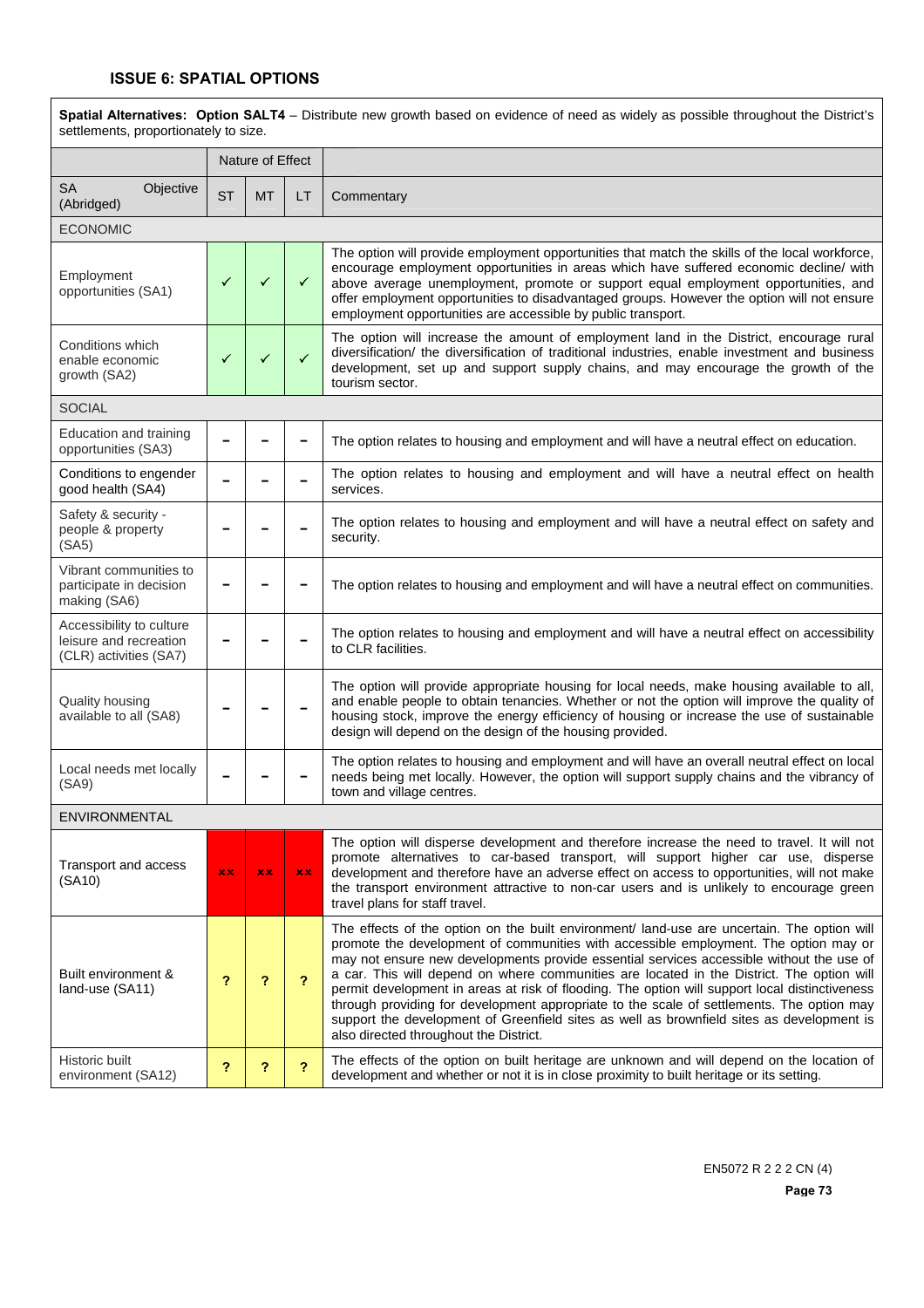## **ISSUE 6: SPATIAL OPTIONS**

 $\overline{\phantom{a}}$ 

| Spatial Alternatives: Option SALT4 - Distribute new growth based on evidence of need as widely as possible throughout the District's<br>settlements, proportionately to size. |                           |                  |              |                                                                                                                                                                                                                                                                                                                                                                                                                                                                                                                                                                                                                                                                                                                    |  |
|-------------------------------------------------------------------------------------------------------------------------------------------------------------------------------|---------------------------|------------------|--------------|--------------------------------------------------------------------------------------------------------------------------------------------------------------------------------------------------------------------------------------------------------------------------------------------------------------------------------------------------------------------------------------------------------------------------------------------------------------------------------------------------------------------------------------------------------------------------------------------------------------------------------------------------------------------------------------------------------------------|--|
|                                                                                                                                                                               |                           | Nature of Effect |              |                                                                                                                                                                                                                                                                                                                                                                                                                                                                                                                                                                                                                                                                                                                    |  |
| <b>SA</b><br>Objective<br>(Abridged)                                                                                                                                          | <b>ST</b>                 | <b>MT</b>        | LT           | Commentary                                                                                                                                                                                                                                                                                                                                                                                                                                                                                                                                                                                                                                                                                                         |  |
| <b>ECONOMIC</b>                                                                                                                                                               |                           |                  |              |                                                                                                                                                                                                                                                                                                                                                                                                                                                                                                                                                                                                                                                                                                                    |  |
| Employment<br>opportunities (SA1)                                                                                                                                             | ✓                         | ✓                | ✓            | The option will provide employment opportunities that match the skills of the local workforce,<br>encourage employment opportunities in areas which have suffered economic decline/ with<br>above average unemployment, promote or support equal employment opportunities, and<br>offer employment opportunities to disadvantaged groups. However the option will not ensure<br>employment opportunities are accessible by public transport.                                                                                                                                                                                                                                                                       |  |
| Conditions which<br>enable economic<br>growth (SA2)                                                                                                                           | $\checkmark$              | $\checkmark$     | $\checkmark$ | The option will increase the amount of employment land in the District, encourage rural<br>diversification/ the diversification of traditional industries, enable investment and business<br>development, set up and support supply chains, and may encourage the growth of the<br>tourism sector.                                                                                                                                                                                                                                                                                                                                                                                                                 |  |
| <b>SOCIAL</b>                                                                                                                                                                 |                           |                  |              |                                                                                                                                                                                                                                                                                                                                                                                                                                                                                                                                                                                                                                                                                                                    |  |
| Education and training<br>opportunities (SA3)                                                                                                                                 |                           |                  |              | The option relates to housing and employment and will have a neutral effect on education.                                                                                                                                                                                                                                                                                                                                                                                                                                                                                                                                                                                                                          |  |
| Conditions to engender<br>good health (SA4)                                                                                                                                   |                           |                  |              | The option relates to housing and employment and will have a neutral effect on health<br>services.                                                                                                                                                                                                                                                                                                                                                                                                                                                                                                                                                                                                                 |  |
| Safety & security -<br>people & property<br>(SA5)                                                                                                                             |                           |                  |              | The option relates to housing and employment and will have a neutral effect on safety and<br>security.                                                                                                                                                                                                                                                                                                                                                                                                                                                                                                                                                                                                             |  |
| Vibrant communities to<br>participate in decision<br>making (SA6)                                                                                                             |                           |                  |              | The option relates to housing and employment and will have a neutral effect on communities.                                                                                                                                                                                                                                                                                                                                                                                                                                                                                                                                                                                                                        |  |
| Accessibility to culture<br>leisure and recreation<br>(CLR) activities (SA7)                                                                                                  |                           |                  |              | The option relates to housing and employment and will have a neutral effect on accessibility<br>to CLR facilities.                                                                                                                                                                                                                                                                                                                                                                                                                                                                                                                                                                                                 |  |
| <b>Quality housing</b><br>available to all (SA8)                                                                                                                              |                           |                  |              | The option will provide appropriate housing for local needs, make housing available to all,<br>and enable people to obtain tenancies. Whether or not the option will improve the quality of<br>housing stock, improve the energy efficiency of housing or increase the use of sustainable<br>design will depend on the design of the housing provided.                                                                                                                                                                                                                                                                                                                                                             |  |
| Local needs met locally<br>(SA9)                                                                                                                                              |                           |                  |              | The option relates to housing and employment and will have an overall neutral effect on local<br>needs being met locally. However, the option will support supply chains and the vibrancy of<br>town and village centres.                                                                                                                                                                                                                                                                                                                                                                                                                                                                                          |  |
| ENVIRONMENTAL                                                                                                                                                                 |                           |                  |              |                                                                                                                                                                                                                                                                                                                                                                                                                                                                                                                                                                                                                                                                                                                    |  |
| Transport and access<br>(SA10)                                                                                                                                                | x x                       | xх               | xx.          | The option will disperse development and therefore increase the need to travel. It will not<br>promote alternatives to car-based transport, will support higher car use, disperse<br>development and therefore have an adverse effect on access to opportunities, will not make<br>the transport environment attractive to non-car users and is unlikely to encourage green<br>travel plans for staff travel.                                                                                                                                                                                                                                                                                                      |  |
| Built environment &<br>land-use (SA11)                                                                                                                                        | ?                         | ?                | ?            | The effects of the option on the built environment/ land-use are uncertain. The option will<br>promote the development of communities with accessible employment. The option may or<br>may not ensure new developments provide essential services accessible without the use of<br>a car. This will depend on where communities are located in the District. The option will<br>permit development in areas at risk of flooding. The option will support local distinctiveness<br>through providing for development appropriate to the scale of settlements. The option may<br>support the development of Greenfield sites as well as brownfield sites as development is<br>also directed throughout the District. |  |
| Historic built<br>environment (SA12)                                                                                                                                          | $\boldsymbol{\mathsf{?}}$ | ?                | ?            | The effects of the option on built heritage are unknown and will depend on the location of<br>development and whether or not it is in close proximity to built heritage or its setting.                                                                                                                                                                                                                                                                                                                                                                                                                                                                                                                            |  |